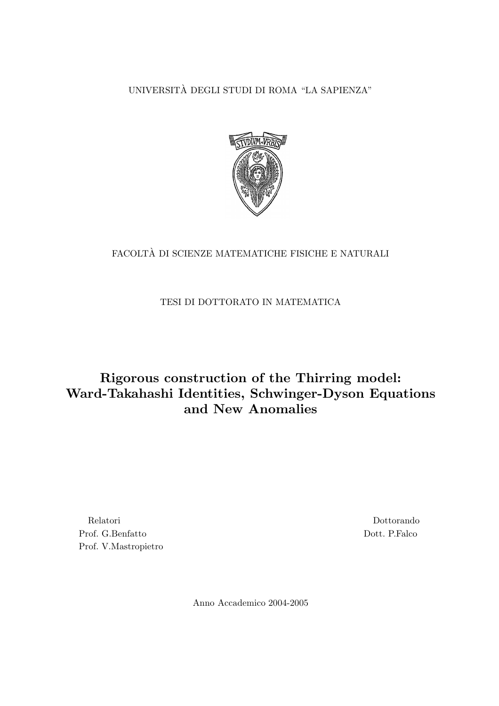UNIVERSITA DEGLI STUDI DI ROMA "LA SAPIENZA" `



### FACOLTÀ DI SCIENZE MATEMATICHE FISICHE E NATURALI

### TESI DI DOTTORATO IN MATEMATICA

### Rigorous construction of the Thirring model: Ward-Takahashi Identities, Schwinger-Dyson Equations and New Anomalies

Relatori Prof. G.Benfatto Prof. V.Mastropietro

Dottorando Dott. P.Falco

Anno Accademico 2004-2005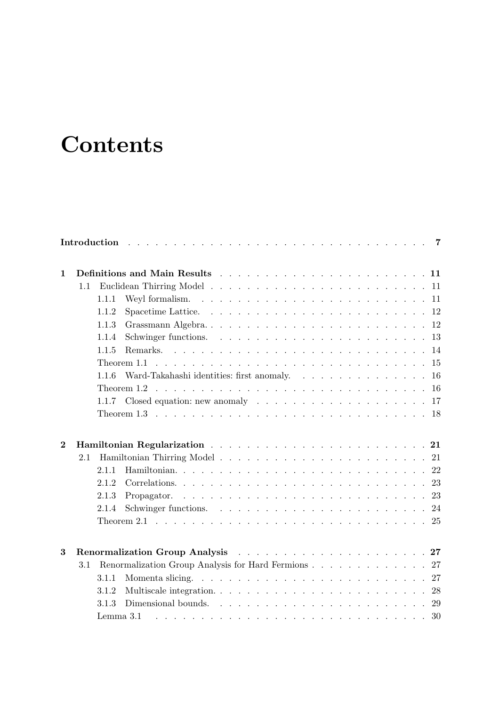# **Contents**

| $\mathbf{1}$   |         |       |                                                                                                                        |  |  |  |  |  |  |  |  |
|----------------|---------|-------|------------------------------------------------------------------------------------------------------------------------|--|--|--|--|--|--|--|--|
|                | 1.1     |       |                                                                                                                        |  |  |  |  |  |  |  |  |
|                |         | 1.1.1 |                                                                                                                        |  |  |  |  |  |  |  |  |
|                |         | 1.1.2 |                                                                                                                        |  |  |  |  |  |  |  |  |
|                |         | 1.1.3 |                                                                                                                        |  |  |  |  |  |  |  |  |
|                |         | 1.1.4 |                                                                                                                        |  |  |  |  |  |  |  |  |
|                |         | 1.1.5 |                                                                                                                        |  |  |  |  |  |  |  |  |
|                |         |       |                                                                                                                        |  |  |  |  |  |  |  |  |
|                |         | 1.1.6 |                                                                                                                        |  |  |  |  |  |  |  |  |
|                |         |       |                                                                                                                        |  |  |  |  |  |  |  |  |
|                |         | 1.1.7 |                                                                                                                        |  |  |  |  |  |  |  |  |
|                |         |       |                                                                                                                        |  |  |  |  |  |  |  |  |
| $\overline{2}$ |         |       |                                                                                                                        |  |  |  |  |  |  |  |  |
|                | 2.1     |       |                                                                                                                        |  |  |  |  |  |  |  |  |
|                |         | 2.1.1 |                                                                                                                        |  |  |  |  |  |  |  |  |
|                |         | 2.1.2 |                                                                                                                        |  |  |  |  |  |  |  |  |
|                |         | 2.1.3 |                                                                                                                        |  |  |  |  |  |  |  |  |
|                |         | 2.1.4 |                                                                                                                        |  |  |  |  |  |  |  |  |
|                |         |       |                                                                                                                        |  |  |  |  |  |  |  |  |
| 3              |         |       | Renormalization Group Analysis extended a series and a series and a series of 27                                       |  |  |  |  |  |  |  |  |
|                | $3.1\,$ |       | Renormalization Group Analysis for Hard Fermions 27                                                                    |  |  |  |  |  |  |  |  |
|                |         | 3.1.1 | Momenta slicing. $\ldots$ $\ldots$ $\ldots$ $\ldots$ $\ldots$ $\ldots$ $\ldots$ $\ldots$ $\ldots$ $\ldots$ $\ldots$ 27 |  |  |  |  |  |  |  |  |
|                |         | 3.1.2 |                                                                                                                        |  |  |  |  |  |  |  |  |
|                |         | 3.1.3 |                                                                                                                        |  |  |  |  |  |  |  |  |
|                |         |       | Lemma 3.1                                                                                                              |  |  |  |  |  |  |  |  |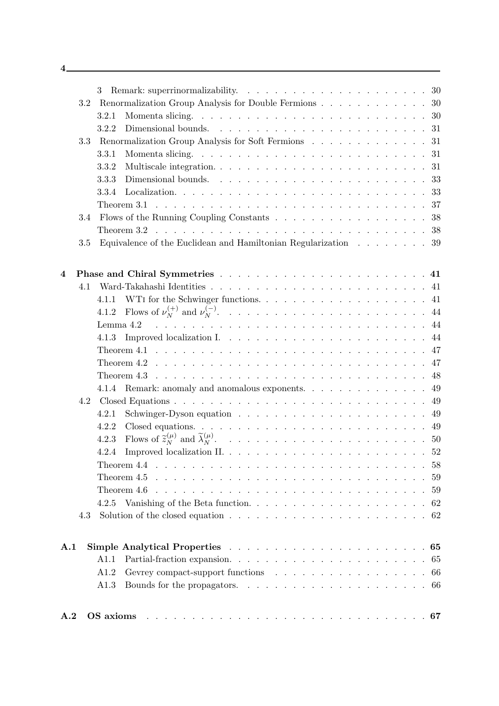| $\mathbf{A.2}$          |       | OS axioms research resources in the contract of the state of the ST                                 |  |
|-------------------------|-------|-----------------------------------------------------------------------------------------------------|--|
|                         | A1.3  |                                                                                                     |  |
|                         | A1.2  |                                                                                                     |  |
|                         | A1.1  |                                                                                                     |  |
| A.1                     |       |                                                                                                     |  |
| 4.3                     |       | Solution of the closed equation $\ldots \ldots \ldots \ldots \ldots \ldots \ldots \ldots \ldots 62$ |  |
|                         |       |                                                                                                     |  |
|                         |       |                                                                                                     |  |
|                         |       |                                                                                                     |  |
|                         |       |                                                                                                     |  |
|                         | 4.2.4 |                                                                                                     |  |
|                         | 4.2.3 |                                                                                                     |  |
|                         | 4.2.2 |                                                                                                     |  |
|                         | 4.2.1 |                                                                                                     |  |
| 4.2                     |       |                                                                                                     |  |
|                         |       | 4.1.4 Remark: anomaly and anomalous exponents. 49                                                   |  |
|                         |       |                                                                                                     |  |
|                         |       |                                                                                                     |  |
|                         |       |                                                                                                     |  |
|                         | 4.1.3 |                                                                                                     |  |
|                         |       |                                                                                                     |  |
|                         | 4.1.2 |                                                                                                     |  |
|                         |       |                                                                                                     |  |
| 4.1                     |       |                                                                                                     |  |
| $\overline{\mathbf{4}}$ |       |                                                                                                     |  |
|                         |       |                                                                                                     |  |
| 3.5                     |       | Equivalence of the Euclidean and Hamiltonian Regularization $\ldots \ldots \ldots$ 39               |  |
|                         |       |                                                                                                     |  |
| 3.4                     |       | Flows of the Running Coupling Constants 38                                                          |  |
|                         | 3.3.4 |                                                                                                     |  |
|                         | 3.3.3 |                                                                                                     |  |
|                         | 3.3.2 |                                                                                                     |  |
|                         | 3.3.1 |                                                                                                     |  |
| 3.3                     |       | Renormalization Group Analysis for Soft Fermions 31                                                 |  |
|                         | 3.2.2 |                                                                                                     |  |
|                         | 3.2.1 |                                                                                                     |  |
| 3.2                     |       | Renormalization Group Analysis for Double Fermions 30                                               |  |
|                         | 3     |                                                                                                     |  |
|                         |       |                                                                                                     |  |

4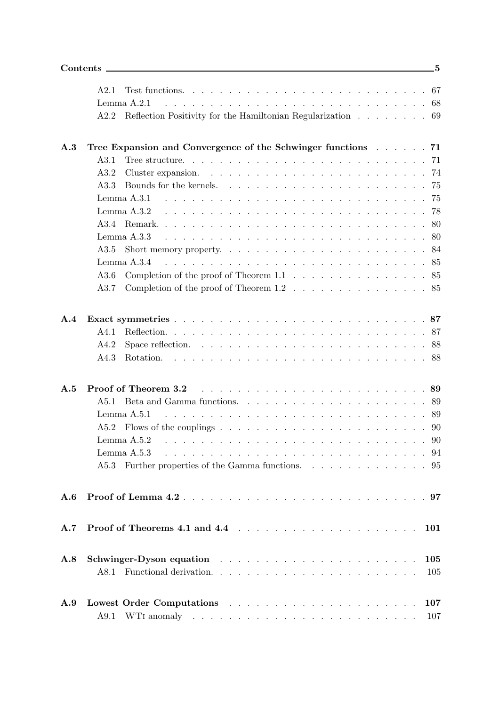|                | A2.1                                                                                   |  |
|----------------|----------------------------------------------------------------------------------------|--|
|                | Lemma A.2.1                                                                            |  |
|                | Reflection Positivity for the Hamiltonian Regularization 69<br>A2.2                    |  |
|                |                                                                                        |  |
| A.3            | Tree Expansion and Convergence of the Schwinger functions 71                           |  |
|                | A3.1                                                                                   |  |
|                | A3.2                                                                                   |  |
|                | A3.3                                                                                   |  |
|                |                                                                                        |  |
|                | Lemma $A.3.2$                                                                          |  |
|                |                                                                                        |  |
|                | Lemma $A.3.3$                                                                          |  |
|                | A3.5                                                                                   |  |
|                | Lemma $A.3.4$                                                                          |  |
|                | Completion of the proof of Theorem 1.1 $\ldots$ 85<br>A3.6                             |  |
|                | Completion of the proof of Theorem $1.2 \ldots \ldots \ldots \ldots \ldots 85$<br>A3.7 |  |
|                |                                                                                        |  |
| $\mathbf{A.4}$ |                                                                                        |  |
|                | A4.1                                                                                   |  |
|                | A4.2                                                                                   |  |
|                | A4.3                                                                                   |  |
|                |                                                                                        |  |
| A.5            | Proof of Theorem 3.2                                                                   |  |
|                | A5.1                                                                                   |  |
|                |                                                                                        |  |
|                |                                                                                        |  |
|                | Lemma $A.5.2$                                                                          |  |
|                | Lemma A.5.3                                                                            |  |
|                | Further properties of the Gamma functions. 95<br>A5.3                                  |  |
|                |                                                                                        |  |
| A.6            |                                                                                        |  |
|                |                                                                                        |  |
| A.7            | 101                                                                                    |  |
| A.8            | 105                                                                                    |  |
|                | 105                                                                                    |  |
|                |                                                                                        |  |
| A.9            | 107                                                                                    |  |
|                | 107                                                                                    |  |
|                |                                                                                        |  |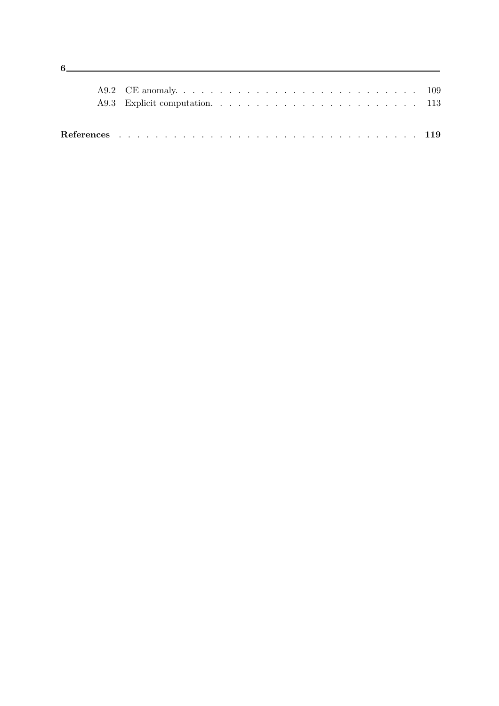$6$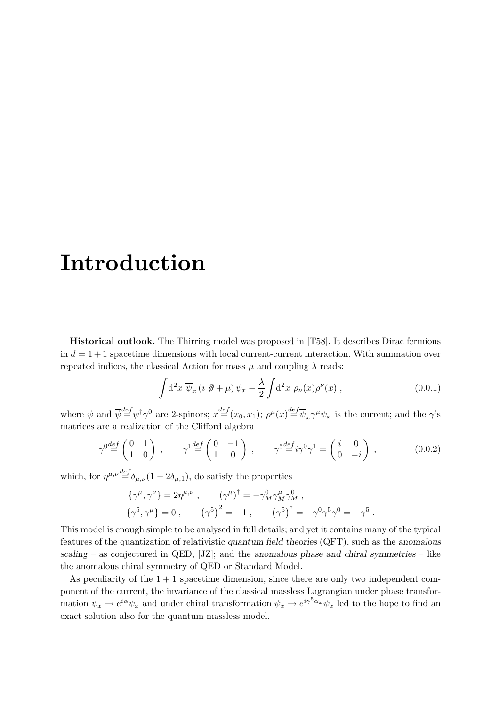# Introduction

Historical outlook. The Thirring model was proposed in [T58]. It describes Dirac fermions in  $d = 1 + 1$  spacetime dimensions with local current-current interaction. With summation over repeated indices, the classical Action for mass  $\mu$  and coupling  $\lambda$  reads:

$$
\int d^2x \,\overline{\psi}_x \left(i \not \! \partial + \mu\right) \psi_x - \frac{\lambda}{2} \int d^2x \,\rho_\nu(x) \rho^\nu(x) , \qquad (0.0.1)
$$

where  $\psi$  and  $\overline{\psi}^{\text{def}} \psi^{\dagger} \gamma^0$  are 2-spinors;  $x^{\text{def}}(x_0, x_1)$ ;  $\rho^{\mu}(x) \stackrel{\text{def}}{=} \overline{\psi}_x \gamma^{\mu} \psi_x$  is the current; and the  $\gamma$ 's matrices are a realization of the Clifford algebra

$$
\gamma^{0} \stackrel{def}{=} \begin{pmatrix} 0 & 1 \\ 1 & 0 \end{pmatrix} , \qquad \gamma^{1} \stackrel{def}{=} \begin{pmatrix} 0 & -1 \\ 1 & 0 \end{pmatrix} , \qquad \gamma^{5} \stackrel{def}{=} i\gamma^{0}\gamma^{1} = \begin{pmatrix} i & 0 \\ 0 & -i \end{pmatrix} , \qquad (0.0.2)
$$

which, for  $\eta^{\mu,\nu} \stackrel{def}{=} \delta_{\mu,\nu} (1 - 2\delta_{\mu,1})$ , do satisfy the properties

$$
\{\gamma^{\mu}, \gamma^{\nu}\} = 2\eta^{\mu, \nu} , \qquad (\gamma^{\mu})^{\dagger} = -\gamma^0_M \gamma^{\mu}_M \gamma^0_M ,
$$
  

$$
\{\gamma^5, \gamma^{\mu}\} = 0 , \qquad (\gamma^5)^2 = -1 , \qquad (\gamma^5)^{\dagger} = -\gamma^0 \gamma^5 \gamma^0 = -\gamma^5 .
$$

This model is enough simple to be analysed in full details; and yet it contains many of the typical features of the quantization of relativistic quantum field theories (QFT), such as the anomalous scaling – as conjectured in QED,  $[JZ]$ ; and the anomalous phase and chiral symmetries – like the anomalous chiral symmetry of QED or Standard Model.

As peculiarity of the  $1 + 1$  spacetime dimension, since there are only two independent component of the current, the invariance of the classical massless Lagrangian under phase transformation  $\psi_x \to e^{i\alpha}\psi_x$  and under chiral transformation  $\psi_x \to e^{i\gamma^5\alpha_x}\psi_x$  led to the hope to find an exact solution also for the quantum massless model.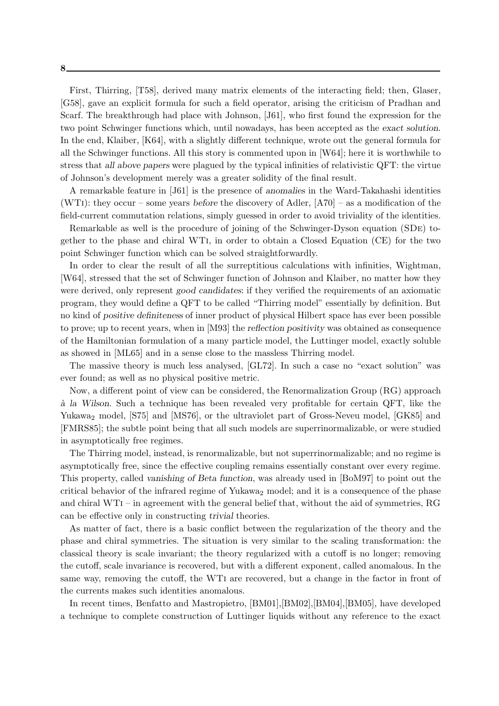First, Thirring, [T58], derived many matrix elements of the interacting field; then, Glaser, [G58], gave an explicit formula for such a field operator, arising the criticism of Pradhan and Scarf. The breakthrough had place with Johnson, [J61], who first found the expression for the two point Schwinger functions which, until nowadays, has been accepted as the exact solution. In the end, Klaiber, [K64], with a slightly different technique, wrote out the general formula for all the Schwinger functions. All this story is commented upon in [W64]; here it is worthwhile to stress that all above papers were plagued by the typical infinities of relativistic QFT: the virtue of Johnson's development merely was a greater solidity of the final result.

A remarkable feature in [J61] is the presence of anomalies in the Ward-Takahashi identities (WTI): they occur – some years before the discovery of Adler,  $[A70]$  – as a modification of the field-current commutation relations, simply guessed in order to avoid triviality of the identities.

Remarkable as well is the procedure of joining of the Schwinger-Dyson equation (SDe) together to the phase and chiral WTi, in order to obtain a Closed Equation (CE) for the two point Schwinger function which can be solved straightforwardly.

In order to clear the result of all the surreptitious calculations with infinities, Wightman, [W64], stressed that the set of Schwinger function of Johnson and Klaiber, no matter how they were derived, only represent good candidates: if they verified the requirements of an axiomatic program, they would define a QFT to be called "Thirring model" essentially by definition. But no kind of positive definiteness of inner product of physical Hilbert space has ever been possible to prove; up to recent years, when in [M93] the reflection positivity was obtained as consequence of the Hamiltonian formulation of a many particle model, the Luttinger model, exactly soluble as showed in [ML65] and in a sense close to the massless Thirring model.

The massive theory is much less analysed, [GL72]. In such a case no "exact solution" was ever found; as well as no physical positive metric.

Now, a different point of view can be considered, the Renormalization Group (RG) approach `a la Wilson. Such a technique has been revealed very profitable for certain QFT, like the Yukawa<sub>2</sub> model, [S75] and [MS76], or the ultraviolet part of Gross-Neveu model, [GK85] and [FMRS85]; the subtle point being that all such models are superrinormalizable, or were studied in asymptotically free regimes.

The Thirring model, instead, is renormalizable, but not superrinormalizable; and no regime is asymptotically free, since the effective coupling remains essentially constant over every regime. This property, called vanishing of Beta function, was already used in [BoM97] to point out the critical behavior of the infrared regime of Yukawa<sub>2</sub> model; and it is a consequence of the phase and chiral WTi – in agreement with the general belief that, without the aid of symmetries, RG can be effective only in constructing trivial theories.

As matter of fact, there is a basic conflict between the regularization of the theory and the phase and chiral symmetries. The situation is very similar to the scaling transformation: the classical theory is scale invariant; the theory regularized with a cutoff is no longer; removing the cutoff, scale invariance is recovered, but with a different exponent, called anomalous. In the same way, removing the cutoff, the WTi are recovered, but a change in the factor in front of the currents makes such identities anomalous.

In recent times, Benfatto and Mastropietro, [BM01],[BM02],[BM04],[BM05], have developed a technique to complete construction of Luttinger liquids without any reference to the exact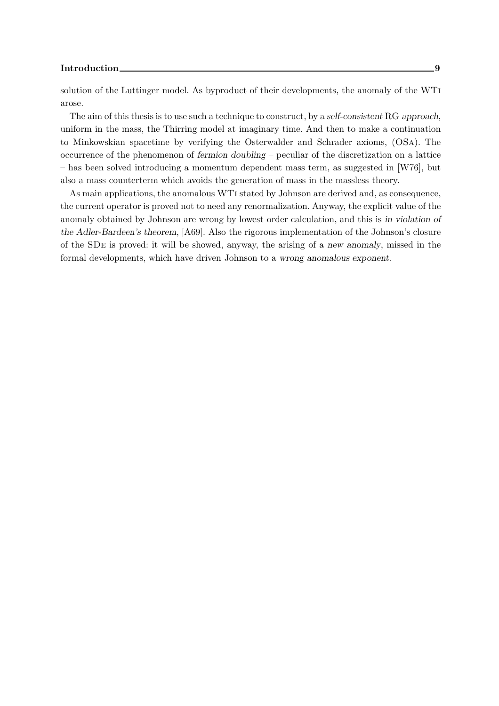#### Introduction 2008 and 2008 and 2008 and 2008 and 2008 and 2008 and 2008 and 2008 and 2008 and 2008 and 2008 and 2008 and 2008 and 2008 and 2008 and 2008 and 2008 and 2008 and 2008 and 2008 and 2008 and 2008 and 2008 and 20

solution of the Luttinger model. As byproduct of their developments, the anomaly of the WTi arose.

The aim of this thesis is to use such a technique to construct, by a self-consistent RG approach, uniform in the mass, the Thirring model at imaginary time. And then to make a continuation to Minkowskian spacetime by verifying the Osterwalder and Schrader axioms, (OSa). The occurrence of the phenomenon of fermion doubling – peculiar of the discretization on a lattice – has been solved introducing a momentum dependent mass term, as suggested in [W76], but also a mass counterterm which avoids the generation of mass in the massless theory.

As main applications, the anomalous WTi stated by Johnson are derived and, as consequence, the current operator is proved not to need any renormalization. Anyway, the explicit value of the anomaly obtained by Johnson are wrong by lowest order calculation, and this is in violation of the Adler-Bardeen's theorem, [A69]. Also the rigorous implementation of the Johnson's closure of the SDe is proved: it will be showed, anyway, the arising of a new anomaly, missed in the formal developments, which have driven Johnson to a wrong anomalous exponent.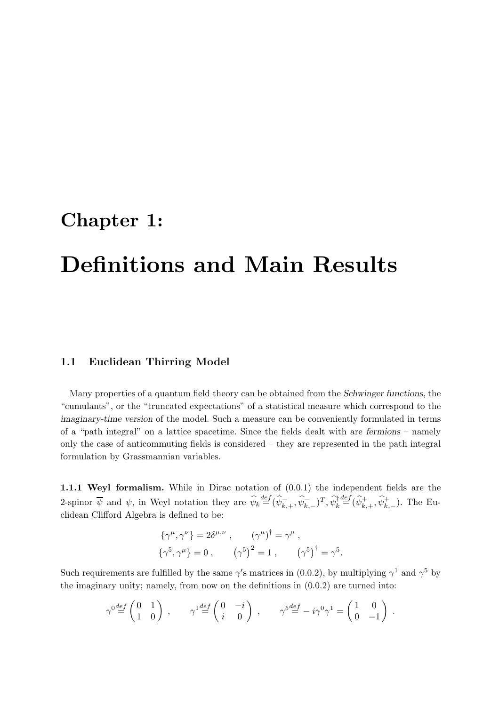## Chapter 1:

# Definitions and Main Results

### 1.1 Euclidean Thirring Model

Many properties of a quantum field theory can be obtained from the Schwinger functions, the "cumulants", or the "truncated expectations" of a statistical measure which correspond to the imaginary-time version of the model. Such a measure can be conveniently formulated in terms of a "path integral" on a lattice spacetime. Since the fields dealt with are fermions – namely only the case of anticommuting fields is considered – they are represented in the path integral formulation by Grassmannian variables.

1.1.1 Weyl formalism. While in Dirac notation of (0.0.1) the independent fields are the 2-spinor  $\overline{\psi}$  and  $\psi$ , in Weyl notation they are  $\hat{\psi}_k \stackrel{def}{=} (\hat{\psi}_{k,+}^-, \hat{\psi}_{k,-}^+)^T$ ,  $\hat{\psi}_k^{\dagger} \stackrel{def}{=} (\hat{\psi}_{k,+}^+, \hat{\psi}_{k,-}^+)$ . The Euclidean Clifford Algebra is defined to be:

$$
\{\gamma^{\mu}, \gamma^{\nu}\} = 2\delta^{\mu, \nu} , \qquad (\gamma^{\mu})^{\dagger} = \gamma^{\mu} , \{\gamma^5, \gamma^{\mu}\} = 0 , \qquad (\gamma^5)^2 = 1 , \qquad (\gamma^5)^{\dagger} = \gamma^5 .
$$

Such requirements are fulfilled by the same  $\gamma'$ s matrices in (0.0.2), by multiplying  $\gamma^1$  and  $\gamma^5$  by the imaginary unity; namely, from now on the definitions in  $(0.0.2)$  are turned into:

$$
\gamma^{0} \stackrel{def}{=} \begin{pmatrix} 0 & 1 \\ 1 & 0 \end{pmatrix} , \qquad \gamma^{1} \stackrel{def}{=} \begin{pmatrix} 0 & -i \\ i & 0 \end{pmatrix} , \qquad \gamma^{5} \stackrel{def}{=} -i\gamma^{0}\gamma^{1} = \begin{pmatrix} 1 & 0 \\ 0 & -1 \end{pmatrix} .
$$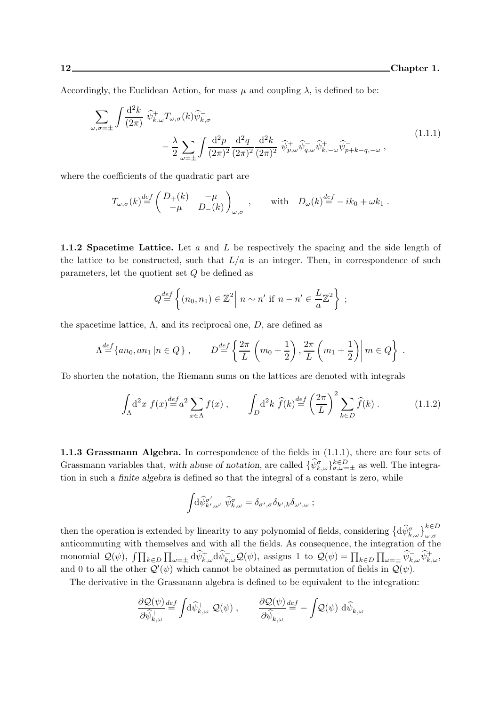Accordingly, the Euclidean Action, for mass  $\mu$  and coupling  $\lambda$ , is defined to be:

$$
\sum_{\omega,\sigma=\pm} \int \frac{\mathrm{d}^2 k}{(2\pi)} \widehat{\psi}_{k,\omega}^+ T_{\omega,\sigma}(k) \widehat{\psi}_{k,\sigma}^-
$$
\n
$$
- \frac{\lambda}{2} \sum_{\omega=\pm} \int \frac{\mathrm{d}^2 p}{(2\pi)^2} \frac{\mathrm{d}^2 q}{(2\pi)^2} \frac{\mathrm{d}^2 k}{(2\pi)^2} \widehat{\psi}_{p,\omega}^+ \widehat{\psi}_{q,\omega}^- \widehat{\psi}_{k,-\omega}^+ \widehat{\psi}_{p+k-q,-\omega}^- \,,
$$
\n(1.1.1)

where the coefficients of the quadratic part are

$$
T_{\omega,\sigma}(k) \stackrel{def}{=} \begin{pmatrix} D_+(k) & -\mu \\ -\mu & D_-(k) \end{pmatrix}_{\omega,\sigma} , \quad \text{with} \quad D_{\omega}(k) \stackrel{def}{=} -ik_0 + \omega k_1 .
$$

1.1.2 Spacetime Lattice. Let  $a$  and  $L$  be respectively the spacing and the side length of the lattice to be constructed, such that  $L/a$  is an integer. Then, in correspondence of such parameters, let the quotient set Q be defined as

$$
Q \stackrel{def}{=} \left\{ (n_0, n_1) \in \mathbb{Z}^2 \middle| n \sim n' \text{ if } n - n' \in \frac{L}{a} \mathbb{Z}^2 \right\} ;
$$

the spacetime lattice,  $\Lambda$ , and its reciprocal one,  $D$ , are defined as

$$
\Lambda^{\text{def}} \{a n_0, a n_1 \mid n \in Q \}, \qquad D^{\text{def}} = \left\{ \frac{2\pi}{L} \left( m_0 + \frac{1}{2} \right), \frac{2\pi}{L} \left( m_1 + \frac{1}{2} \right) \middle| m \in Q \right\}.
$$

To shorten the notation, the Riemann sums on the lattices are denoted with integrals

$$
\int_{\Lambda} d^2x f(x) \stackrel{def}{=} a^2 \sum_{x \in \Lambda} f(x) , \qquad \int_{D} d^2k \ \hat{f}(k) \stackrel{def}{=} \left(\frac{2\pi}{L}\right)^2 \sum_{k \in D} \hat{f}(k) . \tag{1.1.2}
$$

1.1.3 Grassmann Algebra. In correspondence of the fields in (1.1.1), there are four sets of Grassmann variables that, with abuse of notation, are called  $\{\widehat{\psi}_{k,\omega}^{\sigma}\}_{\sigma,\omega=\pm}^{k\in D}$  as well. The integration in such a finite algebra is defined so that the integral of a constant is zero, while

$$
\int\!\!{\rm d}\widehat\psi^{\sigma'}_{k',\omega'}\,\,\widehat\psi^{\sigma}_{k,\omega}=\delta_{\sigma',\sigma}\delta_{k',k}\delta_{\omega',\omega}\;;
$$

then the operation is extended by linearity to any polynomial of fields, considering  $\{d\hat{\psi}_{k,\omega}^{\sigma}\}_{\omega,\sigma}^{k\in D}$ anticommuting with themselves and with all the fields. As consequence, the integration of the monomial  $\mathcal{Q}(\psi)$ ,  $\int \prod_{k \in D} \prod_{\omega=\pm} d\hat{\psi}_{k,\omega}^{\dagger} d\hat{\psi}_{k,\omega}^{-} \mathcal{Q}(\psi)$ , assigns 1 to  $\mathcal{Q}(\psi) = \prod_{k \in D} \prod_{\omega=\pm} \hat{\psi}_{k,\omega}^{\dagger} \hat{\psi}_{k,\omega}^{\dagger}$ , and 0 to all the other  $\mathcal{Q}'(\psi)$  which cannot be obtained as permutation of fields in  $\mathcal{Q}(\psi)$ .

The derivative in the Grassmann algebra is defined to be equivalent to the integration:

$$
\frac{\partial \mathcal{Q}(\psi)}{\partial \widehat{\psi}_{k,\omega}^+} \stackrel{\text{def}}{=} \int \!\! \mathrm{d}\widehat{\psi}_{k,\omega}^+ \ \mathcal{Q}(\psi) \ , \qquad \frac{\partial \mathcal{Q}(\psi)}{\partial \widehat{\psi}_{k,\omega}^-} \stackrel{\text{def}}{=} -\int \!\! \mathcal{Q}(\psi) \ \mathrm{d}\widehat{\psi}_{k,\omega}^-
$$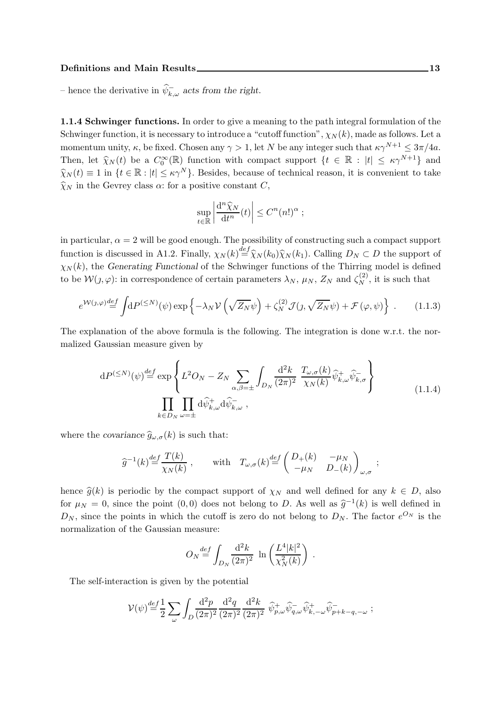– hence the derivative in  $\psi_{k,\omega}^-$  acts from the right.

1.1.4 Schwinger functions. In order to give a meaning to the path integral formulation of the Schwinger function, it is necessary to introduce a "cutoff function",  $\chi_N(k)$ , made as follows. Let a momentum unity,  $\kappa$ , be fixed. Chosen any  $\gamma > 1$ , let N be any integer such that  $\kappa \gamma^{N+1} \leq 3\pi/4a$ . Then, let  $\widehat{\chi}_N(t)$  be a  $C_0^{\infty}(\mathbb{R})$  function with compact support  $\{t \in \mathbb{R} : |t| \leq \kappa \gamma^{N+1}\}\$  and  $\widehat{\chi}_N(t) \equiv 1$  in  $\{t \in \mathbb{R} : |t| \leq \kappa \gamma^N\}$ . Besides, because of technical reason, it is convenient to take  $\widehat{\chi}_N$  in the Gevrey class  $\alpha$ : for a positive constant C,

$$
\sup_{t \in \mathbb{R}} \left| \frac{d^n \widehat{\chi}_N}{dt^n}(t) \right| \leq C^n (n!)^{\alpha} ;
$$

in particular,  $\alpha = 2$  will be good enough. The possibility of constructing such a compact support function is discussed in A1.2. Finally,  $\chi_N(k) \stackrel{def}{=} \hat{\chi}_N(k_0) \hat{\chi}_N(k_1)$ . Calling  $D_N \subset D$  the support of  $\chi_N(k)$ , the Generating Functional of the Schwinger functions of the Thirring model is defined to be  $\mathcal{W}(j,\varphi)$ : in correspondence of certain parameters  $\lambda_N$ ,  $\mu_N$ ,  $Z_N$  and  $\zeta_N^{(2)}$ , it is such that

$$
e^{\mathcal{W}(\jmath,\varphi)\frac{def}{=}} \int dP^{(\leq N)}(\psi) \exp\left\{-\lambda_N \mathcal{V}\left(\sqrt{Z_N}\psi\right) + \zeta_N^{(2)}\mathcal{J}(\jmath,\sqrt{Z_N}\psi) + \mathcal{F}(\varphi,\psi)\right\}.
$$
 (1.1.3)

The explanation of the above formula is the following. The integration is done w.r.t. the normalized Gaussian measure given by

$$
dP^{(\leq N)}(\psi) \stackrel{def}{=} \exp\left\{ L^2 O_N - Z_N \sum_{\alpha,\beta=\pm} \int_{D_N} \frac{d^2 k}{(2\pi)^2} \frac{T_{\omega,\sigma}(k)}{\chi_N(k)} \widehat{\psi}_{k,\omega}^+ \widehat{\psi}_{k,\sigma}^- \right\}
$$
  

$$
\prod_{k \in D_N} \prod_{\omega=\pm} d\widehat{\psi}_{k,\omega}^+ d\widehat{\psi}_{k,\omega}^- ,
$$
 (1.1.4)

where the covariance  $\hat{g}_{\omega,\sigma}(k)$  is such that:

$$
\widehat{g}^{-1}(k) \stackrel{def}{=} \frac{T(k)}{\chi_N(k)} , \qquad \text{with} \quad T_{\omega,\sigma}(k) \stackrel{def}{=} \begin{pmatrix} D_+(k) & -\mu_N \\ -\mu_N & D_-(k) \end{pmatrix}_{\omega,\sigma} ;
$$

hence  $\hat{q}(k)$  is periodic by the compact support of  $\chi_N$  and well defined for any  $k \in D$ , also for  $\mu_N = 0$ , since the point  $(0,0)$  does not belong to D. As well as  $\hat{g}^{-1}(k)$  is well defined in  $D_N$ , since the points in which the cutoff is zero do not belong to  $D_N$ . The factor  $e^{O_N}$  is the normalization of the Gaussian measure:

$$
O_N \stackrel{def}{=} \int_{D_N} \frac{\mathrm{d}^2 k}{(2\pi)^2} \ \ln\left(\frac{L^4 |k|^2}{\chi_N^2(k)}\right) \ .
$$

The self-interaction is given by the potential

$$
\mathcal{V}(\psi) \stackrel{def}{=} \frac{1}{2} \sum_{\omega} \int_{D} \frac{\mathrm{d}^2 p}{(2\pi)^2} \frac{\mathrm{d}^2 q}{(2\pi)^2} \frac{\mathrm{d}^2 k}{(2\pi)^2} \widehat{\psi}_{p,\omega}^+ \widehat{\psi}_{q,\omega}^- \widehat{\psi}_{k,-\omega}^+ \widehat{\psi}_{p+k-q,-\omega}^- ;
$$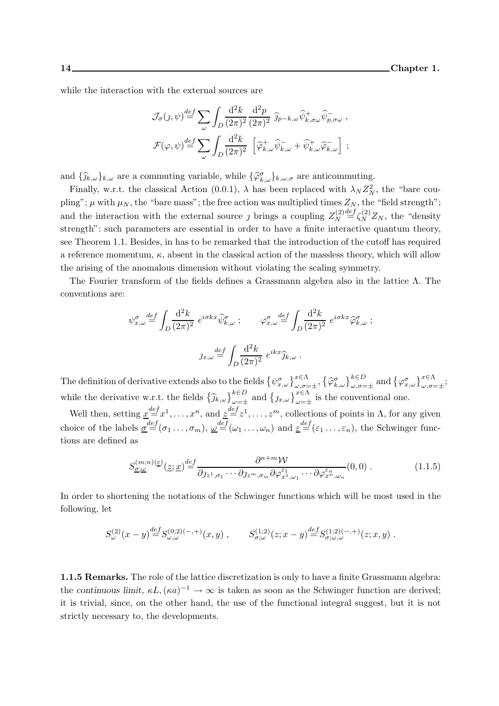while the interaction with the external sources are

$$
\mathcal{J}_{\sigma}(j,\psi) \stackrel{def}{=} \sum_{\omega} \int_{D} \frac{d^2 k}{(2\pi)^2} \frac{d^2 p}{(2\pi)^2} \, \widehat{j}_{p-k,\omega} \widehat{\psi}_{k,\sigma\omega}^+ \widehat{\psi}_{p,\sigma\omega}^-,
$$
  

$$
\mathcal{F}(\varphi,\psi) \stackrel{def}{=} \sum_{\omega} \int_{D} \frac{d^2 k}{(2\pi)^2} \, \left[ \widehat{\varphi}_{k,\omega}^+ \widehat{\psi}_{k,\omega}^- + \widehat{\psi}_{k,\omega}^+ \widehat{\varphi}_{k,\omega}^- \right] ;
$$

and  $\{\widehat{j}_{k,\omega}\}_{k,\omega}$  are a commuting variable, while  $\{\widehat{\varphi}_{k,\omega}^{\sigma}\}_{k,\omega,\sigma}$  are anticommuting.

Finally, w.r.t. the classical Action (0.0.1),  $\lambda$  has been replaced with  $\lambda_N Z_N^2$ , the "bare coupling";  $\mu$  with  $\mu_N$ , the "bare mass"; the free action was multiplied times  $Z_N$ , the "field strength"; and the interaction with the external source *j* brings a coupling  $Z_N^{(2)}$ N  $\frac{def}{=} \zeta_N^{(2)} Z_N$ , the "density" strength": such parameters are essential in order to have a finite interactive quantum theory, see Theorem 1.1. Besides, in has to be remarked that the introduction of the cutoff has required a reference momentum,  $\kappa$ , absent in the classical action of the massless theory, which will allow the arising of the anomalous dimension without violating the scaling symmetry.

The Fourier transform of the fields defines a Grassmann algebra also in the lattice Λ. The conventions are:

$$
\psi_{x,\omega}^{\sigma} \stackrel{def}{=} \int_{D} \frac{d^2 k}{(2\pi)^2} e^{i\sigma k x} \widehat{\psi}_{k,\omega}^{\sigma} ; \qquad \varphi_{x,\omega}^{\sigma} \stackrel{def}{=} \int_{D} \frac{d^2 k}{(2\pi)^2} e^{i\sigma k x} \widehat{\varphi}_{k,\omega}^{\sigma} ;
$$

$$
j_{x,\omega} \stackrel{def}{=} \int_{D} \frac{d^2 k}{(2\pi)^2} e^{ikx} \widehat{j}_{k,\omega} .
$$

The definition of derivative extends also to the fields  $\{\psi_{x,\omega}^{\sigma}\}_{\omega,\sigma=\pm}^{x \in \Lambda}$ ,  $\{\widehat{\varphi}_{k,\omega}^{\sigma}\}_{\omega,\sigma=\pm}^{k \in D}$  and  $\{\varphi_{x,\omega}^{\sigma}\}_{\omega,\sigma=\pm}^{x \in \Lambda}$ ; while the derivative w.r.t. the fields  $\left\{\widehat{j}_{k,\omega}\right\}_{\omega=\pm}^{k\in D}$  and  $\left\{j_{x,\omega}\right\}_{\omega=\pm}^{x\in \Lambda}$  is the conventional one.

Well then, setting  $\underline{x}^{\text{def}} = x^1, \ldots, x^n$ , and  $\underline{z}^{\text{def}} = z^1, \ldots, z^m$ , collections of points in  $\Lambda$ , for any given choice of the labels  $\underline{\sigma}^{\text{def}}(\sigma_1,\ldots,\sigma_m)$ ,  $\underline{\omega}^{\text{def}}(\omega_1,\ldots,\omega_n)$  and  $\underline{\varepsilon}^{\text{def}}(\varepsilon_1,\ldots,\varepsilon_n)$ , the Schwinger functions are defined as

$$
S_{\underline{\sigma};\underline{\omega}}^{(m;n)(\underline{\varepsilon})}(\underline{z};\underline{x}) \stackrel{\text{def}}{=} \frac{\partial^{n+m} \mathcal{W}}{\partial_{j_{z^1},\sigma_1} \cdots \partial_{j_{z^m},\sigma_m} \partial \varphi_{x^1,\omega_1}^{\varepsilon_1} \cdots \partial \varphi_{x^n,\omega_n}^{\varepsilon_n}}(0,0) .
$$
 (1.1.5)

In order to shortening the notations of the Schwinger functions which will be most used in the following, let

$$
S^{(2)}_\omega(x-y)\!\stackrel{def}= \!\!S^{(0;2)(-,+)}_{\omega,\omega}(x,y)\;,\qquad S^{(1;2)}_{\sigma;\omega}(z;x-y)\!\stackrel{def}= \!\!S^{(1;2)(-,+)}_{\sigma;\omega,\omega}(z;x,y)\;.
$$

1.1.5 Remarks. The role of the lattice discretization is only to have a finite Grassmann algebra: the continuous limit,  $\kappa L, (\kappa a)^{-1} \to \infty$  is taken as soon as the Schwinger function are derived; it is trivial, since, on the other hand, the use of the functional integral suggest, but it is not strictly necessary to, the developments.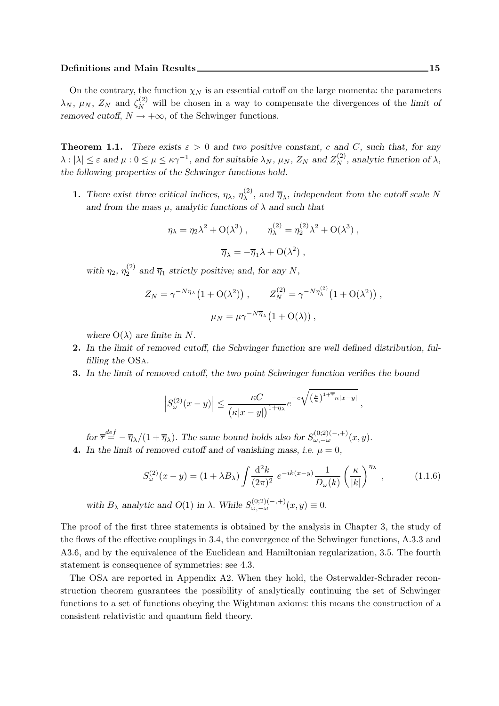#### Definitions and Main Results 15 and 200 millions 15 and 15 and 15 and 15 and 15 and 15 and 15 and 15 and 15 and 15 and 15 and 15 and 15 and 15 and 15 and 15 and 15 and 15 and 15 and 16 and 16 and 16 and 16 and 16 and 16 an

On the contrary, the function  $\chi_N$  is an essential cutoff on the large momenta: the parameters  $\lambda_N$ ,  $\mu_N$ ,  $Z_N$  and  $\zeta_N^{(2)}$  will be chosen in a way to compensate the divergences of the limit of removed cutoff,  $N \rightarrow +\infty$ , of the Schwinger functions.

**Theorem 1.1.** There exists  $\varepsilon > 0$  and two positive constant, c and C, such that, for any  $\lambda : |\lambda| \leq \varepsilon$  and  $\mu : 0 \leq \mu \leq \kappa \gamma^{-1}$ , and for suitable  $\lambda_N$ ,  $\mu_N$ ,  $Z_N$  and  $Z_N^{(2)}$ , analytic function of  $\lambda$ , the following properties of the Schwinger functions hold.

**1.** There exist three critical indices,  $\eta_{\lambda}, \eta_{\lambda}^{(2)}$  $\lambda^{(2)}$ , and  $\overline{\eta}_{\lambda}$ , independent from the cutoff scale N and from the mass  $\mu$ , analytic functions of  $\lambda$  and such that

$$
\eta_{\lambda} = \eta_2 \lambda^2 + O(\lambda^3) , \qquad \eta_{\lambda}^{(2)} = \eta_2^{(2)} \lambda^2 + O(\lambda^3) ,
$$

$$
\overline{\eta}_{\lambda} = -\overline{\eta}_1 \lambda + O(\lambda^2) ,
$$

with  $\eta_2, \, \eta_2^{(2)}$  $\frac{1}{2}^{\sqrt{2}}$  and  $\overline{\eta}_1$  strictly positive; and, for any N,

$$
Z_N = \gamma^{-N\eta_\lambda} \left(1 + \mathcal{O}(\lambda^2)\right) , \qquad Z_N^{(2)} = \gamma^{-N\eta_\lambda^{(2)}} \left(1 + \mathcal{O}(\lambda^2)\right) ,
$$

$$
\mu_N = \mu \gamma^{-N\overline{\eta}_\lambda} \left(1 + \mathcal{O}(\lambda)\right) ,
$$

where  $O(\lambda)$  are finite in N.

- 2. In the limit of removed cutoff, the Schwinger function are well defined distribution, fulfilling the OSa.
- 3. In the limit of removed cutoff, the two point Schwinger function verifies the bound

$$
\left|S_{\omega}^{(2)}(x-y)\right| \leq \frac{\kappa C}{\big(\kappa|x-y|\big)^{1+\eta_{\lambda}}}e^{-c\sqrt{\big(\frac{\mu}{\kappa}\big)^{1+\tau}\kappa|x-y|}}\;,
$$

for  $\overline{\tau}^{\text{def}} = -\overline{\eta}_{\lambda}/(1+\overline{\eta}_{\lambda})$ . The same bound holds also for  $S_{\omega,-\omega}^{(0;2)(-,+)}(x,y)$ . 4. In the limit of removed cutoff and of vanishing mass, i.e.  $\mu = 0$ ,

$$
S_{\omega}^{(2)}(x-y) = (1 + \lambda B_{\lambda}) \int \frac{\mathrm{d}^2 k}{(2\pi)^2} e^{-ik(x-y)} \frac{1}{D_{\omega}(k)} \left(\frac{\kappa}{|k|}\right)^{\eta_{\lambda}}, \quad (1.1.6)
$$

with  $B_\lambda$  analytic and  $O(1)$  in  $\lambda$ . While  $S_{\omega, -\omega}^{(0;2)(-,+)}(x, y) \equiv 0$ .

The proof of the first three statements is obtained by the analysis in Chapter 3, the study of the flows of the effective couplings in 3.4, the convergence of the Schwinger functions, A.3.3 and A3.6, and by the equivalence of the Euclidean and Hamiltonian regularization, 3.5. The fourth statement is consequence of symmetries: see 4.3.

The OSa are reported in Appendix A2. When they hold, the Osterwalder-Schrader reconstruction theorem guarantees the possibility of analytically continuing the set of Schwinger functions to a set of functions obeying the Wightman axioms: this means the construction of a consistent relativistic and quantum field theory.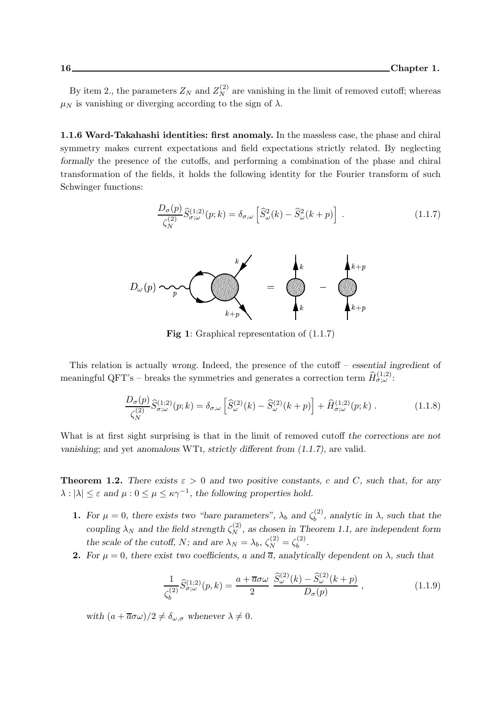By item 2., the parameters  $Z_N$  and  $Z_N^{(2)}$  are vanishing in the limit of removed cutoff; whereas  $\mu_N$  is vanishing or diverging according to the sign of  $\lambda$ .

1.1.6 Ward-Takahashi identities: first anomaly. In the massless case, the phase and chiral symmetry makes current expectations and field expectations strictly related. By neglecting formally the presence of the cutoffs, and performing a combination of the phase and chiral transformation of the fields, it holds the following identity for the Fourier transform of such Schwinger functions:

$$
\frac{D_{\sigma}(p)}{\zeta_N^{(2)}} \widehat{S}_{\sigma;\omega}^{(1;2)}(p;k) = \delta_{\sigma,\omega} \left[ \widehat{S}_{\omega}^2(k) - \widehat{S}_{\omega}^2(k+p) \right] . \tag{1.1.7}
$$



Fig 1: Graphical representation of (1.1.7)

This relation is actually wrong. Indeed, the presence of the cutoff – essential ingredient of meaningful QFT's – breaks the symmetries and generates a correction term  $\widehat{H}^{(1;2)}_{\sigma;\omega}$ :

$$
\frac{D_{\sigma}(p)}{\zeta_N^{(2)}}\widehat{S}_{\sigma;\omega}^{(1;2)}(p;k) = \delta_{\sigma,\omega}\left[\widehat{S}_{\omega}^{(2)}(k) - \widehat{S}_{\omega}^{(2)}(k+p)\right] + \widehat{H}_{\sigma;\omega}^{(1;2)}(p;k) \ . \tag{1.1.8}
$$

What is at first sight surprising is that in the limit of removed cutoff the corrections are not vanishing; and yet anomalous WTi, strictly different from (1.1.7), are valid.

**Theorem 1.2.** There exists  $\varepsilon > 0$  and two positive constants, c and C, such that, for any  $\lambda : |\lambda| \leq \varepsilon$  and  $\mu : 0 \leq \mu \leq \kappa \gamma^{-1}$ , the following properties hold.

- **1.** For  $\mu = 0$ , there exists two "bare parameters",  $\lambda_b$  and  $\zeta_b^{(2)}$  $b^{(2)}$ , analytic in  $\lambda$ , such that the coupling  $\lambda_N$  and the field strength  $\zeta_N^{(2)}$ , as chosen in Theorem 1.1, are independent form the scale of the cutoff, N; and are  $\lambda_N = \lambda_b$ ,  $\zeta_N^{(2)} = \zeta_b^{(2)}$  $b^{(2)}$ .
- **2.** For  $\mu = 0$ , there exist two coefficients, a and  $\overline{a}$ , analytically dependent on  $\lambda$ , such that

$$
\frac{1}{\zeta_b^{(2)}}\widehat{S}_{\sigma,\omega}^{(1;2)}(p,k) = \frac{a + \overline{a}\sigma\omega}{2}\frac{\widehat{S}_{\omega}^{(2)}(k) - \widehat{S}_{\omega}^{(2)}(k+p)}{D_{\sigma}(p)},
$$
\n(1.1.9)

with  $(a + \overline{a}\sigma\omega)/2 \neq \delta_{\omega,\sigma}$  whenever  $\lambda \neq 0$ .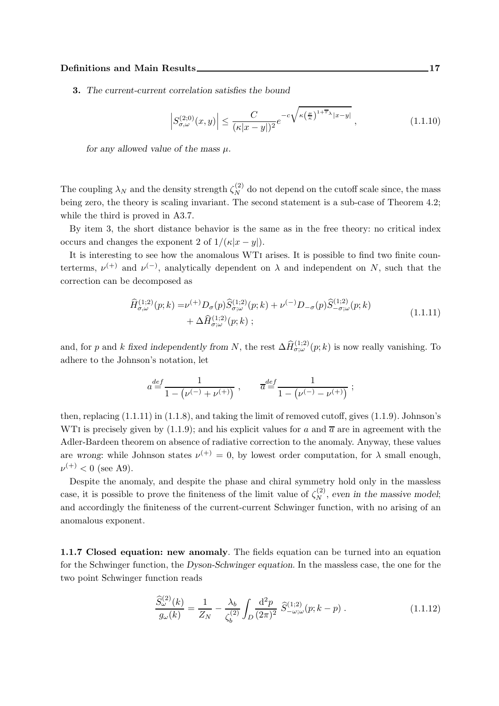3. The current-current correlation satisfies the bound

$$
\left| S_{\sigma,\omega}^{(2;0)}(x,y) \right| \le \frac{C}{(\kappa |x-y|)^2} e^{-c\sqrt{\kappa \left(\frac{\mu}{\kappa}\right)^{1+\overline{\tau}_{\lambda}} |x-y|}} \,, \tag{1.1.10}
$$

for any allowed value of the mass  $\mu$ .

The coupling  $\lambda_N$  and the density strength  $\zeta_N^{(2)}$  do not depend on the cutoff scale since, the mass being zero, the theory is scaling invariant. The second statement is a sub-case of Theorem 4.2; while the third is proved in A3.7.

By item 3, the short distance behavior is the same as in the free theory: no critical index occurs and changes the exponent 2 of  $1/(\kappa |x-y|)$ .

It is interesting to see how the anomalous WTi arises. It is possible to find two finite counterterms,  $\nu^{(+)}$  and  $\nu^{(-)}$ , analytically dependent on  $\lambda$  and independent on N, such that the correction can be decomposed as

$$
\hat{H}_{\sigma,\omega}^{(1;2)}(p;k) = \nu^{(+)} D_{\sigma}(p) \hat{S}_{\sigma,\omega}^{(1;2)}(p;k) + \nu^{(-)} D_{-\sigma}(p) \hat{S}_{-\sigma,\omega}^{(1;2)}(p;k) \n+ \Delta \hat{H}_{\sigma,\omega}^{(1;2)}(p;k) ;
$$
\n(1.1.11)

and, for p and k fixed independently from N, the rest  $\Delta \hat{H}^{(1;2)}_{\sigma;\omega}(p;k)$  is now really vanishing. To adhere to the Johnson's notation, let

$$
a \!\stackrel{def}{=} \!\frac{1}{1 - \left(\nu^{(-)} + \nu^{(+)}\right)}\;,\qquad \overline{a} \!\stackrel{def}{=} \!\frac{1}{1 - \left(\nu^{(-)} - \nu^{(+)}\right)}\;;
$$

then, replacing (1.1.11) in (1.1.8), and taking the limit of removed cutoff, gives (1.1.9). Johnson's WTI is precisely given by (1.1.9); and his explicit values for a and  $\bar{a}$  are in agreement with the Adler-Bardeen theorem on absence of radiative correction to the anomaly. Anyway, these values are wrong: while Johnson states  $\nu^{(+)} = 0$ , by lowest order computation, for  $\lambda$  small enough,  $\nu^{(+)}$  < 0 (see A9).

Despite the anomaly, and despite the phase and chiral symmetry hold only in the massless case, it is possible to prove the finiteness of the limit value of  $\zeta_N^{(2)}$ , even in the massive model; and accordingly the finiteness of the current-current Schwinger function, with no arising of an anomalous exponent.

1.1.7 Closed equation: new anomaly. The fields equation can be turned into an equation for the Schwinger function, the Dyson-Schwinger equation. In the massless case, the one for the two point Schwinger function reads

$$
\frac{\widehat{S}_{\omega}^{(2)}(k)}{g_{\omega}(k)} = \frac{1}{Z_N} - \frac{\lambda_b}{\zeta_b^{(2)}} \int_D \frac{\mathrm{d}^2 p}{(2\pi)^2} \ \widehat{S}_{-\omega;\omega}^{(1;2)}(p;k-p) \ . \tag{1.1.12}
$$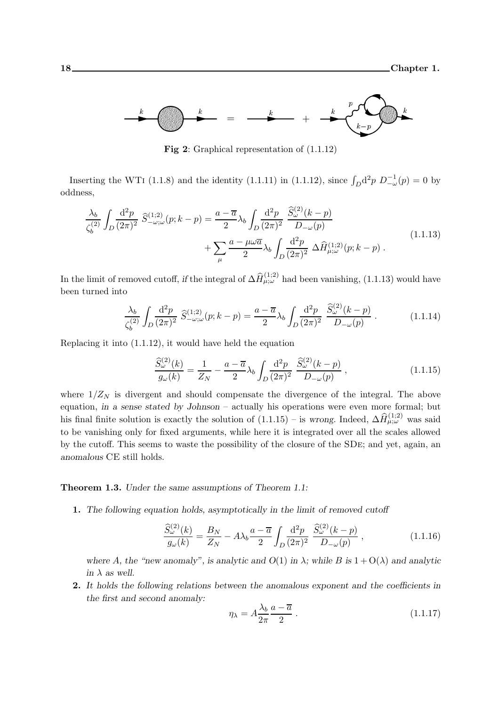

Fig 2: Graphical representation of  $(1.1.12)$ 

Inserting the WTI (1.1.8) and the identity (1.1.11) in (1.1.12), since  $\int_D d^2p D^{-1}_{-\omega}(p) = 0$  by oddness,

$$
\frac{\lambda_b}{\zeta_b^{(2)}} \int_D \frac{\mathrm{d}^2 p}{(2\pi)^2} \, \widehat{S}_{-\omega;\omega}^{(1;2)}(p;k-p) = \frac{a-\overline{a}}{2} \lambda_b \int_D \frac{\mathrm{d}^2 p}{(2\pi)^2} \, \frac{\widehat{S}_{\omega}^{(2)}(k-p)}{D_{-\omega}(p)} + \sum_{\mu} \frac{a-\mu\omega\overline{a}}{2} \lambda_b \int_D \frac{\mathrm{d}^2 p}{(2\pi)^2} \, \Delta \widehat{H}_{\mu;\omega}^{(1;2)}(p;k-p) \, . \tag{1.1.13}
$$

In the limit of removed cutoff, if the integral of  $\Delta \hat{H}^{(1;2)}_{\mu;\omega}$  had been vanishing, (1.1.13) would have been turned into

$$
\frac{\lambda_b}{\zeta_b^{(2)}} \int_D \frac{\mathrm{d}^2 p}{(2\pi)^2} \ \hat{S}_{-\omega;\omega}^{(1;2)}(p;k-p) = \frac{a-\overline{a}}{2} \lambda_b \int_D \frac{\mathrm{d}^2 p}{(2\pi)^2} \ \frac{\hat{S}_{\omega}^{(2)}(k-p)}{D_{-\omega}(p)} \ . \tag{1.1.14}
$$

Replacing it into (1.1.12), it would have held the equation

$$
\frac{\widehat{S}_{\omega}^{(2)}(k)}{g_{\omega}(k)} = \frac{1}{Z_N} - \frac{a - \overline{a}}{2} \lambda_b \int_D \frac{\mathrm{d}^2 p}{(2\pi)^2} \frac{\widehat{S}_{\omega}^{(2)}(k - p)}{D_{-\omega}(p)},\tag{1.1.15}
$$

where  $1/Z_N$  is divergent and should compensate the divergence of the integral. The above equation, in a sense stated by Johnson – actually his operations were even more formal; but his final finite solution is exactly the solution of  $(1.1.15)$  – is wrong. Indeed,  $\Delta \hat{H}^{(1;2)}_{\mu;\omega}$  was said to be vanishing only for fixed arguments, while here it is integrated over all the scales allowed by the cutoff. This seems to waste the possibility of the closure of the SDe; and yet, again, an anomalous CE still holds.

Theorem 1.3. Under the same assumptions of Theorem 1.1:

1. The following equation holds, asymptotically in the limit of removed cutoff

$$
\frac{\widehat{S}_{\omega}^{(2)}(k)}{g_{\omega}(k)} = \frac{B_N}{Z_N} - A\lambda_b \frac{a - \overline{a}}{2} \int_D \frac{\mathrm{d}^2 p}{(2\pi)^2} \frac{\widehat{S}_{\omega}^{(2)}(k - p)}{D_{-\omega}(p)} ,\qquad (1.1.16)
$$

where A, the "new anomaly", is analytic and  $O(1)$  in  $\lambda$ ; while B is  $1 + O(\lambda)$  and analytic in  $\lambda$  as well.

2. It holds the following relations between the anomalous exponent and the coefficients in the first and second anomaly:

$$
\eta_{\lambda} = A \frac{\lambda_b}{2\pi} \frac{a - \overline{a}}{2} . \tag{1.1.17}
$$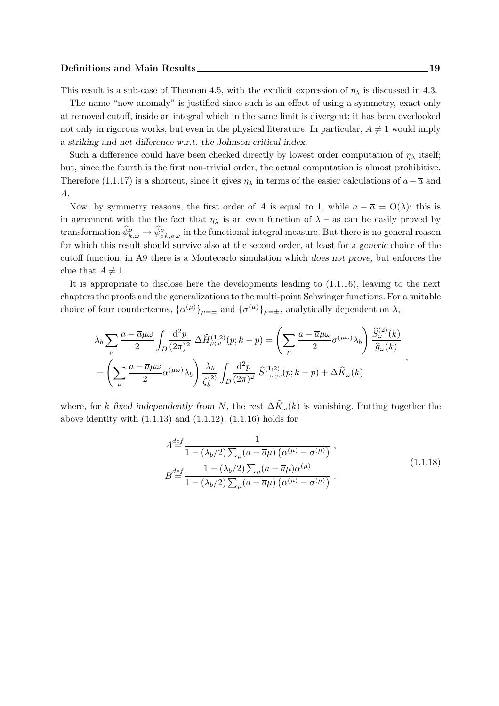#### Definitions and Main Results 19 and the United States 19 and Main Results 19 and 19 and 19 and 19 and 19 and 19 and 19 and 19 and 19 and 19 and 19 and 19 and 19 and 19 and 19 and 19 and 19 and 19 and 19 and 19 and 19 and 1

This result is a sub-case of Theorem 4.5, with the explicit expression of  $\eta_{\lambda}$  is discussed in 4.3.

The name "new anomaly" is justified since such is an effect of using a symmetry, exact only at removed cutoff, inside an integral which in the same limit is divergent; it has been overlooked not only in rigorous works, but even in the physical literature. In particular,  $A \neq 1$  would imply a striking and net difference w.r.t. the Johnson critical index.

Such a difference could have been checked directly by lowest order computation of  $\eta_{\lambda}$  itself; but, since the fourth is the first non-trivial order, the actual computation is almost prohibitive. Therefore (1.1.17) is a shortcut, since it gives  $\eta_{\lambda}$  in terms of the easier calculations of  $a - \overline{a}$  and A.

Now, by symmetry reasons, the first order of A is equal to 1, while  $a - \overline{a} = O(\lambda)$ : this is in agreement with the the fact that  $\eta_{\lambda}$  is an even function of  $\lambda$  – as can be easily proved by transformation  $\hat{\psi}^{\sigma}_{k,\omega} \to \hat{\psi}^{\sigma}_{\sigma k,\sigma \omega}$  in the functional-integral measure. But there is no general reason for which this result should survive also at the second order, at least for a generic choice of the cutoff function: in A9 there is a Montecarlo simulation which does not prove, but enforces the clue that  $A \neq 1$ .

It is appropriate to disclose here the developments leading to (1.1.16), leaving to the next chapters the proofs and the generalizations to the multi-point Schwinger functions. For a suitable choice of four counterterms,  $\{\alpha^{(\mu)}\}_{\mu=\pm}$  and  $\{\sigma^{(\mu)}\}_{\mu=\pm}$ , analytically dependent on  $\lambda$ ,

$$
\lambda_b \sum_{\mu} \frac{a - \overline{a}\mu\omega}{2} \int_D \frac{d^2p}{(2\pi)^2} \Delta \hat{H}^{(1;2)}_{\mu;\omega}(p;k-p) = \left(\sum_{\mu} \frac{a - \overline{a}\mu\omega}{2} \sigma^{(\mu\omega)}\lambda_b\right) \frac{\hat{S}^{(2)}_{\omega}(k)}{\hat{g}_{\omega}(k)} + \left(\sum_{\mu} \frac{a - \overline{a}\mu\omega}{2} \alpha^{(\mu\omega)}\lambda_b\right) \frac{\lambda_b}{\zeta_b^{(2)}} \int_D \frac{d^2p}{(2\pi)^2} \hat{S}^{(1;2)}_{-\omega;\omega}(p;k-p) + \Delta \hat{K}_{\omega}(k)
$$

where, for k fixed independently from N, the rest  $\Delta \hat{K}_{\omega}(k)$  is vanishing. Putting together the above identity with  $(1.1.13)$  and  $(1.1.12)$ ,  $(1.1.16)$  holds for

$$
A \stackrel{def}{=} \frac{1}{1 - (\lambda_b/2) \sum_{\mu} (a - \overline{a}\mu) (\alpha^{(\mu)} - \sigma^{(\mu)})},
$$
  
\n
$$
B \stackrel{def}{=} \frac{1 - (\lambda_b/2) \sum_{\mu} (a - \overline{a}\mu) \alpha^{(\mu)}}{1 - (\lambda_b/2) \sum_{\mu} (a - \overline{a}\mu) (\alpha^{(\mu)} - \sigma^{(\mu)})}.
$$
\n(1.1.18)

,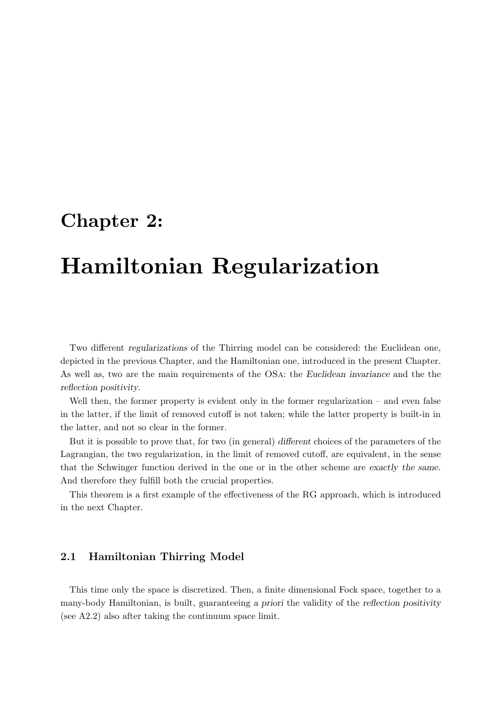## Chapter 2:

# Hamiltonian Regularization

Two different regularizations of the Thirring model can be considered: the Euclidean one, depicted in the previous Chapter, and the Hamiltonian one, introduced in the present Chapter. As well as, two are the main requirements of the OSa: the Euclidean invariance and the the reflection positivity.

Well then, the former property is evident only in the former regularization – and even false in the latter, if the limit of removed cutoff is not taken; while the latter property is built-in in the latter, and not so clear in the former.

But it is possible to prove that, for two (in general) different choices of the parameters of the Lagrangian, the two regularization, in the limit of removed cutoff, are equivalent, in the sense that the Schwinger function derived in the one or in the other scheme are exactly the same. And therefore they fulfill both the crucial properties.

This theorem is a first example of the effectiveness of the RG approach, which is introduced in the next Chapter.

### 2.1 Hamiltonian Thirring Model

This time only the space is discretized. Then, a finite dimensional Fock space, together to a many-body Hamiltonian, is built, guaranteeing a priori the validity of the reflection positivity (see A2.2) also after taking the continuum space limit.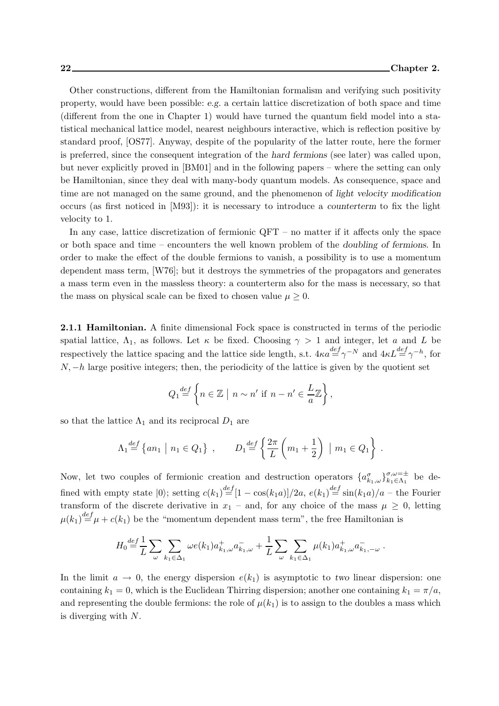Other constructions, different from the Hamiltonian formalism and verifying such positivity property, would have been possible: e.g. a certain lattice discretization of both space and time (different from the one in Chapter 1) would have turned the quantum field model into a statistical mechanical lattice model, nearest neighbours interactive, which is reflection positive by standard proof, [OS77]. Anyway, despite of the popularity of the latter route, here the former is preferred, since the consequent integration of the hard fermions (see later) was called upon, but never explicitly proved in [BM01] and in the following papers – where the setting can only be Hamiltonian, since they deal with many-body quantum models. As consequence, space and time are not managed on the same ground, and the phenomenon of light velocity modification occurs (as first noticed in [M93]): it is necessary to introduce a counterterm to fix the light velocity to 1.

In any case, lattice discretization of fermionic QFT – no matter if it affects only the space or both space and time – encounters the well known problem of the doubling of fermions. In order to make the effect of the double fermions to vanish, a possibility is to use a momentum dependent mass term, [W76]; but it destroys the symmetries of the propagators and generates a mass term even in the massless theory: a counterterm also for the mass is necessary, so that the mass on physical scale can be fixed to chosen value  $\mu \geq 0$ .

2.1.1 Hamiltonian. A finite dimensional Fock space is constructed in terms of the periodic spatial lattice,  $\Lambda_1$ , as follows. Let  $\kappa$  be fixed. Choosing  $\gamma > 1$  and integer, let a and L be respectively the lattice spacing and the lattice side length, s.t.  $4\kappa a \stackrel{def}{=} \gamma^{-N}$  and  $4\kappa L \stackrel{def}{=} \gamma^{-h}$ , for  $N, -h$  large positive integers; then, the periodicity of the lattice is given by the quotient set

$$
Q_1 \stackrel{def}{=} \left\{ n \in \mathbb{Z} \mid n \sim n' \text{ if } n - n' \in \frac{L}{a} \mathbb{Z} \right\},\
$$

so that the lattice  $\Lambda_1$  and its reciprocal  $D_1$  are

$$
\Lambda_1 \stackrel{def}{=} \{ an_1 \mid n_1 \in Q_1 \}, \qquad D_1 \stackrel{def}{=} \left\{ \frac{2\pi}{L} \left( m_1 + \frac{1}{2} \right) \mid m_1 \in Q_1 \right\}.
$$

Now, let two couples of fermionic creation and destruction operators  $\{a_{k_1,\omega}^{\sigma}\}_{k_1\in\Lambda_1}^{\sigma,\omega=\pm}$  $\begin{array}{c}\n a, \omega = \pm \\
k_1 \in \Lambda_1\n\end{array}$  be defined with empty state  $|0\rangle$ ; setting  $c(k_1)^{\text{def}}[1-\cos(k_1a)]/2a$ ,  $e(k_1)^{\text{def}}\sin(k_1a)/a$  – the Fourier transform of the discrete derivative in  $x_1$  – and, for any choice of the mass  $\mu \geq 0$ , letting  $\mu(k_1) \stackrel{def}{=} \mu + c(k_1)$  be the "momentum dependent mass term", the free Hamiltonian is

$$
H_0 \stackrel{def}{=} \frac{1}{L} \sum_{\omega} \sum_{k_1 \in \Delta_1} \omega e(k_1) a^+_{k_1,\omega} a^-_{k_1,\omega} + \frac{1}{L} \sum_{\omega} \sum_{k_1 \in \Delta_1} \mu(k_1) a^+_{k_1,\omega} a^-_{k_1,-\omega}.
$$

In the limit  $a \to 0$ , the energy dispersion  $e(k_1)$  is asymptotic to two linear dispersion: one containing  $k_1 = 0$ , which is the Euclidean Thirring dispersion; another one containing  $k_1 = \pi/a$ , and representing the double fermions: the role of  $\mu(k_1)$  is to assign to the doubles a mass which is diverging with N.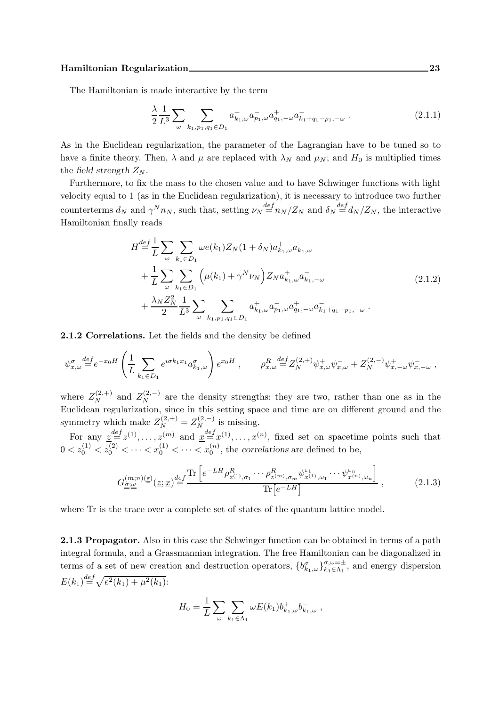The Hamiltonian is made interactive by the term

$$
\frac{\lambda}{2} \frac{1}{L^3} \sum_{\omega} \sum_{k_1, p_1, q_1 \in D_1} a^+_{k_1, \omega} a^-_{p_1, \omega} a^+_{q_1, -\omega} a^-_{k_1 + q_1 - p_1, -\omega} \,. \tag{2.1.1}
$$

As in the Euclidean regularization, the parameter of the Lagrangian have to be tuned so to have a finite theory. Then,  $\lambda$  and  $\mu$  are replaced with  $\lambda_N$  and  $\mu_N$ ; and  $H_0$  is multiplied times the field strength  $Z_N$ .

Furthermore, to fix the mass to the chosen value and to have Schwinger functions with light velocity equal to 1 (as in the Euclidean regularization), it is necessary to introduce two further counterterms  $d_N$  and  $\gamma^N n_N$ , such that, setting  $\nu_N \stackrel{def}{=} n_N/Z_N$  and  $\delta_N \stackrel{def}{=} d_N/Z_N$ , the interactive Hamiltonian finally reads

$$
H \stackrel{def}{=} \frac{1}{L} \sum_{\omega} \sum_{k_1 \in D_1} \omega e(k_1) Z_N(1 + \delta_N) a^+_{k_1, \omega} a^-_{k_1, \omega}
$$
  
+ 
$$
\frac{1}{L} \sum_{\omega} \sum_{k_1 \in D_1} \left( \mu(k_1) + \gamma^N \nu_N \right) Z_N a^+_{k_1, \omega} a^-_{k_1, -\omega}
$$
  
+ 
$$
\frac{\lambda_N Z_N^2}{2} \frac{1}{L^3} \sum_{\omega} \sum_{k_1, p_1, q_1 \in D_1} a^+_{k_1, \omega} a^-_{p_1, \omega} a^+_{q_1, -\omega} a^-_{k_1 + q_1 - p_1, -\omega}.
$$
 (2.1.2)

2.1.2 Correlations. Let the fields and the density be defined

$$
\psi_{x,\omega}^{\sigma} \stackrel{def}{=} e^{-x_0 H} \left( \frac{1}{L} \sum_{k_1 \in D_1} e^{i \sigma k_1 x_1} a_{k_1,\omega}^{\sigma} \right) e^{x_0 H} , \qquad \rho_{x,\omega}^R \stackrel{def}{=} Z_N^{(2,+)} \psi_{x,\omega}^+ \psi_{x,\omega}^- + Z_N^{(2,-)} \psi_{x,-\omega}^+ \psi_{x,-\omega}^- \ ,
$$

where  $Z_N^{(2,+)}$  and  $Z_N^{(2,-)}$  are the density strengths: they are two, rather than one as in the Euclidean regularization, since in this setting space and time are on different ground and the symmetry which make  $Z_N^{(2,+)} = Z_N^{(2,-)}$  is missing.

For any  $\underline{z} \stackrel{def}{=} z^{(1)}, \ldots, z^{(m)}$  and  $\underline{x} \stackrel{def}{=} x^{(1)}, \ldots, x^{(n)}$ , fixed set on spacetime points such that  $0 < z_0^{(1)} < z_0^{(2)} < \cdots < z_0^{(1)} < \cdots < z_0^{(n)}$ , the correlations are defined to be,

$$
G_{\underline{\sigma};\underline{\omega}}^{(m;n)(\underline{\varepsilon})}(\underline{z};\underline{x}) \stackrel{def}{=} \frac{\text{Tr}\left[e^{-L H} \rho_{z^{(1)},\sigma_1}^R \cdots \rho_{z^{(m)},\sigma_m}^R \psi_{x^{(1)},\omega_1}^{\varepsilon_1} \cdots \psi_{x^{(n)},\omega_n}^{\varepsilon_n}\right]}{\text{Tr}\left[e^{-L H}\right]} \,,\tag{2.1.3}
$$

where Tr is the trace over a complete set of states of the quantum lattice model.

2.1.3 Propagator. Also in this case the Schwinger function can be obtained in terms of a path integral formula, and a Grassmannian integration. The free Hamiltonian can be diagonalized in terms of a set of new creation and destruction operators,  ${b^{\sigma}_{k_1,\omega}}_{k_1 \in \Lambda_1}^{\sigma,\omega=\pm}$  $\sum_{k_1 \in \Lambda_1}^{\sigma, \omega = \pm}$ , and energy dispersion  $E(k_1) \stackrel{def}{=} \sqrt{e^2(k_1) + \mu^2(k_1)}$ :

$$
H_0 = \frac{1}{L} \sum_{\omega} \sum_{k_1 \in \Lambda_1} \omega E(k_1) b^+_{k_1,\omega} b^-_{k_1,\omega} ,
$$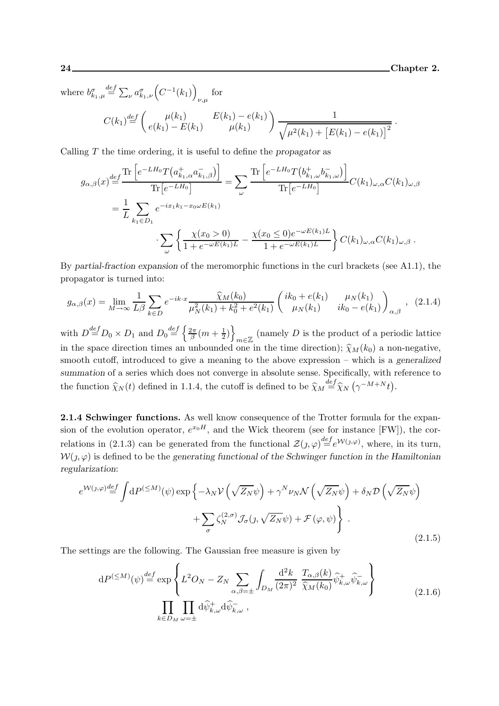.

where  $b^{\sigma}_{k_1,\mu}$  $\stackrel{def}{=} \sum_{\nu} a^{\sigma}_{k_1,\nu} \left( C^{-1}(k_1) \right)$ for

$$
C(k_1) \stackrel{def}{=} \begin{pmatrix} \mu(k_1) & E(k_1) - e(k_1) \\ e(k_1) - E(k_1) & \mu(k_1) \end{pmatrix} \frac{1}{\sqrt{\mu^2(k_1) + [E(k_1) - e(k_1)]^2}}
$$

Calling  $T$  the time ordering, it is useful to define the propagator as

$$
g_{\alpha,\beta}(x) \stackrel{def}{=} \frac{\text{Tr}\left[e^{-L H_0} T(a_{k_1,\alpha}^+ a_{k_1,\beta}^-)\right]}{\text{Tr}\left[e^{-L H_0}\right]} = \sum_{\omega} \frac{\text{Tr}\left[e^{-L H_0} T(b_{k_1,\omega}^+ b_{k_1,\omega}^-)\right]}{\text{Tr}\left[e^{-L H_0}\right]} C(k_1)_{\omega,\alpha} C(k_1)_{\omega,\beta}
$$

$$
= \frac{1}{L} \sum_{k_1 \in D_1} e^{-ix_1 k_1 - x_0 \omega E(k_1)} \cdot \sum_{\omega} \left\{ \frac{\chi(x_0 > 0)}{1 + e^{-\omega E(k_1)L}} - \frac{\chi(x_0 \le 0)e^{-\omega E(k_1)L}}{1 + e^{-\omega E(k_1)L}} \right\} C(k_1)_{\omega,\alpha} C(k_1)_{\omega,\beta}.
$$

By partial-fraction expansion of the meromorphic functions in the curl brackets (see A1.1), the propagator is turned into:

$$
g_{\alpha,\beta}(x) = \lim_{M \to \infty} \frac{1}{L\beta} \sum_{k \in D} e^{-ik \cdot x} \frac{\widehat{\chi}_M(k_0)}{\mu_N^2(k_1) + k_0^2 + e^2(k_1)} \left( \begin{array}{cc} ik_0 + e(k_1) & \mu_N(k_1) \\ \mu_N(k_1) & ik_0 - e(k_1) \end{array} \right)_{\alpha,\beta}, \quad (2.1.4)
$$

with  $D \stackrel{def}{=} D_0 \times D_1$  and  $D_0 \stackrel{def}{=} \left\{ \frac{2\pi}{\beta} \right\}$  $\frac{2\pi}{\beta}(m+\frac{1}{2}% )^{2\beta}$  $\frac{1}{2}$ ) }  $m \in \mathbb{Z}$  (namely D is the product of a periodic lattice in the space direction times an unbounded one in the time direction);  $\hat{\chi}_M(k_0)$  a non-negative, smooth cutoff, introduced to give a meaning to the above expression – which is a generalized summation of a series which does not converge in absolute sense. Specifically, with reference to the function  $\hat{\chi}_N(t)$  defined in 1.1.4, the cutoff is defined to be  $\hat{\chi}_M \stackrel{def}{=} \hat{\chi}_N (\gamma^{-M+N} t)$ .

2.1.4 Schwinger functions. As well know consequence of the Trotter formula for the expansion of the evolution operator,  $e^{x_0H}$ , and the Wick theorem (see for instance [FW]), the correlations in (2.1.3) can be generated from the functional  $\mathcal{Z}(j,\varphi) \stackrel{def}{=} e^{\mathcal{W}(j,\varphi)}$ , where, in its turn,  $W(j, \varphi)$  is defined to be the generating functional of the Schwinger function in the Hamiltonian regularization:

$$
e^{\mathcal{W}(\jmath,\varphi)} \stackrel{def}{=} \int dP^{(\leq M)}(\psi) \exp\left\{-\lambda_N \mathcal{V}\left(\sqrt{Z_N}\psi\right) + \gamma^N \nu_N \mathcal{N}\left(\sqrt{Z_N}\psi\right) + \delta_N \mathcal{D}\left(\sqrt{Z_N}\psi\right) + \sum_{\sigma} \zeta_N^{(2,\sigma)} \mathcal{J}_{\sigma}(\jmath, \sqrt{Z_N}\psi) + \mathcal{F}(\varphi, \psi)\right\}.
$$
\n(2.1.5)

The settings are the following. The Gaussian free measure is given by

$$
dP^{(\leq M)}(\psi) \stackrel{def}{=} \exp\left\{ L^2 O_N - Z_N \sum_{\alpha,\beta=\pm} \int_{D_M} \frac{d^2 k}{(2\pi)^2} \frac{T_{\alpha,\beta}(k)}{\hat{\chi}_M(k_0)} \widehat{\psi}_{k,\omega}^+ \widehat{\psi}_{k,\omega}^- \right\}
$$
  

$$
\prod_{k \in D_M} \prod_{\omega=\pm} d\widehat{\psi}_{k,\omega}^+ d\widehat{\psi}_{k,\omega}^- ,
$$
 (2.1.6)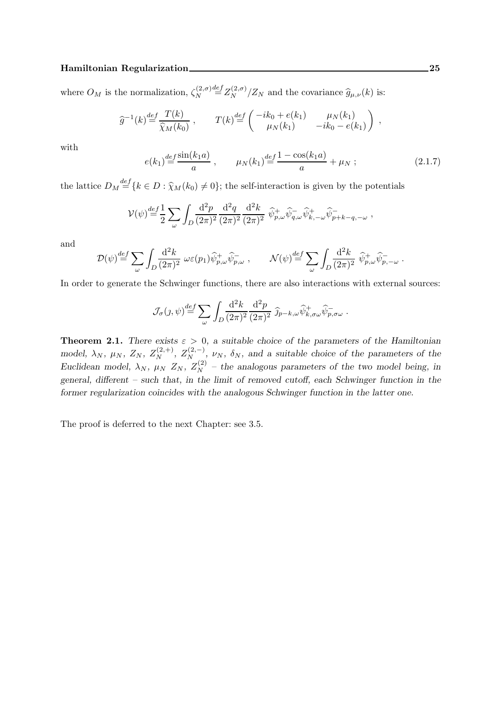#### Hamiltonian Regularization 25

where  $O_M$  is the normalization,  $\zeta_N^{(2,\sigma)}$ N  $\frac{def}{=} Z_N^{(2,\sigma)}/Z_N$  and the covariance  $\widehat{g}_{\mu,\nu}(k)$  is:

$$
\widehat{g}^{-1}(k) \stackrel{def}{=} \frac{T(k)}{\widehat{\chi}_M(k_0)}, \qquad T(k) \stackrel{def}{=} \begin{pmatrix} -ik_0 + e(k_1) & \mu_N(k_1) \\ \mu_N(k_1) & -ik_0 - e(k_1) \end{pmatrix},
$$

with

$$
e(k_1) \stackrel{def}{=} \frac{\sin(k_1 a)}{a} , \qquad \mu_N(k_1) \stackrel{def}{=} \frac{1 - \cos(k_1 a)}{a} + \mu_N ; \qquad (2.1.7)
$$

the lattice  $D_M \stackrel{def}{=} \{k \in D : \hat{\chi}_M(k_0) \neq 0\}$ ; the self-interaction is given by the potentials

$$
\mathcal{V}(\psi) \stackrel{def}{=} \frac{1}{2} \sum_{\omega} \int_{D} \frac{\mathrm{d}^2 p}{(2\pi)^2} \frac{\mathrm{d}^2 q}{(2\pi)^2} \frac{\mathrm{d}^2 k}{(2\pi)^2} \widehat{\psi}_{p,\omega}^+ \widehat{\psi}_{q,\omega}^- \widehat{\psi}_{k,-\omega}^+ \widehat{\psi}_{p+k-q,-\omega}^- ,
$$

and

$$
\mathcal{D}(\psi) \stackrel{def}{=} \sum_{\omega} \int_D \frac{\mathrm{d}^2 k}{(2\pi)^2} \ \omega \varepsilon(p_1) \widehat{\psi}^+_{p,\omega} \widehat{\psi}^-_{p,\omega} \ , \qquad \mathcal{N}(\psi) \stackrel{def}{=} \sum_{\omega} \int_D \frac{\mathrm{d}^2 k}{(2\pi)^2} \ \widehat{\psi}^+_{p,\omega} \widehat{\psi}^-_{p,-\omega} \ .
$$

In order to generate the Schwinger functions, there are also interactions with external sources:

$$
\mathcal{J}_{\sigma}(j,\psi) \stackrel{def}{=} \sum_{\omega} \int_{D} \frac{\mathrm{d}^2 k}{(2\pi)^2} \frac{\mathrm{d}^2 p}{(2\pi)^2} \, \widehat{j}_{p-k,\omega} \widehat{\psi}_{k,\sigma\omega}^+ \widehat{\psi}_{p,\sigma\omega}^-.
$$

**Theorem 2.1.** There exists  $\varepsilon > 0$ , a suitable choice of the parameters of the Hamiltonian model,  $\lambda_N$ ,  $\mu_N$ ,  $Z_N$ ,  $Z_N^{(2,+)}$ ,  $Z_N^{(2,-)}$ ,  $\nu_N$ ,  $\delta_N$ , and a suitable choice of the parameters of the Euclidean model,  $\lambda_N$ ,  $\mu_N$   $Z_N$ ,  $Z_N^{(2)}$  – the analogous parameters of the two model being, in general, different – such that, in the limit of removed cutoff, each Schwinger function in the former regularization coincides with the analogous Schwinger function in the latter one.

The proof is deferred to the next Chapter: see 3.5.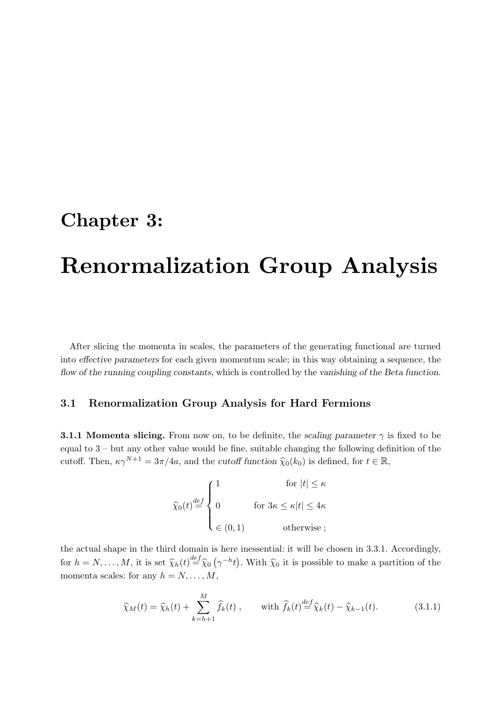## Chapter 3:

# Renormalization Group Analysis

After slicing the momenta in scales, the parameters of the generating functional are turned into effective parameters for each given momentum scale; in this way obtaining a sequence, the flow of the running coupling constants, which is controlled by the vanishing of the Beta function.

### 3.1 Renormalization Group Analysis for Hard Fermions

**3.1.1 Momenta slicing.** From now on, to be definite, the scaling parameter  $\gamma$  is fixed to be equal to 3 – but any other value would be fine, suitable changing the following definition of the cutoff. Then,  $\kappa \gamma^{N+1} = 3\pi/4a$ , and the *cutoff function*  $\hat{\chi}_0(k_0)$  is defined, for  $t \in \mathbb{R}$ ,

$$
\widehat{\chi}_0(t) \stackrel{def}{=} \begin{cases} 1 & \text{for } |t| \leq \kappa \\ 0 & \text{for } 3\kappa \leq \kappa |t| \leq 4\kappa \\ \in (0,1) & \text{otherwise} \end{cases}
$$

the actual shape in the third domain is here inessential: it will be chosen in 3.3.1. Accordingly, for  $h = N, \ldots, M$ , it is set  $\hat{\chi}_h(t) \stackrel{def}{=} \hat{\chi}_0(\gamma^{-h}t)$ . With  $\hat{\chi}_0$  it is possible to make a partition of the momenta scales: for any  $h = N, \ldots, M$ ,

$$
\widehat{\chi}_M(t) = \widehat{\chi}_h(t) + \sum_{k=h+1}^M \widehat{f}_k(t) , \quad \text{with } \widehat{f}_k(t) \stackrel{def}{=} \widehat{\chi}_k(t) - \widehat{\chi}_{k-1}(t). \tag{3.1.1}
$$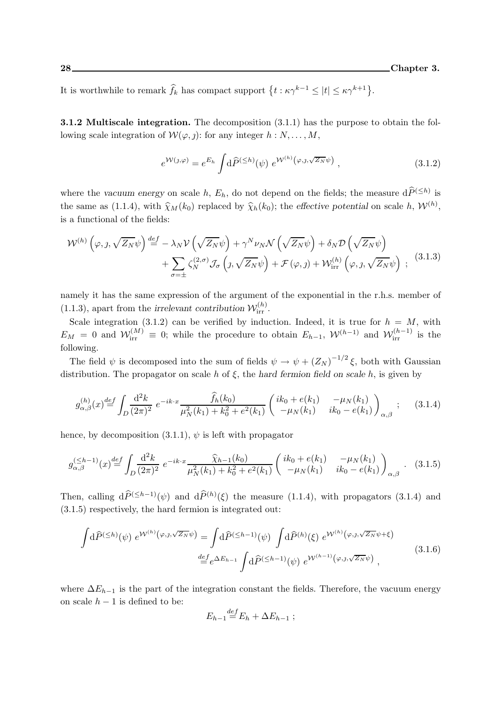It is worthwhile to remark  $\hat{f}_k$  has compact support  $\{t : \kappa \gamma^{k-1} \leq |t| \leq \kappa \gamma^{k+1}\}.$ 

3.1.2 Multiscale integration. The decomposition (3.1.1) has the purpose to obtain the following scale integration of  $W(\varphi, j)$ : for any integer  $h : N, \ldots, M$ ,

$$
e^{\mathcal{W}(\jmath,\varphi)} = e^{E_h} \int d\widehat{P}^{(\leq h)}(\psi) e^{\mathcal{W}^{(h)}(\varphi,\jmath,\sqrt{Z_N}\psi)}, \qquad (3.1.2)
$$

where the vacuum energy on scale h,  $E_h$ , do not depend on the fields; the measure  $d\tilde{P}^{(\leq h)}$  is the same as (1.1.4), with  $\widehat{\chi}_M(k_0)$  replaced by  $\widehat{\chi}_h(k_0)$ ; the effective potential on scale h,  $\mathcal{W}^{(h)}$ , is a functional of the fields:

$$
\mathcal{W}^{(h)}\left(\varphi, \jmath, \sqrt{Z_N}\psi\right) \stackrel{def}{=} -\lambda_N \mathcal{V}\left(\sqrt{Z_N}\psi\right) + \gamma^N \nu_N \mathcal{N}\left(\sqrt{Z_N}\psi\right) + \delta_N \mathcal{D}\left(\sqrt{Z_N}\psi\right) + \sum_{\sigma=\pm} \zeta_N^{(2,\sigma)} \mathcal{J}_{\sigma}\left(\jmath, \sqrt{Z_N}\psi\right) + \mathcal{F}\left(\varphi, \jmath\right) + \mathcal{W}_{irr}^{(h)}\left(\varphi, \jmath, \sqrt{Z_N}\psi\right) ;
$$
 (3.1.3)

namely it has the same expression of the argument of the exponential in the r.h.s. member of (1.1.3), apart from the irrelevant contribution  $\mathcal{W}_{irr}^{(h)}$ .

Scale integration (3.1.2) can be verified by induction. Indeed, it is true for  $h = M$ , with  $E_M = 0$  and  $\mathcal{W}_{irr}^{(M)} \equiv 0$ ; while the procedure to obtain  $E_{h-1}$ ,  $\mathcal{W}_{h}^{(h-1)}$  and  $\mathcal{W}_{irr}^{(h-1)}$  is the following.

The field  $\psi$  is decomposed into the sum of fields  $\psi \to \psi + (Z_N)^{-1/2} \xi$ , both with Gaussian distribution. The propagator on scale h of  $\xi$ , the hard fermion field on scale h, is given by

$$
g_{\alpha,\beta}^{(h)}(x) \stackrel{def}{=} \int_{D} \frac{\mathrm{d}^2 k}{(2\pi)^2} \ e^{-ik \cdot x} \frac{\widehat{f}_h(k_0)}{\mu_N^2(k_1) + k_0^2 + e^2(k_1)} \left( \begin{array}{cc} ik_0 + e(k_1) & -\mu_N(k_1) \\ -\mu_N(k_1) & ik_0 - e(k_1) \end{array} \right)_{\alpha,\beta} ; \qquad (3.1.4)
$$

hence, by decomposition  $(3.1.1)$ ,  $\psi$  is left with propagator

$$
g_{\alpha,\beta}^{(\leq h-1)}(x) \stackrel{def}{=} \int_{D} \frac{\mathrm{d}^2 k}{(2\pi)^2} \ e^{-ik \cdot x} \frac{\widehat{\chi}_{h-1}(k_0)}{\mu_N^2(k_1) + k_0^2 + e^2(k_1)} \left( \begin{array}{cc} ik_0 + e(k_1) & -\mu_N(k_1) \\ -\mu_N(k_1) & ik_0 - e(k_1) \end{array} \right)_{\alpha,\beta} . \tag{3.1.5}
$$

Then, calling  $d\widehat{P}^{(\leq h-1)}(\psi)$  and  $d\widehat{P}^{(h)}(\xi)$  the measure (1.1.4), with propagators (3.1.4) and (3.1.5) respectively, the hard fermion is integrated out:

$$
\int d\widehat{P}^{(\leq h)}(\psi) e^{W^{(h)}(\varphi, \jmath, \sqrt{Z_N}\psi)} = \int d\widehat{P}^{(\leq h-1)}(\psi) \int d\widehat{P}^{(h)}(\xi) e^{W^{(h)}(\varphi, \jmath, \sqrt{Z_N}\psi + \xi)}
$$
\n
$$
\stackrel{def}{=} e^{\Delta E_{h-1}} \int d\widehat{P}^{(\leq h-1)}(\psi) e^{W^{(h-1)}(\varphi, \jmath, \sqrt{Z_N}\psi)},
$$
\n(3.1.6)

where  $\Delta E_{h-1}$  is the part of the integration constant the fields. Therefore, the vacuum energy on scale  $h - 1$  is defined to be:  $\overline{d}$ 

$$
E_{h-1} \stackrel{def}{=} E_h + \Delta E_{h-1} ;
$$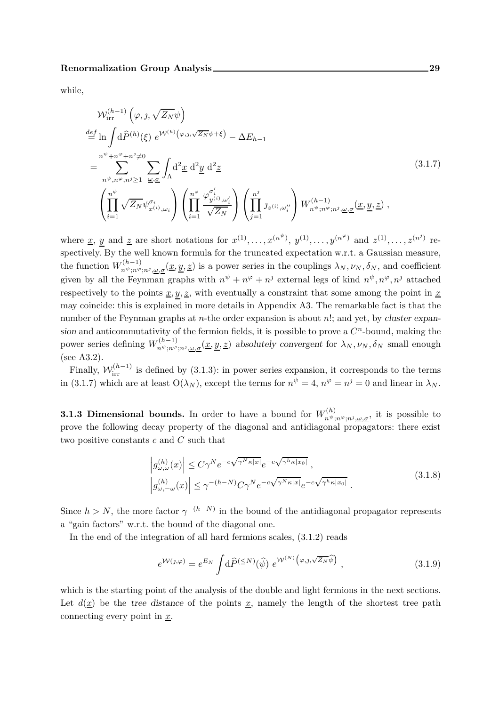while,

$$
\mathcal{W}_{irr}^{(h-1)}\left(\varphi,\jmath,\sqrt{Z_N}\psi\right)
$$
\n
$$
\stackrel{def}{=} \ln \int d\widehat{P}^{(h)}(\xi) e^{\mathcal{W}^{(h)}(\varphi,\jmath,\sqrt{Z_N}\psi+\xi)} - \Delta E_{h-1}
$$
\n
$$
= \sum_{n^{\psi},n^{\varphi},n^{\varphi},n^{\varphi}\geq 1}^{n^{\psi}+n^{\varphi}+n^{\varphi}\neq 0} \sum_{\omega,\sigma} \int_{\Lambda} d^2 \underline{x} d^2 \underline{y} d^2 \underline{z}
$$
\n
$$
\left(\prod_{i=1}^{n^{\psi}} \sqrt{Z_N} \psi_{x^{(i)},\omega_i}^{\sigma_i}\right) \left(\prod_{i=1}^{n^{\varphi}} \frac{\varphi_{y^{(i)},\omega_i}^{\sigma_i}}{\sqrt{Z_N}}\right) \left(\prod_{j=1}^{n^{\varphi}} \jmath_{z^{(i)},\omega_i}^{\sigma_j}\right) W_{n^{\psi};n^{\varphi};n^{\varphi},\underline{\omega},\underline{\sigma}}(\underline{x},\underline{y},\underline{z}) ,
$$
\n(3.1.7)

where <u>x</u>, y and <u>z</u> are short notations for  $x^{(1)}, \ldots, x^{(n^{\psi})}$ ,  $y^{(1)}, \ldots, y^{(n^{\varphi})}$  and  $z^{(1)}, \ldots, z^{(n^j)}$  respectively. By the well known formula for the truncated expectation w.r.t. a Gaussian measure, the function  $W^{(h-1)}_{n^{\psi};n^{\varphi};n^{\vartheta},\underline{\omega},\underline{\sigma}}(\underline{x},\underline{y},\underline{z})$  is a power series in the couplings  $\lambda_N,\nu_N,\delta_N$ , and coefficient given by all the Feynman graphs with  $n^{\psi} + n^{\varphi} + n^{\jmath}$  external legs of kind  $n^{\psi}, n^{\varphi}, n^{\jmath}$  attached respectively to the points  $\underline{x}, y, \underline{z}$ , with eventually a constraint that some among the point in  $\underline{x}$ may coincide: this is explained in more details in Appendix A3. The remarkable fact is that the number of the Feynman graphs at *n*-the order expansion is about *n*!; and yet, by cluster expansion and anticommutativity of the fermion fields, it is possible to prove a  $C<sup>n</sup>$ -bound, making the power series defining  $W^{(h-1)}_{n^{\psi};n^{\varphi};n^{\varphi},\underline{\omega},\underline{\sigma}}(\underline{x},\underline{y},\underline{z})$  absolutely convergent for  $\lambda_N,\nu_N,\delta_N$  small enough (see A3.2).

Finally,  $\mathcal{W}_{irr}^{(h-1)}$  is defined by (3.1.3): in power series expansion, it corresponds to the terms in (3.1.7) which are at least  $O(\lambda_N)$ , except the terms for  $n^{\psi} = 4$ ,  $n^{\varphi} = n^{\jmath} = 0$  and linear in  $\lambda_N$ .

**3.1.3 Dimensional bounds.** In order to have a bound for  $W_{n\psi}^{(h)}$ .  $n^{\psi};n^{\varphi};n^{\varphi};\underline{\omega},\underline{\sigma}$ , it is possible to prove the following decay property of the diagonal and antidiagonal propagators: there exist two positive constants c and C such that

$$
\left| g_{\omega,\omega}^{(h)}(x) \right| \le C\gamma^N e^{-c\sqrt{\gamma^N \kappa |x|}} e^{-c\sqrt{\gamma^h \kappa |x_0|}},
$$
  

$$
\left| g_{\omega,-\omega}^{(h)}(x) \right| \le \gamma^{-(h-N)} C\gamma^N e^{-c\sqrt{\gamma^N \kappa |x|}} e^{-c\sqrt{\gamma^h \kappa |x_0|}}.
$$
 (3.1.8)

Since  $h > N$ , the more factor  $\gamma^{-(h-N)}$  in the bound of the antidiagonal propagator represents a "gain factors" w.r.t. the bound of the diagonal one.

In the end of the integration of all hard fermions scales, (3.1.2) reads

$$
e^{\mathcal{W}(\jmath,\varphi)} = e^{E_N} \int d\widehat{P}^{(\leq N)}(\widehat{\psi}) \; e^{\mathcal{W}^{(N)}\left(\varphi,\jmath,\sqrt{Z_N}\widehat{\psi}\right)} \;, \tag{3.1.9}
$$

which is the starting point of the analysis of the double and light fermions in the next sections. Let  $d(x)$  be the tree distance of the points x, namely the length of the shortest tree path connecting every point in  $\underline{x}$ .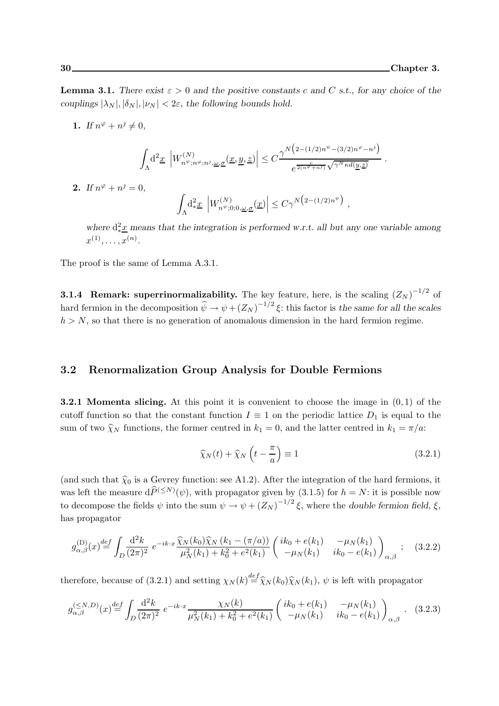.

,

**Lemma 3.1.** There exist  $\varepsilon > 0$  and the positive constants c and C s.t., for any choice of the couplings  $|\lambda_N|, |\delta_N|, |\nu_N| < 2\varepsilon$ , the following bounds hold.

1. If  $n^{\varphi} + n^{\jmath} \neq 0$ ,

$$
\int_{\Lambda}\!{\rm d}^2\underline{x}\, \left|W^{(N)}_{n^\psi;n^\varphi;n^{\jmath},\underline{\omega},\underline{\sigma}}(\underline{x},\underline{y},\underline{z})\right|\leq C\frac{\gamma^N\big(\textstyle{2-(1/2)n^\psi-(3/2)n^\varphi-n^\jmath}\big)}{e^{\frac{c}{2(n^\varphi+n\jmath)}\sqrt{\gamma^N\kappa d(\underline{y},\underline{z})}}}.
$$

**2.** If  $n^{\varphi} + n^{\jmath} = 0$ ,

$$
\int_{\Lambda} \mathrm{d}_{*}^2 \underline{x} \left| W_{n\psi;0;0,\underline{\omega},\underline{\sigma}}^{(N)}(\underline{x}) \right| \le C\gamma^{N\big(2-(1/2)n^{\psi}\big)}
$$

where  $d_{*x}^2$  means that the integration is performed w.r.t. all but any one variable among  $x^{(1)}, \ldots, x^{(n)}$ .

The proof is the same of Lemma A.3.1.

**3.1.4 Remark: superrinormalizability.** The key feature, here, is the scaling  $(Z_N)^{-1/2}$  of hard fermion in the decomposition  $\hat{\psi} \to \psi + (Z_N)^{-1/2} \xi$ : this factor is the same for all the scales  $h > N$ , so that there is no generation of anomalous dimension in the hard fermion regime.

#### 3.2 Renormalization Group Analysis for Double Fermions

**3.2.1 Momenta slicing.** At this point it is convenient to choose the image in  $(0, 1)$  of the cutoff function so that the constant function  $I \equiv 1$  on the periodic lattice  $D_1$  is equal to the sum of two  $\hat{\chi}_N$  functions, the former centred in  $k_1 = 0$ , and the latter centred in  $k_1 = \pi/a$ .

$$
\widehat{\chi}_N(t) + \widehat{\chi}_N\left(t - \frac{\pi}{a}\right) \equiv 1\tag{3.2.1}
$$

(and such that  $\hat{\chi}_0$  is a Gevrey function: see A1.2). After the integration of the hard fermions, it was left the measure  $d\widehat{P}^{(\leq N)}(\psi)$ , with propagator given by  $(3.1.5)$  for  $h = N$ : it is possible now to decompose the fields  $\psi$  into the sum  $\psi \to \psi + (Z_N)^{-1/2} \xi$ , where the double fermion field,  $\xi$ , has propagator

$$
g_{\alpha,\beta}^{(\mathcal{D})}(x) \stackrel{def}{=} \int_{D} \frac{\mathrm{d}^2 k}{(2\pi)^2} \ e^{-ik \cdot x} \frac{\widehat{\chi}_N(k_0) \widehat{\chi}_N(k_1 - (\pi/a))}{\mu_N^2(k_1) + k_0^2 + e^2(k_1)} \begin{pmatrix} ik_0 + e(k_1) & -\mu_N(k_1) \\ -\mu_N(k_1) & ik_0 - e(k_1) \end{pmatrix}_{\alpha,\beta} ; \quad (3.2.2)
$$

therefore, because of (3.2.1) and setting  $\chi_N(k) \stackrel{def}{=} \hat{\chi}_N(k_0) \hat{\chi}_N(k_1)$ ,  $\psi$  is left with propagator

$$
g_{\alpha,\beta}^{(\leq N,D)}(x) \stackrel{def}{=} \int_{D} \frac{\mathrm{d}^2 k}{(2\pi)^2} \ e^{-ik \cdot x} \frac{\chi_N(k)}{\mu_N^2(k_1) + k_0^2 + e^2(k_1)} \begin{pmatrix} ik_0 + e(k_1) & -\mu_N(k_1) \\ -\mu_N(k_1) & ik_0 - e(k_1) \end{pmatrix}_{\alpha,\beta} . \tag{3.2.3}
$$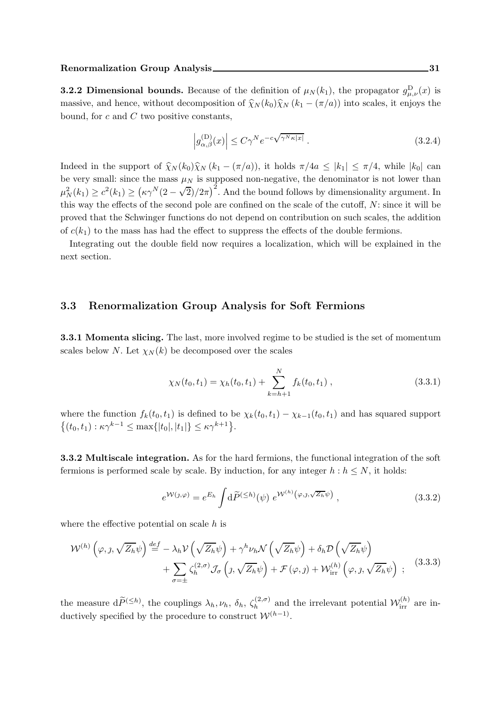**3.2.2 Dimensional bounds.** Because of the definition of  $\mu_N(k_1)$ , the propagator  $g_{\mu,\nu}^D(x)$  is massive, and hence, without decomposition of  $\hat{\chi}_N (k_0) \hat{\chi}_N (k_1 - (\pi/a))$  into scales, it enjoys the bound, for  $c$  and  $C$  two positive constants,

$$
\left| g_{\alpha,\beta}^{(\mathcal{D})}(x) \right| \le C\gamma^N e^{-c\sqrt{\gamma^N \kappa |x|}}.
$$
\n(3.2.4)

Indeed in the support of  $\widehat{\chi}_{N}(k_0)\widehat{\chi}_{N}(k_1 - (\pi/a))$ , it holds  $\pi/4a \leq |k_1| \leq \pi/4$ , while  $|k_0|$  can be very small: since the mass  $\mu_N$  is supposed non-negative, the denominator is not lower than  $\mu_N^2(k_1) \ge c^2(k_1) \ge (\kappa \gamma^N (2 - \sqrt{2})/2\pi)^2$ . And the bound follows by dimensionality argument. In this way the effects of the second pole are confined on the scale of the cutoff, N: since it will be proved that the Schwinger functions do not depend on contribution on such scales, the addition of  $c(k_1)$  to the mass has had the effect to suppress the effects of the double fermions.

Integrating out the double field now requires a localization, which will be explained in the next section.

### 3.3 Renormalization Group Analysis for Soft Fermions

3.3.1 Momenta slicing. The last, more involved regime to be studied is the set of momentum scales below N. Let  $\chi_N(k)$  be decomposed over the scales

$$
\chi_N(t_0, t_1) = \chi_h(t_0, t_1) + \sum_{k=h+1}^N f_k(t_0, t_1) , \qquad (3.3.1)
$$

where the function  $f_k(t_0,t_1)$  is defined to be  $\chi_k(t_0,t_1) - \chi_{k-1}(t_0,t_1)$  and has squared support  $\{(t_0, t_1) : \kappa \gamma^{k-1} \leq \max\{|t_0|, |t_1|\} \leq \kappa \gamma^{k+1}\}.$ 

3.3.2 Multiscale integration. As for the hard fermions, the functional integration of the soft fermions is performed scale by scale. By induction, for any integer  $h : h \leq N$ , it holds:

$$
e^{\mathcal{W}(\jmath,\varphi)} = e^{E_h} \int d\widetilde{P}^{(\leq h)}(\psi) e^{\mathcal{W}^{(h)}(\varphi,\jmath,\sqrt{Z_h}\psi)}, \qquad (3.3.2)
$$

where the effective potential on scale  $h$  is

$$
\mathcal{W}^{(h)}\left(\varphi, \jmath, \sqrt{Z_h}\psi\right) \stackrel{def}{=} -\lambda_h \mathcal{V}\left(\sqrt{Z_h}\psi\right) + \gamma^h \nu_h \mathcal{N}\left(\sqrt{Z_h}\psi\right) + \delta_h \mathcal{D}\left(\sqrt{Z_h}\psi\right) + \sum_{\sigma=\pm} \zeta_h^{(2,\sigma)} \mathcal{J}_{\sigma}\left(\jmath, \sqrt{Z_h}\psi\right) + \mathcal{F}\left(\varphi, \jmath\right) + \mathcal{W}_{irr}^{(h)}\left(\varphi, \jmath, \sqrt{Z_h}\psi\right) ;
$$
 (3.3.3)

the measure  $d\widetilde{P}^{(\leq h)}$ , the couplings  $\lambda_h, \nu_h, \delta_h, \zeta_h^{(2,\sigma)}$  $\mathcal{W}_h^{(2,\sigma)}$  and the irrelevant potential  $\mathcal{W}_{irr}^{(h)}$  are inductively specified by the procedure to construct  $\mathcal{W}^{(h-1)}$ .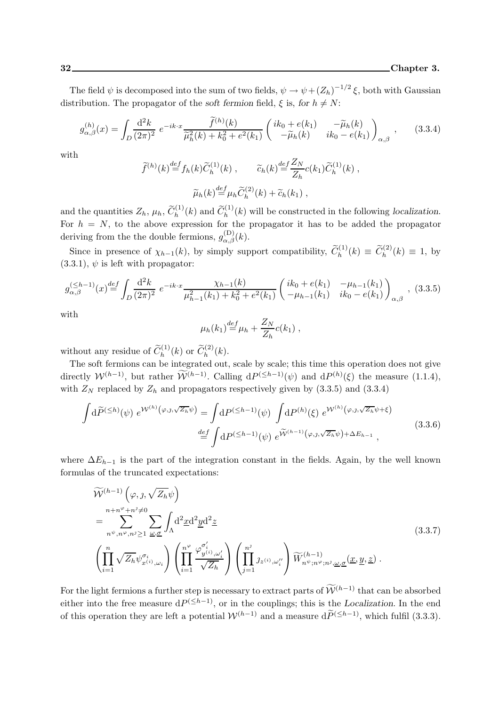The field  $\psi$  is decomposed into the sum of two fields,  $\psi \to \psi + (Z_h)^{-1/2} \xi$ , both with Gaussian distribution. The propagator of the soft fermion field,  $\xi$  is, for  $h \neq N$ :

$$
g_{\alpha,\beta}^{(h)}(x) = \int_D \frac{\mathrm{d}^2 k}{(2\pi)^2} \ e^{-ik \cdot x} \frac{\tilde{f}^{(h)}(k)}{\tilde{\mu}_h^2(k) + k_0^2 + e^2(k_1)} \begin{pmatrix} ik_0 + e(k_1) & -\tilde{\mu}_h(k) \\ -\tilde{\mu}_h(k) & ik_0 - e(k_1) \end{pmatrix}_{\alpha,\beta} , \qquad (3.3.4)
$$

with

$$
\widetilde{f}^{(h)}(k) \stackrel{def}{=} f_h(k) \widetilde{C}_h^{(1)}(k) , \qquad \widetilde{c}_h(k) \stackrel{def}{=} \frac{Z_N}{Z_h} c(k_1) \widetilde{C}_h^{(1)}(k) ,
$$

$$
\widetilde{\mu}_h(k) \stackrel{def}{=} \mu_h \widetilde{C}_h^{(2)}(k) + \widetilde{c}_h(k_1) ,
$$

and the quantities  $Z_h$ ,  $\mu_h$ ,  $\widetilde{C}_h^{(1)}(k)$  and  $\widetilde{C}_h^{(1)}(k)$  will be constructed in the following localization. For  $h = N$ , to the above expression for the propagator it has to be added the propagator deriving from the the double fermions,  $g_{\alpha,\beta}^{(\mathbf{D})}(k)$ .

Since in presence of  $\chi_{h-1}(k)$ , by simply support compatibility,  $\widetilde{C}_{h}^{(1)}(k) \equiv \widetilde{C}_{h}^{(2)}(k) \equiv 1$ , by  $(3.3.1), \psi$  is left with propagator:

$$
g_{\alpha,\beta}^{(\leq h-1)}(x) \stackrel{def}{=} \int_D \frac{\mathrm{d}^2 k}{(2\pi)^2} \ e^{-ik \cdot x} \frac{\chi_{h-1}(k)}{\mu_{h-1}^2(k_1) + k_0^2 + e^2(k_1)} \left( \begin{array}{cc} ik_0 + e(k_1) & -\mu_{h-1}(k_1) \\ -\mu_{h-1}(k_1) & ik_0 - e(k_1) \end{array} \right)_{\alpha,\beta} , \tag{3.3.5}
$$

with

$$
\mu_h(k_1) \stackrel{def}{=} \mu_h + \frac{Z_N}{Z_h} c(k_1) ,
$$

without any residue of  $\widetilde{C}_h^{(1)}(k)$  or  $\widetilde{C}_h^{(2)}(k)$ .

The soft fermions can be integrated out, scale by scale; this time this operation does not give directly  $\mathcal{W}^{(h-1)}$ , but rather  $\mathcal{W}^{(h-1)}$ . Calling  $dP^{(\leq h-1)}(\psi)$  and  $dP^{(h)}(\xi)$  the measure (1.1.4), with  $Z_N$  replaced by  $Z_h$  and propagators respectively given by (3.3.5) and (3.3.4)

$$
\int d\widetilde{P}^{(\leq h)}(\psi) e^{\mathcal{W}^{(h)}(\varphi,\jmath,\sqrt{Z_h}\psi)} = \int dP^{(\leq h-1)}(\psi) \int dP^{(h)}(\xi) e^{\mathcal{W}^{(h)}(\varphi,\jmath,\sqrt{Z_h}\psi+\xi)}
$$
\n
$$
\stackrel{def}{=} \int dP^{(\leq h-1)}(\psi) e^{\widetilde{\mathcal{W}}^{(h-1)}(\varphi,\jmath,\sqrt{Z_h}\psi) + \Delta E_{h-1}},
$$
\n(3.3.6)

where  $\Delta E_{h-1}$  is the part of the integration constant in the fields. Again, by the well known formulas of the truncated expectations:

$$
\widetilde{\mathcal{W}}^{(h-1)}\left(\varphi, \jmath, \sqrt{Z_h}\psi\right)
$$
\n
$$
= \sum_{n^{\psi}, n^{\varphi}, n^{\vartheta} \geq 1}^{n+n^{\varphi}+n^{\vartheta} \neq 0} \sum_{\omega, \underline{\sigma}} \int_{\Lambda} d^2 \underline{x} d^2 \underline{y} d^2 \underline{z}
$$
\n
$$
\left(\prod_{i=1}^n \sqrt{Z_h} \psi_{x^{(i)}, \omega_i}^{\sigma_i}\right) \left(\prod_{i=1}^{n^{\varphi}} \frac{\varphi_{y^{(i)}, \omega_i'}^{\sigma_i'}}{\sqrt{Z_h}}\right) \left(\prod_{j=1}^{n^{\vartheta}} \jmath_{z^{(i)}, \omega_i''}\right) \widetilde{W}_{n^{\psi}; n^{\varphi}; n^{\vartheta}, \underline{\omega}, \underline{\sigma}}^{(h-1)}(\underline{x}, \underline{y}, \underline{z}) .
$$
\n(3.3.7)

For the light fermions a further step is necessary to extract parts of  $\widetilde{\mathcal{W}}^{(h-1)}$  that can be absorbed either into the free measure  $dP^{(\leq h-1)}$ , or in the couplings; this is the Localization. In the end of this operation they are left a potential  $W^{(h-1)}$  and a measure  $d\widetilde{P}^{(\leq h-1)}$ , which fulfil (3.3.3).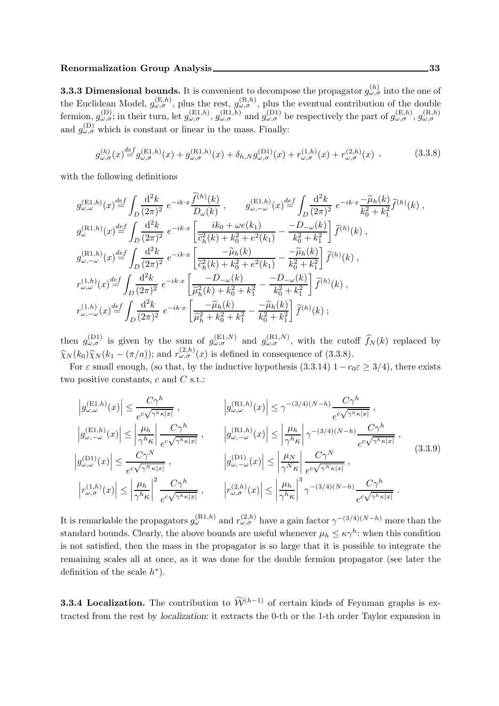**3.3.3 Dimensional bounds.** It is convenient to decompose the propagator  $g_{\omega,\sigma}^{(h)}$  into the one of the Euclidean Model,  $g_{\omega,\sigma}^{(E,h)}$ , plus the rest,  $g_{\omega,\sigma}^{(R,h)}$ , plus the eventual contribution of the double fermion,  $g_{\omega,\sigma}^{(D)}$ ; in their turn, let  $g_{\omega,\sigma}^{(E1,h)}$ ,  $g_{\omega,\sigma}^{(R1,h)}$  and  $g_{\omega,\sigma}^{(D1)}$  be respectively the part of  $g_{\omega,\sigma}^{(E,h)}$ ,  $g_{\omega,\sigma}^{(R,h)}$ and  $g_{\omega,\sigma}^{(D)}$  which is constant or linear in the mass. Finally:

$$
g_{\omega,\sigma}^{(h)}(x) \stackrel{def}{=} g_{\omega,\sigma}^{(\text{E1},h)}(x) + g_{\omega,\sigma}^{(\text{R1},h)}(x) + \delta_{h,N} g_{\omega,\sigma}^{(\text{D1})}(x) + r_{\omega,\sigma}^{(1,h)}(x) + r_{\omega,\sigma}^{(2,h)}(x) , \qquad (3.3.8)
$$

with the following definitions

$$
g_{\omega,\omega}^{(\text{E1},h)}(x) \stackrel{def}{=} \int_{D} \frac{d^2k}{(2\pi)^2} e^{-ik \cdot x} \frac{\tilde{f}^{(h)}(k)}{D_{\omega}(k)}, \qquad g_{\omega,-\omega}^{(\text{E1},h)}(x) \stackrel{def}{=} \int_{D} \frac{d^2k}{(2\pi)^2} e^{-ik \cdot x} \frac{-\tilde{\mu}_h(k)}{k_0^2 + k_1^2} \tilde{f}^{(h)}(k) ,
$$
  
\n
$$
g_{\omega}^{(\text{R1},h)}(x) \stackrel{def}{=} \int_{D} \frac{d^2k}{(2\pi)^2} e^{-ik \cdot x} \left[ \frac{ik_0 + \omega e(k_1)}{\tilde{c}_h^2(k) + k_0^2 + e^2(k_1)} - \frac{-D_{-\omega}(k)}{k_0^2 + k_1^2} \right] \tilde{f}^{(h)}(k) ,
$$
  
\n
$$
g_{\omega,-\omega}^{(\text{R1},h)}(x) \stackrel{def}{=} \int_{D} \frac{d^2k}{(2\pi)^2} e^{-ik \cdot x} \left[ \frac{-\tilde{\mu}_h(k)}{\tilde{c}_h^2(k) + k_0^2 + e^2(k_1)} - \frac{-\tilde{\mu}_h(k)}{k_0^2 + k_1^2} \right] \tilde{f}^{(h)}(k) ,
$$
  
\n
$$
r_{\omega,\omega}^{(1,h)}(x) \stackrel{def}{=} \int_{D} \frac{d^2k}{(2\pi)^2} e^{-ik \cdot x} \left[ \frac{-D_{-\omega}(k)}{\tilde{\mu}_h^2(k) + k_0^2 + k_1^2} - \frac{-D_{-\omega}(k)}{k_0^2 + k_1^2} \right] \tilde{f}^{(h)}(k) ,
$$
  
\n
$$
r_{\omega,-\omega}^{(1,h)}(x) \stackrel{def}{=} \int_{D} \frac{d^2k}{(2\pi)^2} e^{-ik \cdot x} \left[ \frac{-\tilde{\mu}_h(k)}{\tilde{\mu}_h^2 + k_0^2 + k_1^2} - \frac{-\tilde{\mu}_h(k)}{k_0^2 + k_1^2} \right] \tilde{f}^{(h)}(k) ;
$$

then  $g_{\omega,\sigma}^{(D1)}$  is given by the sum of  $g_{\omega,\sigma}^{(E1,N)}$  and  $g_{\omega,\sigma}^{(R1,N)}$ , with the cutoff  $\widehat{f}_N(k)$  replaced by  $\widehat{\chi}_N(k_0)\widehat{\chi}_N(k_1-(\pi/a))$ ; and  $r_{\omega,\sigma}^{(2,h)}(x)$  is defined in consequence of (3.3.8).

For  $\varepsilon$  small enough, (so that, by the inductive hypothesis (3.3.14)  $1 - c_0 \varepsilon \geq 3/4$ ), there exists two positive constants,  $c$  and  $C$  s.t.:

$$
\left|g_{\omega,\omega}^{(\text{E1},h)}(x)\right| \leq \frac{C\gamma^h}{e^{c\sqrt{\gamma^h\kappa|x|}}}, \qquad \left|g_{\omega,\omega}^{(\text{R1},h)}(x)\right| \leq \gamma^{-(3/4)(N-h)}\frac{C\gamma^h}{e^{c\sqrt{\gamma^h\kappa|x|}}},
$$
\n
$$
\left|g_{\omega,-\omega}^{(\text{E1},h)}(x)\right| \leq \left|\frac{\mu_h}{\gamma^h\kappa}\right| \frac{C\gamma^h}{e^{c\sqrt{\gamma^h\kappa|x|}}}, \qquad \left|g_{\omega,-\omega}^{(\text{R1},h)}(x)\right| \leq \left|\frac{\mu_h}{\gamma^h\kappa}\right| \gamma^{-(3/4)(N-h)}\frac{C\gamma^h}{e^{c\sqrt{\gamma^h\kappa|x|}}},
$$
\n
$$
\left|g_{\omega,\omega}^{(\text{D1})}(x)\right| \leq \frac{C\gamma^N}{e^{c\sqrt{\gamma^N\kappa|x|}}}, \qquad \left|g_{\omega,-\omega}^{(\text{D1})}(x)\right| \leq \left|\frac{\mu_N}{\gamma^N\kappa}\right| \frac{C\gamma^N}{e^{c\sqrt{\gamma^N\kappa|x|}}},
$$
\n
$$
\left|r_{\omega,\sigma}^{(1,h)}(x)\right| \leq \left|\frac{\mu_h}{\gamma^h\kappa}\right|^2 \frac{C\gamma^h}{e^{c\sqrt{\gamma^h\kappa|x|}}}, \qquad \left|r_{\omega,\sigma}^{(2,h)}(x)\right| \leq \left|\frac{\mu_h}{\gamma^h\kappa}\right|^3 \gamma^{-(3/4)(N-h)}\frac{C\gamma^h}{e^{c\sqrt{\gamma^h\kappa|x|}}}. \qquad (3.3.9)
$$

It is remarkable the propagators  $g_{\omega}^{(R1,h)}$  and  $r_{\omega,\sigma}^{(2,h)}$  have a gain factor  $\gamma^{-(3/4)(N-h)}$  more than the standard bounds. Clearly, the above bounds are useful whenever  $\mu_h \leq \kappa \gamma^h$ : when this condition is not satisfied, then the mass in the propagator is so large that it is possible to integrate the remaining scales all at once, as it was done for the double fermion propagator (see later the definition of the scale  $h^*$ ).

**3.3.4 Localization.** The contribution to  $\widetilde{\mathcal{W}}^{(h-1)}$  of certain kinds of Feynman graphs is extracted from the rest by localization: it extracts the 0-th or the 1-th order Taylor expansion in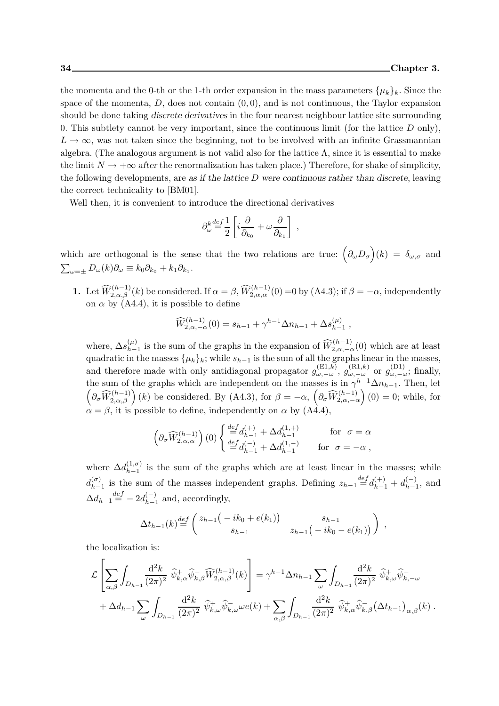the momenta and the 0-th or the 1-th order expansion in the mass parameters  $\{\mu_k\}_k$ . Since the space of the momenta,  $D$ , does not contain  $(0, 0)$ , and is not continuous, the Taylor expansion should be done taking discrete derivatives in the four nearest neighbour lattice site surrounding 0. This subtlety cannot be very important, since the continuous limit (for the lattice  $D$  only),  $L \to \infty$ , was not taken since the beginning, not to be involved with an infinite Grassmannian algebra. (The analogous argument is not valid also for the lattice  $\Lambda$ , since it is essential to make the limit  $N \to +\infty$  after the renormalization has taken place.) Therefore, for shake of simplicity, the following developments, are as if the lattice  $D$  were continuous rather than discrete, leaving the correct technicality to [BM01].

Well then, it is convenient to introduce the directional derivatives

$$
\partial_\omega^k \smash{\stackrel{def}{=}} \smash{\frac{1}{2}} \left[ i \frac{\partial}{\partial_{k_0}} + \omega \frac{\partial}{\partial_{k_1}} \right] \;,
$$

which are orthogonal is the sense that the two relations are true:  $(\partial_{\omega}D_{\sigma})(k) = \delta_{\omega,\sigma}$  and  $\sum_{\omega=\pm} D_{\omega}(k)\partial_{\omega} \equiv k_0 \partial_{k_0} + k_1 \partial_{k_1}.$ 

**1.** Let  $\widehat{W}_{2,\alpha,\beta}^{(h-1)}(k)$  be considered. If  $\alpha = \beta$ ,  $\widehat{W}_{2,\alpha,\alpha}^{(h-1)}(0) = 0$  by  $(A4.3)$ ; if  $\beta = -\alpha$ , independently on  $\alpha$  by  $(A4.4)$ , it is possible to define

$$
\widehat{W}_{2,\alpha,-\alpha}^{(h-1)}(0) = s_{h-1} + \gamma^{h-1} \Delta n_{h-1} + \Delta s_{h-1}^{(\mu)},
$$

where,  $\Delta s_{h-}^{(\mu)}$  $\binom{\mu}{h-1}$  is the sum of the graphs in the expansion of  $\widehat{W}^{(h-1)}_{2,\alpha,-\alpha}(0)$  which are at least quadratic in the masses  $\{\mu_k\}_k$ ; while  $s_{h-1}$  is the sum of all the graphs linear in the masses, and therefore made with only antidiagonal propagator  $g_{\omega,-\omega}^{(\text{E1},k)}$ ,  $g_{\omega,-\omega}^{(\text{R1},k)}$  or  $g_{\omega,-\omega}^{(\text{D1})}$ ; finally, the sum of the graphs which are independent on the masses is in  $\gamma^{h-1}\Delta n_{h-1}$ . Then, let  $\left(\partial_{\sigma}\widehat{W}_{2,\alpha,\beta}^{(h-1)}\right)(k)$  be considered. By (A4.3), for  $\beta=-\alpha$ ,  $\left(\partial_{\sigma}\widehat{W}_{2,\alpha,-\alpha}^{(h-1)}\right)$  $(0) = 0$ ; while, for  $\alpha = \beta$ , it is possible to define, independently on  $\alpha$  by (A4.4),

$$
\left(\partial_\sigma \widehat{W}^{(h-1)}_{2,\alpha,\alpha}\right)(0) \left\{ \begin{array}{ll} \stackrel{def}{=} d_{h-1}^{(+)} + \Delta d^{(1,+)}_{h-1} & \text{for} \;\; \sigma = \alpha \\ \stackrel{def}{=} d_{h-1}^{(-)} + \Delta d^{(1,-)}_{h-1} & \text{for} \;\; \sigma = -\alpha \; , \end{array} \right.
$$

where  $\Delta d_{h-1}^{(1,\sigma)}$  $\lambda_{h-1}^{(1,\sigma)}$  is the sum of the graphs which are at least linear in the masses; while  $d_{h-}^{(\sigma)}$  $\binom{(\sigma)}{h-1}$  is the sum of the masses independent graphs. Defining  $z_{h-1} \stackrel{def}{=} d_{h-1}^{(+)} + d_{h-1}^{(-)}$  $_{h-1}^{(-)}$ , and  $\Delta d_{h-1} \stackrel{def}{=} -2d^{(-)}_{h-1}$  $_{h-1}^{(-)}$  and, accordingly,

$$
\Delta t_{h-1}(k) \stackrel{def}{=} \begin{pmatrix} z_{h-1}(-ik_0 + e(k_1)) & s_{h-1} \ s_{h-1} & z_{h-1}(-ik_0 - e(k_1)) \end{pmatrix} ,
$$

the localization is:

$$
\mathcal{L}\left[\sum_{\alpha,\beta}\int_{D_{h-1}}\frac{\mathrm{d}^2k}{(2\pi)^2}\,\widehat{\psi}_{k,\alpha}^+\widehat{\psi}_{k,\beta}^-\widehat{W}_{2,\alpha,\beta}^{(h-1)}(k)\right] = \gamma^{h-1}\Delta n_{h-1}\sum_{\omega}\int_{D_{h-1}}\frac{\mathrm{d}^2k}{(2\pi)^2}\,\widehat{\psi}_{k,\omega}^+\widehat{\psi}_{k,-\omega}^-
$$

$$
+\Delta d_{h-1}\sum_{\omega}\int_{D_{h-1}}\frac{\mathrm{d}^2k}{(2\pi)^2}\,\widehat{\psi}_{k,\omega}^+\widehat{\psi}_{k,\omega}^-\omega e(k) + \sum_{\alpha,\beta}\int_{D_{h-1}}\frac{\mathrm{d}^2k}{(2\pi)^2}\,\widehat{\psi}_{k,\alpha}^+\widehat{\psi}_{k,\beta}^-\big(\Delta t_{h-1}\big)_{\alpha,\beta}(k)\,.
$$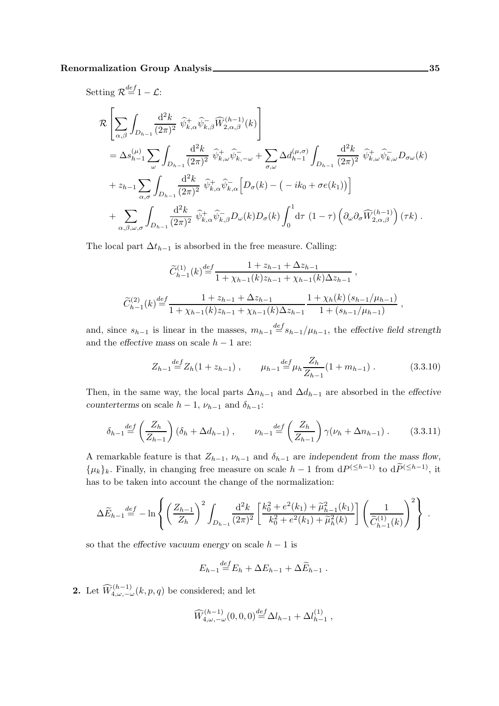Setting  $\mathcal{R}^{\text{def}}=1-\mathcal{L}$ :

$$
\mathcal{R}\left[\sum_{\alpha,\beta}\int_{D_{h-1}}\frac{\mathrm{d}^{2}k}{(2\pi)^{2}}\widehat{\psi}_{k,\alpha}^{+}\widehat{\psi}_{k,\beta}^{-}\widehat{W}_{2,\alpha,\beta}^{(h-1)}(k)\right]
$$
\n
$$
=\Delta s_{h-1}^{(\mu)}\sum_{\omega}\int_{D_{h-1}}\frac{\mathrm{d}^{2}k}{(2\pi)^{2}}\widehat{\psi}_{k,\omega}^{+}\widehat{\psi}_{k,-\omega}^{-}+\sum_{\sigma,\omega}\Delta d_{h-1}^{(\mu,\sigma)}\int_{D_{h-1}}\frac{\mathrm{d}^{2}k}{(2\pi)^{2}}\widehat{\psi}_{k,\omega}^{+}\widehat{\psi}_{k,\omega}^{-}D_{\sigma\omega}(k)\right.
$$
\n
$$
+z_{h-1}\sum_{\alpha,\sigma}\int_{D_{h-1}}\frac{\mathrm{d}^{2}k}{(2\pi)^{2}}\widehat{\psi}_{k,\alpha}^{+}\widehat{\psi}_{k,\alpha}^{-}\left[D_{\sigma}(k)-(-ik_{0}+\sigma e(k_{1}))\right]
$$
\n
$$
+\sum_{\alpha,\beta,\omega,\sigma}\int_{D_{h-1}}\frac{\mathrm{d}^{2}k}{(2\pi)^{2}}\widehat{\psi}_{k,\alpha}^{+}\widehat{\psi}_{k,\beta}^{-}D_{\omega}(k)D_{\sigma}(k)\int_{0}^{1}\mathrm{d}\tau\left(1-\tau\right)\left(\partial_{\omega}\partial_{\sigma}\widehat{W}_{2,\alpha,\beta}^{(h-1)}\right)(\tau k).
$$

The local part  $\Delta t_{h-1}$  is absorbed in the free measure. Calling:

$$
\widetilde{C}_{h-1}^{(1)}(k) \stackrel{def}{=} \frac{1 + z_{h-1} + \Delta z_{h-1}}{1 + \chi_{h-1}(k)z_{h-1} + \chi_{h-1}(k)\Delta z_{h-1}} ,
$$
\n
$$
\widetilde{C}_{h-1}^{(2)}(k) \stackrel{def}{=} \frac{1 + z_{h-1} + \Delta z_{h-1}}{1 + \chi_{h-1}(k)z_{h-1} + \chi_{h-1}(k)\Delta z_{h-1}} \frac{1 + \chi_h(k) (s_{h-1}/\mu_{h-1})}{1 + (s_{h-1}/\mu_{h-1})} ,
$$

and, since  $s_{h-1}$  is linear in the masses,  $m_{h-1} \stackrel{def}{=} s_{h-1}/\mu_{h-1}$ , the effective field strength and the effective mass on scale  $h - 1$  are:

$$
Z_{h-1} \stackrel{\text{def}}{=} Z_h(1 + z_{h-1}), \qquad \mu_{h-1} \stackrel{\text{def}}{=} \mu_h \frac{Z_h}{Z_{h-1}}(1 + m_{h-1}). \tag{3.3.10}
$$

Then, in the same way, the local parts  $\Delta n_{h-1}$  and  $\Delta d_{h-1}$  are absorbed in the effective counterterms on scale  $h-1$ ,  $\nu_{h-1}$  and  $\delta_{h-1}$ :

$$
\delta_{h-1} \stackrel{def}{=} \left(\frac{Z_h}{Z_{h-1}}\right) \left(\delta_h + \Delta d_{h-1}\right), \qquad \nu_{h-1} \stackrel{def}{=} \left(\frac{Z_h}{Z_{h-1}}\right) \gamma(\nu_h + \Delta n_{h-1}). \tag{3.3.11}
$$

A remarkable feature is that  $Z_{h-1}$ ,  $\nu_{h-1}$  and  $\delta_{h-1}$  are independent from the mass flow,  $\{\mu_k\}_k$ . Finally, in changing free measure on scale  $h-1$  from  $dP^{(\leq h-1)}$  to  $dP^{(\leq h-1)}$ , it has to be taken into account the change of the normalization:

$$
\Delta \widetilde{E}_{h-1} \stackrel{def}{=} -\ln \left\{ \left( \frac{Z_{h-1}}{Z_h} \right)^2 \int_{D_{h-1}} \frac{\mathrm{d}^2 k}{(2\pi)^2} \left[ \frac{k_0^2 + e^2(k_1) + \widetilde{\mu}_{h-1}^2(k_1)}{k_0^2 + e^2(k_1) + \widetilde{\mu}_h^2(k)} \right] \left( \frac{1}{\widetilde{C}_{h-1}^{(1)}(k)} \right)^2 \right\} \, .
$$

so that the effective vacuum energy on scale  $h - 1$  is

$$
E_{h-1} \stackrel{def}{=} E_h + \Delta E_{h-1} + \Delta \widetilde{E}_{h-1} .
$$

**2.** Let  $\widehat{W}^{(h-1)}_{4,\omega,-\omega}(k,p,q)$  be considered; and let

$$
\widehat{W}_{4,\omega,-\omega}^{(h-1)}(0,0,0)^{\text{def}} \Delta l_{h-1} + \Delta l_{h-1}^{(1)} ,
$$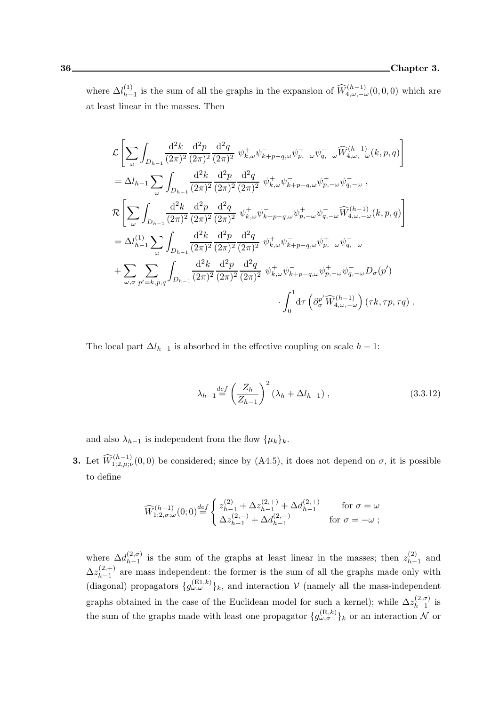where  $\Delta l_{h-}^{(1)}$ (1)<br>  $h-1$  is the sum of all the graphs in the expansion of  $\widehat{W}^{(h-1)}_{4,\omega,-\omega}(0,0,0)$  which are at least linear in the masses. Then

$$
\mathcal{L}\left[\sum_{\omega}\int_{D_{h-1}}\frac{\mathrm{d}^{2}k}{(2\pi)^{2}}\frac{\mathrm{d}^{2}p}{(2\pi)^{2}}\frac{\mathrm{d}^{2}q}{(2\pi)^{2}}\psi_{k,\omega}^{+}\psi_{k+p-q,\omega}^{-}\psi_{p,-\omega}^{+}\psi_{q,-\omega}^{-}\widehat{W}_{4,\omega,-\omega}^{(h-1)}(k,p,q)\right]
$$
\n
$$
=\Delta l_{h-1}\sum_{\omega}\int_{D_{h-1}}\frac{\mathrm{d}^{2}k}{(2\pi)^{2}}\frac{\mathrm{d}^{2}p}{(2\pi)^{2}}\frac{\mathrm{d}^{2}q}{(2\pi)^{2}}\psi_{k,\omega}^{+}\psi_{k+p-q,\omega}^{-}\psi_{p,-\omega}^{+}\psi_{q,-\omega}^{-}\,,
$$
\n
$$
\mathcal{R}\left[\sum_{\omega}\int_{D_{h-1}}\frac{\mathrm{d}^{2}k}{(2\pi)^{2}}\frac{\mathrm{d}^{2}p}{(2\pi)^{2}}\frac{\mathrm{d}^{2}q}{(2\pi)^{2}}\psi_{k,\omega}^{+}\psi_{k+p-q,\omega}^{-}\psi_{p,-\omega}^{+}\psi_{q,-\omega}^{-}\widehat{W}_{4,\omega,-\omega}^{(h-1)}(k,p,q)\right]
$$
\n
$$
=\Delta l_{h-1}^{(1)}\sum_{\omega}\int_{D_{h-1}}\frac{\mathrm{d}^{2}k}{(2\pi)^{2}}\frac{\mathrm{d}^{2}p}{(2\pi)^{2}}\frac{\mathrm{d}^{2}q}{(2\pi)^{2}}\psi_{k,\omega}^{+}\psi_{k+p-q,\omega}^{-}\psi_{p,-\omega}^{+}\psi_{q,-\omega}^{-}
$$
\n
$$
+\sum_{\omega,\sigma}\sum_{p'=k,p,q}\int_{D_{h-1}}\frac{\mathrm{d}^{2}k}{(2\pi)^{2}}\frac{\mathrm{d}^{2}p}{(2\pi)^{2}}\frac{\mathrm{d}^{2}q}{(2\pi)^{2}}\psi_{k,\omega}^{+}\psi_{k+p-q,\omega}^{-}\psi_{p,-\omega}^{+}\psi_{q,-\omega}^{-}D_{\sigma}(p')
$$
\n
$$
\int_{0}^{1}\mathrm{d}\tau\left(\partial_{\sigma}^{p'}\widehat{W}_{4,\omega,-\omega}^{(h-1)}\right)(\tau k,\
$$

The local part  $\Delta l_{h-1}$  is absorbed in the effective coupling on scale  $h-1$ :

$$
\lambda_{h-1} \stackrel{def}{=} \left(\frac{Z_h}{Z_{h-1}}\right)^2 (\lambda_h + \Delta l_{h-1}), \qquad (3.3.12)
$$

and also  $\lambda_{h-1}$  is independent from the flow  $\{\mu_k\}_k$ .

**3.** Let  $\widehat{W}^{(h-1)}_{1;2,\mu;\nu}(0,0)$  be considered; since by (A4.5), it does not depend on  $\sigma$ , it is possible to define

$$
\widehat{W}^{(h-1)}_{1;2,\sigma;\omega}(0;0) {\stackrel{def}{=}} \begin{cases} z_{h-1}^{(2)} + \Delta z_{h-1}^{(2,+)} + \Delta d_{h-1}^{(2,+)} & \text{for } \sigma = \omega \\ \Delta z_{h-1}^{(2,-)} + \Delta d_{h-1}^{(2,-)} & \text{for } \sigma = -\omega \; ; \end{cases}
$$

where  $\Delta d_{h-1}^{(2,\sigma)}$  $\binom{(2, \sigma)}{h-1}$  is the sum of the graphs at least linear in the masses; then  $z_{h-}^{(2)}$  $_{h-1}^{(2)}$  and  $\Delta z_{h-1}^{(2, +)}$  $h_{h-1}^{(2,+)}$  are mass independent: the former is the sum of all the graphs made only with (diagonal) propagators  $\{g_{\omega,\omega}^{(E1,k)}\}_k$ , and interaction  $\mathcal V$  (namely all the mass-independent graphs obtained in the case of the Euclidean model for such a kernel); while  $\Delta z_{h-1}^{(2,\sigma)}$  $\sum_{h=1}^{(2,0)}$  is the sum of the graphs made with least one propagator  $\{g_{\omega,\sigma}^{(R,k)}\}_k$  or an interaction  $\mathcal N$  or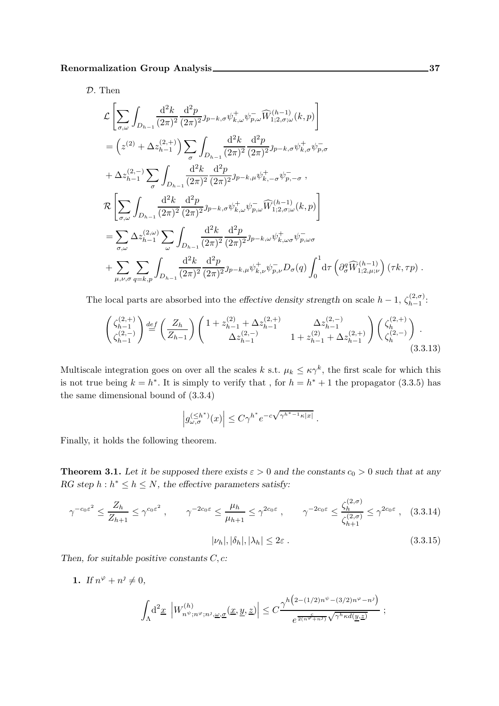D. Then

$$
\mathcal{L}\left[\sum_{\sigma,\omega}\int_{D_{h-1}}\frac{d^{2}k}{(2\pi)^{2}}\frac{d^{2}p}{(2\pi)^{2}}\jmath_{p-k,\sigma}\psi_{k,\omega}^{+}\psi_{p,\omega}^{-}\widehat{W}_{1;2,\sigma;\omega}^{(h-1)}(k,p)\right]
$$
\n
$$
=\left(z^{(2)}+\Delta z_{h-1}^{(2,+)}\right)\sum_{\sigma}\int_{D_{h-1}}\frac{d^{2}k}{(2\pi)^{2}}\frac{d^{2}p}{(2\pi)^{2}}\jmath_{p-k,\sigma}\psi_{k,\sigma}^{+}\psi_{p,\sigma}^{-}
$$
\n
$$
+\Delta z_{h-1}^{(2,-)}\sum_{\sigma}\int_{D_{h-1}}\frac{d^{2}k}{(2\pi)^{2}}\frac{d^{2}p}{(2\pi)^{2}}\jmath_{p-k,\mu}\psi_{k,-\sigma}^{+}\psi_{p,-\sigma}^{-},
$$
\n
$$
\mathcal{R}\left[\sum_{\sigma,\omega}\int_{D_{h-1}}\frac{d^{2}k}{(2\pi)^{2}}\frac{d^{2}p}{(2\pi)^{2}}\jmath_{p-k,\sigma}\psi_{k,\omega}^{+}\psi_{p,\omega}^{-}\widehat{W}_{1;2,\sigma;\omega}^{(h-1)}(k,p)\right]
$$
\n
$$
=\sum_{\sigma,\omega}\Delta z_{h-1}^{(2,\omega)}\sum_{\omega}\int_{D_{h-1}}\frac{d^{2}k}{(2\pi)^{2}}\frac{d^{2}p}{(2\pi)^{2}}\jmath_{p-k,\omega}\psi_{k,\omega\sigma}^{+}\psi_{p,\omega\sigma}^{-}
$$
\n
$$
+\sum_{\mu,\nu,\sigma}\sum_{q=k,p}\int_{D_{h-1}}\frac{d^{2}k}{(2\pi)^{2}}\frac{d^{2}p}{(2\pi)^{2}}\jmath_{p-k,\mu}\psi_{k,\nu}^{+}\psi_{p,\nu}^{-}D_{\sigma}(q)\int_{0}^{1}d\tau\left(\partial_{\sigma}^{q}\widehat{W}_{1;2,\mu;\nu}^{(h-1)}\right)(\tau k,\tau p).
$$

The local parts are absorbed into the effective density strength on scale  $h-1$ ,  $\zeta_{h-1}^{(2,\sigma)}$  $\sum_{h=1}^{(2,0)}$ 

$$
\begin{pmatrix} \zeta_{h-1}^{(2,+)} \\ \zeta_{h-1}^{(2,-)} \end{pmatrix} \stackrel{def}{=} \left( \frac{Z_h}{Z_{h-1}} \right) \begin{pmatrix} 1 + z_{h-1}^{(2)} + \Delta z_{h-1}^{(2,+)} & \Delta z_{h-1}^{(2,-)} \\ \Delta z_{h-1}^{(2,-)} & 1 + z_{h-1}^{(2)} + \Delta z_{h-1}^{(2,+)} \end{pmatrix} \begin{pmatrix} \zeta_h^{(2,+)} \\ \zeta_h^{(2,-)} \end{pmatrix} . \tag{3.3.13}
$$

Multiscale integration goes on over all the scales k s.t.  $\mu_k \leq \kappa \gamma^k$ , the first scale for which this is not true being  $k = h^*$ . It is simply to verify that, for  $h = h^* + 1$  the propagator (3.3.5) has the same dimensional bound of (3.3.4)

$$
\left|g_{\omega,\sigma}^{(\leq h^*)}(x)\right|\leq C\gamma^{h^*}e^{-c\sqrt{\gamma^{h^*-1}\kappa|x|}}\;.
$$

Finally, it holds the following theorem.

**Theorem 3.1.** Let it be supposed there exists  $\varepsilon > 0$  and the constants  $c_0 > 0$  such that at any RG step  $h : h^* \leq h \leq N$ , the effective parameters satisfy:

$$
\gamma^{-c_0 \varepsilon^2} \le \frac{Z_h}{Z_{h+1}} \le \gamma^{c_0 \varepsilon^2} , \qquad \gamma^{-2c_0 \varepsilon} \le \frac{\mu_h}{\mu_{h+1}} \le \gamma^{2c_0 \varepsilon} , \qquad \gamma^{-2c_0 \varepsilon} \le \frac{\zeta_h^{(2,\sigma)}}{\zeta_{h+1}^{(2,\sigma)}} \le \gamma^{2c_0 \varepsilon} , \quad (3.3.14)
$$

$$
|\nu_h|, |\delta_h|, |\lambda_h| \le 2\varepsilon . \tag{3.3.15}
$$

Then, for suitable positive constants  $C, c$ :

Λ

1. If  $n^{\varphi} + n^{\jmath} \neq 0$ ,  $d^2 \underline{x}$   $\Big| W_{n^{\psi}}^{(h)}$  $\left| \sum_{n^{\psi};n^{\varphi};n^{\varphi};n^{\varphi},\underline{\omega},\underline{\sigma}}^{(h)}(\underline{x},\underline{y},\underline{z}) \right| \leq C \frac{\gamma^{h\big(2-(1/2)n^{\psi}-(3/2)n^{\varphi}-n^{\varphi}\big)}}{e^{\frac{c}{2(n^{\varphi}+n^{\varphi})}\sqrt{\gamma^{h}\kappa d(y,\underline{z})}}}$  $e^{\frac{c}{2(n\varphi+n\jmath)}\sqrt{\gamma^h\kappa d(\underline{y},\underline{z})}}$ ;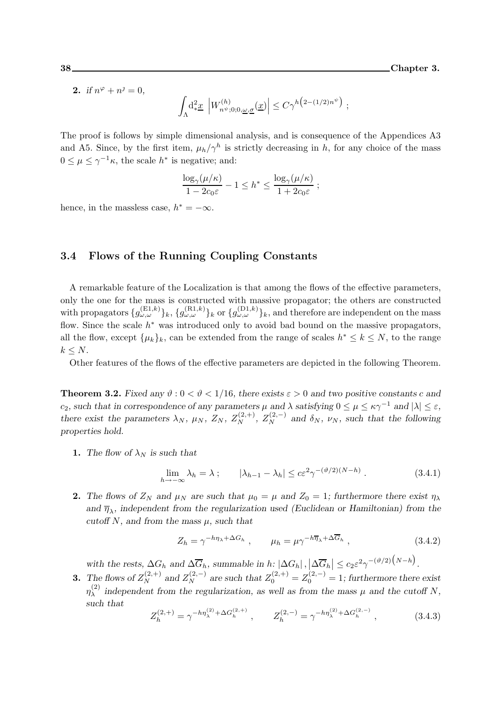**2.** if  $n^{\varphi} + n^{\jmath} = 0$ ,

$$
\int_{\Lambda}\!{\rm d}^2\!.\underline{x}\, \left| W^{(h)}_{n^\psi;0;0,\underline{\omega},\underline{\sigma}}(\underline{x}) \right| \leq C\gamma^{h\big(2-(1/2)n^\psi\big)}\ ;
$$

The proof is follows by simple dimensional analysis, and is consequence of the Appendices A3 and A5. Since, by the first item,  $\mu_h/\gamma^h$  is strictly decreasing in h, for any choice of the mass  $0 \leq \mu \leq \gamma^{-1}\kappa$ , the scale  $h^*$  is negative; and:

$$
\frac{\log_{\gamma}(\mu/\kappa)}{1-2c_0\varepsilon} - 1 \le h^* \le \frac{\log_{\gamma}(\mu/\kappa)}{1+2c_0\varepsilon} ;
$$

hence, in the massless case,  $h^* = -\infty$ .

#### 3.4 Flows of the Running Coupling Constants

A remarkable feature of the Localization is that among the flows of the effective parameters, only the one for the mass is constructed with massive propagator; the others are constructed with propagators  $\{g_{\omega,\omega}^{(\text{E1},k)}\}_k$ ,  $\{g_{\omega,\omega}^{(\text{R1},k)}\}_k$  or  $\{g_{\omega,\omega}^{(\text{D1},k)}\}_k$ , and therefore are independent on the mass flow. Since the scale  $h^*$  was introduced only to avoid bad bound on the massive propagators, all the flow, except  $\{\mu_k\}_k$ , can be extended from the range of scales  $h^* \leq k \leq N$ , to the range  $k \leq N$ .

Other features of the flows of the effective parameters are depicted in the following Theorem.

**Theorem 3.2.** Fixed any  $\vartheta$  :  $0 < \vartheta < 1/16$ , there exists  $\varepsilon > 0$  and two positive constants c and c<sub>2</sub>, such that in correspondence of any parameters  $\mu$  and  $\lambda$  satisfying  $0 \leq \mu \leq \kappa \gamma^{-1}$  and  $|\lambda| \leq \varepsilon$ , there exist the parameters  $\lambda_N$ ,  $\mu_N$ ,  $Z_N$ ,  $Z_N^{(2,+)}$ ,  $Z_N^{(2,-)}$  and  $\delta_N$ ,  $\nu_N$ , such that the following properties hold.

1. The flow of  $\lambda_N$  is such that

$$
\lim_{h \to -\infty} \lambda_h = \lambda \; ; \qquad |\lambda_{h-1} - \lambda_h| \le c \varepsilon^2 \gamma^{-(\vartheta/2)(N-h)} \; . \tag{3.4.1}
$$

**2.** The flows of  $Z_N$  and  $\mu_N$  are such that  $\mu_0 = \mu$  and  $Z_0 = 1$ ; furthermore there exist  $\eta_\lambda$ and  $\overline{\eta}_{\lambda}$ , independent from the regularization used (Euclidean or Hamiltonian) from the cutoff N, and from the mass  $\mu$ , such that

$$
Z_h = \gamma^{-h\eta_\lambda + \Delta G_h} \;, \qquad \mu_h = \mu \gamma^{-h\overline{\eta}_\lambda + \Delta \overline{G}_h} \;, \tag{3.4.2}
$$

with the rests,  $\Delta G_h$  and  $\Delta \overline{G}_h$ , summable in h:  $|\Delta G_h|$ ,  $|\Delta \overline{G}_h| \le c_2 \varepsilon^2 \gamma^{-(\vartheta/2)} (N-h)$ .

**3.** The flows of  $Z_N^{(2,+)}$  and  $Z_N^{(2,-)}$  are such that  $Z_0^{(2,+)} = Z_0^{(2,-)} = 1$ ; furthermore there exist  $\eta_\lambda^{(2)}$  $\lambda^{(2)}$  independent from the regularization, as well as from the mass  $\mu$  and the cutoff N, such that

$$
Z_h^{(2, +)} = \gamma^{-h\eta_\lambda^{(2)} + \Delta G_h^{(2, +)}}, \qquad Z_h^{(2, -)} = \gamma^{-h\eta_\lambda^{(2)} + \Delta G_h^{(2, -)}}, \qquad (3.4.3)
$$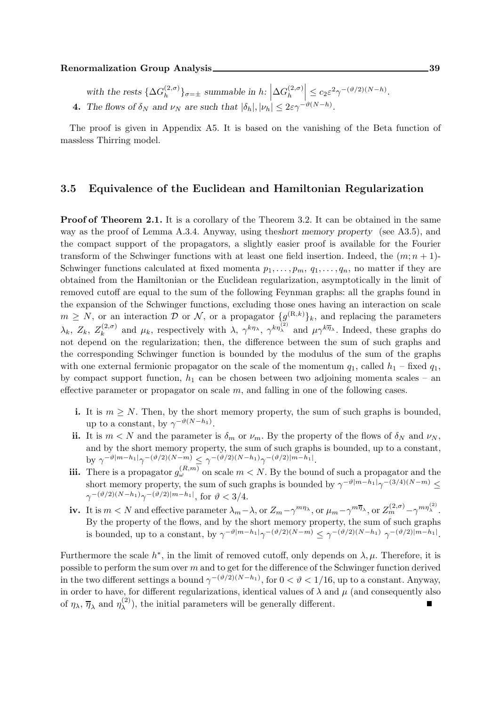#### Renormalization Group Analysis 29

with the rests  $\{\Delta G_h^{(2,\sigma)}\}$  $\left\{ \begin{matrix} (2,\sigma) \\ h \end{matrix} \right\}$ <sub> $\sigma=\pm$ </sub> summable in  $h: \left| \Delta G_h^{(2,\sigma)} \right|$ h  $\leq c_2 \varepsilon^2 \gamma^{-(\vartheta/2)(N-h)}.$ **4.** The flows of  $\delta_N$  and  $\nu_N$  are such that  $|\delta_h|, |\nu_h| \leq 2\varepsilon \gamma^{-\vartheta(N-h)}$ .

The proof is given in Appendix A5. It is based on the vanishing of the Beta function of massless Thirring model.

#### 3.5 Equivalence of the Euclidean and Hamiltonian Regularization

**Proof of Theorem 2.1.** It is a corollary of the Theorem 3.2. It can be obtained in the same way as the proof of Lemma A.3.4. Anyway, using theshort memory property (see A3.5), and the compact support of the propagators, a slightly easier proof is available for the Fourier transform of the Schwinger functions with at least one field insertion. Indeed, the  $(m; n+1)$ -Schwinger functions calculated at fixed momenta  $p_1, \ldots, p_m, q_1, \ldots, q_n$ , no matter if they are obtained from the Hamiltonian or the Euclidean regularization, asymptotically in the limit of removed cutoff are equal to the sum of the following Feynman graphs: all the graphs found in the expansion of the Schwinger functions, excluding those ones having an interaction on scale  $m \geq N$ , or an interaction D or N, or a propagator  $\{g^{(R,k)}\}_k$ , and replacing the parameters  $\lambda_k,~Z_k,~Z_k^{(2,\sigma)}$  $\mu_k^{(2,\sigma)}$  and  $\mu_k$ , respectively with  $\lambda$ ,  $\gamma^{k\eta_{\lambda}}$ ,  $\gamma^{k\eta_{\lambda}}$  and  $\mu\gamma^{k\overline{\eta}_{\lambda}}$ . Indeed, these graphs do not depend on the regularization; then, the difference between the sum of such graphs and the corresponding Schwinger function is bounded by the modulus of the sum of the graphs with one external fermionic propagator on the scale of the momentum  $q_1$ , called  $h_1$  – fixed  $q_1$ , by compact support function,  $h_1$  can be chosen between two adjoining momenta scales – an effective parameter or propagator on scale  $m$ , and falling in one of the following cases.

- i. It is  $m \geq N$ . Then, by the short memory property, the sum of such graphs is bounded, up to a constant, by  $\gamma^{-\vartheta(N-h_1)}$ .
- ii. It is  $m < N$  and the parameter is  $\delta_m$  or  $\nu_m$ . By the property of the flows of  $\delta_N$  and  $\nu_N$ , and by the short memory property, the sum of such graphs is bounded, up to a constant, by  $\gamma^{-\vartheta |m-h_1|}\gamma^{-(\vartheta/2)(N-m)} \leq \gamma^{-(\vartheta/2)(N-h_1)}\gamma^{-(\vartheta/2)|m-h_1|}.$
- **iii.** There is a propagator  $g_{\omega}^{(R,m)}$  on scale  $m < N$ . By the bound of such a propagator and the short memory property, the sum of such graphs is bounded by  $\gamma^{-\vartheta|m-h_1|}\gamma^{-(3/4)(N-m)} \le$  $\gamma^{-(\vartheta/2)(N-h_1)}\gamma^{-(\vartheta/2)|m-h_1|},$  for  $\vartheta < 3/4$ .
- iv. It is  $m < N$  and effective parameter  $\lambda_m \lambda$ , or  $Z_m \gamma^{m\eta_\lambda}$ , or  $\mu_m \gamma^{m\overline{\eta}_\lambda}$ , or  $Z_m^{(2,\sigma)} \gamma^{m\eta_\lambda^{(2)}}$ . By the property of the flows, and by the short memory property, the sum of such graphs is bounded, up to a constant, by  $\gamma^{-\vartheta|m-h_1|}\gamma^{-(\vartheta/2)(N-m)} \leq \gamma^{-(\vartheta/2)(N-h_1)} \gamma^{-(\vartheta/2)|m-h_1|}$ .

Furthermore the scale  $h^*$ , in the limit of removed cutoff, only depends on  $\lambda, \mu$ . Therefore, it is possible to perform the sum over  $m$  and to get for the difference of the Schwinger function derived in the two different settings a bound  $\gamma^{-(\vartheta/2)(N-h_1)}$ , for  $0 < \vartheta < 1/16$ , up to a constant. Anyway, in order to have, for different regularizations, identical values of  $\lambda$  and  $\mu$  (and consequently also of  $\eta_{\lambda}, \overline{\eta}_{\lambda}$  and  $\eta_{\lambda}^{(2)}$  $\lambda^{(2)}$ ), the initial parameters will be generally different.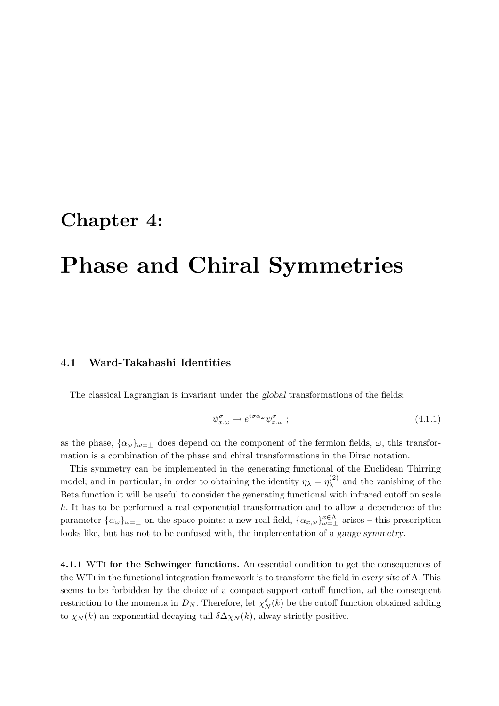### Chapter 4:

## Phase and Chiral Symmetries

#### 4.1 Ward-Takahashi Identities

The classical Lagrangian is invariant under the global transformations of the fields:

$$
\psi_{x,\omega}^{\sigma} \to e^{i\sigma\alpha_{\omega}} \psi_{x,\omega}^{\sigma} ; \tag{4.1.1}
$$

as the phase,  $\{\alpha_{\omega}\}_{\omega=\pm}$  does depend on the component of the fermion fields,  $\omega$ , this transformation is a combination of the phase and chiral transformations in the Dirac notation.

This symmetry can be implemented in the generating functional of the Euclidean Thirring model; and in particular, in order to obtaining the identity  $\eta_{\lambda} = \eta_{\lambda}^{(2)}$  $\lambda^{(2)}$  and the vanishing of the Beta function it will be useful to consider the generating functional with infrared cutoff on scale h. It has to be performed a real exponential transformation and to allow a dependence of the parameter  $\{\alpha_\omega\}_{\omega=\pm}$  on the space points: a new real field,  $\{\alpha_{x,\omega}\}_{\omega=\pm}^{x\in\Lambda}$  arises – this prescription looks like, but has not to be confused with, the implementation of a gauge symmetry.

4.1.1 WTI for the Schwinger functions. An essential condition to get the consequences of the WTi in the functional integration framework is to transform the field in every site of Λ. This seems to be forbidden by the choice of a compact support cutoff function, ad the consequent restriction to the momenta in  $D_N$ . Therefore, let  $\chi_N^{\delta}(k)$  be the cutoff function obtained adding to  $\chi_N(k)$  an exponential decaying tail  $\delta \Delta \chi_N(k)$ , alway strictly positive.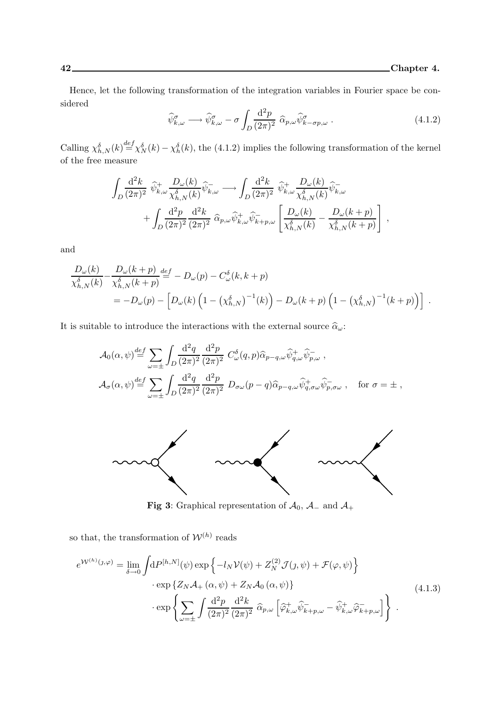Hence, let the following transformation of the integration variables in Fourier space be considered

$$
\widehat{\psi}_{k,\omega}^{\sigma} \longrightarrow \widehat{\psi}_{k,\omega}^{\sigma} - \sigma \int_{D} \frac{\mathrm{d}^2 p}{(2\pi)^2} \widehat{\alpha}_{p,\omega} \widehat{\psi}_{k-\sigma p,\omega}^{\sigma} . \tag{4.1.2}
$$

Calling  $\chi_{h,N}^{\delta}(k) \stackrel{def}{=} \chi_N^{\delta}(k) - \chi_h^{\delta}(k)$ , the (4.1.2) implies the following transformation of the kernel of the free measure

$$
\int_{D} \frac{\mathrm{d}^2 k}{(2\pi)^2} \widehat{\psi}_{k,\omega}^+ \frac{D_{\omega}(k)}{\chi_{h,N}^{\delta}(k)} \widehat{\psi}_{k,\omega}^- \longrightarrow \int_{D} \frac{\mathrm{d}^2 k}{(2\pi)^2} \widehat{\psi}_{k,\omega}^+ \frac{D_{\omega}(k)}{\chi_{h,N}^{\delta}(k)} \widehat{\psi}_{k,\omega}^- + \int_{D} \frac{\mathrm{d}^2 p}{(2\pi)^2} \frac{\mathrm{d}^2 k}{(2\pi)^2} \widehat{\alpha}_{p,\omega} \widehat{\psi}_{k,\omega}^+ \widehat{\psi}_{k+p,\omega}^- \left[ \frac{D_{\omega}(k)}{\chi_{h,N}^{\delta}(k)} - \frac{D_{\omega}(k+p)}{\chi_{h,N}^{\delta}(k+p)} \right] ,
$$

and

$$
\frac{D_{\omega}(k)}{\chi_{h,N}^{\delta}(k)} - \frac{D_{\omega}(k+p)}{\chi_{h,N}^{\delta}(k+p)} \stackrel{def}{=} -D_{\omega}(p) - C_{\omega}^{\delta}(k, k+p) \n= -D_{\omega}(p) - \left[ D_{\omega}(k) \left( 1 - \left( \chi_{h,N}^{\delta} \right)^{-1}(k) \right) - D_{\omega}(k+p) \left( 1 - \left( \chi_{h,N}^{\delta} \right)^{-1}(k+p) \right) \right] .
$$

It is suitable to introduce the interactions with the external source  $\widehat{\alpha}_\omega$ :

$$
\mathcal{A}_0(\alpha, \psi) \stackrel{def}{=} \sum_{\omega = \pm} \int_D \frac{\mathrm{d}^2 q}{(2\pi)^2} \frac{\mathrm{d}^2 p}{(2\pi)^2} C^{\delta}_{\omega}(q, p) \widehat{\alpha}_{p-q,\omega} \widehat{\psi}^+_{q,\omega} \widehat{\psi}^-_{p,\omega} ,
$$
  

$$
\mathcal{A}_\sigma(\alpha, \psi) \stackrel{def}{=} \sum_{\omega = \pm} \int_D \frac{\mathrm{d}^2 q}{(2\pi)^2} \frac{\mathrm{d}^2 p}{(2\pi)^2} D_{\sigma\omega}(p - q) \widehat{\alpha}_{p-q,\omega} \widehat{\psi}^+_{q,\sigma\omega} \widehat{\psi}^-_{p,\sigma\omega} , \quad \text{for } \sigma = \pm ,
$$



**Fig 3:** Graphical representation of  $\mathcal{A}_0$ ,  $\mathcal{A}_-$  and  $\mathcal{A}_+$ 

so that, the transformation of  $\mathcal{W}^{(h)}$  reads

$$
e^{\mathcal{W}^{(h)}(j,\varphi)} = \lim_{\delta \to 0} \int dP^{[h,N]}(\psi) \exp \{-l_N \mathcal{V}(\psi) + Z_N^{(2)} \mathcal{J}(j,\psi) + \mathcal{F}(\varphi,\psi) \} \n\cdot \exp \{Z_N \mathcal{A}_+(\alpha,\psi) + Z_N \mathcal{A}_0(\alpha,\psi) \} \n\cdot \exp \left\{ \sum_{\omega=\pm} \int \frac{d^2 p}{(2\pi)^2} \frac{d^2 k}{(2\pi)^2} \widehat{\alpha}_{p,\omega} \left[ \widehat{\varphi}_{k,\omega}^+ \widehat{\psi}_{k+p,\omega}^- - \widehat{\psi}_{k,\omega}^+ \widehat{\varphi}_{k+p,\omega}^- \right] \right\}.
$$
\n(4.1.3)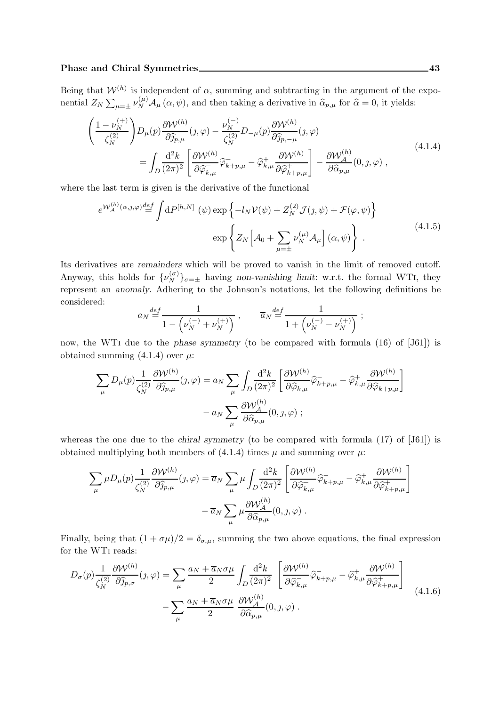#### Phase and Chiral Symmetries 43

Being that  $W^{(h)}$  is independent of  $\alpha$ , summing and subtracting in the argument of the exponential  $Z_N \sum_{\mu=\pm} \nu_N^{(\mu)} \mathcal{A}_\mu(\alpha, \psi)$ , and then taking a derivative in  $\hat{\alpha}_{p,\mu}$  for  $\hat{\alpha} = 0$ , it yields:

$$
\begin{split}\n&\left(\frac{1-\nu_{N}^{(+)}}{\zeta_{N}^{(2)}}\right)D_{\mu}(p)\frac{\partial \mathcal{W}^{(h)}}{\partial \widehat{\jmath}_{p,\mu}}(j,\varphi)-\frac{\nu_{N}^{(-)}}{\zeta_{N}^{(2)}}D_{-\mu}(p)\frac{\partial \mathcal{W}^{(h)}}{\partial \widehat{\jmath}_{p,-\mu}}(j,\varphi) \\
&=\int_{D}\frac{\mathrm{d}^{2}k}{(2\pi)^{2}}\left[\frac{\partial \mathcal{W}^{(h)}}{\partial \widehat{\varphi}_{k,\mu}^{-}}\widehat{\varphi}_{k+p,\mu}^{-}-\widehat{\varphi}_{k,\mu}^{+}\frac{\partial \mathcal{W}^{(h)}}{\partial \widehat{\varphi}_{k+p,\mu}^{+}}\right]-\frac{\partial \mathcal{W}_{A}^{(h)}}{\partial \widehat{\alpha}_{p,\mu}}(0,j,\varphi)\,,\n\end{split} \tag{4.1.4}
$$

where the last term is given is the derivative of the functional

$$
e^{\mathcal{W}_{\mathcal{A}}^{(h)}(\alpha,\jmath,\varphi)} \stackrel{def}{=} \int dP^{[h,N]}(\psi) \exp\left\{-l_N \mathcal{V}(\psi) + Z_N^{(2)} \mathcal{J}(\jmath,\psi) + \mathcal{F}(\varphi,\psi)\right\}
$$

$$
\exp\left\{Z_N\left[\mathcal{A}_0 + \sum_{\mu=\pm} \nu_N^{(\mu)} \mathcal{A}_\mu\right](\alpha,\psi)\right\}.
$$
(4.1.5)

Its derivatives are remainders which will be proved to vanish in the limit of removed cutoff. Anyway, this holds for  $\{\nu_N^{(\sigma)}\}_{\sigma=\pm}$  having non-vanishing limit: w.r.t. the formal WTI, they represent an anomaly. Adhering to the Johnson's notations, let the following definitions be considered:

$$
a_N \stackrel{def}{=} \frac{1}{1 - \left(\nu_N^{(-)} + \nu_N^{(+)}\right)} , \qquad \overline{a}_N \stackrel{def}{=} \frac{1}{1 + \left(\nu_N^{(-)} - \nu_N^{(+)}\right)} ;
$$

now, the WTi due to the phase symmetry (to be compared with formula (16) of [J61]) is obtained summing  $(4.1.4)$  over  $\mu$ :

$$
\sum_{\mu} D_{\mu}(p) \frac{1}{\zeta_{N}^{(2)}} \frac{\partial \mathcal{W}^{(h)}}{\partial \widehat{j}_{p,\mu}}(j,\varphi) = a_{N} \sum_{\mu} \int_{D} \frac{\mathrm{d}^{2}k}{(2\pi)^{2}} \left[ \frac{\partial \mathcal{W}^{(h)}}{\partial \widehat{\varphi}_{k,\mu}} \widehat{\varphi}_{k+p,\mu} - \widehat{\varphi}_{k,\mu}^{+} \frac{\partial \mathcal{W}^{(h)}}{\partial \widehat{\varphi}_{k+p,\mu}} \right] - a_{N} \sum_{\mu} \frac{\partial \mathcal{W}^{(h)}_{A}}{\partial \widehat{\alpha}_{p,\mu}}(0,j,\varphi) ;
$$

whereas the one due to the *chiral symmetry* (to be compared with formula  $(17)$  of  $[J61]$ ) is obtained multiplying both members of (4.1.4) times  $\mu$  and summing over  $\mu$ :

$$
\sum_{\mu} \mu D_{\mu}(p) \frac{1}{\zeta_N^{(2)}} \frac{\partial \mathcal{W}^{(h)}}{\partial \widehat{\jmath}_{p,\mu}}(j,\varphi) = \overline{a}_N \sum_{\mu} \mu \int_D \frac{\mathrm{d}^2 k}{(2\pi)^2} \left[ \frac{\partial \mathcal{W}^{(h)}}{\partial \widehat{\varphi}_{k,\mu}} \widehat{\varphi}_{k+p,\mu} - \widehat{\varphi}_{k,\mu}^+ \frac{\partial \mathcal{W}^{(h)}}{\partial \widehat{\varphi}_{k+p,\mu}^+} \right] - \overline{a}_N \sum_{\mu} \mu \frac{\partial \mathcal{W}_{\mathcal{A}}^{(h)}}{\partial \widehat{\alpha}_{p,\mu}}(0,j,\varphi) .
$$

Finally, being that  $(1 + \sigma \mu)/2 = \delta_{\sigma,\mu}$ , summing the two above equations, the final expression for the WTi reads:

$$
D_{\sigma}(p)\frac{1}{\zeta_{N}^{(2)}}\frac{\partial \mathcal{W}^{(h)}}{\partial \widehat{j}_{p,\sigma}}(j,\varphi) = \sum_{\mu}\frac{a_{N} + \overline{a}_{N}\sigma\mu}{2}\int_{D}\frac{d^{2}k}{(2\pi)^{2}}\left[\frac{\partial \mathcal{W}^{(h)}}{\partial \widehat{\varphi}_{k,\mu}}\widehat{\varphi}_{k+p,\mu} - \widehat{\varphi}_{k,\mu}^{+}\frac{\partial \mathcal{W}^{(h)}}{\partial \widehat{\varphi}_{k+p,\mu}^{+}}\right]
$$

$$
-\sum_{\mu}\frac{a_{N} + \overline{a}_{N}\sigma\mu}{2}\frac{\partial \mathcal{W}_{\mathcal{A}}^{(h)}}{\partial \widehat{\alpha}_{p,\mu}}(0,j,\varphi).
$$
(4.1.6)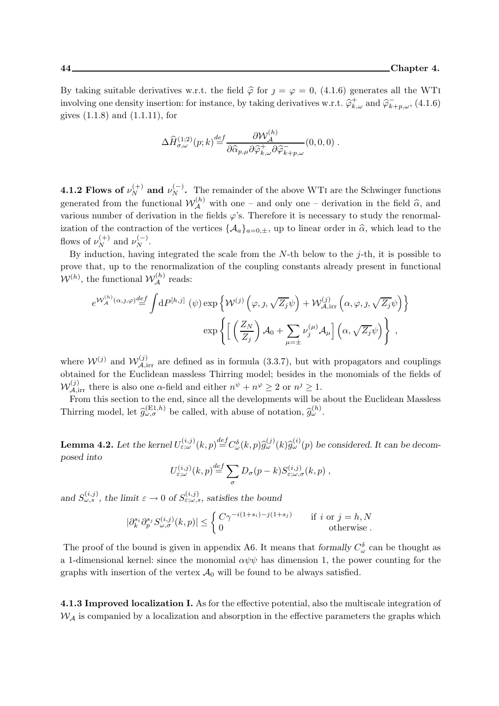By taking suitable derivatives w.r.t. the field  $\hat{\varphi}$  for  $j = \varphi = 0$ , (4.1.6) generates all the WTI involving one density insertion: for instance, by taking derivatives w.r.t.  $\hat{\varphi}_{k,\omega}^+$  and  $\hat{\varphi}_{k+p,\omega}^-$ , (4.1.6) gives (1.1.8) and (1.1.11), for

$$
\Delta \widehat{H}^{(1;2)}_{\sigma,\omega}(p;k) \stackrel{def}{=} \frac{\partial \mathcal{W}_{\mathcal{A}}^{(h)}}{\partial \widehat{\alpha}_{p,\mu} \partial \widehat{\varphi}_{k,\omega}^{+} \partial \widehat{\varphi}_{k+p,\omega}^{-}}(0,0,0) .
$$

**4.1.2 Flows of**  $\nu_N^{(+)}$  and  $\nu_N^{(-)}$ . The remainder of the above WTI are the Schwinger functions generated from the functional  $W_A^{(h)}$  with one – and only one – derivation in the field  $\hat{\alpha}$ , and various number of derivation in the fields  $\varphi$ 's. Therefore it is necessary to study the renormalization of the contraction of the vertices  $\{\mathcal{A}_a\}_{a=0,\pm}$ , up to linear order in  $\hat{\alpha}$ , which lead to the flows of  $\nu_N^{(+)}$  and  $\nu_N^{(-)}$ .

By induction, having integrated the scale from the  $N$ -th below to the j-th, it is possible to prove that, up to the renormalization of the coupling constants already present in functional  $\mathcal{W}^{(h)}$ , the functional  $\mathcal{W}_{\mathcal{A}}^{(h)}$  reads:

$$
e^{\mathcal{W}_{\mathcal{A}}^{(h)}(\alpha,j,\varphi)} \stackrel{def}{=} \int dP^{[h,j]}(\psi) \exp \left\{ \mathcal{W}^{(j)}\left(\varphi,\jmath,\sqrt{Z_j}\psi\right) + \mathcal{W}_{\mathcal{A},irr}^{(j)}\left(\alpha,\varphi,\jmath,\sqrt{Z_j}\psi\right) \right\}
$$

$$
\exp \left\{ \left[ \left(\frac{Z_N}{Z_j}\right) \mathcal{A}_0 + \sum_{\mu=\pm} \nu_j^{(\mu)} \mathcal{A}_\mu \right] \left(\alpha,\sqrt{Z_j}\psi\right) \right\} ,
$$

where  $W^{(j)}$  and  $W^{(j)}_{A,\text{irr}}$  are defined as in formula (3.3.7), but with propagators and couplings obtained for the Euclidean massless Thirring model; besides in the monomials of the fields of  $W_{\mathcal{A},irr}^{(j)}$  there is also one  $\alpha$ -field and either  $n^{\psi} + n^{\varphi} \ge 2$  or  $n^j \ge 1$ .

From this section to the end, since all the developments will be about the Euclidean Massless Thirring model, let  $\hat{g}^{(E1,h)}_{\omega,\sigma}$  be called, with abuse of notation,  $\hat{g}^{(h)}_{\omega}$ .

**Lemma 4.2.** Let the kernel  $U_{\varepsilon,\omega}^{(i,j)}(k,p) \stackrel{def}{=} C_{\omega}^{\delta}(k,p) \widehat{g}_{\omega}^{(j)}(k) \widehat{g}_{\omega}^{(i)}(p)$  be considered. It can be decomposed into

$$
U_{\varepsilon;\omega}^{(i,j)}(k,p) \stackrel{def}{=} \sum_{\sigma} D_{\sigma}(p-k) S_{\varepsilon;\omega,\sigma}^{(i,j)}(k,p) ,
$$

and  $S_{\omega,s}^{(i,j)}$ , the limit  $\varepsilon \to 0$  of  $S_{\varepsilon;\omega,s}^{(i,j)}$ , satisfies the bound

$$
|\partial_k^{s_i} \partial_p^{s_j} S_{\omega, \sigma}^{(i,j)}(k, p)| \le \begin{cases} C\gamma^{-i(1+s_i)-j(1+s_j)} & \text{if } i \text{ or } j = h, N \\ 0 & \text{otherwise} \end{cases}
$$

The proof of the bound is given in appendix A6. It means that formally  $C^{\delta}_{\omega}$  can be thought as a 1-dimensional kernel: since the monomial  $\alpha \psi \psi$  has dimension 1, the power counting for the graphs with insertion of the vertex  $\mathcal{A}_0$  will be found to be always satisfied.

4.1.3 Improved localization I. As for the effective potential, also the multiscale integration of  $W_A$  is companied by a localization and absorption in the effective parameters the graphs which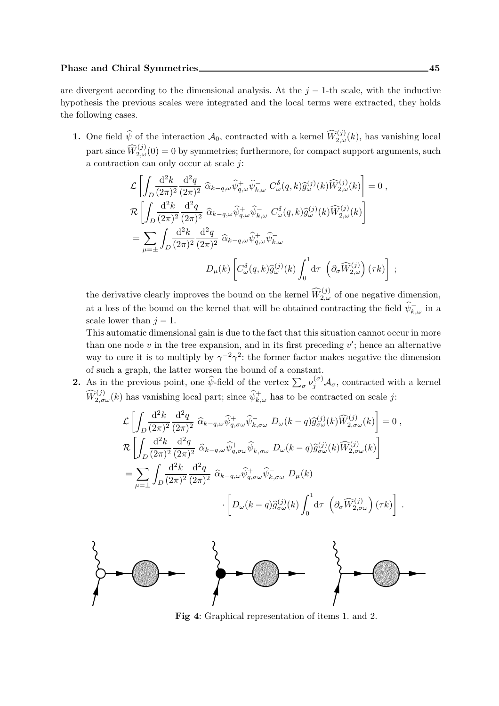are divergent according to the dimensional analysis. At the  $j - 1$ -th scale, with the inductive hypothesis the previous scales were integrated and the local terms were extracted, they holds the following cases.

**1.** One field  $\widehat{\psi}$  of the interaction  $\mathcal{A}_0$ , contracted with a kernel  $\widehat{W}_{2,\omega}^{(j)}(k)$ , has vanishing local part since  $\widehat{W}^{(j)}_{2,\omega}(0) = 0$  by symmetries; furthermore, for compact support arguments, such a contraction can only occur at scale j:

$$
\mathcal{L}\left[\int_{D} \frac{\mathrm{d}^2 k}{(2\pi)^2} \frac{\mathrm{d}^2 q}{(2\pi)^2} \widehat{\alpha}_{k-q,\omega} \widehat{\psi}_{q,\omega}^+ \widehat{\psi}_{k,\omega}^- C_{\omega}^{\delta}(q,k) \widehat{g}_{\omega}^{(j)}(k) \widehat{W}_{2,\omega}^{(j)}(k)\right] = 0,
$$
  
\n
$$
\mathcal{R}\left[\int_{D} \frac{\mathrm{d}^2 k}{(2\pi)^2} \frac{\mathrm{d}^2 q}{(2\pi)^2} \widehat{\alpha}_{k-q,\omega} \widehat{\psi}_{q,\omega}^+ \widehat{\psi}_{k,\omega}^- C_{\omega}^{\delta}(q,k) \widehat{g}_{\omega}^{(j)}(k) \widehat{W}_{2,\omega}^{(j)}(k)\right]
$$
  
\n
$$
= \sum_{\mu=\pm} \int_{D} \frac{\mathrm{d}^2 k}{(2\pi)^2} \frac{\mathrm{d}^2 q}{(2\pi)^2} \widehat{\alpha}_{k-q,\omega} \widehat{\psi}_{q,\omega}^+ \widehat{\psi}_{k,\omega}^-
$$
  
\n
$$
D_{\mu}(k) \left[C_{\omega}^{\delta}(q,k) \widehat{g}_{\omega}^{(j)}(k) \int_0^1 \mathrm{d}\tau \left(\partial_{\sigma} \widehat{W}_{2,\omega}^{(j)}\right)(\tau k)\right]
$$

the derivative clearly improves the bound on the kernel  $\widehat{W}_{2,\omega}^{(j)}$  of one negative dimension, at a loss of the bound on the kernel that will be obtained contracting the field  $\psi_{k,\omega}^-$  in a scale lower than  $j-1$ .

This automatic dimensional gain is due to the fact that this situation cannot occur in more than one node  $v$  in the tree expansion, and in its first preceding  $v'$ ; hence an alternative way to cure it is to multiply by  $\gamma^{-2}\gamma^2$ : the former factor makes negative the dimension of such a graph, the latter worsen the bound of a constant.

**2.** As in the previous point, one  $\hat{\psi}$ -field of the vertex  $\sum_{\sigma} \nu_j^{(\sigma)} \mathcal{A}_{\sigma}$ , contracted with a kernel  $\widehat{W}_{2,\sigma\omega}^{(j)}(k)$  has vanishing local part; since  $\widehat{\psi}_{k,\omega}^{+}$  has to be contracted on scale j:

$$
\mathcal{L}\left[\int_{D} \frac{\mathrm{d}^2 k}{(2\pi)^2} \frac{\mathrm{d}^2 q}{(2\pi)^2} \widehat{\alpha}_{k-q,\omega} \widehat{\psi}_{q,\sigma\omega}^+ \widehat{\psi}_{k,\sigma\omega}^- D_{\omega}(k-q) \widehat{g}_{\sigma\omega}^{(j)}(k) \widehat{W}_{2,\sigma\omega}^{(j)}(k)\right] = 0,
$$
  
\n
$$
\mathcal{R}\left[\int_{D} \frac{\mathrm{d}^2 k}{(2\pi)^2} \frac{\mathrm{d}^2 q}{(2\pi)^2} \widehat{\alpha}_{k-q,\omega} \widehat{\psi}_{q,\sigma\omega}^+ \widehat{\psi}_{k,\sigma\omega}^- D_{\omega}(k-q) \widehat{g}_{\sigma\omega}^{(j)}(k) \widehat{W}_{2,\sigma\omega}^{(j)}(k)\right]
$$
  
\n
$$
= \sum_{\mu=\pm} \int_{D} \frac{\mathrm{d}^2 k}{(2\pi)^2} \frac{\mathrm{d}^2 q}{(2\pi)^2} \widehat{\alpha}_{k-q,\omega} \widehat{\psi}_{q,\sigma\omega}^+ \widehat{\psi}_{k,\sigma\omega}^- D_{\mu}(k)
$$
  
\n
$$
\cdot \left[D_{\omega}(k-q) \widehat{g}_{\sigma\omega}^{(j)}(k) \int_0^1 \mathrm{d}\tau \left(\partial_{\sigma} \widehat{W}_{2,\sigma\omega}^{(j)}\right)(\tau k)\right].
$$



Fig 4: Graphical representation of items 1. and 2.

;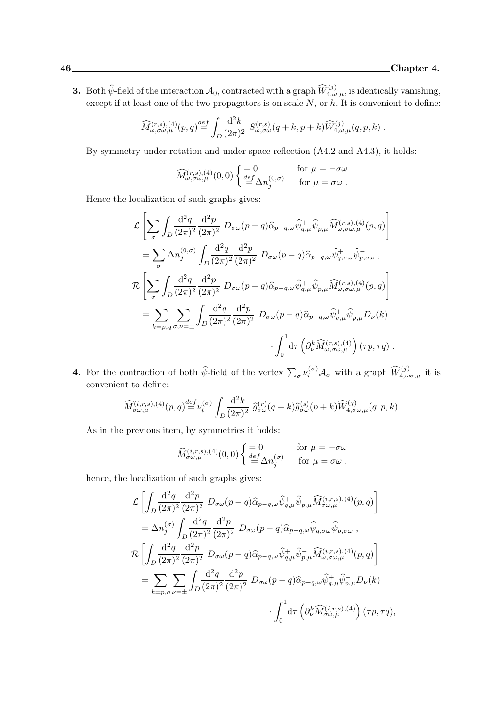**3.** Both  $\widehat{\psi}$ -field of the interaction  $\mathcal{A}_0$ , contracted with a graph  $\widehat{W}^{(j)}_{4,\omega,\mu}$ , is identically vanishing, except if at least one of the two propagators is on scale  $N$ , or  $h$ . It is convenient to define:

$$
\widehat{M}^{(r,s),(4)}_{\omega,\sigma\omega,\mu}(p,q) \stackrel{def}{=} \int_D \frac{\mathrm{d}^2 k}{(2\pi)^2} S^{(r,s)}_{\omega,\sigma\omega}(q+k,p+k) \widehat{W}^{(j)}_{4,\omega,\mu}(q,p,k) .
$$

By symmetry under rotation and under space reflection (A4.2 and A4.3), it holds:

$$
\widehat{M}_{\omega,\sigma\omega,\mu}^{(r,s),(4)}(0,0)\begin{cases}\n=0 & \text{for }\mu=-\sigma\omega \\
\frac{def}{=}\Delta n_j^{(0,\sigma)} & \text{for }\mu=\sigma\omega\n\end{cases}.
$$

Hence the localization of such graphs gives:

$$
\mathcal{L}\left[\sum_{\sigma}\int_{D}\frac{\mathrm{d}^{2}q}{(2\pi)^{2}}\frac{\mathrm{d}^{2}p}{(2\pi)^{2}}D_{\sigma\omega}(p-q)\hat{\alpha}_{p-q,\omega}\hat{\psi}_{q,\mu}^{+}\hat{\psi}_{p,\mu}^{-}\widehat{M}_{\omega,\sigma\omega,\mu}^{(r,s),(4)}(p,q)\right]
$$
\n
$$
=\sum_{\sigma}\Delta n_{j}^{(0,\sigma)}\int_{D}\frac{\mathrm{d}^{2}q}{(2\pi)^{2}}\frac{\mathrm{d}^{2}p}{(2\pi)^{2}}D_{\sigma\omega}(p-q)\hat{\alpha}_{p-q,\omega}\hat{\psi}_{q,\sigma\omega}^{+}\hat{\psi}_{p,\sigma\omega}^{-},
$$
\n
$$
\mathcal{R}\left[\sum_{\sigma}\int_{D}\frac{\mathrm{d}^{2}q}{(2\pi)^{2}}\frac{\mathrm{d}^{2}p}{(2\pi)^{2}}D_{\sigma\omega}(p-q)\hat{\alpha}_{p-q,\omega}\hat{\psi}_{q,\mu}^{+}\hat{\psi}_{p,\mu}^{-}\widehat{M}_{\omega,\sigma\omega,\mu}^{(r,s),(4)}(p,q)\right]
$$
\n
$$
=\sum_{k=p,q}\sum_{\sigma,\nu=\pm}\int_{D}\frac{\mathrm{d}^{2}q}{(2\pi)^{2}}\frac{\mathrm{d}^{2}p}{(2\pi)^{2}}D_{\sigma\omega}(p-q)\hat{\alpha}_{p-q,\omega}\hat{\psi}_{q,\mu}^{+}\hat{\psi}_{p,\mu}^{-}D_{\nu}(k)
$$
\n
$$
\int_{0}^{1}\mathrm{d}\tau\left(\partial_{\nu}^{k}\widehat{M}_{\omega,\sigma\omega,\mu}^{(r,s),(4)}\right)(\tau p,\tau q).
$$

**4.** For the contraction of both  $\widehat{\psi}$ -field of the vertex  $\sum_{\sigma} \nu_i^{(\sigma)} \mathcal{A}_{\sigma}$  with a graph  $\widehat{W}_{4,\omega\sigma,\mu}^{(j)}$  it is convenient to define:

$$
\widehat{M}_{\sigma\omega,\mu}^{(i,r,s),(4)}(p,q) \stackrel{def}{=} \nu_i^{(\sigma)} \int_D \frac{\mathrm{d}^2 k}{(2\pi)^2} \ \widehat{g}_{\sigma\omega}^{(r)}(q+k) \widehat{g}_{\sigma\omega}^{(s)}(p+k) \widehat{W}_{4,\sigma\omega,\mu}^{(j)}(q,p,k) \ .
$$

As in the previous item, by symmetries it holds:

$$
\widehat{M}^{(i,r,s),(4)}_{\sigma\omega,\mu}(0,0) \begin{cases} =0 & \text{for } \mu=-\sigma\omega \\ \frac{def}{=} \Delta n_j^{(\sigma)} & \text{for } \mu=\sigma\omega \ . \end{cases}
$$

hence, the localization of such graphs gives:

$$
\mathcal{L}\left[\int_{D} \frac{d^2q}{(2\pi)^2} \frac{d^2p}{(2\pi)^2} D_{\sigma\omega}(p-q)\hat{\alpha}_{p-q,\omega}\hat{\psi}_{q,\mu}^+ \hat{\psi}_{p,\mu}^- \widehat{M}_{\sigma\omega,\mu}^{(i,r,s),(4)}(p,q)\right]
$$
  
\n
$$
= \Delta n_j^{(\sigma)} \int_{D} \frac{d^2q}{(2\pi)^2} \frac{d^2p}{(2\pi)^2} D_{\sigma\omega}(p-q)\hat{\alpha}_{p-q,\omega}\hat{\psi}_{q,\sigma\omega}^+ \hat{\psi}_{p,\sigma\omega}^- ,
$$
  
\n
$$
\mathcal{R}\left[\int_{D} \frac{d^2q}{(2\pi)^2} \frac{d^2p}{(2\pi)^2} D_{\sigma\omega}(p-q)\hat{\alpha}_{p-q,\omega}\hat{\psi}_{q,\mu}^+ \hat{\psi}_{p,\mu}^- \widehat{M}_{\omega,\sigma\omega,\mu}^{(i,r,s),(4)}(p,q)\right]
$$
  
\n
$$
= \sum_{k=p,q} \sum_{\nu=\pm} \int_{D} \frac{d^2q}{(2\pi)^2} \frac{d^2p}{(2\pi)^2} D_{\sigma\omega}(p-q)\hat{\alpha}_{p-q,\omega}\hat{\psi}_{q,\mu}^+ \hat{\psi}_{p,\mu}^- D_{\nu}(k)
$$
  
\n
$$
\int_0^1 d\tau \left(\partial_\nu^k \widehat{M}_{\sigma\omega,\mu}^{(i,r,s),(4)}\right) (\tau p, \tau q),
$$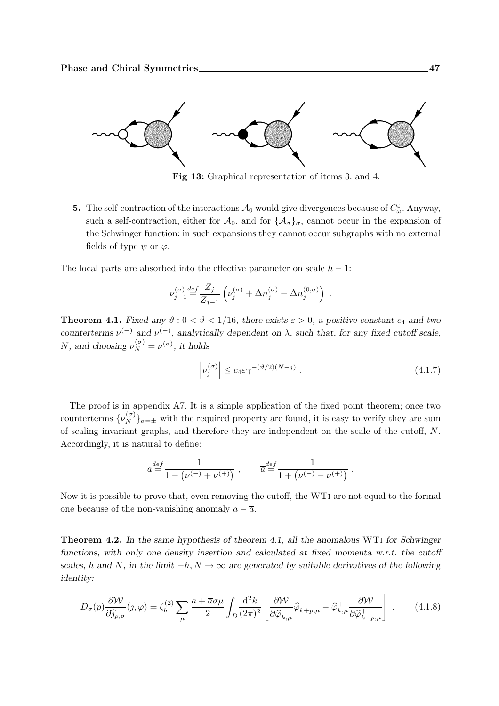

Fig 13: Graphical representation of items 3. and 4.

**5.** The self-contraction of the interactions  $A_0$  would give divergences because of  $C^{\varepsilon}_{\omega}$ . Anyway, such a self-contraction, either for  $\mathcal{A}_0$ , and for  $\{\mathcal{A}_{\sigma}\}_{\sigma}$ , cannot occur in the expansion of the Schwinger function: in such expansions they cannot occur subgraphs with no external fields of type  $\psi$  or  $\varphi$ .

The local parts are absorbed into the effective parameter on scale  $h - 1$ :

$$
\nu_{j-1}^{(\sigma)} \mathop{=}\limits^{def} \frac{Z_j}{Z_{j-1}} \left( \nu_j^{(\sigma)} + \Delta n_j^{(\sigma)} + \Delta n_j^{(0,\sigma)} \right) \; .
$$

**Theorem 4.1.** Fixed any  $\vartheta$  :  $0 < \vartheta < 1/16$ , there exists  $\varepsilon > 0$ , a positive constant  $c_4$  and two counterterms  $\nu^{(+)}$  and  $\nu^{(-)}$ , analytically dependent on  $\lambda$ , such that, for any fixed cutoff scale, *N*, and choosing  $\nu_N^{(\sigma)} = \nu^{(\sigma)}$ , it holds

$$
\left| \nu_j^{(\sigma)} \right| \le c_4 \varepsilon \gamma^{-(\vartheta/2)(N-j)} \,. \tag{4.1.7}
$$

The proof is in appendix A7. It is a simple application of the fixed point theorem; once two counterterms  $\{\nu_N^{(\sigma)}\}_{\sigma=\pm}$  with the required property are found, it is easy to verify they are sum of scaling invariant graphs, and therefore they are independent on the scale of the cutoff, N. Accordingly, it is natural to define:

$$
a {\stackrel{def}{=}} \frac{1}{1-\left(\nu^{(-)}+\nu^{(+)}\right)}\;,\qquad \overline{a} {\stackrel{def}{=}} \frac{1}{1+\left(\nu^{(-)}-\nu^{(+)}\right)}\;.
$$

Now it is possible to prove that, even removing the cutoff, the WTi are not equal to the formal one because of the non-vanishing anomaly  $a - \overline{a}$ .

Theorem 4.2. In the same hypothesis of theorem 4.1, all the anomalous WTi for Schwinger functions, with only one density insertion and calculated at fixed momenta w.r.t. the cutoff scales, h and N, in the limit  $-h, N \to \infty$  are generated by suitable derivatives of the following identity:

$$
D_{\sigma}(p)\frac{\partial W}{\partial \widehat{j}_{p,\sigma}}(j,\varphi) = \zeta_b^{(2)} \sum_{\mu} \frac{a + \overline{a}\sigma\mu}{2} \int_D \frac{\mathrm{d}^2 k}{(2\pi)^2} \left[ \frac{\partial W}{\partial \widehat{\varphi}_{k,\mu}} \widehat{\varphi}_{k+p,\mu} - \widehat{\varphi}_{k,\mu}^+ \frac{\partial W}{\partial \widehat{\varphi}_{k+p,\mu}^+} \right]. \tag{4.1.8}
$$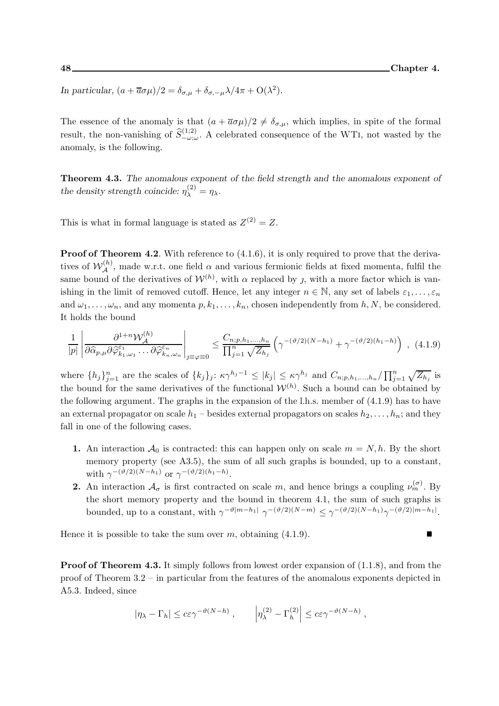In particular,  $(a + \overline{a}\sigma\mu)/2 = \delta_{\sigma,\mu} + \delta_{\sigma,-\mu}\lambda/4\pi + O(\lambda^2)$ .

The essence of the anomaly is that  $(a + \overline{a}\sigma\mu)/2 \neq \delta_{\sigma,\mu}$ , which implies, in spite of the formal result, the non-vanishing of  $\widehat{S}_{-\omega;\omega}^{(1;2)}$ . A celebrated consequence of the WTI, not wasted by the anomaly, is the following.

Theorem 4.3. The anomalous exponent of the field strength and the anomalous exponent of the density strength coincide:  $\eta_{\lambda}^{(2)} = \eta_{\lambda}$ .

This is what in formal language is stated as  $Z^{(2)} = Z$ .

**Proof of Theorem 4.2.** With reference to  $(4.1.6)$ , it is only required to prove that the derivatives of  $W_A^{(h)}$ , made w.r.t. one field  $\alpha$  and various fermionic fields at fixed momenta, fulfil the same bound of the derivatives of  $W^{(h)}$ , with  $\alpha$  replaced by j, with a more factor which is vanishing in the limit of removed cutoff. Hence, let any integer  $n \in \mathbb{N}$ , any set of labels  $\varepsilon_1, \ldots, \varepsilon_n$ and  $\omega_1,\ldots,\omega_n$ , and any momenta  $p,k_1,\ldots,k_n$ , chosen independently from  $h,N$ , be considered. It holds the bound

$$
\frac{1}{|p|} \left| \frac{\partial^{1+n} \mathcal{W}_{\mathcal{A}}^{(h)}}{\partial \widehat{\alpha}_{p,\mu} \partial \widehat{\varphi}_{k_1,\omega_1}^{\varepsilon_1} \dots \partial \widehat{\varphi}_{k_n,\omega_n}^{\varepsilon_n}} \right|_{j \equiv \varphi \equiv 0} \leq \frac{C_{n;p,h_1,\dots,h_n}}{\prod_{j=1}^n \sqrt{Z_{h_j}}} \left( \gamma^{-(\vartheta/2)(N-h_1)} + \gamma^{-(\vartheta/2)(h_1-h)} \right) , \tag{4.1.9}
$$

where  $\{h_j\}_{j=1}^n$  are the scales of  $\{k_j\}_j: \kappa \gamma^{h_j-1} \leq |k_j| \leq \kappa \gamma^{h_j}$  and  $C_{n;p,h_1,\dots,h_n}/\prod_{j=1}^n \sqrt{Z_{h_j}}$  is the bound for the same derivatives of the functional  $W^{(h)}$ . Such a bound can be obtained by the following argument. The graphs in the expansion of the l.h.s. member of  $(4.1.9)$  has to have an external propagator on scale  $h_1$  – besides external propagators on scales  $h_2, \ldots, h_n$ ; and they fall in one of the following cases.

- 1. An interaction  $\mathcal{A}_0$  is contracted: this can happen only on scale  $m = N, h$ . By the short memory property (see A3.5), the sum of all such graphs is bounded, up to a constant, with  $\gamma^{-(\vartheta/2)(N-h_1)}$  or  $\gamma^{-(\vartheta/2)(h_1-h)}$ .
- **2.** An interaction  $\mathcal{A}_{\sigma}$  is first contracted on scale m, and hence brings a coupling  $\nu_m^{(\sigma)}$ . By the short memory property and the bound in theorem 4.1, the sum of such graphs is bounded, up to a constant, with  $\gamma^{-\vartheta|m-h_1|} \gamma^{-(\vartheta/2)(N-m)} \leq \gamma^{-(\vartheta/2)(N-h_1)} \gamma^{-(\vartheta/2)|m-h_1|}$ .

Hence it is possible to take the sum over  $m$ , obtaining  $(4.1.9)$ .

**Proof of Theorem 4.3.** It simply follows from lowest order expansion of  $(1.1.8)$ , and from the proof of Theorem 3.2 – in particular from the features of the anomalous exponents depicted in A5.3. Indeed, since

$$
|\eta_{\lambda} - \Gamma_h| \le c \varepsilon \gamma^{-\vartheta(N-h)}, \qquad |\eta_{\lambda}^{(2)} - \Gamma_h^{(2)}| \le c \varepsilon \gamma^{-\vartheta(N-h)},
$$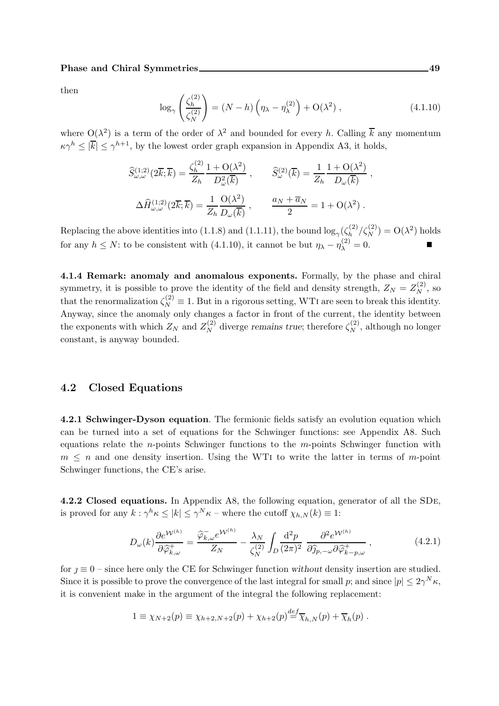then

$$
\log_{\gamma}\left(\frac{\zeta_h^{(2)}}{\zeta_N^{(2)}}\right) = (N-h)\left(\eta_{\lambda} - \eta_{\lambda}^{(2)}\right) + \mathcal{O}(\lambda^2) ,\qquad (4.1.10)
$$

where  $O(\lambda^2)$  is a term of the order of  $\lambda^2$  and bounded for every h. Calling  $\overline{k}$  any momentum  $\kappa \gamma^h \leq |\overline{k}| \leq \gamma^{h+1}$ , by the lowest order graph expansion in Appendix A3, it holds,

$$
\widehat{S}_{\omega,\omega}^{(1;2)}(2\overline{k};\overline{k}) = \frac{\zeta_h^{(2)}}{Z_h} \frac{1 + \mathcal{O}(\lambda^2)}{D_{\omega}^2(\overline{k})} , \qquad \widehat{S}_{\omega}^{(2)}(\overline{k}) = \frac{1}{Z_h} \frac{1 + \mathcal{O}(\lambda^2)}{D_{\omega}(\overline{k})} \n\Delta \widehat{H}_{\omega,\omega}^{(1;2)}(2\overline{k};\overline{k}) = \frac{1}{Z_h} \frac{\mathcal{O}(\lambda^2)}{D_{\omega}(\overline{k})} , \qquad \frac{a_N + \overline{a}_N}{2} = 1 + \mathcal{O}(\lambda^2) .
$$

Replacing the above identities into (1.1.8) and (1.1.11), the bound  $\log_{\gamma}(\zeta_h^{(2)})$  $\binom{2}{h}$  / $\zeta_N^{(2)}$ ) = O( $\lambda^2$ ) holds for any  $h \leq N$ : to be consistent with (4.1.10), it cannot be but  $\eta_{\lambda} - \eta_{\lambda}^{(2)} = 0$ .

4.1.4 Remark: anomaly and anomalous exponents. Formally, by the phase and chiral symmetry, it is possible to prove the identity of the field and density strength,  $Z_N = Z_N^{(2)}$ , so that the renormalization  $\zeta_N^{(2)} \equiv 1$ . But in a rigorous setting, WTI are seen to break this identity. Anyway, since the anomaly only changes a factor in front of the current, the identity between the exponents with which  $Z_N$  and  $Z_N^{(2)}$  diverge remains true; therefore  $\zeta_N^{(2)}$ , although no longer constant, is anyway bounded.

#### 4.2 Closed Equations

4.2.1 Schwinger-Dyson equation. The fermionic fields satisfy an evolution equation which can be turned into a set of equations for the Schwinger functions: see Appendix A8. Such equations relate the *n*-points Schwinger functions to the *m*-points Schwinger function with  $m \leq n$  and one density insertion. Using the WTI to write the latter in terms of m-point Schwinger functions, the CE's arise.

4.2.2 Closed equations. In Appendix A8, the following equation, generator of all the SDe, is proved for any  $k: \gamma^h \kappa \leq |k| \leq \gamma^N \kappa$  – where the cutoff  $\chi_{h,N}(k) \equiv 1$ :

$$
D_{\omega}(k)\frac{\partial e^{\mathcal{W}^{(h)}}}{\partial \widehat{\varphi}_{k,\omega}^{+}} = \frac{\widehat{\varphi}_{k,\omega}^{-}e^{\mathcal{W}^{(h)}}}{Z_N} - \frac{\lambda_N}{\zeta_N^{(2)}} \int_D \frac{\mathrm{d}^2 p}{(2\pi)^2} \frac{\partial^2 e^{\mathcal{W}^{(h)}}}{\partial \widehat{y}_{p,-\omega} \partial \widehat{\varphi}_{k-p,\omega}^{+}} , \qquad (4.2.1)
$$

for  $\eta \equiv 0$  – since here only the CE for Schwinger function without density insertion are studied. Since it is possible to prove the convergence of the last integral for small p; and since  $|p| \leq 2\gamma^N \kappa$ , it is convenient make in the argument of the integral the following replacement:

$$
1 \equiv \chi_{N+2}(p) \equiv \chi_{h+2,N+2}(p) + \chi_{h+2}(p) \stackrel{def}{=} \overline{\chi}_{h,N}(p) + \overline{\chi}_h(p) .
$$

,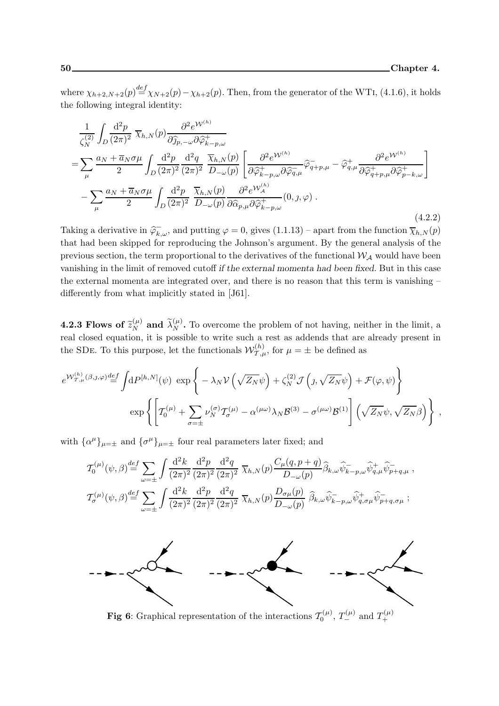where  $\chi_{h+2,N+2}(p) \stackrel{def}{=} \chi_{N+2}(p) - \chi_{h+2}(p)$ . Then, from the generator of the WTI, (4.1.6), it holds the following integral identity:

$$
\frac{1}{\zeta_N^{(2)}} \int_D \frac{d^2 p}{(2\pi)^2} \overline{\chi}_{h,N}(p) \frac{\partial^2 e^{\mathcal{W}^{(h)}}}{\partial \hat{y}_{p,-\omega} \partial \hat{\varphi}_{k-p,\omega}^+} \n= \sum_{\mu} \frac{a_N + \overline{a}_N \sigma \mu}{2} \int_D \frac{d^2 p}{(2\pi)^2} \frac{d^2 q}{(2\pi)^2} \frac{\overline{\chi}_{h,N}(p)}{D_{-\omega}(p)} \left[ \frac{\partial^2 e^{\mathcal{W}^{(h)}}}{\partial \hat{\varphi}_{k-p,\omega}^+} \hat{\varphi}_{q,\mu}^- \hat{\varphi}_{q,\mu}^+ - \hat{\varphi}_{q,\mu}^+ \frac{\partial^2 e^{\mathcal{W}^{(h)}}}{\partial \hat{\varphi}_{q+p,\mu}^+} \partial \hat{\varphi}_{p-k,\omega}^+ \right] \n- \sum_{\mu} \frac{a_N + \overline{a}_N \sigma \mu}{2} \int_D \frac{d^2 p}{(2\pi)^2} \frac{\overline{\chi}_{h,N}(p)}{D_{-\omega}(p)} \frac{\partial^2 e^{\mathcal{W}^{(h)}_A}}{\partial \hat{\alpha}_{p,\mu} \partial \hat{\varphi}_{k-p,\omega}^+} (0, \mathbf{0}, \varphi) .
$$
\n(4.2.2)

Taking a derivative in  $\widehat{\varphi}_{k,\omega}^-$ , and putting  $\varphi = 0$ , gives  $(1.1.13)$  – apart from the function  $\overline{\chi}_{h,N}(p)$ that had been skipped for reproducing the Johnson's argument. By the general analysis of the previous section, the term proportional to the derivatives of the functional  $W_A$  would have been vanishing in the limit of removed cutoff if the external momenta had been fixed. But in this case the external momenta are integrated over, and there is no reason that this term is vanishing – differently from what implicitly stated in [J61].

**4.2.3 Flows of**  $\tilde{z}_N^{(\mu)}$  and  $\tilde{\lambda}_N^{(\mu)}$ . To overcome the problem of not having, neither in the limit, a real closed equation, it is possible to write such a rest as addends that are already present in the SDE. To this purpose, let the functionals  $\mathcal{W}_{\mathcal{T},\mu}^{(h)}$ , for  $\mu = \pm$  be defined as

$$
e^{\mathcal{W}_{\mathcal{T},\mu}^{(h)}(\beta,\jmath,\varphi)} \stackrel{def}{=} \int dP^{[h,N]}(\psi) \exp \left\{-\lambda_N \mathcal{V}\left(\sqrt{Z_N}\psi\right) + \zeta_N^{(2)} \mathcal{J}\left(\jmath,\sqrt{Z_N}\psi\right) + \mathcal{F}(\varphi,\psi)\right\}
$$

$$
\exp \left\{\left[\mathcal{T}_0^{(\mu)} + \sum_{\sigma=\pm} \nu_N^{(\sigma)} \mathcal{T}_\sigma^{(\mu)} - \alpha^{(\mu\omega)}\lambda_N \mathcal{B}^{(3)} - \sigma^{(\mu\omega)}\mathcal{B}^{(1)}\right] \left(\sqrt{Z_N}\psi, \sqrt{Z_N}\beta\right)\right\} ,
$$

with  $\{\alpha^{\mu}\}_{\mu=\pm}$  and  $\{\sigma^{\mu}\}_{\mu=\pm}$  four real parameters later fixed; and

$$
T_0^{(\mu)}(\psi,\beta) \stackrel{def}{=} \sum_{\omega=\pm} \int \frac{\mathrm{d}^2 k}{(2\pi)^2} \frac{\mathrm{d}^2 p}{(2\pi)^2} \frac{\mathrm{d}^2 q}{(2\pi)^2} \overline{\chi}_{h,N}(p) \frac{C_\mu(q,p+q)}{D_{-\omega}(p)} \widehat{\beta}_{k,\omega} \widehat{\psi}_{k-p,\omega}^- \widehat{\psi}_{q,\mu}^+ \widehat{\psi}_{p+q,\mu}^-,
$$
  

$$
T_0^{(\mu)}(\psi,\beta) \stackrel{def}{=} \sum_{\omega=\pm} \int \frac{\mathrm{d}^2 k}{(2\pi)^2} \frac{\mathrm{d}^2 p}{(2\pi)^2} \frac{\mathrm{d}^2 q}{(2\pi)^2} \overline{\chi}_{h,N}(p) \frac{D_{\sigma\mu}(p)}{D_{-\omega}(p)} \widehat{\beta}_{k,\omega} \widehat{\psi}_{k-p,\omega}^- \widehat{\psi}_{q,\sigma\mu}^+ \widehat{\psi}_{p+q,\sigma\mu}^-;
$$



**Fig 6**: Graphical representation of the interactions  $T_0^{(\mu)}$ ,  $T_{-}^{(\mu)}$  and  $T_{+}^{(\mu)}$ +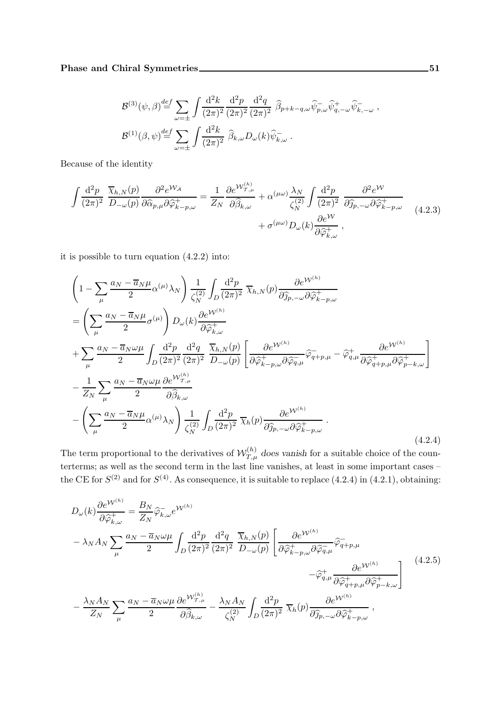$$
\mathcal{B}^{(3)}(\psi,\beta) \stackrel{def}{=} \sum_{\omega=\pm} \int \frac{\mathrm{d}^2 k}{(2\pi)^2} \frac{\mathrm{d}^2 p}{(2\pi)^2} \frac{\mathrm{d}^2 q}{(2\pi)^2} \widehat{\beta}_{p+k-q,\omega} \widehat{\psi}_{p,\omega}^- \widehat{\psi}_{q,-\omega}^+ \widehat{\psi}_{k,-\omega}^- ,
$$
  

$$
\mathcal{B}^{(1)}(\beta,\psi) \stackrel{def}{=} \sum_{\omega=\pm} \int \frac{\mathrm{d}^2 k}{(2\pi)^2} \widehat{\beta}_{k,\omega} D_{\omega}(k) \widehat{\psi}_{k,\omega}^- .
$$

Because of the identity

$$
\int \frac{\mathrm{d}^2 p}{(2\pi)^2} \frac{\overline{\chi}_{h,N}(p)}{D_{-\omega}(p)} \frac{\partial^2 e^{\mathcal{W}_{\mathcal{A}}}}{\partial \widehat{\alpha}_{p,\mu} \partial \widehat{\varphi}_{k-p,\omega}^+} = \frac{1}{Z_N} \frac{\partial e^{\mathcal{W}_{\mathcal{I},\mu}^{(h)}}}{\partial \widehat{\beta}_{k,\omega}} + \alpha^{(\mu\omega)} \frac{\lambda_N}{\zeta_N^{\left(2\right)}} \int \frac{\mathrm{d}^2 p}{(2\pi)^2} \frac{\partial^2 e^{\mathcal{W}}}{\partial \widehat{\eta}_{p,-\omega} \partial \widehat{\varphi}_{k-p,\omega}^+} + \sigma^{(\mu\omega)} D_{\omega}(k) \frac{\partial e^{\mathcal{W}}}{\partial \widehat{\varphi}_{k,\omega}^+} ,
$$
\n(4.2.3)

it is possible to turn equation (4.2.2) into:

$$
\begin{split}\n&\left(1-\sum_{\mu}\frac{a_{N}-\overline{a}_{N}\mu}{2}\alpha^{(\mu)}\lambda_{N}\right)\frac{1}{\zeta_{N}^{(2)}}\int_{D}\frac{\mathrm{d}^{2}p}{(2\pi)^{2}}\,\overline{\chi}_{h,N}(p)\frac{\partial e^{\mathcal{W}^{(h)}}}{\partial\widehat{g}_{p,-\omega}\partial\widehat{\varphi}_{k-p,\omega}^{+}} \\
&=\left(\sum_{\mu}\frac{a_{N}-\overline{a}_{N}\mu}{2}\sigma^{(\mu)}\right)D_{\omega}(k)\frac{\partial e^{\mathcal{W}^{(h)}}}{\partial\widehat{\varphi}_{k,\omega}^{+}} \\
&+\sum_{\mu}\frac{a_{N}-\overline{a}_{N}\omega\mu}{2}\int_{D}\frac{\mathrm{d}^{2}p}{(2\pi)^{2}}\frac{\mathrm{d}^{2}q}{(2\pi)^{2}}\,\frac{\overline{\chi}_{h,N}(p)}{D_{-\omega}(p)}\left[\frac{\partial e^{\mathcal{W}^{(h)}}}{\partial\widehat{\varphi}_{k-p,\omega}^{+}\partial\widehat{\varphi}_{q,\mu}^{-}}\widehat{\varphi}_{q+p,\mu}^{-}-\widehat{\varphi}_{q,\mu}^{+}\frac{\partial e^{\mathcal{W}^{(h)}}}{\partial\widehat{\varphi}_{q+p,\mu}^{+}\partial\widehat{\varphi}_{p-k,\omega}^{+}}\right] \\
&- \frac{1}{Z_{N}}\sum_{\mu}\frac{a_{N}-\overline{a}_{N}\omega\mu}{2}\frac{\partial e^{\mathcal{W}^{(h)}}}{\partial\widehat{\beta}_{k,\omega}} \\
&- \left(\sum_{\mu}\frac{a_{N}-\overline{a}_{N}\mu}{2}\alpha^{(\mu)}\lambda_{N}\right)\frac{1}{\zeta_{N}^{(2)}}\int_{D}\frac{\mathrm{d}^{2}p}{(2\pi)^{2}}\,\overline{\chi}_{h}(p)\frac{\partial e^{\mathcal{W}^{(h)}}}{\partial\widehat{g}_{p,-\omega}\partial\widehat{\varphi}_{k-p,\omega}^{+}}\,. \end{split} \tag{4.2.4}
$$

The term proportional to the derivatives of  $\mathcal{W}_{T,\mu}^{(h)}$  does vanish for a suitable choice of the counterterms; as well as the second term in the last line vanishes, at least in some important cases – the CE for  $S^{(2)}$  and for  $S^{(4)}$ . As consequence, it is suitable to replace (4.2.4) in (4.2.1), obtaining:

$$
D_{\omega}(k)\frac{\partial e^{\mathcal{W}^{(h)}}}{\partial \hat{\varphi}_{k,\omega}^{+}} = \frac{B_{N}}{Z_{N}}\hat{\varphi}_{k,\omega}^{-}e^{\mathcal{W}^{(h)}}
$$
  

$$
-\lambda_{N}A_{N}\sum_{\mu}\frac{a_{N}-\overline{a}_{N}\omega\mu}{2}\int_{D}\frac{d^{2}p}{(2\pi)^{2}}\frac{d^{2}q}{(2\pi)^{2}}\frac{\overline{\chi}_{h,N}(p)}{D_{-\omega}(p)}\left[\frac{\partial e^{\mathcal{W}^{(h)}}}{\partial \hat{\varphi}_{k-p,\omega}^{+}\partial \hat{\varphi}_{q,\mu}^{-}\partial \hat{\varphi}_{q+p,\mu}}\right]
$$

$$
-\frac{\lambda_{N}A_{N}}{Z_{N}}\sum_{\mu}\frac{a_{N}-\overline{a}_{N}\omega\mu}{2}\frac{\partial e^{\mathcal{W}^{(h)}_{T,\mu}}}{\partial \hat{\beta}_{k,\omega}^{+}} - \frac{\lambda_{N}A_{N}}{\zeta_{N}^{(2)}}\int_{D}\frac{d^{2}p}{(2\pi)^{2}}\frac{\overline{\chi}_{h}(p)\frac{\partial e^{\mathcal{W}^{(h)}}}{\partial \hat{\gamma}_{p,-\omega}^{-}\partial \hat{\varphi}_{k-p,\omega}^{+}}}{\partial \hat{\beta}_{p,-\omega}^{-}\partial \hat{\varphi}_{k-p,\omega}^{+}},
$$
(4.2.5)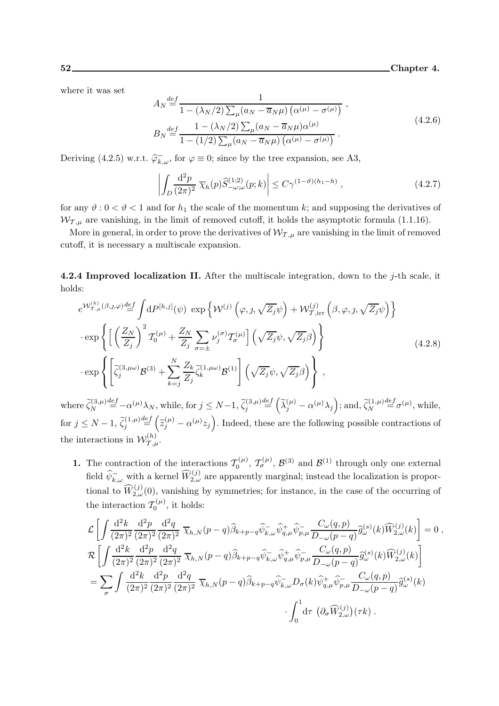where it was set

$$
A_N \stackrel{def}{=} \frac{1}{1 - (\lambda_N/2) \sum_{\mu} (a_N - \overline{a}_N \mu) (\alpha^{(\mu)} - \sigma^{(\mu)})},
$$
  
\n
$$
B_N \stackrel{def}{=} \frac{1 - (\lambda_N/2) \sum_{\mu} (a_N - \overline{a}_N \mu) \alpha^{(\mu)}}{1 - (1/2) \sum_{\mu} (a_N - \overline{a}_N \mu) (\alpha^{(\mu)} - \sigma^{(\mu)})}.
$$
\n(4.2.6)

Deriving (4.2.5) w.r.t.  $\widehat{\varphi}_{k,\omega}^-$ , for  $\varphi \equiv 0$ ; since by the tree expansion, see A3,

$$
\left| \int_{D} \frac{\mathrm{d}^2 p}{(2\pi)^2} \overline{\chi}_h(p) \widehat{S}^{(1;2)}_{-\omega;\omega}(p;k) \right| \le C\gamma^{(1-\vartheta)(h_1-h)}, \tag{4.2.7}
$$

for any  $\vartheta : 0 < \vartheta < 1$  and for  $h_1$  the scale of the momentum k; and supposing the derivatives of  $W_{\tau,\mu}$  are vanishing, in the limit of removed cutoff, it holds the asymptotic formula (1.1.16).

More in general, in order to prove the derivatives of  $W_{\tau,\mu}$  are vanishing in the limit of removed cutoff, it is necessary a multiscale expansion.

4.2.4 Improved localization II. After the multiscale integration, down to the  $j$ -th scale, it holds:

$$
e^{W_{\mathcal{T},\mu}^{(h)}(\beta,j,\varphi)} \stackrel{\text{def}}{=} \int dP^{[h,j]}(\psi) \exp\left\{ \mathcal{W}^{(j)}\left(\varphi,\jmath,\sqrt{Z_j}\psi\right) + \mathcal{W}_{\mathcal{T},\text{irr}}^{(j)}\left(\beta,\varphi,\jmath,\sqrt{Z_j}\psi\right) \right\} \n\cdot \exp\left\{ \left[ \left(\frac{Z_N}{Z_j}\right)^2 T_0^{(\mu)} + \frac{Z_N}{Z_j} \sum_{\sigma=\pm} \nu_j^{(\sigma)} T_{\sigma}^{(\mu)} \right] \left(\sqrt{Z_j}\psi,\sqrt{Z_j}\beta\right) \right\} \n\cdot \exp\left\{ \left[ \tilde{\zeta}_j^{(3,\mu\omega)} \mathcal{B}^{(3)} + \sum_{k=j}^N \frac{Z_k}{Z_j} \tilde{\zeta}_k^{(1,\mu\omega)} \mathcal{B}^{(1)} \right] \left(\sqrt{Z_j}\psi,\sqrt{Z_j}\beta\right) \right\},
$$
\n(4.2.8)

where  $\widetilde{\zeta}_N^{(3,\mu)}$  $\stackrel{def}{=} -\alpha^{(\mu)}\lambda_N$ , while, for  $j \leq N-1$ ,  $\widetilde{\zeta}_j^{(3,\mu)}$  $\stackrel{def}{=} \left(\widetilde{\lambda}_j^{(\mu)} - \alpha^{(\mu)}\lambda_j\right);$  and,  $\widetilde{\zeta}_N^{(1,\mu)}$  $\stackrel{def}{=} \sigma^{(\mu)}$ , while, for  $j \leq N-1$ ,  $\widetilde{\zeta}_j^{(1,\mu)}$  $\frac{def}{=} (\tilde{z}_{j}^{(\mu)} - \alpha^{(\mu)} z_{j}).$  Indeed, these are the following possible contractions of the interactions in  $\mathcal{W}_{\mathcal{T},\mu}^{(h)}$ .

**1.** The contraction of the interactions  $\mathcal{T}_0^{(\mu)}$  $\mathcal{I}_{0}^{(\mu)}, \mathcal{I}_{\sigma}^{(\mu)}, \mathcal{B}^{(3)}$  and  $\mathcal{B}^{(1)}$  through only one external field  $\widehat{\psi}_{k,\omega}^-$  with a kernel  $\widehat{W}_{2,\omega}^{(j)}$  are apparently marginal; instead the localization is proportional to  $\widehat{W}_{2,\omega}^{(j)}(0)$ , vanishing by symmetries; for instance, in the case of the occurring of the interaction  $\mathcal{T}_0^{(\mu)}$  $\mathcal{L}_0^{(\mu)}$ , it holds:

$$
\mathcal{L}\left[\int \frac{\mathrm{d}^2 k}{(2\pi)^2} \frac{\mathrm{d}^2 p}{(2\pi)^2} \frac{\mathrm{d}^2 q}{(2\pi)^2} \overline{\chi}_{h,N}(p-q) \widehat{\beta}_{k+p-q} \widehat{\psi}_{k,\omega}^- \widehat{\psi}_{q,\mu}^+ \widehat{\psi}_{p,\mu}^- \frac{C_{\omega}(q,p)}{D_{-\omega}(p-q)} \widehat{g}_{\omega}^{(s)}(k) \widehat{W}_{2,\omega}^{(j)}(k)\right] = 0,
$$
  
\n
$$
\mathcal{R}\left[\int \frac{\mathrm{d}^2 k}{(2\pi)^2} \frac{\mathrm{d}^2 p}{(2\pi)^2} \frac{\mathrm{d}^2 q}{(2\pi)^2} \overline{\chi}_{h,N}(p-q) \widehat{\beta}_{k+p-q} \widehat{\psi}_{k,\omega}^- \widehat{\psi}_{q,\mu}^+ \widehat{\psi}_{p,\mu}^- \frac{C_{\omega}(q,p)}{D_{-\omega}(p-q)} \widehat{g}_{\omega}^{(s)}(k) \widehat{W}_{2,\omega}^{(j)}(k)\right]
$$
  
\n
$$
=\sum_{\sigma} \int \frac{\mathrm{d}^2 k}{(2\pi)^2} \frac{\mathrm{d}^2 p}{(2\pi)^2} \frac{\mathrm{d}^2 q}{(2\pi)^2} \overline{\chi}_{h,N}(p-q) \widehat{\beta}_{k+p-q} \widehat{\psi}_{k,\omega}^- D_{\sigma}(k) \widehat{\psi}_{q,\mu}^+ \widehat{\psi}_{p,\mu}^- \frac{C_{\omega}(q,p)}{D_{-\omega}(p-q)} \widehat{g}_{\omega}^{(s)}(k)
$$
  
\n
$$
\cdot \int_0^1 \mathrm{d} \tau \left(\partial_{\sigma} \widehat{W}_{2,\omega}^{(j)}\right)(\tau k).
$$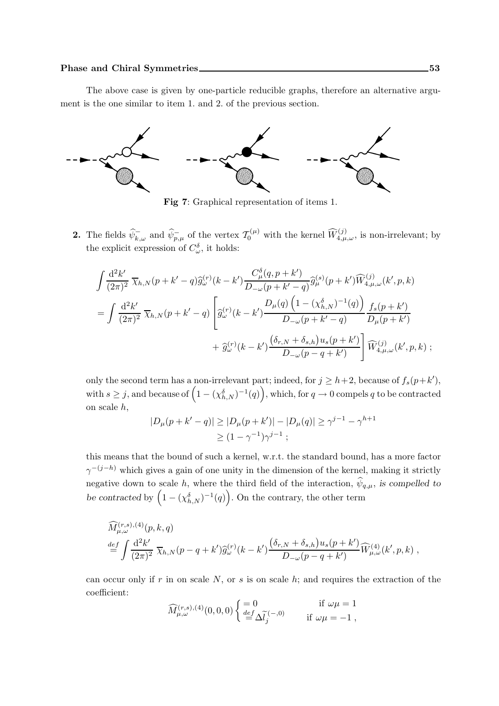The above case is given by one-particle reducible graphs, therefore an alternative argument is the one similar to item 1. and 2. of the previous section.



Fig 7: Graphical representation of items 1.

**2.** The fields  $\widehat{\psi}_{\overline{k},\omega}^{\overline{-}}$  and  $\widehat{\psi}_{\overline{p},\mu}^{\overline{-}}$  of the vertex  $\mathcal{T}_0^{(\mu)}$  with the kernel  $\widehat{W}_{4,\mu,\omega}^{(j)}$ , is non-irrelevant; by the explicit expression of  $C^{\delta}_{\omega}$ , it holds:

$$
\int \frac{d^2 k'}{(2\pi)^2} \overline{\chi}_{h,N}(p+k'-q) \hat{g}_{\omega}^{(r)}(k-k') \frac{C_{\mu}^{\delta}(q,p+k')}{D_{-\omega}(p+k'-q)} \hat{g}_{\mu}^{(s)}(p+k') \widehat{W}_{4,\mu,\omega}^{(j)}(k',p,k)
$$
  
= 
$$
\int \frac{d^2 k'}{(2\pi)^2} \overline{\chi}_{h,N}(p+k'-q) \left[ \hat{g}_{\omega}^{(r)}(k-k') \frac{D_{\mu}(q) (1 - (\chi_{h,N}^{\delta})^{-1}(q))}{D_{-\omega}(p+k'-q)} \frac{f_s(p+k')}{D_{\mu}(p+k')} + \hat{g}_{\omega}^{(r)}(k-k') \frac{(\delta_{r,N} + \delta_{s,h}) u_s(p+k')}{D_{-\omega}(p-q+k')} \right] \widehat{W}_{4,\mu,\omega}^{(j)}(k',p,k);
$$

only the second term has a non-irrelevant part; indeed, for  $j \ge h+2$ , because of  $f_s(p+k')$ , with  $s \geq j$ , and because of  $(1 - (\chi_{h,N}^{\delta})^{-1}(q))$ , which, for  $q \to 0$  compels q to be contracted on scale h,

$$
|D_{\mu}(p+k'-q)| \ge |D_{\mu}(p+k')| - |D_{\mu}(q)| \ge \gamma^{j-1} - \gamma^{h+1}
$$
  
\n
$$
\ge (1 - \gamma^{-1})\gamma^{j-1} ;
$$

this means that the bound of such a kernel, w.r.t. the standard bound, has a more factor  $\gamma^{-(j-h)}$  which gives a gain of one unity in the dimension of the kernel, making it strictly negative down to scale h, where the third field of the interaction,  $\hat{\psi}_{q,\mu}$ , is compelled to be contracted by  $(1 - (\chi_{h,N}^{\delta})^{-1}(q))$ . On the contrary, the other term

$$
\begin{split} &\widehat{M}^{(r,s),(4)}_{\mu,\omega}(p,k,q) \\ &\stackrel{def}{=} \int \frac{\mathrm{d}^2 k'}{(2\pi)^2} \; \overline{\chi}_{h,N}(p-q+k') \widehat{g}^{(r)}_{\omega}(k-k') \frac{(\delta_{r,N} + \delta_{s,h}) u_s(p+k')}{D_{-\omega}(p-q+k')} \widehat{W}^{(4)}_{\mu,\omega}(k',p,k) \;, \end{split}
$$

can occur only if r in on scale  $N$ , or s is on scale h; and requires the extraction of the coefficient:

$$
\widehat{M}^{(r,s),(4)}_{\mu,\omega}(0,0,0) \left\{ \begin{aligned} &= 0 \quad &\text{if} \ \omega\mu = 1 \\ &\stackrel{def}{=} \Delta \widetilde{l}_j^{(-,0)} \quad &\text{if} \ \omega\mu = -1 \ , \end{aligned} \right.
$$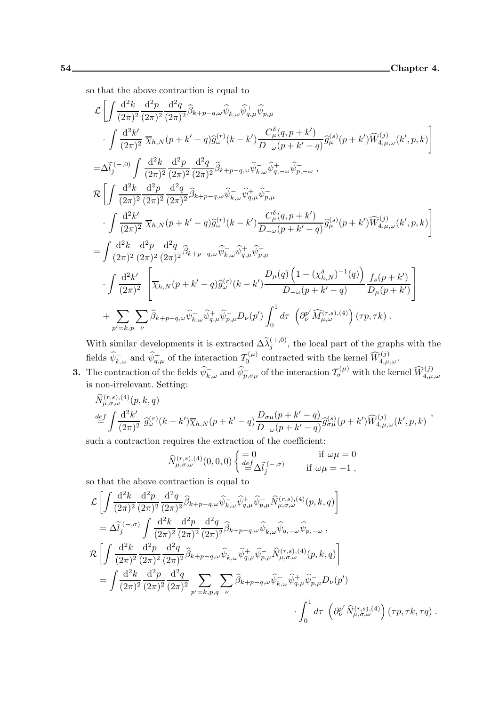so that the above contraction is equal to

$$
\mathcal{L}\left[\int \frac{d^2k}{(2\pi)^2} \frac{d^2p}{(2\pi)^2} \frac{d^2q}{(2\pi)^2} \widehat{\beta}_{k+p-q,\omega} \widehat{\psi}_{k,\omega}^-\widehat{\psi}_{q,\mu}^+\widehat{\psi}_{p,\mu}^-\right.\int \frac{d^2k'}{(2\pi)^2} \overline{\chi}_{h,N}(p+k'-q) \widehat{g}_{\omega}^{(r)}(k-k') \frac{C_{\mu}^{\delta}(q,p+k')}{D_{-\omega}(p+k'-q)} \widehat{g}_{\mu}^{(s)}(p+k') \widehat{W}_{4,\mu,\omega}^{(j)}(k',p,k)\right]=\Delta \widetilde{l}_j^{(-,0)} \int \frac{d^2k}{(2\pi)^2} \frac{d^2p}{(2\pi)^2} \frac{d^2q}{(2\pi)^2} \widehat{\beta}_{k+p-q,\omega} \widehat{\psi}_{k,\omega}^-\widehat{\psi}_{q,-\omega}^+ \widehat{\psi}_{p,-\omega}^-,\n\mathcal{R}\left[\int \frac{d^2k}{(2\pi)^2} \frac{d^2p}{(2\pi)^2} \frac{d^2q}{(2\pi)^2} \widehat{\beta}_{k+p-q,\omega} \widehat{\psi}_{k,\omega}^-\widehat{\psi}_{q,-\omega}^+\widehat{\psi}_{p,-\omega}^-,\int \frac{d^2k'}{(2\pi)^2} \overline{\chi}_{h,N}(p+k'-q) \widehat{g}_{\omega}^{(r)}(k-k') \frac{C_{\mu}^{\delta}(q,p+k')}{D_{-\omega}(p+k'-q)} \widehat{g}_{\mu}^{(s)}(p+k') \widehat{W}_{4,\mu,\omega}^{(j)}(k',p,k)\right]=\int \frac{d^2k}{(2\pi)^2} \frac{d^2p}{(2\pi)^2} \frac{d^2q}{(2\pi)^2} \widehat{\beta}_{k+p-q,\omega} \widehat{\psi}_{k,\omega}^-\widehat{\psi}_{q,\mu}^+\widehat{\psi}_{p,\mu}^- \right.\int \frac{d^2k'}{(2\pi)^2} \left[\overline{\chi}_{h,N}(p+k'-q) \widehat{g}_{\omega}^{(r)}(k-k') \frac{D_{\mu}(q)\left(1-(\chi_{h,N}^{\delta})^{-1}(q)\right)}{D_{-\omega}(p+k'-q)} \frac{f_{s}(p+k')}{D_{\mu
$$

With similar developments it is extracted  $\Delta \widetilde{\lambda}_j^{(+,0)}$ , the local part of the graphs with the fields  $\widehat{\psi}_{k,\omega}^-$  and  $\widehat{\psi}_{q,\mu}^+$  of the interaction  $\mathcal{T}_0^{(\mu)}$  $\widehat{V}_0^{(\mu)}$  contracted with the kernel  $\widehat{W}^{(j)}_{4,\mu,\omega}$ .

3. The contraction of the fields  $\widehat{\psi}_{k,\omega}^-$  and  $\widehat{\psi}_{p,\sigma\mu}^-$  of the interaction  $\mathcal{T}_{\sigma}^{(\mu)}$  with the kernel  $\widehat{W}_{4,\mu,\omega}^{(j)}$ is non-irrelevant. Setting:

$$
\widehat{N}^{(r,s),(4)}_{\mu,\sigma,\omega}(p,k,q) \n\stackrel{def}{=} \int \frac{d^2k'}{(2\pi)^2} \widehat{g}^{(r)}_{\omega}(k-k') \overline{\chi}_{h,N}(p+k'-q) \frac{D_{\sigma\mu}(p+k'-q)}{D_{-\omega}(p+k'-q)} \widehat{g}^{(s)}_{\sigma\mu}(p+k') \widehat{W}^{(j)}_{4,\mu,\omega}(k',p,k) ,
$$

such a contraction requires the extraction of the coefficient:

$$
\widehat{N}^{(r,s),(4)}_{\mu,\sigma,\omega}(0,0,0) \begin{cases}\n=0 & \text{if } \omega\mu = 0 \\
\frac{def}{\Delta \widetilde{l}_j}^{(-,\sigma)} & \text{if } \omega\mu = -1\n\end{cases}
$$

so that the above contraction is equal to

$$
\mathcal{L}\left[\int \frac{d^2k}{(2\pi)^2} \frac{d^2p}{(2\pi)^2} \frac{d^2q}{(2\pi)^2} \widehat{\beta}_{k+p-q,\omega} \widehat{\psi}_{k,\omega}^-\widehat{\psi}_{q,\mu}^+\widehat{\psi}_{p,\mu}^-\widehat{N}_{\mu,\sigma,\omega}^{(r,s),(4)}(p,k,q)\right]
$$
\n
$$
= \Delta \widetilde{l}_j^{(-,\sigma)} \int \frac{d^2k}{(2\pi)^2} \frac{d^2p}{(2\pi)^2} \frac{d^2q}{(2\pi)^2} \widehat{\beta}_{k+p-q,\omega} \widehat{\psi}_{k,\omega}^-\widehat{\psi}_{q,-\omega}^+\widehat{\psi}_{p,-\omega}^-,
$$
\n
$$
\mathcal{R}\left[\int \frac{d^2k}{(2\pi)^2} \frac{d^2p}{(2\pi)^2} \frac{d^2q}{(2\pi)^2} \widehat{\beta}_{k+p-q,\omega} \widehat{\psi}_{k,\omega}^-\widehat{\psi}_{q,\mu}^+\widehat{\psi}_{p,\mu}^-\widehat{N}_{\mu,\sigma,\omega}^{(r,s),(4)}(p,k,q)\right]
$$
\n
$$
= \int \frac{d^2k}{(2\pi)^2} \frac{d^2p}{(2\pi)^2} \frac{d^2q}{(2\pi)^2} \sum_{p'=k,p,q} \sum_{\nu} \widehat{\beta}_{k+p-q,\omega} \widehat{\psi}_{k,\omega}^-\widehat{\psi}_{q,\mu}^+\widehat{\psi}_{p,\mu}^-\widehat{\psi}_{\nu}(p')
$$
\n
$$
\int_0^1 d\tau \left(\partial_{\nu}^{p'} \widehat{N}_{\mu,\sigma,\omega}^{(r,s),(4)}\right)(\tau p, \tau k, \tau q).
$$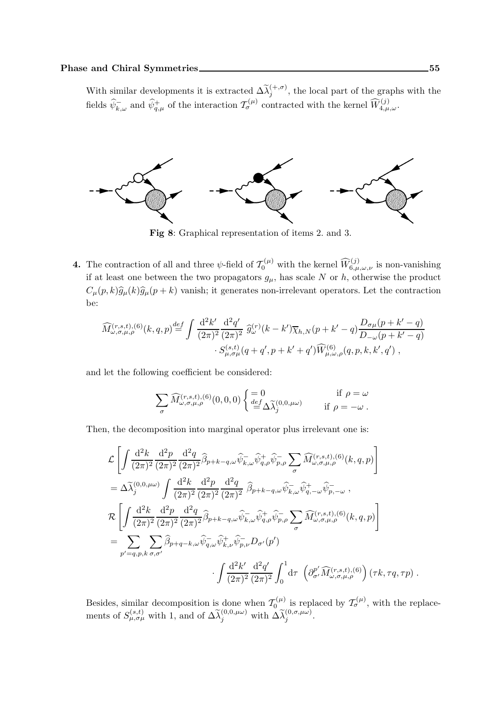With similar developments it is extracted  $\Delta \widetilde{\lambda}_j^{(+,\sigma)}$ , the local part of the graphs with the fields  $\widehat{\psi}_{k,\omega}^{\perp}$  and  $\widehat{\psi}_{q,\mu}^{\perp}$  of the interaction  $\mathcal{T}_{\sigma}^{(\mu)}$  contracted with the kernel  $\widehat{W}_{4,\mu,\omega}^{(j)}$ .



Fig 8: Graphical representation of items 2. and 3.

**4.** The contraction of all and three  $\psi$ -field of  $\mathcal{T}_0^{(\mu)}$  with the kernel  $\widehat{W}_{6,\mu,\omega,\nu}^{(j)}$  is non-vanishing if at least one between the two propagators  $g_{\mu}$ , has scale N or h, otherwise the product  $C_{\mu}(p,k)\hat{g}_{\mu}(k)\hat{g}_{\mu}(p + k)$  vanish; it generates non-irrelevant operators. Let the contraction be:

$$
\widehat{M}_{\omega,\sigma,\mu,\rho}^{(r,s,t),(6)}(k,q,p) \stackrel{def}{=} \int \frac{\mathrm{d}^2 k'}{(2\pi)^2} \frac{\mathrm{d}^2 q'}{(2\pi)^2} \widehat{g}_{\omega}^{(r)}(k-k') \overline{\chi}_{h,N}(p+k'-q) \frac{D_{\sigma\mu}(p+k'-q)}{D_{-\omega}(p+k'-q)} \cdot S_{\mu,\sigma\mu}^{(s,t)}(q+q',p+k'+q') \widehat{W}_{\mu,\omega,\rho}^{(6)}(q,p,k,k',q') ,
$$

and let the following coefficient be considered:

$$
\sum_{\sigma} \widehat{M}^{(r,s,t),(6)}_{\omega,\sigma,\mu,\rho}(0,0,0) \begin{cases} = 0 & \text{if } \rho = \omega \\ \frac{def}{=} \Delta \widetilde{\lambda}_j^{(0,0,\mu\omega)} & \text{if } \rho = -\omega \end{cases}.
$$

Then, the decomposition into marginal operator plus irrelevant one is:

$$
\mathcal{L}\left[\int \frac{d^2k}{(2\pi)^2} \frac{d^2p}{(2\pi)^2} \frac{d^2q}{(2\pi)^2} \widehat{\beta}_{p+k-q,\omega} \widehat{\psi}_{k,\omega}^-\widehat{\psi}_{q,\rho}^+\widehat{\psi}_{p,\rho}^-\sum_{\sigma} \widehat{M}_{\omega,\sigma,\mu,\rho}^{(r,s,t),(6)}(k,q,p)\right]
$$
\n
$$
= \Delta \widetilde{\lambda}_{j}^{(0,0,\mu\omega)} \int \frac{d^2k}{(2\pi)^2} \frac{d^2p}{(2\pi)^2} \frac{d^2q}{(2\pi)^2} \widehat{\beta}_{p+k-q,\omega} \widehat{\psi}_{k,\omega}^- \widehat{\psi}_{q,-\omega}^+ \widehat{\psi}_{p,-\omega}^-,
$$
\n
$$
\mathcal{R}\left[\int \frac{d^2k}{(2\pi)^2} \frac{d^2p}{(2\pi)^2} \frac{d^2q}{(2\pi)^2} \widehat{\beta}_{p+k-q,\omega} \widehat{\psi}_{k,\omega}^- \widehat{\psi}_{q,\rho}^+ \widehat{\psi}_{p,\rho}^-\sum_{\sigma} \widehat{M}_{\omega,\sigma,\mu,\rho}^{(r,s,t),(6)}(k,q,p)\right]
$$
\n
$$
= \sum_{p'=q,p,k} \sum_{\sigma,\sigma'} \widehat{\beta}_{p+q-k,\omega} \widehat{\psi}_{q,\omega}^- \widehat{\psi}_{k,\nu}^+ \widehat{\psi}_{p,\nu}^- D_{\sigma'}(p')
$$
\n
$$
\cdot \int \frac{d^2k'}{(2\pi)^2} \frac{d^2q'}{(2\pi)^2} \int_0^1 d\tau \left(\partial_{\sigma'}^{p'} \widehat{M}_{\omega,\sigma,\mu,\rho}^{(r,s,t),(6)}\right) (\tau k, \tau q, \tau p) .
$$

Besides, similar decomposition is done when  $T_0^{(\mu)}$  $\mathcal{I}_{0}^{(\mu)}$  is replaced by  $\mathcal{I}_{\sigma}^{(\mu)}$ , with the replacements of  $S_{\mu,\sigma\mu}^{(s,t)}$  with 1, and of  $\Delta\tilde{\lambda}_j^{(0,0,\mu\omega)}$  with  $\Delta\tilde{\lambda}_j^{(0,\sigma,\mu\omega)}$ .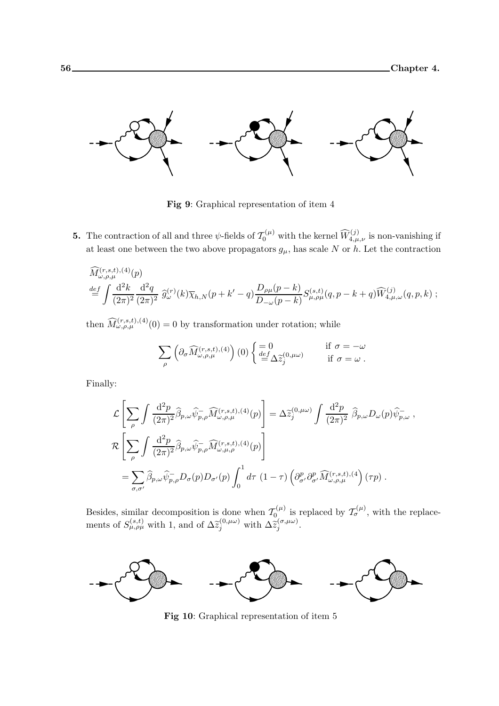

Fig 9: Graphical representation of item 4

**5.** The contraction of all and three  $\psi$ -fields of  $\mathcal{T}_0^{(\mu)}$  with the kernel  $\widehat{W}_{4,\mu,\nu}^{(j)}$  is non-vanishing if at least one between the two above propagators  $g_{\mu}$ , has scale N or h. Let the contraction

$$
\begin{split}\n\widehat{M}_{\omega,\rho,\mu}^{(r,s,t),(4)}(p) \\
\stackrel{def}{=} \int \frac{d^2k}{(2\pi)^2} \frac{d^2q}{(2\pi)^2} \,\widehat{g}_{\omega}^{(r)}(k) \overline{\chi}_{h,N}(p+k'-q) \frac{D_{\rho\mu}(p-k)}{D_{-\omega}(p-k)} S_{\mu,\rho\mu}^{(s,t)}(q,p-k+q) \widehat{W}_{4,\mu,\omega}^{(j)}(q,p,k) ;\n\end{split}
$$

then  $\widehat{M}^{(r,s,t),(4)}_{\omega,\rho,\mu}(0) = 0$  by transformation under rotation; while

$$
\sum_{\rho} \left( \partial_{\sigma} \widehat{M}_{\omega,\rho,\mu}^{(r,s,t),(4)} \right) (0) \begin{cases} = 0 & \text{if } \sigma = -\omega \\ \frac{def}{=} \Delta \widetilde{z}_{j}^{(0,\mu\omega)} & \text{if } \sigma = \omega \end{cases}
$$

Finally:

$$
\mathcal{L}\left[\sum_{\rho}\int\frac{\mathrm{d}^{2}p}{(2\pi)^{2}}\widehat{\beta}_{p,\omega}\widehat{\psi}_{p,\rho}^{-}\widehat{M}_{\omega,\rho,\mu}^{(r,s,t),(4)}(p)\right] = \Delta\widetilde{z}_{j}^{(0,\mu\omega)}\int\frac{\mathrm{d}^{2}p}{(2\pi)^{2}}\widehat{\beta}_{p,\omega}D_{\omega}(p)\widehat{\psi}_{p,\omega}^{-},
$$
  

$$
\mathcal{R}\left[\sum_{\rho}\int\frac{\mathrm{d}^{2}p}{(2\pi)^{2}}\widehat{\beta}_{p,\omega}\widehat{\psi}_{p,\rho}^{-}\widehat{M}_{\omega,\mu,\rho}^{(r,s,t),(4)}(p)\right]
$$
  

$$
=\sum_{\sigma,\sigma'}\widehat{\beta}_{p,\omega}\widehat{\psi}_{p,\rho}^{-}D_{\sigma}(p)D_{\sigma'}(p)\int_{0}^{1}d\tau (1-\tau)\left(\partial_{\sigma'}^{p}\partial_{\sigma'}^{p}\widehat{M}_{\omega,\rho,\mu}^{(r,s,t),(4)}(\tau p)\right).
$$

Besides, similar decomposition is done when  $\mathcal{T}_{0}^{(\mu)}$  $\sigma_{\text{O}_{\rho}}^{(\mu)}$  is replaced by  $\mathcal{T}_{\sigma}^{(\mu)}$ , with the replacements of  $S_{\mu,\rho\mu}^{(s,t)}$  with 1, and of  $\Delta \tilde{z}_j^{(0,\mu\omega)}$  with  $\Delta \tilde{z}_j^{(\sigma,\mu\omega)}$  $j^{(\sigma,\mu\omega)}.$ 



**Fig 10:** Graphical representation of item 5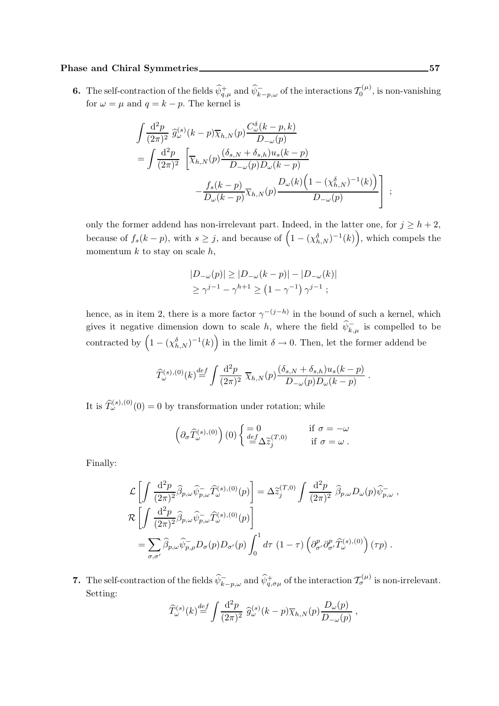#### Phase and Chiral Symmetries 57

**6.** The self-contraction of the fields  $\widehat{\psi}_{q,\mu}^+$  and  $\widehat{\psi}_{k-p,\omega}^-$  of the interactions  $\mathcal{T}_0^{(\mu)}$  $\zeta_0^{(\mu)}$ , is non-vanishing for  $\omega = \mu$  and  $q = k - p$ . The kernel is

$$
\int \frac{d^2p}{(2\pi)^2} \widehat{g}_{\omega}^{(s)}(k-p)\overline{\chi}_{h,N}(p)\frac{C_{\omega}^{\delta}(k-p,k)}{D_{-\omega}(p)}
$$
\n
$$
= \int \frac{d^2p}{(2\pi)^2} \left[ \overline{\chi}_{h,N}(p)\frac{(\delta_{s,N} + \delta_{s,h})u_s(k-p)}{D_{-\omega}(p)D_{\omega}(k-p)} - \frac{f_s(k-p)}{D_{\omega}(k-p)}\overline{\chi}_{h,N}(p)\frac{D_{\omega}(k)\left(1-(\chi_{h,N}^{\delta})^{-1}(k)\right)}{D_{-\omega}(p)} \right];
$$

only the former addend has non-irrelevant part. Indeed, in the latter one, for  $j > h + 2$ , because of  $f_s(k-p)$ , with  $s \geq j$ , and because of  $(1-(\chi_{h,N}^{\delta})^{-1}(k))$ , which compels the momentum  $k$  to stay on scale  $h$ ,

$$
|D_{-\omega}(p)| \ge |D_{-\omega}(k - p)| - |D_{-\omega}(k)|
$$
  
\n
$$
\ge \gamma^{j-1} - \gamma^{h+1} \ge (1 - \gamma^{-1}) \gamma^{j-1} ;
$$

hence, as in item 2, there is a more factor  $\gamma^{-(j-h)}$  in the bound of such a kernel, which gives it negative dimension down to scale h, where the field  $\psi_{k,\mu}^-$  is compelled to be contracted by  $(1 - (\chi_{h,N}^{\delta})^{-1}(k))$  in the limit  $\delta \to 0$ . Then, let the former addend be

$$
\widehat{T}_{\omega}^{(s),(0)}(k) \stackrel{def}{=} \int \frac{\mathrm{d}^2 p}{(2\pi)^2} \ \overline{\chi}_{h,N}(p) \frac{(\delta_{s,N} + \delta_{s,h}) u_s(k-p)}{D_{-\omega}(p) D_{\omega}(k-p)} \ .
$$

It is  $\widehat{T}_{\omega}^{(s),(0)}(0) = 0$  by transformation under rotation; while

$$
\left(\partial_{\sigma}\widehat{T}_{\omega}^{(s),(0)}\right)(0)\begin{cases}\n=0 & \text{if } \sigma = -\omega \\
\frac{def}{\omega}\Delta\widetilde{z}_{j}^{(T,0)} & \text{if } \sigma = \omega\n\end{cases}.
$$

Finally:

$$
\mathcal{L}\left[\int \frac{d^2p}{(2\pi)^2} \widehat{\beta}_{p,\omega} \widehat{\psi}_{p,\omega}^{\top} \widehat{T}_{\omega}^{(s),(0)}(p)\right] = \Delta \widetilde{z}_j^{(T,0)} \int \frac{d^2p}{(2\pi)^2} \widehat{\beta}_{p,\omega} D_{\omega}(p) \widehat{\psi}_{p,\omega}^{\top},
$$
  

$$
\mathcal{R}\left[\int \frac{d^2p}{(2\pi)^2} \widehat{\beta}_{p,\omega} \widehat{\psi}_{p,\omega}^{\top} \widehat{T}_{\omega}^{(s),(0)}(p)\right]
$$
  

$$
= \sum_{\sigma,\sigma'} \widehat{\beta}_{p,\omega} \widehat{\psi}_{p,\rho}^{\top} D_{\sigma}(p) D_{\sigma'}(p) \int_0^1 d\tau (1-\tau) \left(\partial_{\sigma'}^p \partial_{\sigma'}^p \widehat{T}_{\omega}^{(s),(0)}\right)(\tau p).
$$

7. The self-contraction of the fields  $\hat{\psi}_{k-p,\omega}^-$  and  $\hat{\psi}_{q,\sigma\mu}^+$  of the interaction  $\mathcal{T}_{\sigma}^{(\mu)}$  is non-irrelevant. Setting:

$$
\widehat{T}^{(s)}_{\omega}(k) \stackrel{def}{=} \int \frac{\mathrm{d}^2 p}{(2\pi)^2} \ \widehat{g}^{(s)}_{\omega}(k-p) \overline{\chi}_{h,N}(p) \frac{D_{\omega}(p)}{D_{-\omega}(p)},
$$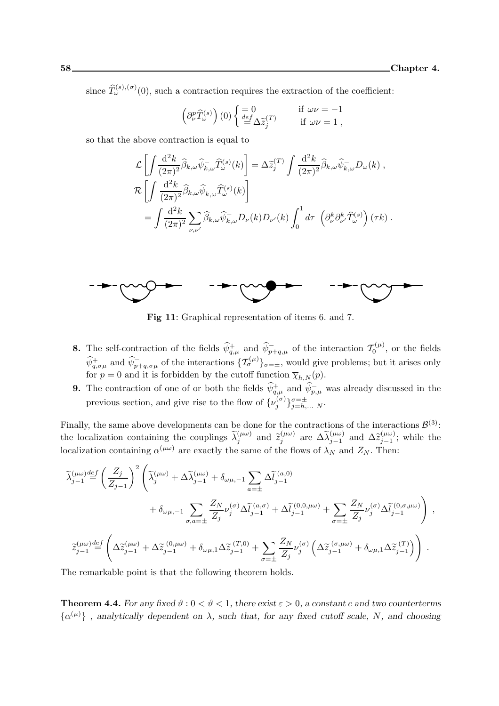since  $\widehat{T}_{\omega}^{(s),(\sigma)}(0)$ , such a contraction requires the extraction of the coefficient:

$$
\left(\partial_{\nu}^{p}\widehat{T}_{\omega}^{(s)}\right)(0)\begin{cases}\n=0 & \text{if } \omega\nu = -1 \\
\frac{def}{\omega}\Delta \widetilde{z}_{j}^{(T)} & \text{if } \omega\nu = 1\n\end{cases},
$$

so that the above contraction is equal to

$$
\mathcal{L}\left[\int \frac{d^2k}{(2\pi)^2} \widehat{\beta}_{k,\omega} \widehat{\psi}_{k,\omega}^{\top} \widehat{T}_{\omega}^{(s)}(k)\right] = \Delta \widetilde{z}_j^{(T)} \int \frac{d^2k}{(2\pi)^2} \widehat{\beta}_{k,\omega} \widehat{\psi}_{k,\omega}^{\top} D_{\omega}(k) ,
$$
  

$$
\mathcal{R}\left[\int \frac{d^2k}{(2\pi)^2} \widehat{\beta}_{k,\omega} \widehat{\psi}_{k,\omega}^{\top} \widehat{T}_{\omega}^{(s)}(k)\right]
$$
  

$$
= \int \frac{d^2k}{(2\pi)^2} \sum_{\nu,\nu'} \widehat{\beta}_{k,\omega} \widehat{\psi}_{k,\omega}^{\top} D_{\nu}(k) D_{\nu'}(k) \int_0^1 d\tau \left(\partial_{\nu}^k \partial_{\nu'}^k \widehat{T}_{\omega}^{(s)}\right) (\tau k) .
$$



**Fig 11:** Graphical representation of items 6. and 7.

- **8.** The self-contraction of the fields  $\widehat{\psi}_{q,\mu}^+$  and  $\widehat{\psi}_{p+q,\mu}^-$  of the interaction  $\mathcal{T}_0^{(\mu)}$  $\zeta_0^{(\mu)}$ , or the fields  $\hat{\psi}^+_{q,\sigma\mu}$  and  $\hat{\psi}^-_{p+q,\sigma\mu}$  of the interactions  $\{\mathcal{T}^{(\mu)}_{\sigma}\}_{\sigma=\pm}$ , would give problems; but it arises only for  $p = 0$  and it is forbidden by the cutoff function  $\overline{\chi}_{h,N}(p)$ .
- **9.** The contraction of one of or both the fields  $\hat{\psi}_{q,\mu}^+$  and  $\hat{\psi}_{p,\mu}^-$  was already discussed in the previous section, and give rise to the flow of  $\{\nu_j^{(\sigma)}\}$  $\{(\sigma)\}_{j=h,\ldots N}^{\sigma=\pm}$ .

Finally, the same above developments can be done for the contractions of the interactions  $\mathcal{B}^{(3)}$ : the localization containing the couplings  $\tilde{\lambda}_j^{(\mu\omega)}$  and  $\tilde{z}_j^{(\mu\omega)}$  $\widetilde{\lambda}_{j}^{(\mu\omega)}$  are  $\Delta \widetilde{\lambda}_{j-1}^{(\mu\omega)}$  and  $\Delta \widetilde{z}_{j-1}^{(\mu\omega)}$  $\sum_{j=1}^{(\mu\omega)}$ ; while the localization containing  $\alpha^{(\mu\omega)}$  are exactly the same of the flows of  $\lambda_N$  and  $Z_N$ . Then:

$$
\begin{split} \widetilde{\lambda}^{(\mu\omega)}_{j-1} \overset{def}{=} \left(\frac{Z_j}{Z_{j-1}}\right)^2 \left(\widetilde{\lambda}^{(\mu\omega)}_j + \Delta\widetilde{\lambda}^{(\mu\omega)}_{j-1} + \delta_{\omega\mu,-1} \sum_{a=\pm} \Delta\widetilde{l}_{j-1}^{(a,0)} \\ & \qquad + \delta_{\omega\mu,-1} \sum_{\sigma,a=\pm} \frac{Z_N}{Z_j} \nu_j^{(\sigma)} \Delta\widetilde{l}_{j-1}^{(a,\sigma)} + \Delta\widetilde{l}_{j-1}^{(0,0,\mu\omega)} + \sum_{\sigma=\pm} \frac{Z_N}{Z_j} \nu_j^{(\sigma)} \Delta\widetilde{l}_{j-1}^{(0,\sigma,\mu\omega)}\right) \ , \\ \widetilde{z}^{(\mu\omega)}_{j-1} \overset{def}{=} \left(\Delta\widetilde{z}^{(\mu\omega)}_{j-1} + \Delta\widetilde{z}^{(0,\mu\omega)}_{j-1} + \delta_{\omega\mu,1}\Delta\widetilde{z}^{(T,0)}_{j-1} + \sum_{\sigma=\pm} \frac{Z_N}{Z_j} \nu_j^{(\sigma)} \left(\Delta\widetilde{z}^{(\sigma,\mu\omega)}_{j-1} + \delta_{\omega\mu,1}\Delta\widetilde{z}^{(T)}_{j-1}\right)\right) \ . \end{split}
$$

The remarkable point is that the following theorem holds.

**Theorem 4.4.** For any fixed  $\vartheta$  :  $0 < \vartheta < 1$ , there exist  $\varepsilon > 0$ , a constant c and two counterterms  $\{\alpha^{(\mu)}\}\,$ , analytically dependent on  $\lambda$ , such that, for any fixed cutoff scale, N, and choosing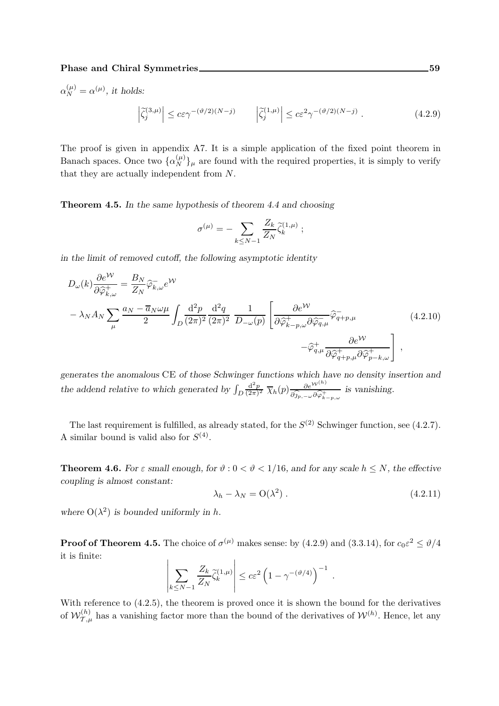$\alpha_N^{(\mu)} = \alpha^{(\mu)}$ , it holds:

$$
\left|\tilde{\zeta}_j^{(3,\mu)}\right| \le c\varepsilon\gamma^{-(\vartheta/2)(N-j)} \qquad \left|\tilde{\zeta}_j^{(1,\mu)}\right| \le c\varepsilon^2\gamma^{-(\vartheta/2)(N-j)}\,. \tag{4.2.9}
$$

The proof is given in appendix A7. It is a simple application of the fixed point theorem in Banach spaces. Once two  $\{\alpha_N^{(\mu)}\}_\mu$  are found with the required properties, it is simply to verify that they are actually independent from N.

Theorem 4.5. In the same hypothesis of theorem 4.4 and choosing

$$
\sigma^{(\mu)} = -\sum_{k \leq N-1} \frac{Z_k}{Z_N} \widetilde{\zeta}_k^{(1,\mu)} ;
$$

in the limit of removed cutoff, the following asymptotic identity

$$
D_{\omega}(k)\frac{\partial e^{W}}{\partial \hat{\varphi}_{k,\omega}^{+}} = \frac{B_{N}}{Z_{N}}\hat{\varphi}_{k,\omega}^{-}e^{W}
$$
  
-  $\lambda_{N}A_{N}\sum_{\mu}\frac{a_{N}-\overline{a}_{N}\omega\mu}{2}\int_{D}\frac{d^{2}p}{(2\pi)^{2}}\frac{d^{2}q}{(2\pi)^{2}}\frac{1}{D_{-\omega}(p)}\left[\frac{\partial e^{W}}{\partial \hat{\varphi}_{k-p,\omega}^{+}\partial \hat{\varphi}_{q,\mu}^{-}}\hat{\varphi}_{q+p,\mu}^{-}\right]$  (4.2.10)  
- $\hat{\varphi}_{q,\mu}^{+}\frac{\partial e^{W}}{\partial \hat{\varphi}_{q+p,\mu}^{+}\partial \hat{\varphi}_{p-k,\omega}^{+}}\right],$ 

generates the anomalous CE of those Schwinger functions which have no density insertion and the addend relative to which generated by  $\int_D$  $\mathrm{d}^2p$  $\frac{d^2p}{(2\pi)^2} \overline{\chi}_h(p) \frac{\partial e^{\mathcal{W}^{(h)}}}{\partial p_{n-1} \partial \varphi^+}$  $\frac{\partial e^{i\theta}}{\partial \hat{y}_{p,-\omega}\partial \hat{\varphi}_{k-p,\omega}^+}$  is vanishing.

The last requirement is fulfilled, as already stated, for the  $S^{(2)}$  Schwinger function, see (4.2.7). A similar bound is valid also for  $S^{(4)}$ .

**Theorem 4.6.** For  $\varepsilon$  small enough, for  $\vartheta$  :  $0 < \vartheta < 1/16$ , and for any scale  $h \leq N$ , the effective coupling is almost constant:

$$
\lambda_h - \lambda_N = O(\lambda^2) \,. \tag{4.2.11}
$$

where  $O(\lambda^2)$  is bounded uniformly in h.

**Proof of Theorem 4.5.** The choice of  $\sigma^{(\mu)}$  makes sense: by (4.2.9) and (3.3.14), for  $c_0 \varepsilon^2 \le \vartheta/4$ it is finite:  $\overline{1}$ 

$$
\left| \sum_{k \le N-1} \frac{Z_k}{Z_N} \widetilde{\zeta}_k^{(1,\mu)} \right| \le c \varepsilon^2 \left( 1 - \gamma^{-(\vartheta/4)} \right)^{-1} .
$$

With reference to  $(4.2.5)$ , the theorem is proved once it is shown the bound for the derivatives of  $W_{\tau,\mu}^{(h)}$  has a vanishing factor more than the bound of the derivatives of  $W^{(h)}$ . Hence, let any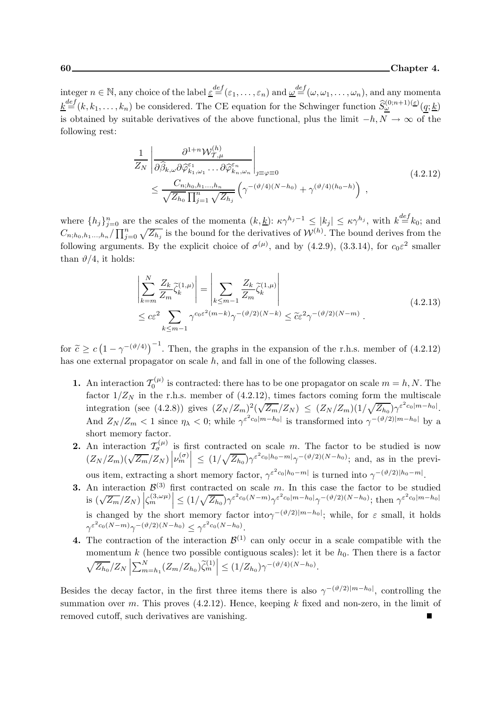integer  $n \in \mathbb{N}$ , any choice of the label  $\underline{\varepsilon} \stackrel{def}{=} (\varepsilon_1, \ldots, \varepsilon_n)$  and  $\underline{\omega} \stackrel{def}{=} (\omega, \omega_1, \ldots, \omega_n)$ , and any momenta  $\underline{k}^{\text{def}}(k, k_1, \ldots, k_n)$  be considered. The CE equation for the Schwinger function  $\widehat{S}_{\underline{\omega}}^{(0;n+1)(\underline{\varepsilon})}(\underline{q}; \underline{k})$ is obtained by suitable derivatives of the above functional, plus the limit  $-h, N \to \infty$  of the following rest:

$$
\frac{1}{Z_N} \left| \frac{\partial^{1+n} \mathcal{W}_{\mathcal{T},\mu}^{(h)}}{\partial \widehat{\beta}_{k,\omega} \partial \widehat{\varphi}_{k_1,\omega_1}^{\varepsilon_1} \dots \partial \widehat{\varphi}_{k_n,\omega_n}^{\varepsilon_n}} \right|_{j \equiv \varphi \equiv 0} \tag{4.2.12}
$$
\n
$$
\leq \frac{C_{n;h_0,h_1...,h_n}}{\sqrt{Z_{h_0}} \prod_{j=1}^n \sqrt{Z_{h_j}}} \left( \gamma^{-(\vartheta/4)(N-h_0)} + \gamma^{(\vartheta/4)(h_0-h)} \right) ,
$$

where  $\{h_j\}_{j=0}^n$  are the scales of the momenta  $(k, \underline{k})$ :  $\kappa \gamma^{h_j-1} \leq |k_j| \leq \kappa \gamma^{h_j}$ , with  $k \stackrel{def}{=} k_0$ ; and  $C_{n;h_0,h_1...h_n}/\prod_{j=0}^n \sqrt{Z_{h_j}}$  is the bound for the derivatives of  $\mathcal{W}^{(h)}$ . The bound derives from the following arguments. By the explicit choice of  $\sigma^{(\mu)}$ , and by (4.2.9), (3.3.14), for  $c_0 \varepsilon^2$  smaller than  $\vartheta/4$ , it holds:

$$
\left| \sum_{k=m}^{N} \frac{Z_k}{Z_m} \tilde{\zeta}_k^{(1,\mu)} \right| = \left| \sum_{k \le m-1} \frac{Z_k}{Z_m} \tilde{\zeta}_k^{(1,\mu)} \right|
$$
\n
$$
\le c\varepsilon^2 \sum_{k \le m-1} \gamma^{c_0 \varepsilon^2 (m-k)} \gamma^{-(\vartheta/2)(N-k)} \le \tilde{c}\varepsilon^2 \gamma^{-(\vartheta/2)(N-m)}.
$$
\n(4.2.13)

for  $\tilde{c} \geq c \left(1 - \gamma^{-(\vartheta/4)}\right)^{-1}$ . Then, the graphs in the expansion of the r.h.s. member of (4.2.12) has one external propagator on scale  $h$ , and fall in one of the following classes.

- **1.** An interaction  $\mathcal{T}_0^{(\mu)}$  $C^{(\mu)}$  is contracted: there has to be one propagator on scale  $m = h, N$ . The factor  $1/Z_N$  in the r.h.s. member of (4.2.12), times factors coming form the multiscale integration (see (4.2.8)) gives  $(Z_N/Z_m)^2(\sqrt{Z_m}/Z_N) \leq (Z_N/Z_m)(1/\sqrt{Z_{h_0}})\gamma^{\varepsilon^2 c_0|m-h_0|}$ . And  $Z_N/Z_m < 1$  since  $\eta_\lambda < 0$ ; while  $\gamma^{\varepsilon^2 c_0 |m-h_0|}$  is transformed into  $\gamma^{-(\vartheta/2)|m-h_0|}$  by a short memory factor.
- **2.** An interaction  $\mathcal{T}^{(\mu)}_{\sigma}$  is first contracted on scale m. The factor to be studied is now  $(Z_N/Z_m)(\sqrt{Z_m}/Z_N)\left|\nu_m^{(\sigma)}\right| \leq (1/\sqrt{Z_{h_0}})\gamma^{\varepsilon^2 c_0|h_0-m|}\gamma^{-(\vartheta/2)(N-h_0)}$ ; and, as in the previous item, extracting a short memory factor,  $\gamma^{\varepsilon^2 c_0 |h_0-m|}$  is turned into  $\gamma^{-(\vartheta/2)|h_0-m|}$ .
- **3.** An interaction  $\mathcal{B}^{(3)}$  first contracted on scale m. In this case the factor to be studied  $\int \sin(\sqrt{Z_m}/Z_N) \left| \zeta_m^{(3,\omega\mu)} \right| \leq (1/\sqrt{Z_{h_0}}) \gamma^{\varepsilon^2 c_0(N-m)} \gamma^{\varepsilon^2 c_0 |m-h_0|} \gamma^{-(\vartheta/2)(N-h_0)};$  then  $\gamma^{\varepsilon^2 c_0 |m-h_0|}$ is changed by the short memory factor into $\gamma^{-(\vartheta/2)|m-h_0|}$ ; while, for  $\varepsilon$  small, it holds  $\gamma^{\varepsilon^2 c_0(N-m)} \gamma^{-(\vartheta/2)(N-h_0)} \leq \gamma^{\varepsilon^2 c_0(N-h_0)}.$
- **4.** The contraction of the interaction  $\mathcal{B}^{(1)}$  can only occur in a scale compatible with the momentum k (hence two possible contiguous scales): let it be  $h_0$ . Then there is a factor  $\sqrt{Z_{h_0}}/Z_N$  $\sum_{m=h_1}^{N} (Z_m/Z_{h_0}) \tilde{\zeta}_m^{(1)} \le (1/Z_{h_0}) \gamma^{-(\vartheta/4)(N-h_0)}.$

Besides the decay factor, in the first three items there is also  $\gamma^{-(\vartheta/2)|m-h_0|}$ , controlling the summation over m. This proves  $(4.2.12)$ . Hence, keeping k fixed and non-zero, in the limit of removed cutoff, such derivatives are vanishing.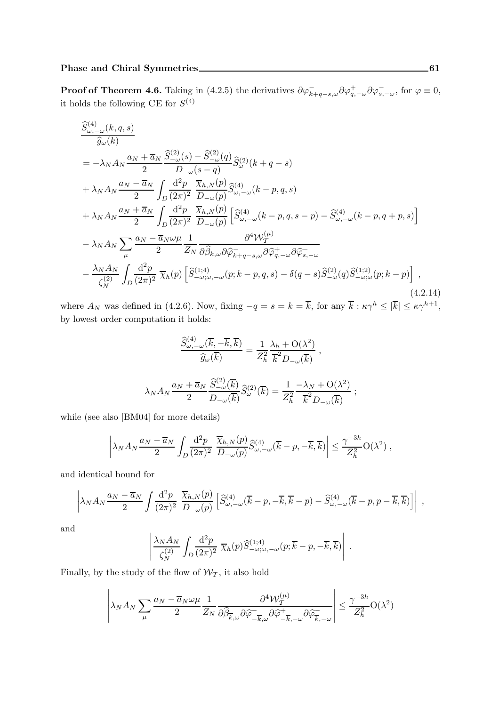**Proof of Theorem 4.6.** Taking in (4.2.5) the derivatives  $\partial \varphi_{k+q-s,\omega}^- \partial \varphi_{q,-\omega}^+ \partial \varphi_{s,-\omega}^-$ , for  $\varphi \equiv 0$ , it holds the following CE for  $S^{(4)}$ 

$$
\frac{\widehat{S}_{\omega,-\omega}^{(4)}(k,q,s)}{\widehat{g}_{\omega}(k)} = -\lambda_N A_N \frac{a_N + \overline{a}_N}{2} \frac{\widehat{S}_{-\omega}^{(2)}(s) - \widehat{S}_{-\omega}^{(2)}(q)}{D_{-\omega}(s-q)} \widehat{S}_{\omega}^{(2)}(k+q-s) \n+ \lambda_N A_N \frac{a_N - \overline{a}_N}{2} \int_D \frac{d^2 p}{(2\pi)^2} \frac{\overline{\chi}_{h,N}(p)}{D_{-\omega}(p)} \widehat{S}_{\omega,-\omega}^{(4)}(k-p,q,s) \n+ \lambda_N A_N \frac{a_N + \overline{a}_N}{2} \int_D \frac{d^2 p}{(2\pi)^2} \frac{\overline{\chi}_{h,N}(p)}{D_{-\omega}(p)} \left[ \widehat{S}_{\omega,-\omega}^{(4)}(k-p,q,s-p) - \widehat{S}_{\omega,-\omega}^{(4)}(k-p,q+p,s) \right] \n- \lambda_N A_N \sum_{\mu} \frac{a_N - \overline{a}_N \omega \mu}{2} \frac{1}{Z_N} \frac{\partial^4 \mathcal{W}_{T}^{(\mu)}}{\partial \widehat{\beta}_{k,\omega} \partial \widehat{\varphi}_{k+q-s,\omega}^{-\partial \widehat{\varphi}_{q,-\omega}^{+}} \partial \widehat{\varphi}_{s,-\omega}^{-\partial \widehat{\varphi}_{s,-\omega}} \n- \frac{\lambda_N A_N}{\zeta_N^{(2)}} \int_D \frac{d^2 p}{(2\pi)^2} \overline{\chi}_h(p) \left[ \widehat{S}_{-\omega;\omega,-\omega}^{(1;4)}(p;k-p,q,s) - \delta(q-s) \widehat{S}_{-\omega}^{(2)}(q) \widehat{S}_{-\omega;\omega}^{(1;2)}(p;k-p) \right],
$$
\n(4.2.14)

where  $A_N$  was defined in (4.2.6). Now, fixing  $-q = s = k = \overline{k}$ , for any  $\overline{k} : \kappa \gamma^h \leq |\overline{k}| \leq \kappa \gamma^{h+1}$ , by lowest order computation it holds:

$$
\frac{\widehat{S}_{\omega,-\omega}^{(4)}(\overline{k},-\overline{k},\overline{k})}{\widehat{g}_{\omega}(\overline{k})} = \frac{1}{Z_h^2} \frac{\lambda_h + \mathcal{O}(\lambda^2)}{\overline{k}^2 D_{-\omega}(\overline{k})},
$$
  

$$
\lambda_N A_N \frac{a_N + \overline{a}_N}{2} \frac{\widehat{S}_{-\omega}^{(2)}(\overline{k})}{D_{-\omega}(\overline{k})} \widehat{S}_{\omega}^{(2)}(\overline{k}) = \frac{1}{Z_h^2} \frac{-\lambda_N + \mathcal{O}(\lambda^2)}{\overline{k}^2 D_{-\omega}(\overline{k})};
$$

while (see also [BM04] for more details)

$$
\left|\lambda_N A_N \frac{a_N - \overline{a}_N}{2} \int_D \frac{\mathrm{d}^2 p}{(2\pi)^2} \frac{\overline{\chi}_{h,N}(p)}{D_{-\omega}(p)} \widehat{S}^{(4)}_{\omega,-\omega}(\overline{k}-p,-\overline{k},\overline{k})\right| \leq \frac{\gamma^{-3h}}{Z_h^2} \mathcal{O}(\lambda^2) ,
$$

and identical bound for

$$
\left|\lambda_N A_N \frac{a_N - \overline{a}_N}{2} \int \frac{\mathrm{d}^2 p}{(2\pi)^2} \frac{\overline{\chi}_{h,N}(p)}{D_{-\omega}(p)} \left[ \widehat{S}^{(4)}_{\omega,-\omega}(\overline{k}-p,-\overline{k},\overline{k}-p) - \widehat{S}^{(4)}_{\omega,-\omega}(\overline{k}-p,p-\overline{k},\overline{k}) \right] \right| ,
$$

and

$$
\left| \frac{\lambda_N A_N}{\zeta_N^{(2)}} \int_D \frac{\mathrm{d}^2 p}{(2\pi)^2} \ \overline{\chi}_h(p) \widehat{S}_{-\omega;\omega,-\omega}^{(1;4)}(p;\overline{k}-p,-\overline{k},\overline{k}) \right| \ .
$$

Finally, by the study of the flow of  $\mathcal{W}_{\mathcal{T}}$ , it also hold

$$
\left|\lambda_N A_N\sum_\mu \frac{a_N-\overline{a}_N\omega\mu}{2}\frac{1}{Z_N}\frac{\partial^4 \mathcal{W}_T^{(\mu)}}{\partial \widehat{\beta}_{\overline{k},\omega}\partial \widehat{\varphi}^-_{-\overline{k},\omega}\partial \widehat{\varphi}^+_{-\overline{k},-\omega}\partial \widehat{\varphi}^-_{\overline{k},-\omega}}\right|\leq \frac{\gamma^{-3h}}{Z_h^2}\mathcal{O}(\lambda^2)
$$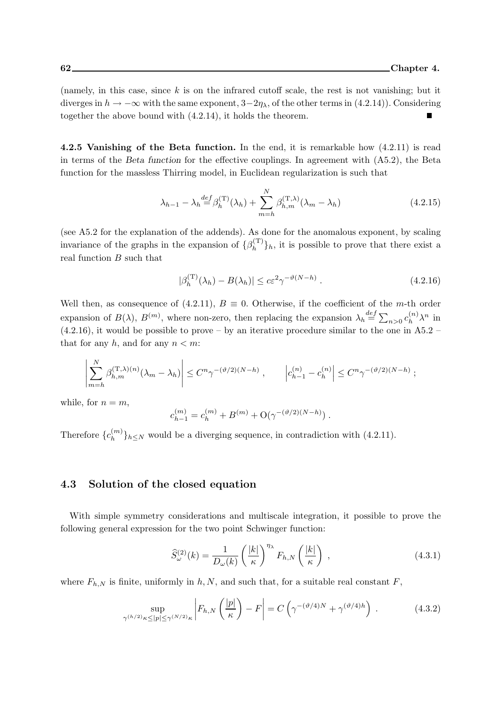(namely, in this case, since  $k$  is on the infrared cutoff scale, the rest is not vanishing; but it diverges in  $h \to -\infty$  with the same exponent,  $3-2\eta_{\lambda}$ , of the other terms in (4.2.14)). Considering together the above bound with (4.2.14), it holds the theorem.

4.2.5 Vanishing of the Beta function. In the end, it is remarkable how  $(4.2.11)$  is read in terms of the Beta function for the effective couplings. In agreement with (A5.2), the Beta function for the massless Thirring model, in Euclidean regularization is such that

$$
\lambda_{h-1} - \lambda_h \stackrel{def}{=} \beta_h^{(\mathcal{T})}(\lambda_h) + \sum_{m=h}^{N} \beta_{h,m}^{(\mathcal{T},\lambda)}(\lambda_m - \lambda_h)
$$
\n(4.2.15)

(see A5.2 for the explanation of the addends). As done for the anomalous exponent, by scaling invariance of the graphs in the expansion of  $\{\beta_h^{(T)}\}$  $\{h^{(1)}\}_h$ , it is possible to prove that there exist a real function  $B$  such that

$$
|\beta_h^{(\mathcal{T})}(\lambda_h) - B(\lambda_h)| \le c\varepsilon^2 \gamma^{-\vartheta(N-h)}.
$$
\n(4.2.16)

Well then, as consequence of (4.2.11),  $B \equiv 0$ . Otherwise, if the coefficient of the m-th order expansion of  $B(\lambda)$ ,  $B^{(m)}$ , where non-zero, then replacing the expansion  $\lambda_h \stackrel{def}{=} \sum_{n>0} c_h^{(n)}$  $\sum_{h}^{(n)} \lambda^n$  in  $(4.2.16)$ , it would be possible to prove – by an iterative procedure similar to the one in A5.2 – that for any h, and for any  $n < m$ :

$$
\left| \sum_{m=h}^N \beta_{h,m}^{(\mathbf{T},\lambda)(n)} (\lambda_m - \lambda_h) \right| \leq C^n \gamma^{-(\vartheta/2)(N-h)}, \qquad \left| c_{h-1}^{(n)} - c_h^{(n)} \right| \leq C^n \gamma^{-(\vartheta/2)(N-h)};
$$

while, for  $n = m$ ,

$$
c_{h-1}^{(m)} = c_h^{(m)} + B^{(m)} + O(\gamma^{-(\vartheta/2)(N-h)}) .
$$

Therefore  ${c_h^{(m)}}$  $\{m \atop h\}$ <sub>h</sub> $\leq$ N would be a diverging sequence, in contradiction with (4.2.11).

#### 4.3 Solution of the closed equation

With simple symmetry considerations and multiscale integration, it possible to prove the following general expression for the two point Schwinger function:

$$
\widehat{S}_{\omega}^{(2)}(k) = \frac{1}{D_{\omega}(k)} \left(\frac{|k|}{\kappa}\right)^{\eta_{\lambda}} F_{h,N}\left(\frac{|k|}{\kappa}\right) ,\qquad(4.3.1)
$$

where  $F_{h,N}$  is finite, uniformly in h, N, and such that, for a suitable real constant F,

$$
\sup_{\gamma^{(h/2)}\kappa \le |p| \le \gamma^{(N/2)}\kappa} \left| F_{h,N}\left(\frac{|p|}{\kappa}\right) - F \right| = C\left(\gamma^{-(\vartheta/4)N} + \gamma^{(\vartheta/4)h}\right) \,. \tag{4.3.2}
$$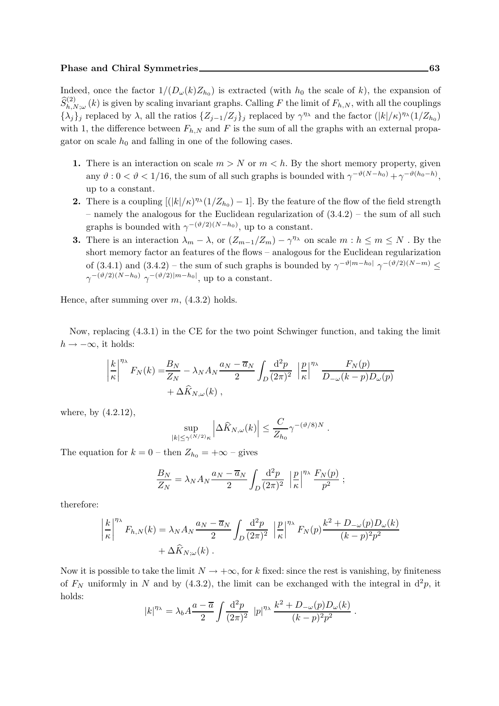Indeed, once the factor  $1/(D_{\omega}(k)Z_{h_0})$  is extracted (with  $h_0$  the scale of k), the expansion of  $\widehat{S}_{h,N;\omega}^{(2)}(k)$  is given by scaling invariant graphs. Calling F the limit of  $F_{h,N}$ , with all the couplings  $\{\lambda_j\}_j$  replaced by  $\lambda$ , all the ratios  $\{Z_{j-1}/Z_j\}_j$  replaced by  $\gamma^{\eta_\lambda}$  and the factor  $(|k|/\kappa)^{\eta_\lambda}(1/Z_{h_0})$ with 1, the difference between  $F_{h,N}$  and F is the sum of all the graphs with an external propagator on scale  $h_0$  and falling in one of the following cases.

- 1. There is an interaction on scale  $m > N$  or  $m < h$ . By the short memory property, given any  $\vartheta$  :  $0 < \vartheta < 1/16$ , the sum of all such graphs is bounded with  $\gamma^{-\vartheta(N-h_0)} + \gamma^{-\vartheta(h_0-h)}$ , up to a constant.
- **2.** There is a coupling  $[(|k|/\kappa)^{\eta_{\lambda}}(1/Z_{h_0})-1]$ . By the feature of the flow of the field strength – namely the analogous for the Euclidean regularization of (3.4.2) – the sum of all such graphs is bounded with  $\gamma^{-(\vartheta/2)(N-h_0)}$ , up to a constant.
- **3.** There is an interaction  $\lambda_m \lambda$ , or  $(Z_{m-1}/Z_m) \gamma^{\eta_{\lambda}}$  on scale  $m : h \leq m \leq N$ . By the short memory factor an features of the flows – analogous for the Euclidean regularization of (3.4.1) and (3.4.2) – the sum of such graphs is bounded by  $\gamma^{-\vartheta|m-h_0|} \gamma^{-(\vartheta/2)(N-m)} \leq$  $\gamma^{-(\vartheta/2)(N-h_0)} \gamma^{-(\vartheta/2)|m-h_0|}$ , up to a constant.

Hence, after summing over  $m$ ,  $(4.3.2)$  holds.

Now, replacing (4.3.1) in the CE for the two point Schwinger function, and taking the limit  $h \rightarrow -\infty$ , it holds:

$$
\left|\frac{k}{\kappa}\right|^{n_{\lambda}} F_N(k) = \frac{B_N}{Z_N} - \lambda_N A_N \frac{a_N - \overline{a}_N}{2} \int_D \frac{\mathrm{d}^2 p}{(2\pi)^2} \left|\frac{p}{\kappa}\right|^{n_{\lambda}} \frac{F_N(p)}{D_{-\omega}(k-p)D_{\omega}(p)} + \Delta \widehat{K}_{N,\omega}(k) ,
$$

where, by (4.2.12),

$$
\sup_{|k| \le \gamma^{(N/2)} \kappa} \left| \Delta \widehat{K}_{N,\omega}(k) \right| \le \frac{C}{Z_{h_0}} \gamma^{-(\vartheta/8)N}.
$$

The equation for  $k = 0$  – then  $Z_{h_0} = +\infty$  – gives

$$
\frac{B_N}{Z_N} = \lambda_N A_N \frac{a_N - \overline{a}_N}{2} \int_D \frac{\mathrm{d}^2 p}{(2\pi)^2} \left| \frac{p}{\kappa} \right|^{n_\lambda} \frac{F_N(p)}{p^2} ;
$$

therefore:

$$
\left| \frac{k}{\kappa} \right|^{n_{\lambda}} F_{h,N}(k) = \lambda_N A_N \frac{a_N - \overline{a}_N}{2} \int_D \frac{\mathrm{d}^2 p}{(2\pi)^2} \left| \frac{p}{\kappa} \right|^{n_{\lambda}} F_N(p) \frac{k^2 + D_{-\omega}(p) D_{\omega}(k)}{(k - p)^2 p^2} + \Delta \widehat{K}_{N;\omega}(k).
$$

Now it is possible to take the limit  $N \to +\infty$ , for k fixed: since the rest is vanishing, by finiteness of  $F_N$  uniformly in N and by (4.3.2), the limit can be exchanged with the integral in  $d^2p$ , it holds:

$$
|k|^{\eta_{\lambda}} = \lambda_b A \frac{a - \overline{a}}{2} \int \frac{\mathrm{d}^2 p}{(2\pi)^2} |p|^{\eta_{\lambda}} \frac{k^2 + D_{-\omega}(p) D_{\omega}(k)}{(k - p)^2 p^2}.
$$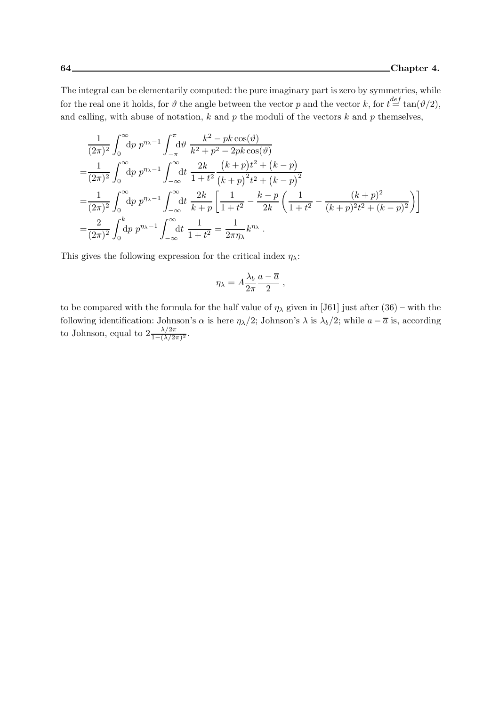The integral can be elementarily computed: the pure imaginary part is zero by symmetries, while for the real one it holds, for  $\vartheta$  the angle between the vector p and the vector k, for  $t = \tan(\vartheta/2)$ , and calling, with abuse of notation,  $k$  and  $p$  the moduli of the vectors  $k$  and  $p$  themselves,

$$
\frac{1}{(2\pi)^2} \int_0^\infty dp \ p^{\eta_{\lambda}-1} \int_{-\pi}^{\pi} d\vartheta \ \frac{k^2 - pk \cos(\vartheta)}{k^2 + p^2 - 2pk \cos(\vartheta)} \n= \frac{1}{(2\pi)^2} \int_0^\infty dp \ p^{\eta_{\lambda}-1} \int_{-\infty}^\infty dt \ \frac{2k}{1+t^2} \frac{(k+p)t^2 + (k-p)}{(k+p)^2t^2 + (k-p)^2} \n= \frac{1}{(2\pi)^2} \int_0^\infty dp \ p^{\eta_{\lambda}-1} \int_{-\infty}^\infty dt \ \frac{2k}{k+p} \left[ \frac{1}{1+t^2} - \frac{k-p}{2k} \left( \frac{1}{1+t^2} - \frac{(k+p)^2}{(k+p)^2t^2 + (k-p)^2} \right) \right] \n= \frac{2}{(2\pi)^2} \int_0^k dp \ p^{\eta_{\lambda}-1} \int_{-\infty}^\infty dt \ \frac{1}{1+t^2} = \frac{1}{2\pi\eta_{\lambda}} k^{\eta_{\lambda}}.
$$

This gives the following expression for the critical index  $\eta_{\lambda}$ :

$$
\eta_{\lambda} = A \frac{\lambda_b}{2\pi} \frac{a - \overline{a}}{2} ,
$$

to be compared with the formula for the half value of  $\eta_{\lambda}$  given in [J61] just after (36) – with the following identification: Johnson's  $\alpha$  is here  $\eta_{\lambda}/2$ ; Johnson's  $\lambda$  is  $\lambda_b/2$ ; while  $a - \overline{a}$  is, according to Johnson, equal to  $2\frac{\lambda/2\pi}{1-(\lambda/2\pi)^2}$ .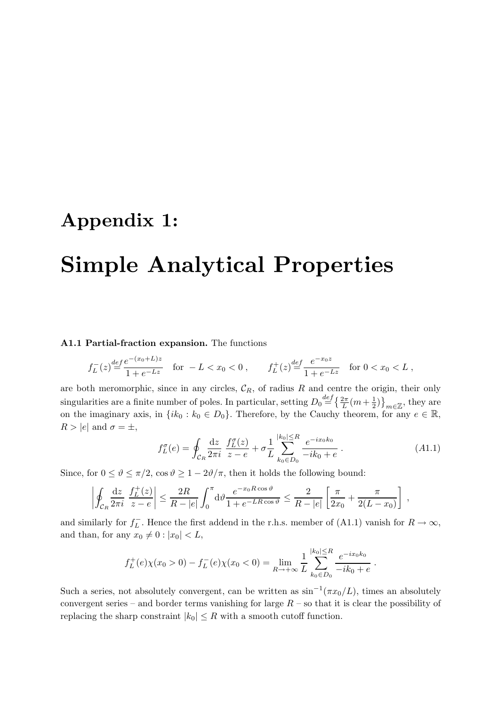## Appendix 1:

# Simple Analytical Properties

#### A1.1 Partial-fraction expansion. The functions

$$
f_L^-(z) \stackrel{def}{=} \frac{e^{-(x_0+L)z}}{1+e^{-Lz}} \quad \text{for } -L < x_0 < 0 \;, \qquad f_L^+(z) \stackrel{def}{=} \frac{e^{-x_0 z}}{1+e^{-Lz}} \quad \text{for } 0 < x_0 < L \;,
$$

are both meromorphic, since in any circles,  $\mathcal{C}_R$ , of radius R and centre the origin, their only singularities are a finite number of poles. In particular, setting  $D_0 \stackrel{def}{=} \left\{ \frac{2\pi}{L} (m + \frac{1}{2}) \right\}$  $\left(\frac{1}{2}\right)$ <sub>m $\in \mathbb{Z}$ </sub>, they are on the imaginary axis, in  $\{ik_0 : k_0 \in D_0\}$ . Therefore, by the Cauchy theorem, for any  $e \in \mathbb{R}$ ,  $R > |e|$  and  $\sigma = \pm$ ,

$$
f_L^{\sigma}(e) = \oint_{\mathcal{C}_R} \frac{\mathrm{d}z}{2\pi i} \; \frac{f_L^{\sigma}(z)}{z - e} + \sigma \frac{1}{L} \sum_{k_0 \in D_0}^{|k_0| \le R} \frac{e^{-ix_0 k_0}}{-ik_0 + e} \; . \tag{A1.1}
$$

Since, for  $0 \le \vartheta \le \pi/2$ ,  $\cos \vartheta \ge 1 - 2\vartheta/\pi$ , then it holds the following bound:

$$
\left| \oint_{\mathcal{C}_R} \frac{\mathrm{d}z}{2\pi i} \left| \frac{f_L^+(z)}{z - e} \right| \leq \frac{2R}{R - |e|} \int_0^\pi \mathrm{d}\vartheta \frac{e^{-x_0 R \cos \vartheta}}{1 + e^{-LR \cos \vartheta}} \leq \frac{2}{R - |e|} \left[ \frac{\pi}{2x_0} + \frac{\pi}{2(L - x_0)} \right] ,
$$

and similarly for  $f_L^-$ . Hence the first addend in the r.h.s. member of (A1.1) vanish for  $R \to \infty$ , and than, for any  $x_0 \neq 0$  :  $|x_0| < L$ ,

$$
f_L^+(e)\chi(x_0>0) - f_L^-(e)\chi(x_0<0) = \lim_{R \to +\infty} \frac{1}{L} \sum_{k_0 \in D_0}^{|k_0| \le R} \frac{e^{-ix_0k_0}}{-ik_0 + e}.
$$

Such a series, not absolutely convergent, can be written as  $\sin^{-1}(\pi x_0/L)$ , times an absolutely convergent series – and border terms vanishing for large  $R$  – so that it is clear the possibility of replacing the sharp constraint  $|k_0| \leq R$  with a smooth cutoff function.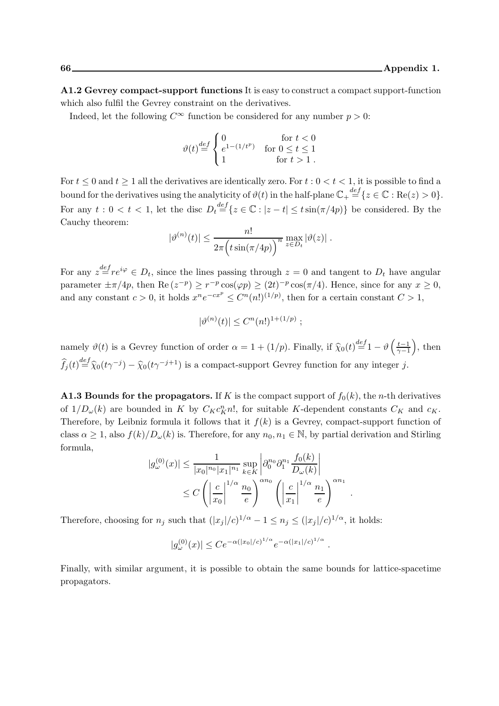A1.2 Gevrey compact-support functions It is easy to construct a compact support-function which also fulfil the Gevrey constraint on the derivatives.

Indeed, let the following  $C^{\infty}$  function be considered for any number  $p > 0$ :

$$
\vartheta(t) \stackrel{def}{=} \begin{cases} 0 & \text{for } t < 0 \\ e^{1 - (1/t^p)} & \text{for } 0 \le t \le 1 \\ 1 & \text{for } t > 1 \end{cases}
$$

For  $t \leq 0$  and  $t \geq 1$  all the derivatives are identically zero. For  $t : 0 \leq t \leq 1$ , it is possible to find a bound for the derivatives using the analyticity of  $\vartheta(t)$  in the half-plane  $\mathbb{C}_+ \stackrel{def}{=} \{z \in \mathbb{C} : \text{Re}(z) > 0\}.$ For any  $t: 0 < t < 1$ , let the disc  $D_t \stackrel{def}{=} \{z \in \mathbb{C} : |z - t| \leq t \sin(\pi/4p)\}\)$  be considered. By the Cauchy theorem:

$$
|\vartheta^{(n)}(t)| \leq \frac{n!}{2\pi \Big( t \sin(\pi/4p) \Big)^n} \max_{z \in D_t} |\vartheta(z)|.
$$

For any  $z = e^{i\varphi} \in D_t$ , since the lines passing through  $z = 0$  and tangent to  $D_t$  have angular parameter  $\pm \pi/4p$ , then Re  $(z^{-p}) \ge r^{-p} \cos(\varphi p) \ge (2t)^{-p} \cos(\pi/4)$ . Hence, since for any  $x \ge 0$ , and any constant  $c > 0$ , it holds  $x^n e^{-cx^p} \leq C^n (n!)^{(1/p)}$ , then for a certain constant  $C > 1$ ,

$$
|\vartheta^{(n)}(t)| \leq C^n (n!)^{1+(1/p)} ;
$$

namely  $\vartheta(t)$  is a Gevrey function of order  $\alpha = 1 + (1/p)$ . Finally, if  $\hat{\chi}_0(t) \stackrel{def}{=} 1 - \vartheta\left(\frac{t-1}{\gamma-1}\right)$  $\gamma-1$  $\Big)$ , then  $\widehat{f}_j(t) \stackrel{def}{=} \widehat{\chi}_0(t\gamma^{-j}) - \widehat{\chi}_0(t\gamma^{-j+1})$  is a compact-support Gevrey function for any integer j.

A1.3 Bounds for the propagators. If K is the compact support of  $f_0(k)$ , the *n*-th derivatives of  $1/D_{\omega}(k)$  are bounded in K by  $C_K c_K^n n!$ , for suitable K-dependent constants  $C_K$  and  $c_K$ . Therefore, by Leibniz formula it follows that it  $f(k)$  is a Gevrey, compact-support function of class  $\alpha \geq 1$ , also  $f(k)/D_{\omega}(k)$  is. Therefore, for any  $n_0, n_1 \in \mathbb{N}$ , by partial derivation and Stirling formula,

$$
|g_{\omega}^{(0)}(x)| \le \frac{1}{|x_0|^{n_0}|x_1|^{n_1}} \sup_{k \in K} \left| \partial_0^{n_0} \partial_1^{n_1} \frac{f_0(k)}{D_{\omega}(k)} \right|
$$
  

$$
\le C \left( \left| \frac{c}{x_0} \right|^{1/\alpha} \frac{n_0}{e} \right)^{\alpha n_0} \left( \left| \frac{c}{x_1} \right|^{1/\alpha} \frac{n_1}{e} \right)^{\alpha n_1}
$$

.

Therefore, choosing for  $n_j$  such that  $(|x_j|/c)^{1/\alpha} - 1 \le n_j \le (|x_j|/c)^{1/\alpha}$ , it holds:

$$
|g_{\omega}^{(0)}(x)| \leq C e^{-\alpha(|x_0|/c)^{1/\alpha}} e^{-\alpha(|x_1|/c)^{1/\alpha}}.
$$

Finally, with similar argument, it is possible to obtain the same bounds for lattice-spacetime propagators.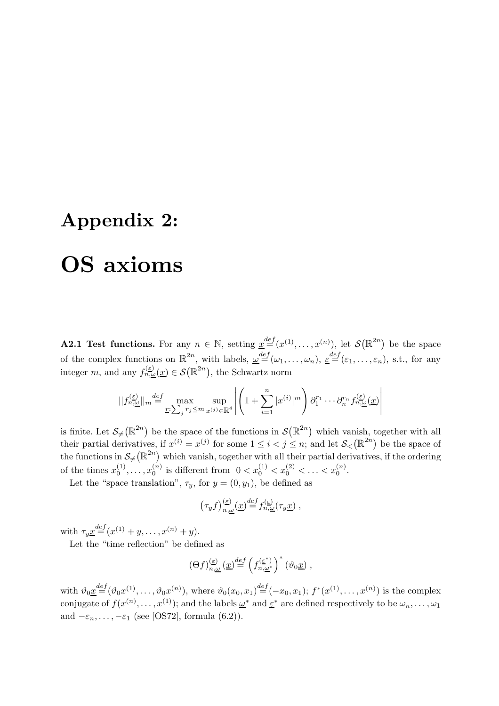# Appendix 2: OS axioms

**A2.1 Test functions.** For any  $n \in \mathbb{N}$ , setting  $\underline{x}^{\text{def}}(x^{(1)},...,x^{(n)})$ , let  $\mathcal{S}(\mathbb{R}^{2n})$  be the space of the complex functions on  $\mathbb{R}^{2n}$ , with labels,  $\underline{\omega}^{def}(\omega_1,\ldots,\omega_n)$ ,  $\underline{\varepsilon}^{def}(\varepsilon_1,\ldots,\varepsilon_n)$ , s.t., for any integer m, and any  $f_{n,\underline{\omega}}^{(\underline{\varepsilon})}(\underline{x}) \in \mathcal{S}(\mathbb{R}^{2n})$ , the Schwartz norm

$$
||f_{n,\underline{\omega}}^{(\underline{\varepsilon})}||_{m} \stackrel{def}{=} \max_{\underline{r}:\sum_{j}r_{j} \leq m} \sup_{x^{(j)} \in \mathbb{R}^{4}} \left| \left(1 + \sum_{i=1}^{n} |x^{(i)}|^{m}\right) \partial_{1}^{r_{1}} \cdots \partial_{n}^{r_{n}} f_{n,\underline{\omega}}(\underline{x})\right|
$$

is finite. Let  $\mathcal{S}_{\neq}(\mathbb{R}^{2n})$  be the space of the functions in  $\mathcal{S}(\mathbb{R}^{2n})$  which vanish, together with all their partial derivatives, if  $x^{(i)} = x^{(j)}$  for some  $1 \leq i < j \leq n$ ; and let  $\mathcal{S}_{\leq}(\mathbb{R}^{2n})$  be the space of the functions in  $\mathcal{S}_{\neq}(\mathbb{R}^{2n})$  which vanish, together with all their partial derivatives, if the ordering of the times  $x_0^{(1)}$  $x_0^{(1)}, \ldots, x_0^{(n)}$  $\binom{n}{0}$  is different from  $0 < x_0^{(1)} < x_0^{(2)} < \ldots < x_0^{(n)}$ .

Let the "space translation",  $\tau_y$ , for  $y = (0, y_1)$ , be defined as

$$
(\tau_y f)_{n,\underline{\omega}}^{(\underline{\varepsilon})}(\underline{x}) \stackrel{def}{=} f_{n,\underline{\omega}}^{(\underline{\varepsilon})}(\tau_y \underline{x}),
$$

with  $\tau_y \underline{x}^{def}(x^{(1)} + y, \ldots, x^{(n)} + y)$ .

Let the "time reflection" be defined as

$$
(\Theta f)^{(\underline{\varepsilon})}_{n,\underline{\omega}}(\underline{x})\stackrel{def}{=} \left(f^{(\underline{\varepsilon}^*)}_{n,\underline{\omega}^*}\right)^*(\vartheta_0 \underline{x}),
$$

with  $\vartheta_0 \underline{x}^{def}(\vartheta_0 x^{(1)}, \ldots, \vartheta_0 x^{(n)})$ , where  $\vartheta_0(x_0, x_1)^{\underline{def}}(-x_0, x_1)$ ;  $f^*(x^{(1)}, \ldots, x^{(n)})$  is the complex conjugate of  $f(x^{(n)},...,x^{(1)})$ ; and the labels  $\underline{\omega}^*$  and  $\underline{\varepsilon}^*$  are defined respectively to be  $\omega_n,...,\omega_1$ and  $-\varepsilon_n,\ldots,-\varepsilon_1$  (see [OS72], formula (6.2)).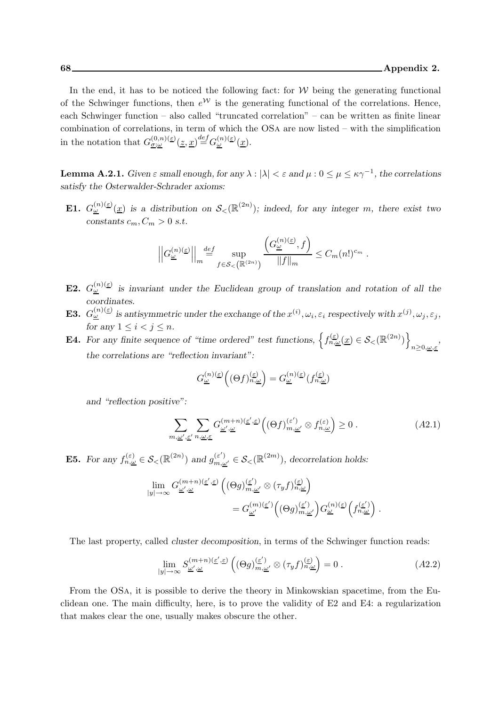In the end, it has to be noticed the following fact: for  $W$  being the generating functional of the Schwinger functions, then  $e^{\mathcal{W}}$  is the generating functional of the correlations. Hence, each Schwinger function – also called "truncated correlation" – can be written as finite linear combination of correlations, in term of which the OSa are now listed – with the simplification in the notation that  $G_{\underline{\sigma};\underline{\omega}}^{(0,n)(\underline{\varepsilon})}(\underline{z},\underline{x}) \stackrel{def}{=} G_{\underline{\omega}}^{(n)(\underline{\varepsilon})}(\underline{x}).$ 

**Lemma A.2.1.** Given  $\varepsilon$  small enough, for any  $\lambda : |\lambda| < \varepsilon$  and  $\mu : 0 \le \mu \le \kappa \gamma^{-1}$ , the correlations satisfy the Osterwalder-Schrader axioms:

**E1.**  $G_{\underline{\omega}}^{(n)(\underline{\varepsilon})}(\underline{x})$  is a distribution on  $\mathcal{S}_{\leq}(\mathbb{R}^{(2n)})$ ; indeed, for any integer m, there exist two constants  $c_m, C_m > 0$  s.t.

$$
\left\|G_{\underline{\omega}}^{(n)(\underline{\varepsilon})}\right\|_{m} \stackrel{def}{=} \sup_{f \in \mathcal{S}_{<}\left(\mathbb{R}^{(2n)}\right)} \frac{\left(G_{\underline{\omega}}^{(n)(\underline{\varepsilon})},f\right)}{\|f\|_{m}} \leq C_{m}(n!)^{c_{m}}.
$$

- **E2.**  $G_{\omega}^{(n)}(\epsilon)$  is invariant under the Euclidean group of translation and rotation of all the coordinates.
- **E3.**  $G_{\underline{\omega}}^{(n)(\underline{\varepsilon})}$  is antisymmetric under the exchange of the  $x^{(i)}$ ,  $\omega_i$ ,  $\varepsilon_i$  respectively with  $x^{(j)}$ ,  $\omega_j$ ,  $\varepsilon_j$ , for any  $1 \leq i < j \leq n$ .
- **E4.** For any finite sequence of "time ordered" test functions,  $\left\{f_{n,\omega}^{(\varepsilon)}(\underline{x}) \in \mathcal{S}_{\leq}(\mathbb{R}^{(2n)})\right\}$  $n \geq 0, \underline{\omega}, \underline{\varepsilon}$ , the correlations are "reflection invariant":

$$
G^{(n)(\underline{\varepsilon})}_{\underline{\omega}}\Big((\Theta f)^{(\underline{\varepsilon})}_{n,\underline{\omega}}\Big)=G^{(n)(\underline{\varepsilon})}_{\underline{\omega}}\big(f^{(\underline{\varepsilon})}_{n,\underline{\omega}}\big)
$$

and "reflection positive":

$$
\sum_{m,\underline{\omega}',\underline{\varepsilon}'} \sum_{n,\underline{\omega},\underline{\varepsilon}} G_{\underline{\omega}',\underline{\omega}}^{(m+n)(\underline{\varepsilon}',\underline{\varepsilon})} \Big( (\Theta f)_{m,\underline{\omega}'}^{(\varepsilon')} \otimes f_{n,\underline{\omega}}^{(\varepsilon)} \Big) \ge 0 \ . \tag{A2.1}
$$

**E5.** For any  $f_{n,\underline{\omega}}^{(\varepsilon)} \in \mathcal{S}_{\leq}(\mathbb{R}^{(2n)})$  and  $g_{m,\underline{\omega'}}^{(\varepsilon')} \in \mathcal{S}_{\leq}(\mathbb{R}^{(2m)})$ , decorrelation holds:

$$
\begin{split} \lim_{|y|\to\infty} G^{(m+n)(\underline{\varepsilon}',\underline{\varepsilon})}_{\underline{\omega}',\underline{\omega}} \left( (\Theta g)^{(\underline{\varepsilon}')}_{m,\underline{\omega}'} \otimes (\tau_y f)^{(\underline{\varepsilon})}_{n,\underline{\omega}} \right) \\ = G^{(m)(\underline{\varepsilon}')}_{\underline{\omega}'} \Big( (\Theta g)^{(\underline{\varepsilon}')}_{m,\underline{\omega}'} \Big) G^{(n)(\underline{\varepsilon})}_{\underline{\omega}} \Big( f^{(\underline{\varepsilon}')}_{n,\underline{\omega}} \Big) \end{split}
$$

The last property, called cluster decomposition, in terms of the Schwinger function reads:

$$
\lim_{|y| \to \infty} S_{\underline{\omega}', \underline{\omega}}^{(m+n)(\underline{\varepsilon}', \underline{\varepsilon})} \left( (\Theta g)_{m, \underline{\omega}'}^{(\underline{\varepsilon}')} \otimes (\tau_y f)_{n, \underline{\omega}}^{(\underline{\varepsilon})} \right) = 0 \ . \tag{A2.2}
$$

.

From the OSa, it is possible to derive the theory in Minkowskian spacetime, from the Euclidean one. The main difficulty, here, is to prove the validity of E2 and E4: a regularization that makes clear the one, usually makes obscure the other.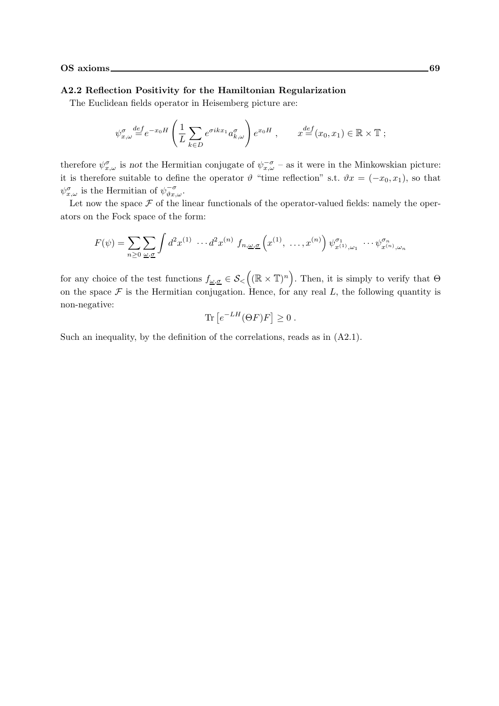#### A2.2 Reflection Positivity for the Hamiltonian Regularization

The Euclidean fields operator in Heisemberg picture are:

$$
\psi_{x,\omega}^{\sigma} \stackrel{def}{=} e^{-x_0 H} \left( \frac{1}{L} \sum_{k \in D} e^{\sigma i k x_1} a_{k,\omega}^{\sigma} \right) e^{x_0 H} , \qquad x \stackrel{def}{=} (x_0, x_1) \in \mathbb{R} \times \mathbb{T} ;
$$

therefore  $\psi_{x,\omega}^{\sigma}$  is not the Hermitian conjugate of  $\psi_{x,\omega}^{-\sigma}$  – as it were in the Minkowskian picture: it is therefore suitable to define the operator  $\vartheta$  "time reflection" s.t.  $\vartheta x = (-x_0, x_1)$ , so that  $\psi^{\sigma}_{x,\omega}$  is the Hermitian of  $\psi^{\sigma}_{\vartheta x,\omega}$ .

Let now the space  $\mathcal F$  of the linear functionals of the operator-valued fields: namely the operators on the Fock space of the form:

$$
F(\psi) = \sum_{n\geq 0} \sum_{\underline{\omega}, \underline{\sigma}} \int d^2 x^{(1)} \cdots d^2 x^{(n)} f_{n, \underline{\omega}, \underline{\sigma}} \left( x^{(1)}, \ldots, x^{(n)} \right) \psi_{x^{(1)}, \omega_1}^{\sigma_1} \cdots \psi_{x^{(n)}, \omega_n}^{\sigma_n}
$$

for any choice of the test functions  $f_{\underline{\omega},\underline{\sigma}} \in \mathcal{S}_{\leq}\left((\mathbb{R} \times \mathbb{T})^n\right)$ . Then, it is simply to verify that  $\Theta$ on the space  $\mathcal F$  is the Hermitian conjugation. Hence, for any real L, the following quantity is non-negative:

$$
\text{Tr}\left[e^{-LH}(\Theta F)F\right] \geq 0\;.
$$

Such an inequality, by the definition of the correlations, reads as in (A2.1).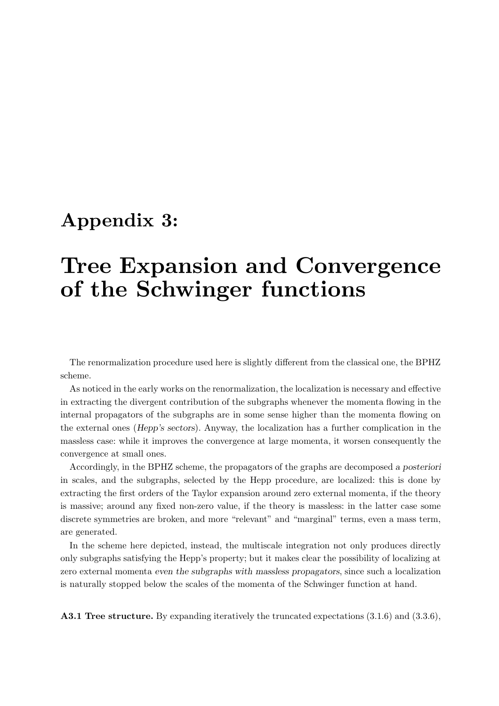## Appendix 3:

# Tree Expansion and Convergence of the Schwinger functions

The renormalization procedure used here is slightly different from the classical one, the BPHZ scheme.

As noticed in the early works on the renormalization, the localization is necessary and effective in extracting the divergent contribution of the subgraphs whenever the momenta flowing in the internal propagators of the subgraphs are in some sense higher than the momenta flowing on the external ones (Hepp's sectors). Anyway, the localization has a further complication in the massless case: while it improves the convergence at large momenta, it worsen consequently the convergence at small ones.

Accordingly, in the BPHZ scheme, the propagators of the graphs are decomposed a posteriori in scales, and the subgraphs, selected by the Hepp procedure, are localized: this is done by extracting the first orders of the Taylor expansion around zero external momenta, if the theory is massive; around any fixed non-zero value, if the theory is massless: in the latter case some discrete symmetries are broken, and more "relevant" and "marginal" terms, even a mass term, are generated.

In the scheme here depicted, instead, the multiscale integration not only produces directly only subgraphs satisfying the Hepp's property; but it makes clear the possibility of localizing at zero external momenta even the subgraphs with massless propagators, since such a localization is naturally stopped below the scales of the momenta of the Schwinger function at hand.

A3.1 Tree structure. By expanding iteratively the truncated expectations  $(3.1.6)$  and  $(3.3.6)$ ,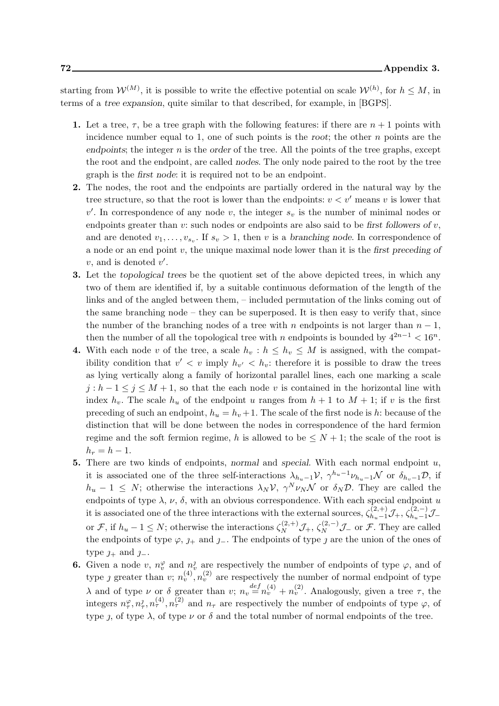starting from  $W^{(M)}$ , it is possible to write the effective potential on scale  $W^{(h)}$ , for  $h \leq M$ , in terms of a tree expansion, quite similar to that described, for example, in [BGPS].

- 1. Let a tree,  $\tau$ , be a tree graph with the following features: if there are  $n+1$  points with incidence number equal to 1, one of such points is the root; the other  $n$  points are the endpoints; the integer  $n$  is the order of the tree. All the points of the tree graphs, except the root and the endpoint, are called nodes. The only node paired to the root by the tree graph is the first node: it is required not to be an endpoint.
- 2. The nodes, the root and the endpoints are partially ordered in the natural way by the tree structure, so that the root is lower than the endpoints:  $v < v'$  means v is lower that  $v'$ . In correspondence of any node v, the integer  $s_v$  is the number of minimal nodes or endpoints greater than  $v:$  such nodes or endpoints are also said to be first followers of  $v$ , and are denoted  $v_1, \ldots, v_{s_v}$ . If  $s_v > 1$ , then v is a branching node. In correspondence of a node or an end point  $v$ , the unique maximal node lower than it is the first preceding of  $v$ , and is denoted  $v'$ .
- 3. Let the topological trees be the quotient set of the above depicted trees, in which any two of them are identified if, by a suitable continuous deformation of the length of the links and of the angled between them, – included permutation of the links coming out of the same branching node – they can be superposed. It is then easy to verify that, since the number of the branching nodes of a tree with n endpoints is not larger than  $n-1$ , then the number of all the topological tree with n endpoints is bounded by  $4^{2n-1} < 16^n$ .
- 4. With each node v of the tree, a scale  $h_v : h \leq h_v \leq M$  is assigned, with the compatibility condition that  $v' < v$  imply  $h_{v'} < h_v$ : therefore it is possible to draw the trees as lying vertically along a family of horizontal parallel lines, each one marking a scale  $j : h-1 \leq j \leq M+1$ , so that the each node v is contained in the horizontal line with index  $h_v$ . The scale  $h_u$  of the endpoint u ranges from  $h + 1$  to  $M + 1$ ; if v is the first preceding of such an endpoint,  $h_u = h_v + 1$ . The scale of the first node is h: because of the distinction that will be done between the nodes in correspondence of the hard fermion regime and the soft fermion regime, h is allowed to be  $\leq N+1$ ; the scale of the root is  $h_r = h - 1.$
- **5.** There are two kinds of endpoints, normal and special. With each normal endpoint  $u$ , it is associated one of the three self-interactions  $\lambda_{h_u-1}$  $\mathcal{V}, \gamma^{h_u-1}\nu_{h_u-1}\mathcal{N}$  or  $\delta_{h_v-1}\mathcal{D},$  if  $h_u - 1 \leq N$ ; otherwise the interactions  $\lambda_N V$ ,  $\gamma^N \nu_N \mathcal{N}$  or  $\delta_N \mathcal{D}$ . They are called the endpoints of type  $\lambda$ ,  $\nu$ ,  $\delta$ , with an obvious correspondence. With each special endpoint u it is associated one of the three interactions with the external sources,  $\zeta_{h_u-1}^{(2,+)}\mathcal{J}_+$ ,  $\zeta_{h_u-1}^{(2,-)}\mathcal{J}_$ or F, if  $h_u - 1 \leq N$ ; otherwise the interactions  $\zeta_N^{(2, +)}$   $\mathcal{J}_+$ ,  $\zeta_N^{(2, -)}$   $\mathcal{J}_-$  or F. They are called the endpoints of type  $\varphi$ ,  $\jmath_+$  and  $\jmath_-$ . The endpoints of type  $\jmath$  are the union of the ones of type  $j_+$  and  $j_-$ .
- **6.** Given a node v,  $n_v^{\varphi}$  and  $n_v^{\jmath}$  are respectively the number of endpoints of type  $\varphi$ , and of type *j* greater than *v*;  $n_v^{(4)}$ ,  $n_v^{(2)}$  are respectively the number of normal endpoint of type λ and of type ν or δ greater than v;  $n_v = n_v^{def}(n_v^{(4)} + n_v^{(2)})$ . Analogously, given a tree τ, the integers  $n_{\tau}^{\varphi}, n_{\tau}^j, n_{\tau}^{(4)}, n_{\tau}^{(2)}$  and  $n_{\tau}$  are respectively the number of endpoints of type  $\varphi$ , of type  $\lambda$ , of type  $\nu$  or  $\delta$  and the total number of normal endpoints of the tree.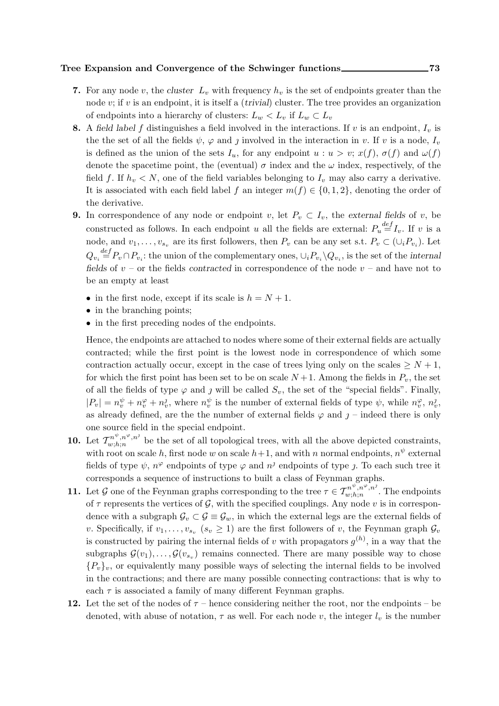### Tree Expansion and Convergence of the Schwinger functions 273

- 7. For any node v, the cluster  $L_v$  with frequency  $h_v$  is the set of endpoints greater than the node  $v$ ; if  $v$  is an endpoint, it is itself a *(trivial)* cluster. The tree provides an organization of endpoints into a hierarchy of clusters:  $L_w < L_v$  if  $L_w \subset L_v$
- 8. A field label f distinguishes a field involved in the interactions. If v is an endpoint,  $I_v$  is the the set of all the fields  $\psi$ ,  $\varphi$  and j involved in the interaction in v. If v is a node,  $I_v$ is defined as the union of the sets  $I_u$ , for any endpoint  $u : u > v$ ;  $x(f)$ ,  $\sigma(f)$  and  $\omega(f)$ denote the spacetime point, the (eventual)  $\sigma$  index and the  $\omega$  index, respectively, of the field f. If  $h_v < N$ , one of the field variables belonging to  $I_v$  may also carry a derivative. It is associated with each field label f an integer  $m(f) \in \{0, 1, 2\}$ , denoting the order of the derivative.
- **9.** In correspondence of any node or endpoint v, let  $P_v \subset I_v$ , the external fields of v, be constructed as follows. In each endpoint u all the fields are external:  $P_u \stackrel{def}{=} I_v$ . If v is a node, and  $v_1, \ldots, v_{s_v}$  are its first followers, then  $P_v$  can be any set s.t.  $P_v \subset (\cup_i P_{v_i})$ . Let  $Q_{v_i} \stackrel{def}{=} P_v \cap P_{v_i}$ : the union of the complementary ones,  $\cup_i P_{v_i} \backslash Q_{v_i}$ , is the set of the internal fields of  $v$  – or the fields contracted in correspondence of the node  $v$  – and have not to be an empty at least
	- in the first node, except if its scale is  $h = N + 1$ .
	- in the branching points;
	- in the first preceding nodes of the endpoints.

Hence, the endpoints are attached to nodes where some of their external fields are actually contracted; while the first point is the lowest node in correspondence of which some contraction actually occur, except in the case of trees lying only on the scales  $\geq N+1$ , for which the first point has been set to be on scale  $N+1$ . Among the fields in  $P_v$ , the set of all the fields of type  $\varphi$  and  $\jmath$  will be called  $S_v$ , the set of the "special fields". Finally,  $|P_v| = n_v^{\psi} + n_v^{\varphi} + n_v^{\jmath}$ , where  $n_v^{\psi}$  is the number of external fields of type  $\psi$ , while  $n_v^{\varphi}$ ,  $n_v^{\jmath}$ , as already defined, are the the number of external fields  $\varphi$  and  $j$  – indeed there is only one source field in the special endpoint.

- **10.** Let  $\mathcal{T}^{n^{\psi},n^{\varphi},n^{\jmath}}_{w;h;n}$  $\mathbb{R}^{n \times n \times n}$  be the set of all topological trees, with all the above depicted constraints, with root on scale h, first node w on scale  $h+1$ , and with n normal endpoints,  $n^{\psi}$  external fields of type  $\psi$ ,  $n^{\varphi}$  endpoints of type  $\varphi$  and  $n^j$  endpoints of type j. To each such tree it corresponds a sequence of instructions to built a class of Feynman graphs.
- **11.** Let G one of the Feynman graphs corresponding to the tree  $\tau \in \mathcal{T}^{n^{\psi},n^{\varphi},n^{\jmath}}_{w;h;n}$  $\binom{n}{w;h;n}$  The endpoints of  $\tau$  represents the vertices of  $\mathcal{G}$ , with the specified couplings. Any node v is in correspondence with a subgraph  $\mathcal{G}_v \subset \mathcal{G} \equiv \mathcal{G}_w$ , in which the external legs are the external fields of v. Specifically, if  $v_1, \ldots, v_{s_v}$   $(s_v \ge 1)$  are the first followers of v, the Feynman graph  $\mathcal{G}_v$ is constructed by pairing the internal fields of v with propagators  $g^{(h)}$ , in a way that the subgraphs  $\mathcal{G}(v_1), \ldots, \mathcal{G}(v_{s_v})$  remains connected. There are many possible way to chose  ${P_v}_v$ , or equivalently many possible ways of selecting the internal fields to be involved in the contractions; and there are many possible connecting contractions: that is why to each  $\tau$  is associated a family of many different Feynman graphs.
- 12. Let the set of the nodes of  $\tau$  hence considering neither the root, nor the endpoints be denoted, with abuse of notation,  $\tau$  as well. For each node v, the integer  $l_v$  is the number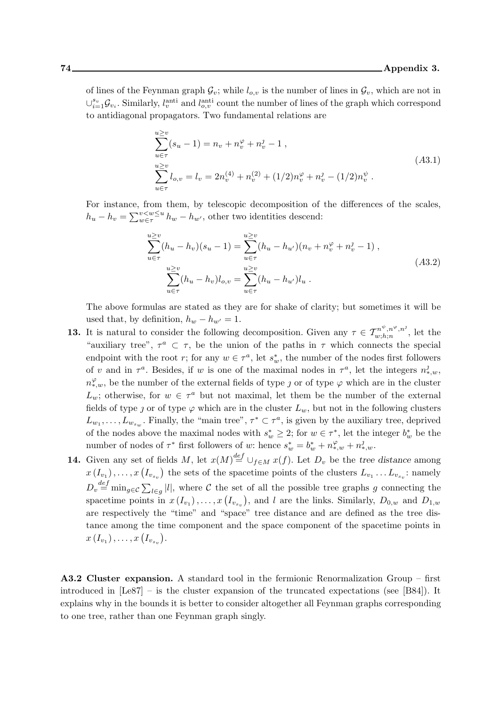of lines of the Feynman graph  $\mathcal{G}_v$ ; while  $l_{o,v}$  is the number of lines in  $\mathcal{G}_v$ , which are not in  $\cup_{i=1}^{s_v} \mathcal{G}_{v_i}$ . Similarly,  $l_v^{\text{anti}}$  and  $l_{o,v}^{\text{anti}}$  count the number of lines of the graph which correspond to antidiagonal propagators. Two fundamental relations are

$$
\sum_{u \in \tau}^{u \ge v} (s_u - 1) = n_v + n_v^{\varphi} + n_v^{\jmath} - 1,
$$
  
\n
$$
\sum_{u \ge v}^{u \ge v} l_{o,v} = l_v = 2n_v^{(4)} + n_v^{(2)} + (1/2)n_v^{\varphi} + n_v^{\jmath} - (1/2)n_v^{\psi}.
$$
\n(A3.1)

For instance, from them, by telescopic decomposition of the differences of the scales,  $h_u - h_v = \sum_{w \in \tau}^{v < w \le u} h_w - h_{w'}$ , other two identities descend:

$$
\sum_{u \in \tau}^{u \ge v} (h_u - h_v)(s_u - 1) = \sum_{u \in \tau}^{u \ge v} (h_u - h_{u'}) (n_v + n_v^{\varphi} + n_v^{\jmath} - 1),
$$
  

$$
\sum_{u \in \tau}^{u \ge v} (h_u - h_v) l_{o,v} = \sum_{u \in \tau}^{u \ge v} (h_u - h_{u'}) l_u.
$$
 (A3.2)

The above formulas are stated as they are for shake of clarity; but sometimes it will be used that, by definition,  $h_w - h_{w'} = 1$ .

- **13.** It is natural to consider the following decomposition. Given any  $\tau \in \mathcal{T}_{w,h;n}^{n^{\psi},n^{\varphi},n^{\vartheta}}$  $\binom{n}{w,h;n}$ , let the "auxiliary tree",  $\tau^a \subset \tau$ , be the union of the paths in  $\tau$  which connects the special endpoint with the root r; for any  $w \in \tau^a$ , let  $s_w^*$ , the number of the nodes first followers of v and in  $\tau^a$ . Besides, if w is one of the maximal nodes in  $\tau^a$ , let the integers  $n_{*,w}^j$ ,  $n_{*,w}^{\varphi}$ , be the number of the external fields of type  $\jmath$  or of type  $\varphi$  which are in the cluster  $L_w$ ; otherwise, for  $w \in \tau^a$  but not maximal, let them be the number of the external fields of type *j* or of type  $\varphi$  which are in the cluster  $L_w$ , but not in the following clusters  $L_{w_1}, \ldots, L_{w_{s_w}}$ . Finally, the "main tree",  $\tau^* \subset \tau^a$ , is given by the auxiliary tree, deprived of the nodes above the maximal nodes with  $s_w^* \geq 2$ ; for  $w \in \tau^*$ , let the integer  $b_w^*$  be the number of nodes of  $\tau^*$  first followers of w: hence  $s_w^* = b_w^* + n_{*,w}^{\varphi} + n_{*,w}^{\varphi}$ .
- **14.** Given any set of fields M, let  $x(M) \stackrel{def}{=} \bigcup_{f \in M} x(f)$ . Let  $D_v$  be the tree distance among  $x(I_{v_1}), \ldots, x(I_{v_{s_v}})$  the sets of the spacetime points of the clusters  $L_{v_1} \ldots L_{v_{s_v}}$ : namely  $D_v \stackrel{def}{=} \min_{g \in \mathcal{C}} \sum_{l \in g} |l|$ , where  $\mathcal C$  the set of all the possible tree graphs g connecting the spacetime points in  $x(I_{v_1}), \ldots, x(I_{v_{s_v}})$ , and l are the links. Similarly,  $D_{0,w}$  and  $D_{1,w}$ are respectively the "time" and "space" tree distance and are defined as the tree distance among the time component and the space component of the spacetime points in  $x(I_{v_1}), \ldots, x(I_{v_{s_v}}).$

A3.2 Cluster expansion. A standard tool in the fermionic Renormalization Group – first introduced in [Le87] – is the cluster expansion of the truncated expectations (see [B84]). It explains why in the bounds it is better to consider altogether all Feynman graphs corresponding to one tree, rather than one Feynman graph singly.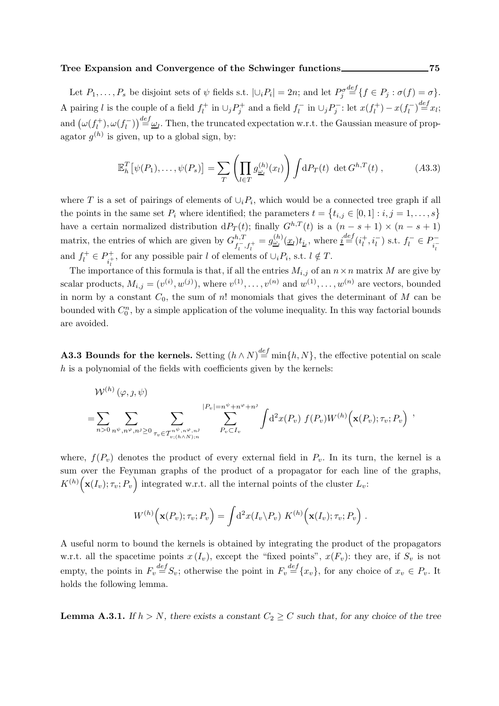### Tree Expansion and Convergence of the Schwinger functions 2001 2016

Let  $P_1, \ldots, P_s$  be disjoint sets of  $\psi$  fields s.t.  $|\cup_i P_i| = 2n$ ; and let  $P_j^{\sigma}$  $\stackrel{def}{=}\{f \in P_j : \sigma(f) = \sigma\}.$ A pairing l is the couple of a field  $f_l^+$  in  $\cup_j P_j^+$  and a field  $f_l^-$  in  $\cup_j P_j^-$ : let  $x(f_l^+) - x(f_l^-) \stackrel{\text{def}}{=} x_l$ ; and  $(\omega(f_l^+)$  $\left( \mu_l^+(t),\omega(f_l^-) \right) \stackrel{def}{=} \underline{\omega}_l.$  Then, the truncated expectation w.r.t. the Gaussian measure of propagator  $g^{(h)}$  is given, up to a global sign, by:

$$
\mathbb{E}_h^T[\psi(P_1),\ldots,\psi(P_s)] = \sum_T \left(\prod_{l\in T} g_{\underline{\omega}_l}^{(h)}(x_l)\right) \int dP_T(t) \det G^{h,T}(t) ,\qquad (A3.3)
$$

where T is a set of pairings of elements of  $\cup_i P_i$ , which would be a connected tree graph if all the points in the same set  $P_i$  where identified; the parameters  $t = \{t_{i,j} \in [0,1] : i,j = 1,\ldots,s\}$ have a certain normalized distribution d $P_T(t)$ ; finally  $G^{h,T}(t)$  is a  $(n-s+1) \times (n-s+1)$ matrix, the entries of which are given by  $G^{h,T}_{r-}$  $f_{i}^{h,T}f_{i}^{+}=g_{\underline{\omega}_{l}}^{(h)}(\underline{x}_{l})t_{\underline{i}_{l}}$ , where  $\underline{i}^{\underline{def}}(i_{l}^{+})$  $\left( \frac{1}{l}, i_{l}^{-} \right)$  s.t.  $f_{l}^{-} \in P_{i_{l}^{-}}^{-}$ and  $f_l^+ \in P_{i_l^+}^+$ <sup>1</sup>, for any possible pair l of elements of  $\cup_i P_i$ , s.t.  $l \notin T$ .

The importance of this formula is that, if all the entries  $M_{i,j}$  of an  $n \times n$  matrix M are give by scalar products,  $M_{i,j} = (v^{(i)}, w^{(j)})$ , where  $v^{(1)}, \ldots, v^{(n)}$  and  $w^{(1)}, \ldots, w^{(n)}$  are vectors, bounded in norm by a constant  $C_0$ , the sum of n! monomials that gives the determinant of M can be bounded with  $C_0^n$ , by a simple application of the volume inequality. In this way factorial bounds are avoided.

**A3.3 Bounds for the kernels.** Setting  $(h \wedge N)^{\text{def}} = \min\{h, N\}$ , the effective potential on scale  $h$  is a polynomial of the fields with coefficients given by the kernels:

$$
\mathcal{W}^{(h)}(\varphi, \jmath, \psi) = \sum_{n>0} \sum_{n \psi, n^{\varphi}, n^{\varphi} \ge 0} \sum_{\tau_v \in \mathcal{T}_{v;(h \wedge N);n}^{n^{\psi}, n^{\varphi}, n^{\varphi}} \sum_{P_v \subset I_v}^{|P_v| = n^{\psi} + n^{\varphi} + n^{\varphi}} \int d^2x (P_v) f(P_v) W^{(h)}(\mathbf{x}(P_v); \tau_v; P_v) ,
$$

where,  $f(P_v)$  denotes the product of every external field in  $P_v$ . In its turn, the kernel is a sum over the Feynman graphs of the product of a propagator for each line of the graphs,  $K^{(h)}\Big(\mathbf{x}(I_v); \tau_v; P_v\Big)$  integrated w.r.t. all the internal points of the cluster  $L_v$ :

$$
W^{(h)}\Big(\mathbf{x}(P_v); \tau_v; P_v\Big) = \int d^2x (I_v \backslash P_v) \; K^{(h)}\Big(\mathbf{x}(I_v); \tau_v; P_v\Big) \; .
$$

A useful norm to bound the kernels is obtained by integrating the product of the propagators w.r.t. all the spacetime points  $x(I_n)$ , except the "fixed points",  $x(F_n)$ : they are, if  $S_n$  is not empty, the points in  $F_v \stackrel{def}{=} S_v$ ; otherwise the point in  $F_v \stackrel{def}{=} \{x_v\}$ , for any choice of  $x_v \in P_v$ . It holds the following lemma.

**Lemma A.3.1.** If  $h > N$ , there exists a constant  $C_2 \geq C$  such that, for any choice of the tree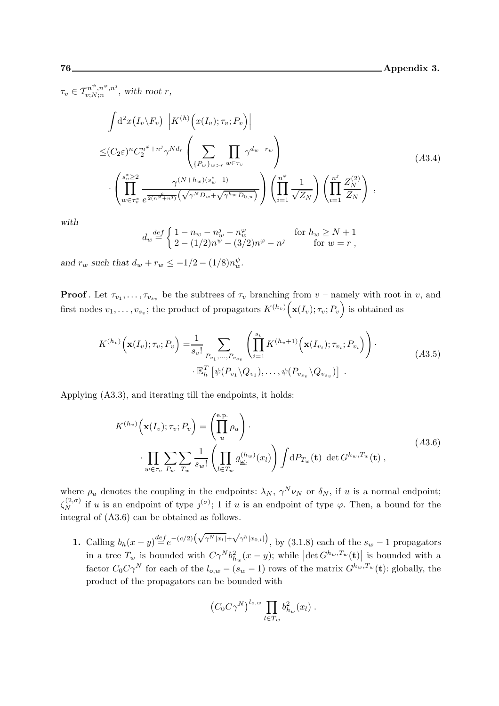$\tau_v \in \mathcal{T}^{n^{\psi},n^{\varphi},n^{\jmath}}_{v;N;n}$  $v: N; n^r, n^s$ , with root r,

$$
\int d^2x (I_v \backslash F_v) \left| K^{(h)} \left( x(I_v); \tau_v; P_v \right) \right|
$$
\n
$$
\leq (C_2 \varepsilon)^n C_2^{n^{\varphi} + n^j} \gamma^{N d_r} \left( \sum_{\{P_w\}_{w > r} w \in \tau_v} \prod_{w \in \tau_v} \gamma^{d_w + r_w} \right)
$$
\n
$$
\cdot \left( \prod_{w \in \tau_v^*}^{s_v^* \geq 2} \frac{\gamma^{(N+h_w)(s_w^* - 1)}}{e^{\frac{c}{2(n^{\varphi} + n^j)}} (\sqrt{\gamma^N D_w} + \sqrt{\gamma^{h_w} D_{0,w}})} \right) \left( \prod_{i=1}^{n^{\varphi}} \frac{1}{\sqrt{Z_N}} \right) \left( \prod_{i=1}^{n^j} \frac{Z_N^{(2)}}{Z_N} \right) ,
$$
\n(A3.4)

with

$$
d_w \stackrel{def}{=} \begin{cases} 1 - n_w - n_w^j - n_w^\varphi & \text{for } h_w \ge N + 1 \\ 2 - (1/2)n^\psi - (3/2)n^\varphi - n^j & \text{for } w = r \end{cases}
$$

and  $r_w$  such that  $d_w + r_w \le -1/2 - (1/8)n_w^{\psi}$ .

**Proof**. Let  $\tau_{v_1}, \ldots, \tau_{v_{s_v}}$  be the subtrees of  $\tau_v$  branching from  $v$  – namely with root in v, and first nodes  $v_1, \ldots, v_{s_v}$ ; the product of propagators  $K^{(h_v)}(\mathbf{x}(I_v); \tau_v; P_v)$  is obtained as

$$
K^{(h_v)}(\mathbf{x}(I_v); \tau_v; P_v) = \frac{1}{s_v!} \sum_{P_{v_1}, \dots, P_{v_{s_v}}} \left( \prod_{i=1}^{s_v} K^{(h_v+1)}(\mathbf{x}(I_{v_i}); \tau_{v_i}; P_{v_i}) \right).
$$
  
 
$$
\cdot \mathbb{E}_h^T \left[ \psi(P_{v_1} \setminus Q_{v_1}), \dots, \psi(P_{v_{s_v}} \setminus Q_{v_{s_v}}) \right].
$$
 (A3.5)

Applying (A3.3), and iterating till the endpoints, it holds:

$$
K^{(h_v)}\left(\mathbf{x}(I_v); \tau_v; P_v\right) = \left(\prod_u^{e.p.} \rho_u\right).
$$
  

$$
\cdot \prod_{w \in \tau_v} \sum_{P_w} \sum_{T_w} \frac{1}{s_w!} \left(\prod_{l \in T_w} g_{\underline{\omega}_l}^{(h_w)}(x_l)\right) \int dP_{T_w}(\mathbf{t}) \ \det G^{h_w, T_w}(\mathbf{t}), \tag{A3.6}
$$

where  $\rho_u$  denotes the coupling in the endpoints:  $\lambda_N$ ,  $\gamma^N \nu_N$  or  $\delta_N$ , if u is a normal endpoint;  $\zeta_N^{(2,\sigma)}$  if u is an endpoint of type  $\zeta^{(\sigma)}$ ; 1 if u is an endpoint of type  $\varphi$ . Then, a bound for the integral of (A3.6) can be obtained as follows.

1. Calling  $b_h(x-y) \stackrel{def}{=} e^{-(c/2)\left(\sqrt{\gamma^N|x_l|} + \sqrt{\gamma^h|x_{0,l}|}\right)},$  by (3.1.8) each of the  $s_w - 1$  propagators in a tree  $T_w$  is bounded with  $C\gamma^N b_{h_w}^2(x-y)$ ; while  $|\text{det } G^{h_w,T_w}(\mathbf{t})|$  is bounded with a factor  $C_0C\gamma^N$  for each of the  $l_{o,w} - (s_w - 1)$  rows of the matrix  $G^{h_w,T_w}(\mathbf{t})$ : globally, the product of the propagators can be bounded with

$$
(C_0 C \gamma^N)^{l_{o,w}} \prod_{l \in T_w} b_{h_w}^2(x_l) .
$$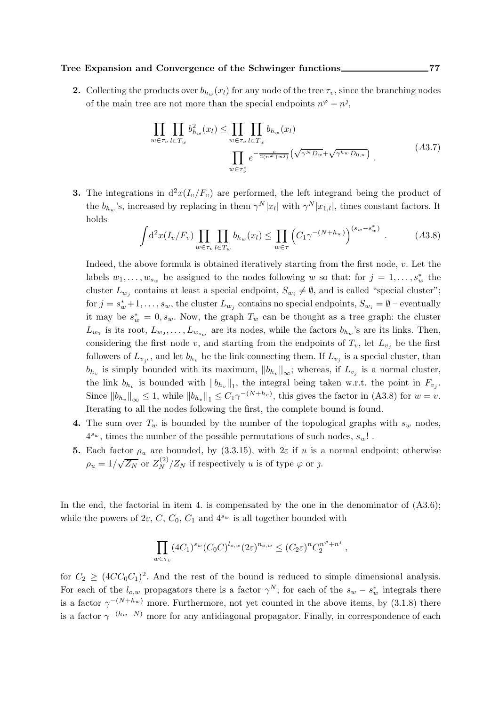### Tree Expansion and Convergence of the Schwinger functions 277

2. Collecting the products over  $b_{h_w}(x_l)$  for any node of the tree  $\tau_v$ , since the branching nodes of the main tree are not more than the special endpoints  $n^{\varphi} + n^j$ ,

$$
\prod_{w \in \tau_v} \prod_{l \in T_w} b_{h_w}^2(x_l) \le \prod_{w \in \tau_v} \prod_{l \in T_w} b_{h_w}(x_l)
$$
\n
$$
\prod_{w \in \tau_v^*} e^{-\frac{c}{2(n^{\varphi} + n^{\jmath})} \left(\sqrt{\gamma^N D_w} + \sqrt{\gamma^h w D_{0,w}}\right)}.
$$
\n(A3.7)

**3.** The integrations in  $d^2x(I_v/F_v)$  are performed, the left integrand being the product of the  $b_{h_w}$ 's, increased by replacing in them  $\gamma^N |x_l|$  with  $\gamma^N |x_{1,l}|$ , times constant factors. It holds

$$
\int d^2x (I_v/F_v) \prod_{w \in \tau_v} \prod_{l \in T_w} b_{h_w}(x_l) \leq \prod_{w \in \tau} \left( C_1 \gamma^{-(N+h_w)} \right)^{(s_w - s_w^*)} . \tag{A3.8}
$$

Indeed, the above formula is obtained iteratively starting from the first node,  $v$ . Let the labels  $w_1, \ldots, w_{s_w}$  be assigned to the nodes following w so that: for  $j = 1, \ldots, s_w^*$  the cluster  $L_{w_j}$  contains at least a special endpoint,  $S_{w_i} \neq \emptyset$ , and is called "special cluster"; for  $j = s_w^* + 1, \ldots, s_w$ , the cluster  $L_{w_j}$  contains no special endpoints,  $S_{w_i} = \emptyset$  – eventually it may be  $s_w^* = 0, s_w$ . Now, the graph  $T_w$  can be thought as a tree graph: the cluster  $L_{w_1}$  is its root,  $L_{w_2}, \ldots, L_{w_{s_w}}$  are its nodes, while the factors  $b_{h_w}$ 's are its links. Then, considering the first node v, and starting from the endpoints of  $T_v$ , let  $L_{v_i}$  be the first followers of  $L_{v_{j'}}$ , and let  $b_{h_v}$  be the link connecting them. If  $L_{v_j}$  is a special cluster, than  $b_{h_v}$  is simply bounded with its maximum,  $||b_{h_v}||_{\infty}$ ; whereas, if  $L_{v_j}$  is a normal cluster, the link  $b_{h_v}$  is bounded with  $||b_{h_v}||_1$ , the integral being taken w.r.t. the point in  $F_{v_j}$ . Since  $||b_{h_v}||_{\infty} \leq 1$ , while  $||b_{h_v}||_1 \leq C_1 \gamma^{-(N+h_v)}$ , this gives the factor in (A3.8) for  $w = v$ . Iterating to all the nodes following the first, the complete bound is found.

- 4. The sum over  $T_w$  is bounded by the number of the topological graphs with  $s_w$  nodes,  $4^{s_w},$  times the number of the possible permutations of such nodes,  $s_w!$  .
- **5.** Each factor  $\rho_u$  are bounded, by (3.3.15), with  $2\varepsilon$  if u is a normal endpoint; otherwise  $\rho_u = 1/\sqrt{Z_N}$  or  $Z_N^{(2)}/Z_N$  if respectively u is of type  $\varphi$  or j.

In the end, the factorial in item 4. is compensated by the one in the denominator of  $(A3.6)$ ; while the powers of  $2\varepsilon$ ,  $C$ ,  $C_0$ ,  $C_1$  and  $4^{s_w}$  is all together bounded with

$$
\prod_{w \in \tau_v} (4C_1)^{s_w} (C_0 C)^{l_{o,w}} (2\varepsilon)^{n_{o,w}} \le (C_2 \varepsilon)^n C_2^{n^{\varphi}+n^j},
$$

for  $C_2 \geq (4CC_0C_1)^2$ . And the rest of the bound is reduced to simple dimensional analysis. For each of the  $l_{o,w}$  propagators there is a factor  $\gamma^N$ ; for each of the  $s_w - s_w^*$  integrals there is a factor  $\gamma^{-(N+h_w)}$  more. Furthermore, not yet counted in the above items, by (3.1.8) there is a factor  $\gamma^{-(h_w-N)}$  more for any antidiagonal propagator. Finally, in correspondence of each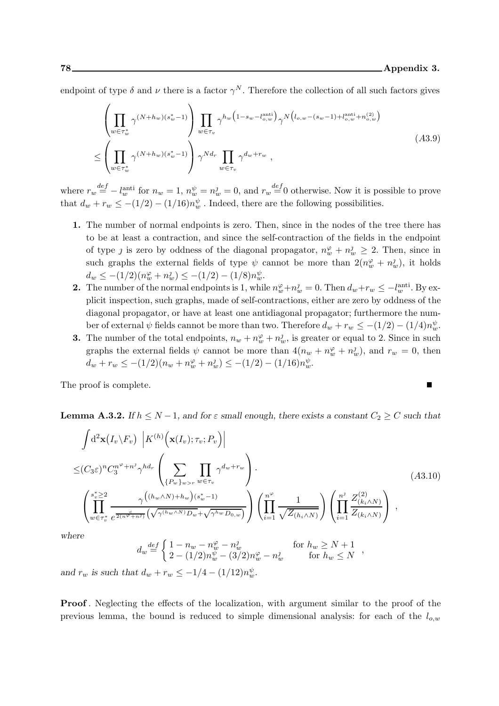$\blacksquare$ 

endpoint of type  $\delta$  and  $\nu$  there is a factor  $\gamma^N$ . Therefore the collection of all such factors gives

$$
\left(\prod_{w\in\tau_w^*} \gamma^{(N+h_w)(s_w^*-1)}\right) \prod_{w\in\tau_v} \gamma^{h_w\left(1-s_w-l_{o,w}^{\text{anti}}\right)} \gamma^{N\left(l_{o,w}-(s_w-1)+l_{o,w}^{\text{anti}}+n_{o,w}^{(2)}\right)}
$$
\n
$$
\leq \left(\prod_{w\in\tau_w^*} \gamma^{(N+h_w)(s_w^*-1)}\right) \gamma^{Nd_r} \prod_{w\in\tau_v} \gamma^{d_w+r_w},
$$
\n(A3.9)

where  $r_w \stackrel{def}{=} -l_w^{\text{anti}}$  for  $n_w = 1$ ,  $n_w^{\psi} = n_w^{\jmath} = 0$ , and  $r_w \stackrel{def}{=} 0$  otherwise. Now it is possible to prove that  $d_w + r_w \le -(1/2) - (1/16)n_w^{\psi}$ . Indeed, there are the following possibilities.

- 1. The number of normal endpoints is zero. Then, since in the nodes of the tree there has to be at least a contraction, and since the self-contraction of the fields in the endpoint of type *j* is zero by oddness of the diagonal propagator,  $n_w^{\varphi} + n_w^{\jmath} \geq 2$ . Then, since in such graphs the external fields of type  $\psi$  cannot be more than  $2(n_w^{\varphi} + n_w^{\jmath})$ , it holds  $d_w \leq -(1/2)(n_w^{\varphi} + n_w^{\jmath}) \leq -(1/2) - (1/8)n_w^{\psi}$ .
- **2.** The number of the normal endpoints is 1, while  $n_w^{\varphi} + n_w^{\jmath} = 0$ . Then  $d_w + r_w \le -l_w^{\text{anti}}$ . By explicit inspection, such graphs, made of self-contractions, either are zero by oddness of the diagonal propagator, or have at least one antidiagonal propagator; furthermore the number of external  $\psi$  fields cannot be more than two. Therefore  $d_w + r_w \le -(1/2) - (1/4)n_w^{\psi}$ .
- **3.** The number of the total endpoints,  $n_w + n_w^{\varphi} + n_w^{\jmath}$ , is greater or equal to 2. Since in such graphs the external fields  $\psi$  cannot be more than  $4(n_w + n_w^{\varphi} + n_w^{\jmath})$ , and  $r_w = 0$ , then  $d_w + r_w \leq -(1/2)(n_w + n_w^{\varphi} + n_w^{\jmath}) \leq -(1/2) - (1/16)n_w^{\psi}$ .

The proof is complete.

**Lemma A.3.2.** If  $h \leq N-1$ , and for  $\varepsilon$  small enough, there exists a constant  $C_2 \geq C$  such that

$$
\int d^{2} \mathbf{x} (I_{v} \setminus F_{v}) \left| K^{(h)} \left( \mathbf{x} (I_{v}); \tau_{v}; P_{v} \right) \right|
$$
\n
$$
\leq (C_{3} \varepsilon)^{n} C_{3}^{n^{\varphi} + n^{j}} \gamma^{h d_{r}} \left( \sum_{\{P_{w}\}_{w > r} w \in \tau_{v}} \prod_{w \in \tau_{v}} \gamma^{d_{w} + r_{w}} \right).
$$
\n
$$
\left( \prod_{w \in \tau_{v}^{*}}^{s_{w}^{*} \geq 2} \frac{\gamma \left( (h_{w} \wedge N) + h_{w} \right) (s_{w}^{*} - 1)}{\gamma^{d_{w} + h_{w}} \left( \sqrt{\gamma^{(h_{w} \wedge N)} D_{w}} + \sqrt{\gamma^{h_{w}} D_{0, w}}} \right)} \right) \left( \prod_{i=1}^{n^{\varphi}} \frac{1}{\sqrt{Z(h_{i} \wedge N)}} \right) \left( \prod_{i=1}^{n^{j}} \frac{Z_{(k_{i} \wedge N)}^{(2)}}{Z_{(k_{i} \wedge N)}} \right),
$$
\n(A3.10)

where

$$
d_w \stackrel{def}{=} \begin{cases} 1 - n_w - n_w^{\varphi} - n_w^{\jmath} & \text{for } h_w \ge N + 1 \\ 2 - (1/2)n_w^{\psi} - (3/2)n_w^{\varphi} - n_w^{\jmath} & \text{for } h_w \le N \end{cases}
$$

,

and  $r_w$  is such that  $d_w + r_w \le -1/4 - (1/12)n_w^{\psi}$ .

Proof . Neglecting the effects of the localization, with argument similar to the proof of the previous lemma, the bound is reduced to simple dimensional analysis: for each of the  $l_{o,w}$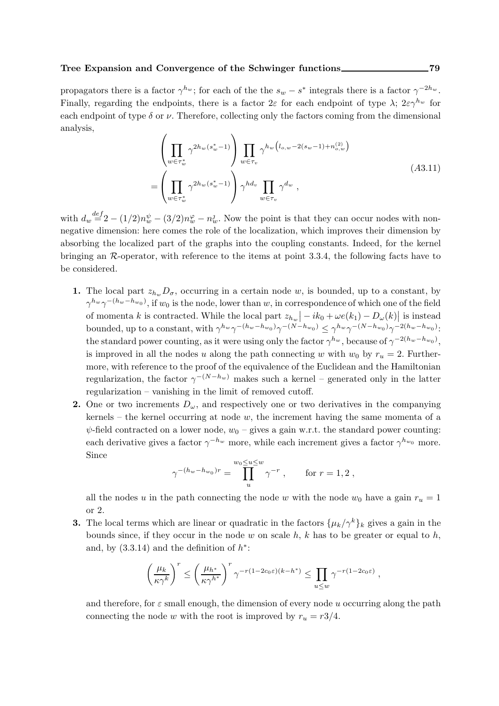propagators there is a factor  $\gamma^{h_w}$ ; for each of the the  $s_w - s^*$  integrals there is a factor  $\gamma^{-2h_w}$ . Finally, regarding the endpoints, there is a factor  $2\varepsilon$  for each endpoint of type  $\lambda$ ;  $2\varepsilon\gamma^{h_w}$  for each endpoint of type  $\delta$  or  $\nu$ . Therefore, collecting only the factors coming from the dimensional analysis,

$$
\left(\prod_{w \in \tau_w^*} \gamma^{2h_w(s_w^* - 1)}\right) \prod_{w \in \tau_v} \gamma^{h_w(l_{o,w} - 2(s_w - 1) + n_{o,w}^{(2)})}
$$
\n
$$
= \left(\prod_{w \in \tau_w^*} \gamma^{2h_w(s_w^* - 1)}\right) \gamma^{h d_v} \prod_{w \in \tau_v} \gamma^{d_w},
$$
\n(A3.11)

with  $d_w \stackrel{def}{=} 2 - (1/2)n_w^{\psi} - (3/2)n_w^{\varphi} - n_w^{\jmath}$ . Now the point is that they can occur nodes with nonnegative dimension: here comes the role of the localization, which improves their dimension by absorbing the localized part of the graphs into the coupling constants. Indeed, for the kernel bringing an R-operator, with reference to the items at point 3.3.4, the following facts have to be considered.

- 1. The local part  $z_{h_w} D_{\sigma}$ , occurring in a certain node w, is bounded, up to a constant, by  $\gamma^{h_w}\gamma^{-(h_w-h_{w_0})}$ , if  $w_0$  is the node, lower than  $w$ , in correspondence of which one of the field of momenta k is contracted. While the local part  $z_{h_w}$   $-ik_0 + \omega e(k_1) - D_{\omega}(k)$  is instead bounded, up to a constant, with  $\gamma^{h_w}\gamma^{-(h_w-h_{w_0})}\gamma^{-(N-h_{w_0})} \leq \gamma^{h_w}\gamma^{-(N-h_{w_0})}\gamma^{-2(h_w-h_{w_0})}$ : the standard power counting, as it were using only the factor  $\gamma^{h_w}$ , because of  $\gamma^{-2(h_w-h_{w_0})}$ , is improved in all the nodes u along the path connecting w with  $w_0$  by  $r_u = 2$ . Furthermore, with reference to the proof of the equivalence of the Euclidean and the Hamiltonian regularization, the factor  $\gamma^{-(N-h_w)}$  makes such a kernel – generated only in the latter regularization – vanishing in the limit of removed cutoff.
- 2. One or two increments  $D_{\omega}$ , and respectively one or two derivatives in the companying kernels – the kernel occurring at node  $w$ , the increment having the same momenta of a  $\psi$ -field contracted on a lower node,  $w_0$  – gives a gain w.r.t. the standard power counting: each derivative gives a factor  $\gamma^{-h_w}$  more, while each increment gives a factor  $\gamma^{h_{w_0}}$  more. Since

$$
\gamma^{-(h_w - h_{w_0})r} = \prod_{u}^{w_0 \le u \le w} \gamma^{-r} , \quad \text{for } r = 1, 2 ,
$$

all the nodes u in the path connecting the node w with the node  $w_0$  have a gain  $r_u = 1$ or 2.

**3.** The local terms which are linear or quadratic in the factors  $\{\mu_k/\gamma^k\}_k$  gives a gain in the bounds since, if they occur in the node  $w$  on scale  $h$ ,  $k$  has to be greater or equal to  $h$ , and, by  $(3.3.14)$  and the definition of  $h^*$ :

$$
\left(\frac{\mu_k}{\kappa \gamma^k}\right)^r \le \left(\frac{\mu_{h^*}}{\kappa \gamma^{h^*}}\right)^r \gamma^{-r(1-2c_0\varepsilon)(k-h^*)} \le \prod_{u \le w} \gamma^{-r(1-2c_0\varepsilon)},
$$

and therefore, for  $\varepsilon$  small enough, the dimension of every node u occurring along the path connecting the node w with the root is improved by  $r_u = r^2/4$ .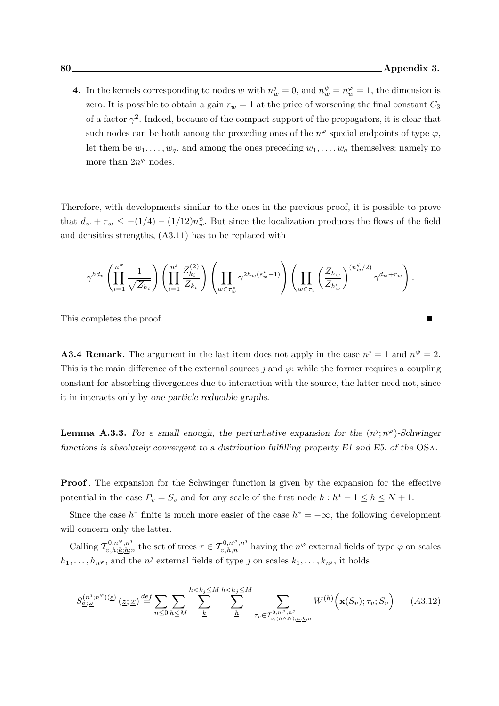$\blacksquare$ 

4. In the kernels corresponding to nodes w with  $n_w^j = 0$ , and  $n_w^{\psi} = n_w^{\varphi} = 1$ , the dimension is zero. It is possible to obtain a gain  $r_w = 1$  at the price of worsening the final constant  $C_3$ of a factor  $\gamma^2$ . Indeed, because of the compact support of the propagators, it is clear that such nodes can be both among the preceding ones of the  $n^{\varphi}$  special endpoints of type  $\varphi$ , let them be  $w_1, \ldots, w_q$ , and among the ones preceding  $w_1, \ldots, w_q$  themselves: namely no more than  $2n^{\varphi}$  nodes.

Therefore, with developments similar to the ones in the previous proof, it is possible to prove that  $d_w + r_w \le -(1/4) - (1/12)n_w^{\psi}$ . But since the localization produces the flows of the field and densities strengths, (A3.11) has to be replaced with

$$
\gamma^{hd_v}\left(\prod_{i=1}^{n^\varphi}\frac{1}{\sqrt{Z_{h_i}}}\right)\left(\prod_{i=1}^{n^j}\frac{Z^{(2)}_{k_i}}{Z_{k_i}}\right)\left(\prod_{w\in\tau^*_w}\gamma^{2h_w(s_w^*-1)}\right)\left(\prod_{w\in\tau_v}\left(\frac{Z_{h_w}}{Z_{h'_w}}\right)^{(n_w^{\psi}/2)}\gamma^{d_w+r_w}\right).
$$

This completes the proof.

**A3.4 Remark.** The argument in the last item does not apply in the case  $n^j = 1$  and  $n^{\psi} = 2$ . This is the main difference of the external sources  $\jmath$  and  $\varphi$ : while the former requires a coupling constant for absorbing divergences due to interaction with the source, the latter need not, since it in interacts only by one particle reducible graphs.

**Lemma A.3.3.** For  $\varepsilon$  small enough, the perturbative expansion for the  $(n^j; n^{\varphi})$ -Schwinger functions is absolutely convergent to a distribution fulfilling property E1 and E5. of the OSa.

Proof . The expansion for the Schwinger function is given by the expansion for the effective potential in the case  $P_v = S_v$  and for any scale of the first node  $h : h^* - 1 \le h \le N + 1$ .

Since the case  $h^*$  finite is much more easier of the case  $h^* = -\infty$ , the following development will concern only the latter.

Calling  $\mathcal{T}_{v,h;\underline{k};\underline{k};\underline{h}}^{0,n^\varphi,n^\jmath}$  $\tau_{v,h;\underline{k};\underline{h};n}^{0,n^{\varphi},n^{j}}$  the set of trees  $\tau \in \mathcal{T}_{v,h,n}^{0,n^{\varphi},n^{j}}$  having the  $n^{\varphi}$  external fields of type  $\varphi$  on scales  $h_1, \ldots, h_{n^{\varphi}}$ , and the  $n^j$  external fields of type *j* on scales  $k_1, \ldots, k_{n^j}$ , it holds

$$
S_{\underline{\sigma};\underline{\omega}}^{(n^j;n^{\varphi})(\underline{\varepsilon})}(\underline{z};\underline{x}) \stackrel{def}{=} \sum_{n\leq 0} \sum_{h\leq M} \sum_{k=1}^{h < k_j \leq M} \sum_{k=1}^{h < h_j \leq M} \sum_{\tau_v \in \mathcal{T}_{v,(h\wedge N);\underline{h};\underline{k};n}^0} W^{(h)}\Big(\mathbf{x}(S_v); \tau_v; S_v\Big) \tag{A3.12}
$$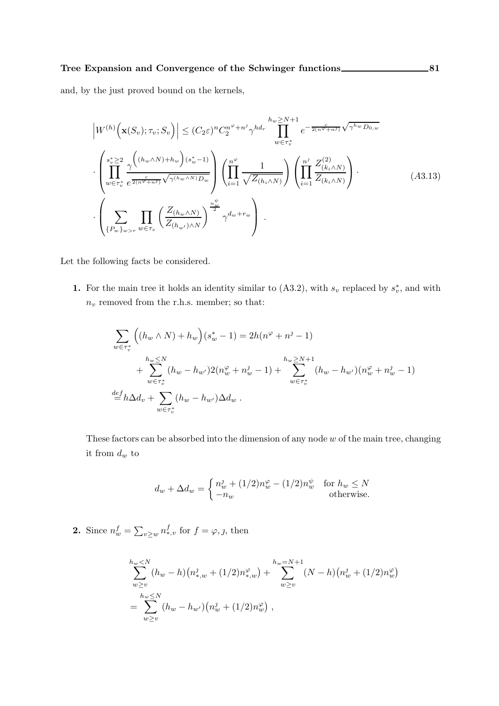and, by the just proved bound on the kernels,

$$
\left| W^{(h)}\left(\mathbf{x}(S_v); \tau_v; S_v\right) \right| \leq (C_2 \varepsilon)^n C_2^{n^{\varphi}+n^j} \gamma^{hd_r} \prod_{w \in \tau_v^*}^{h_w \geq N+1} e^{-\frac{c}{2(n^{\varphi}+n^j)} \sqrt{\gamma^{hw} D_{0,w}}}
$$

$$
\cdot \left( \prod_{w \in \tau_v^*}^{s_v^* \geq 2} \frac{\gamma^{((h_w \wedge N)+h_w)(s_w^*-1)}}{e^{\frac{c}{2(n^{\varphi}+n^j)}\sqrt{\gamma^{(h_w \wedge N)} D_w}}} \right) \left( \prod_{i=1}^{n^{\varphi}} \frac{1}{\sqrt{Z_{(h_i \wedge N)}}} \right) \left( \prod_{i=1}^{n^j} \frac{Z_{(k_i \wedge N)}^{(2)}}{Z_{(k_i \wedge N)}} \right).
$$
(A3.13)
$$
\cdot \left( \sum_{\{P_w\}_{w>r}} \prod_{w \in \tau_v} \left( \frac{Z_{(h_w \wedge N)}}{Z_{(h_w \wedge N)} \sqrt{\gamma^{(h_w \wedge N)} D_w}} \right)^{\frac{n_w^{\psi}}{2}} \gamma^{d_w+r_w} \right).
$$

Let the following facts be considered.

**1.** For the main tree it holds an identity similar to  $(A3.2)$ , with  $s_v$  replaced by  $s_v^*$ , and with  $n_v$  removed from the r.h.s. member; so that:

$$
\sum_{w \in \tau_v^*} \left( (h_w \wedge N) + h_w \right) (s_w^* - 1) = 2h(n^{\varphi} + n^{\jmath} - 1) \n+ \sum_{w \in \tau_v^*} \frac{h_w \le N}{(h_w - h_{w'})^2 (n_w^{\varphi} + n_w^{\jmath} - 1) + \sum_{w \in \tau_v^*} \frac{h_w \ge N + 1}{(h_w - h_{w'}) (n_w^{\varphi} + n_w^{\jmath} - 1)} \n= h \Delta d_v + \sum_{w \in \tau_v^*} (h_w - h_{w'}) \Delta d_w.
$$

These factors can be absorbed into the dimension of any node  $w$  of the main tree, changing it from  $d_w$  to

$$
d_w + \Delta d_w = \begin{cases} n_w^j + (1/2)n_w^{\varphi} - (1/2)n_w^{\psi} & \text{for } h_w \le N \\ -n_w & \text{otherwise.} \end{cases}
$$

**2.** Since  $n_w^f = \sum_{v \geq w} n_{*,v}^f$  for  $f = \varphi, \jmath$ , then

$$
\sum_{w\geq v}^{h_w < N} (h_w - h) (n_{*,w}^j + (1/2)n_{*,w}^\varphi) + \sum_{w\geq v}^{h_w = N+1} (N - h) (n_w^j + (1/2)n_w^\varphi)
$$
\n
$$
= \sum_{w\geq v}^{h_w \leq N} (h_w - h_{w'}) (n_w^j + (1/2)n_w^\varphi) ,
$$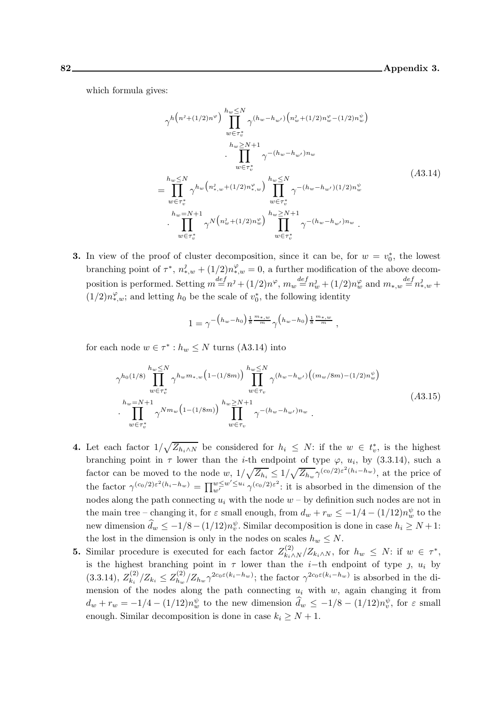which formula gives:

$$
\gamma^{h(n^{j}+(1/2)n^{\varphi})} \prod_{w \in \tau_{v}^{*}}^{h_{w} \leq N} \gamma^{(h_{w}-h_{w'}) \left( n_{w}^{j}+(1/2)n_{w}^{\varphi}-(1/2)n_{w}^{\psi} \right)} \prod_{w \in \tau_{v}^{*}}^{h_{w} \leq N+1} \cdot \prod_{w \in \tau_{v}^{*}}^{h_{w} \leq N+1} \gamma^{-(h_{w}-h_{w'})n_{w}} \prod_{w \in \tau_{v}^{*}}^{h_{w} \leq N} \gamma^{h_{w}(n_{*,w}^{j}+(1/2)n_{*,w}^{\varphi})} \prod_{w \in \tau_{v}^{*}}^{h_{w} \leq N} \gamma^{-(h_{w}-h_{w'})(1/2)n_{w}^{\psi}} \cdot \prod_{w \in \tau_{v}^{*}}^{h_{w} \leq N+1} \cdot \prod_{w \in \tau_{v}^{*}}^{h_{w} \leq N+1} \gamma^{N(n_{w}^{j}+(1/2)n_{w}^{\varphi})} \prod_{w \in \tau_{v}^{*}}^{h_{w} \geq N+1} \gamma^{-(h_{w}-h_{w'})n_{w}}.
$$
\n(A3.14)

**3.** In view of the proof of cluster decomposition, since it can be, for  $w = v_0^*$ , the lowest branching point of  $\tau^*$ ,  $n_{*,w}^j + (1/2)n_{*,w}^\varphi = 0$ , a further modification of the above decomposition is performed. Setting  $m \stackrel{def}{=} n^j + (1/2)n^{\varphi}$ ,  $m_w \stackrel{def}{=} n_w^j + (1/2)n_w^{\varphi}$  and  $m_{*,w} \stackrel{def}{=} n_{*,w}^j +$  $(1/2)n_{*,w}^{\varphi}$ ; and letting  $h_0$  be the scale of  $v_0^*$ , the following identity

$$
1 = \gamma^{-\left(h_w - h_0\right)\frac{1}{8} \frac{m_{*,w}}{m}} \gamma^{\left(h_w - h_0\right)\frac{1}{8} \frac{m_{*,w}}{m}},
$$

for each node  $w \in \tau^* : h_w \leq N$  turns (A3.14) into

$$
\gamma^{h_0(1/8)} \prod_{w \in \tau_v^*}^{h_w \le N} \gamma^{h_w m_{*,w} (1 - (1/8m))} \prod_{w \in \tau_v}^{h_w \le N} \gamma^{(h_w - h_{w'}) \left( (m_w / 8m) - (1/2) n_w^{\psi} \right)} \cdot \prod_{w \in \tau_v^*}^{h_w \le N+1} \gamma^{N m_w (1 - (1/8m))} \prod_{w \in \tau_v}^{h_w \ge N+1} \gamma^{-(h_w - h_{w'}) n_w} . \tag{A3.15}
$$

- 4. Let each factor  $1/\sqrt{Z_{h_i\wedge N}}$  be considered for  $h_i \leq N$ : if the  $w \in t_v^*$ , is the highest branching point in  $\tau$  lower than the *i*-th endpoint of type  $\varphi$ ,  $u_i$ , by (3.3.14), such a factor can be moved to the node  $w$ ,  $1/\sqrt{Z_{h_i}} \leq 1/\sqrt{Z_{h_w}} \gamma^{(c_0/2)\varepsilon^2(h_i-h_w)}$ , at the price of the factor  $\gamma^{(c_0/2)\varepsilon^2(h_i-h_w)}=\prod_{w'}^{w\leq w'\leq u_i}\gamma^{(c_0/2)\varepsilon^2}$ : it is absorbed in the dimension of the nodes along the path connecting  $u_i$  with the node  $w - by$  definition such nodes are not in the main tree – changing it, for  $\varepsilon$  small enough, from  $d_w + r_w \leq -1/4 - (1/12)n_w^{\psi}$  to the new dimension  $\hat{d}_w \leq -1/8 - (1/12)n_v^{\psi}$ . Similar decomposition is done in case  $h_i \geq N+1$ : the lost in the dimension is only in the nodes on scales  $h_w \leq N$ .
- **5.** Similar procedure is executed for each factor  $Z_{k_i \wedge N}^{(2)}/Z_{k_i \wedge N}$ , for  $h_w \leq N$ : if  $w \in \tau^*$ , is the highest branching point in  $\tau$  lower than the *i*-th endpoint of type *j*,  $u_i$  by  $(3.3.14), Z_{k_i}^{(2)}$  $\frac{1}{k_i}$ ,  $Z_{k_i} \leq Z_{h_w}^{(2)}$  $\int_{h_w}^{(2)} \frac{Z_{h_w}}{\gamma^{2c_0\varepsilon(k_i-h_w)}}$ ; the factor  $\gamma^{2c_0\varepsilon(k_i-h_w)}$  is absorbed in the dimension of the nodes along the path connecting  $u_i$  with w, again changing it from  $d_w + r_w = -1/4 - (1/12)n_w^{\psi}$  to the new dimension  $\hat{d}_w \leq -1/8 - (1/12)n_v^{\psi}$ , for  $\varepsilon$  small enough. Similar decomposition is done in case  $k_i \geq N + 1$ .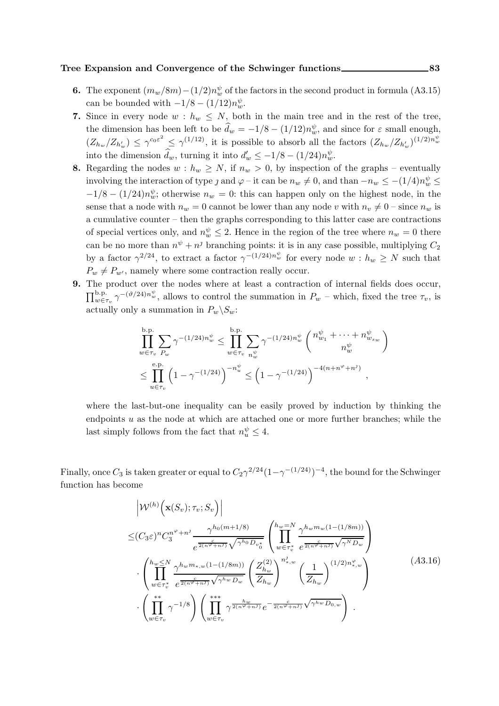### Tree Expansion and Convergence of the Schwinger functions \_\_\_\_\_\_\_\_\_\_\_\_\_\_\_\_\_\_\_\_\_\_\_83

- **6.** The exponent  $(m_w/8m) (1/2)n_w^{\psi}$  of the factors in the second product in formula (A3.15) can be bounded with  $-1/8 - (1/12)n_w^{\psi}$ .
- 7. Since in every node  $w : h_w \leq N$ , both in the main tree and in the rest of the tree, the dimension has been left to be  $\hat{d}_w = -1/8 - (1/12)n_w^{\psi}$ , and since for  $\varepsilon$  small enough,  $(Z_{h_w}/Z_{h'_w}) \leq \gamma^{c_0 \varepsilon^2} \leq \gamma^{(1/12)}$ , it is possible to absorb all the factors  $(Z_{h_w}/Z_{h'_w})^{(1/2)n_w^{\psi}}$ into the dimension  $d_w$ , turning it into  $d'_w \leq -1/8 - (1/24)n_w^{\psi}$ .
- 8. Regarding the nodes  $w : h_w \geq N$ , if  $n_w > 0$ , by inspection of the graphs eventually involving the interaction of type *j* and  $\varphi$  – it can be  $n_w \neq 0$ , and than  $-n_w \leq -(1/4)n_w^{\psi} \leq$  $-1/8 - (1/24)n_w^{\psi}$ ; otherwise  $n_w = 0$ : this can happen only on the highest node, in the sense that a node with  $n_w = 0$  cannot be lower than any node v with  $n_v \neq 0$  – since  $n_w$  is a cumulative counter – then the graphs corresponding to this latter case are contractions of special vertices only, and  $n_w^{\psi} \leq 2$ . Hence in the region of the tree where  $n_w = 0$  there can be no more than  $n^{\psi} + n^{\jmath}$  branching points: it is in any case possible, multiplying  $C_2$ by a factor  $\gamma^{2/24}$ , to extract a factor  $\gamma^{-(1/24)n_w^{\psi}}$  for every node  $w : h_w \geq N$  such that  $P_w \neq P_{w'}$ , namely where some contraction really occur.
- 9. The product over the nodes where at least a contraction of internal fields does occur,  $\prod_{w \in \tau_v}^{b,p} \gamma^{-(\vartheta/24)n_w^{\psi}}$ , allows to control the summation in  $P_w$  – which, fixed the tree  $\tau_v$ , is actually only a summation in  $P_w\backslash S_w$ :

b.p.  
\n
$$
\prod_{w \in \tau_v} \sum_{P_w} \gamma^{-(1/24)n_w^{\psi}} \le \prod_{w \in \tau_v} \sum_{n_w^{\psi}} \gamma^{-(1/24)n_w^{\psi}} \binom{n_{w_1}^{\psi} + \dots + n_{w_{s_w}}^{\psi}}{n_w^{\psi}}
$$
\n
$$
\le \prod_{u \in \tau_v}^{\text{e.p.}} \left(1 - \gamma^{-(1/24)}\right)^{-n_u^{\psi}} \le \left(1 - \gamma^{-(1/24)}\right)^{-4(n + n^{\varphi} + n^{\jmath})},
$$

where the last-but-one inequality can be easily proved by induction by thinking the endpoints  $u$  as the node at which are attached one or more further branches; while the last simply follows from the fact that  $n_u^{\psi} \leq 4$ .

Finally, once  $C_3$  is taken greater or equal to  $C_2 \gamma^{2/24} (1 - \gamma^{-(1/24)})^{-4}$ , the bound for the Schwinger function has become

$$
\begin{split}\n&= \left| \mathcal{W}^{(h)} \left( \mathbf{x}(S_v); \tau_v; S_v \right) \right| \\
&\leq \left( C_3 \varepsilon \right)^n C_3^{n^{\varphi} + n^j} \frac{\gamma^{h_0(m+1/8)}}{e^{\frac{c}{2(n^{\varphi} + n^j)}} \sqrt{\gamma^{h_0} D_{v_0^*}}} \left( \prod_{w \in \tau_v^*}^{h_w = N} \frac{\gamma^{h_w m_w (1 - (1/8m))}}{e^{\frac{c}{2(n^{\varphi} + n^j)}} \sqrt{\gamma^{N} D_{w}}} \right) \\
&\cdot \left( \prod_{w \in \tau_v^*}^{h_w \leq N} \frac{\gamma^{h_w m_{*,w} (1 - (1/8m))}}{e^{\frac{c}{2(n^{\varphi} + n^j)}} \sqrt{\gamma^{h_w} D_{w}}} \left( \frac{Z_{h_w}^{(2)}}{Z_{h_w}} \right)^{n_{*,w}^j} \left( \frac{1}{Z_{h_w}} \right)^{(1/2) n_{*,w}^{\varphi}} \right) \\
&\cdot \left( \prod_{w \in \tau_v}^{**} \gamma^{-1/8} \right) \left( \prod_{w \in \tau_v}^{***} \gamma^{\frac{h_w}{2(n^{\varphi} + n^j)}} e^{-\frac{h_w}{2(n^{\varphi} + n^j)}} \sqrt{\gamma^{h_w} D_{0,w}} \right) .\n\end{split} \tag{A3.16}
$$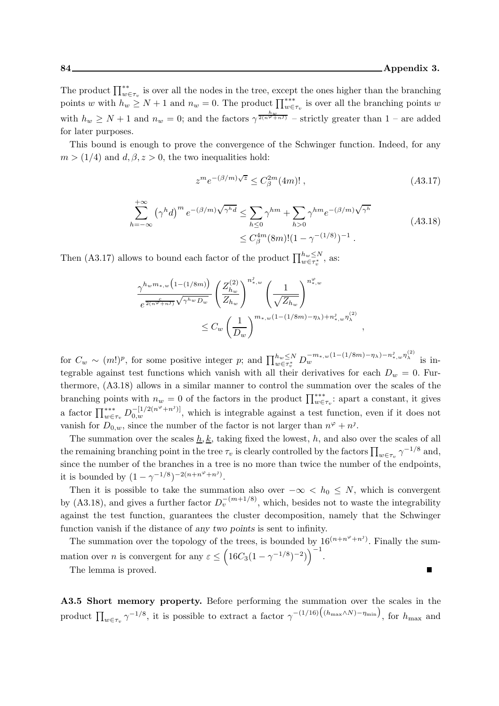The product  $\prod_{w \in \tau_v}^{**}$  is over all the nodes in the tree, except the ones higher than the branching points w with  $h_w \ge N+1$  and  $n_w = 0$ . The product  $\prod_{w \in \tau_v}^{**}$  is over all the branching points w with  $h_w \ge N+1$  and  $n_w = 0$ ; and the factors  $\gamma^{\frac{h_w}{2(n\varphi+n\gamma)}}$  – strictly greater than 1 – are added for later purposes.

This bound is enough to prove the convergence of the Schwinger function. Indeed, for any  $m > (1/4)$  and  $d, \beta, z > 0$ , the two inequalities hold:

$$
z^m e^{-(\beta/m)\sqrt{z}} \le C_\beta^{2m}(4m)!,\tag{A3.17}
$$

,

$$
\sum_{h=-\infty}^{+\infty} (\gamma^h d)^m e^{-(\beta/m)\sqrt{\gamma^h d}} \le \sum_{h \le 0} \gamma^{hm} + \sum_{h > 0} \gamma^{hm} e^{-(\beta/m)\sqrt{\gamma^h}} \tag{A3.18}
$$
  

$$
\le C_{\beta}^{4m} (8m)! (1 - \gamma^{-(1/8)})^{-1} .
$$

Then (A3.17) allows to bound each factor of the product  $\prod_{w \in \tau_v^*}^{h_w \leq N}$ , as:

$$
\frac{\gamma^{h_w m_{*,w} \left(1-(1/8m)\right)}}{e^{\frac{c}{2(n\varphi+n\Im)}\sqrt{\gamma^{h_w}D_w}}}\left(\frac{Z_{h_w}^{(2)}}{Z_{h_w}}\right)^{n_{*,w}^2}\left(\frac{1}{\sqrt{Z_{h_w}}}\right)^{n_{*,w}^{\varphi}}\n\leq C_w \left(\frac{1}{D_w}\right)^{m_{*,w}\left(1-(1/8m)-\eta_\lambda\right)+n_{*,w}^2\eta_\lambda^{(2)}}
$$

for  $C_w \sim (m!)^p$ , for some positive integer p; and  $\prod_{w \in \tau_v^*}^{h_w \le N} D_w^{-m_{*,w}(1-(1/8m)-\eta_\lambda)-n_{*,w}^j \eta_\lambda^{(2)}}$  is integrable against test functions which vanish with all their derivatives for each  $D_w = 0$ . Furthermore, (A3.18) allows in a similar manner to control the summation over the scales of the branching points with  $n_w = 0$  of the factors in the product  $\prod_{w \in \tau_v}^{***}$ : apart a constant, it gives a factor  $\prod_{w \in \tau_v}^{***} D_{0,w}^{-[1/2(n^{\varphi}+n^j)]}$ , which is integrable against a test function, even if it does not vanish for  $D_{0,w}$ , since the number of the factor is not larger than  $n^{\varphi} + n^{\jmath}$ .

The summation over the scales  $\underline{h}, \underline{k}$ , taking fixed the lowest, h, and also over the scales of all the remaining branching point in the tree  $\tau_v$  is clearly controlled by the factors  $\prod_{w \in \tau_v} \gamma^{-1/8}$  and, since the number of the branches in a tree is no more than twice the number of the endpoints, it is bounded by  $(1 - \gamma^{-1/8})^{-2(n + n^{\varphi} + n^{\jmath})}$ .

Then it is possible to take the summation also over  $-\infty < h_0 \leq N$ , which is convergent by (A3.18), and gives a further factor  $D_v^{-(m+1/8)}$ , which, besides not to waste the integrability against the test function, guarantees the cluster decomposition, namely that the Schwinger function vanish if the distance of any two points is sent to infinity.

The summation over the topology of the trees, is bounded by  $16^{(n+n^{\varphi}+n^{\jmath})}$ . Finally the summation over *n* is convergent for any  $\varepsilon \leq (16C_3(1-\gamma^{-1/8})^{-2})^{-1}$ .  $\blacksquare$ 

The lemma is proved.

A3.5 Short memory property. Before performing the summation over the scales in the product  $\prod_{w \in \tau_v} \gamma^{-1/8}$ , it is possible to extract a factor  $\gamma^{-(1/16)}((h_{\max} \wedge N)-\eta_{\min})$ , for  $h_{\max}$  and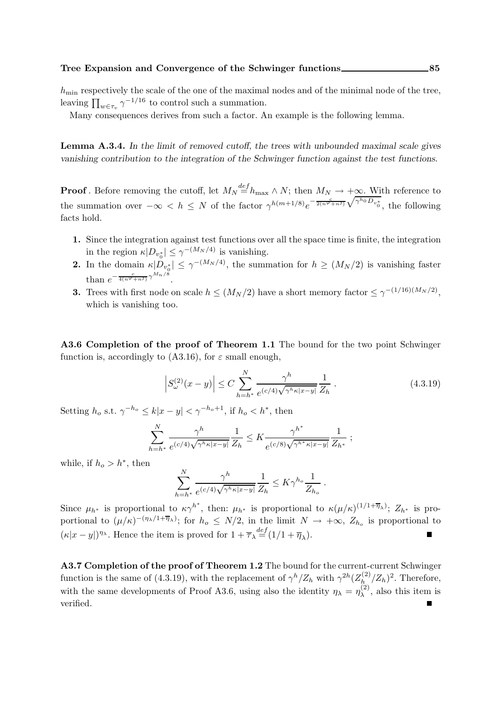$h_{\min}$  respectively the scale of the one of the maximal nodes and of the minimal node of the tree, leaving  $\prod_{w \in \tau_v} \gamma^{-1/16}$  to control such a summation.

Many consequences derives from such a factor. An example is the following lemma.

Lemma A.3.4. In the limit of removed cutoff, the trees with unbounded maximal scale gives vanishing contribution to the integration of the Schwinger function against the test functions.

**Proof**. Before removing the cutoff, let  $M_N \stackrel{def}{=} h_{\text{max}} \wedge N$ ; then  $M_N \rightarrow +\infty$ . With reference to the summation over  $-\infty < h \leq N$  of the factor  $\gamma^{h(m+1/8)}e^{-\frac{c}{2(n^{\varphi}+n^{\jmath})}\sqrt{\gamma^{h_0}D_{v_0^*}}},$  the following facts hold.

- 1. Since the integration against test functions over all the space time is finite, the integration in the region  $\kappa |D_{v_0^*}| \leq \gamma^{-(M_N/4)}$  is vanishing.
- **2.** In the domain  $\kappa |D_{v_0^*}| \leq \gamma^{-(M_N/4)}$ , the summation for  $h \geq (M_N/2)$  is vanishing faster than  $e^{-\frac{c}{4(n\varphi+n\vartheta)}\gamma^{M_n/8}}$ .
- **3.** Trees with first node on scale  $h \leq (M_N/2)$  have a short memory factor  $\leq \gamma^{-(1/16)(M_N/2)}$ , which is vanishing too.

A3.6 Completion of the proof of Theorem 1.1 The bound for the two point Schwinger function is, accordingly to (A3.16), for  $\varepsilon$  small enough,

$$
\left| S_{\omega}^{(2)}(x-y) \right| \le C \sum_{h=h^*}^{N} \frac{\gamma^h}{e^{(c/4)\sqrt{\gamma^h \kappa |x-y|}}} \frac{1}{Z_h} \,. \tag{4.3.19}
$$

Setting  $h_o$  s.t.  $\gamma^{-h_o} \le k|x-y| < \gamma^{-h_o+1}$ , if  $h_o < h^*$ , then

$$
\sum_{h=h^*}^N \frac{\gamma^h}{e^{(c/4)\sqrt{\gamma^h \kappa |x-y|}}} \frac{1}{Z_h} \leq K \frac{\gamma^{h^*}}{e^{(c/8)\sqrt{\gamma^{h^*} \kappa |x-y|}}} \frac{1}{Z_{h^*}} \ ;
$$

while, if  $h_o > h^*$ , then

$$
\sum_{h=h^*}^N \frac{\gamma^h}{e^{(c/4)\sqrt{\gamma^h \kappa |x-y|}}} \frac{1}{Z_h} \leq K \gamma^{h_o} \frac{1}{Z_{h_o}}.
$$

Since  $\mu_{h^*}$  is proportional to  $\kappa \gamma^{h^*}$ , then:  $\mu_{h^*}$  is proportional to  $\kappa (\mu/\kappa)^{(1/1+\overline{\eta}_\lambda)}$ ;  $Z_{h^*}$  is proportional to  $(\mu/\kappa)^{-(\eta_\lambda/1+\overline{\eta}_\lambda)}$ ; for  $h_o \leq N/2$ , in the limit  $N \to +\infty$ ,  $Z_{h_o}$  is proportional to  $(\kappa |x-y|)^{\eta_{\lambda}}$ . Hence the item is proved for  $1 + \overline{\tau}_{\lambda} \stackrel{def}{=} (1/1 + \overline{\eta}_{\lambda})$ .

A3.7 Completion of the proof of Theorem 1.2 The bound for the current-current Schwinger function is the same of (4.3.19), with the replacement of  $\gamma^h/Z_h$  with  $\gamma^{2h}(Z_h^{(2)})$  $\int_{h}^{(2)} \langle Z_h \rangle^2$ . Therefore, with the same developments of Proof A3.6, using also the identity  $\eta_{\lambda} = \eta_{\lambda}^{(2)}$  $\lambda^{(2)}$ , also this item is verified.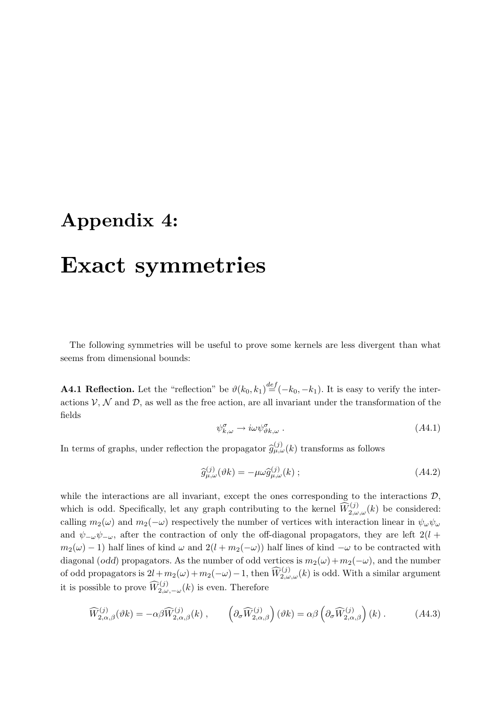## Appendix 4:

# Exact symmetries

The following symmetries will be useful to prove some kernels are less divergent than what seems from dimensional bounds:

**A4.1 Reflection.** Let the "reflection" be  $\vartheta(k_0, k_1) \stackrel{def}{=} (-k_0, -k_1)$ . It is easy to verify the interactions  $V, N$  and  $D$ , as well as the free action, are all invariant under the transformation of the fields

$$
\psi_{k,\omega}^{\sigma} \to i\omega \psi_{\vartheta k,\omega}^{\sigma} \ . \tag{A4.1}
$$

In terms of graphs, under reflection the propagator  $\hat{g}^{(j)}_{\mu,\omega}(k)$  transforms as follows

$$
\widehat{g}_{\mu,\omega}^{(j)}(\vartheta k) = -\mu\omega \widehat{g}_{\mu,\omega}^{(j)}(k) ; \qquad (A4.2)
$$

while the interactions are all invariant, except the ones corresponding to the interactions  $\mathcal{D}$ , which is odd. Specifically, let any graph contributing to the kernel  $\widehat{W}_{2,\omega,\omega}^{(j)}(k)$  be considered: calling  $m_2(\omega)$  and  $m_2(-\omega)$  respectively the number of vertices with interaction linear in  $\psi_\omega \psi_\omega$ and  $\psi_{-\omega}\psi_{-\omega}$ , after the contraction of only the off-diagonal propagators, they are left 2(l +  $m_2(\omega) - 1$ ) half lines of kind  $\omega$  and  $2(l + m_2(-\omega))$  half lines of kind  $-\omega$  to be contracted with diagonal (odd) propagators. As the number of odd vertices is  $m_2(\omega)+m_2(-\omega)$ , and the number of odd propagators is  $2l+m_2(\omega)+m_2(-\omega)-1$ , then  $\widehat{W}_{2,\omega,\omega}^{(j)}(k)$  is odd. With a similar argument it is possible to prove  $\widehat{W}_{2,\omega,-\omega}^{(j)}(k)$  is even. Therefore

$$
\widehat{W}_{2,\alpha,\beta}^{(j)}(\vartheta k) = -\alpha\beta \widehat{W}_{2,\alpha,\beta}^{(j)}(k) , \qquad \left( \partial_{\sigma} \widehat{W}_{2,\alpha,\beta}^{(j)} \right) (\vartheta k) = \alpha\beta \left( \partial_{\sigma} \widehat{W}_{2,\alpha,\beta}^{(j)} \right) (k) . \tag{A4.3}
$$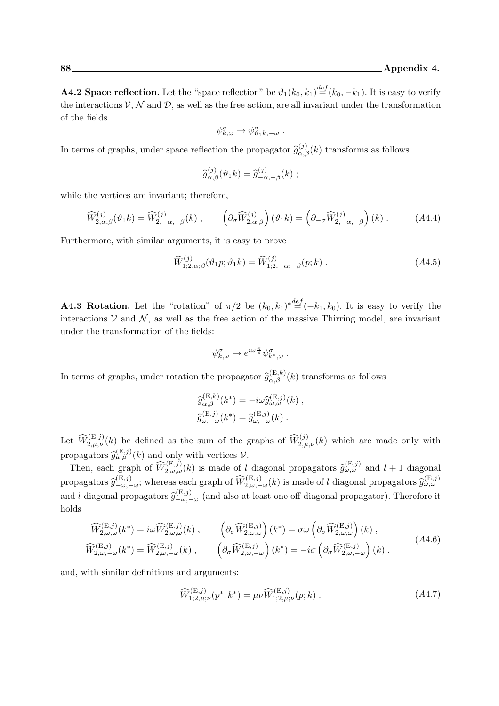**A4.2 Space reflection.** Let the "space reflection" be  $\vartheta_1(k_0, k_1) \stackrel{def}{=} (k_0, -k_1)$ . It is easy to verify the interactions  $V, N$  and  $D$ , as well as the free action, are all invariant under the transformation of the fields

$$
\psi_{k,\omega}^{\sigma} \to \psi_{\vartheta_1 k,-\omega}^{\sigma} .
$$

In terms of graphs, under space reflection the propagator  $\hat{g}^{(j)}_{\alpha,\beta}(k)$  transforms as follows

$$
\widehat{g}_{\alpha,\beta}^{(j)}(\vartheta_1 k) = \widehat{g}_{-\alpha,-\beta}^{(j)}(k) ;
$$

while the vertices are invariant; therefore,

$$
\widehat{W}_{2,\alpha,\beta}^{(j)}(\vartheta_1 k) = \widehat{W}_{2,-\alpha,-\beta}^{(j)}(k) , \qquad \left(\partial_{\sigma} \widehat{W}_{2,\alpha,\beta}^{(j)}\right)(\vartheta_1 k) = \left(\partial_{-\sigma} \widehat{W}_{2,-\alpha,-\beta}^{(j)}\right)(k) . \tag{A4.4}
$$

Furthermore, with similar arguments, it is easy to prove

$$
\widehat{W}^{(j)}_{1;2,\alpha;\beta}(\vartheta_1 p;\vartheta_1 k) = \widehat{W}^{(j)}_{1;2,-\alpha;-\beta}(p;k) .
$$
\n
$$
(A4.5)
$$

**A4.3 Rotation.** Let the "rotation" of  $\pi/2$  be  $(k_0, k_1)^* \stackrel{def}{=} (-k_1, k_0)$ . It is easy to verify the interactions  $V$  and  $N$ , as well as the free action of the massive Thirring model, are invariant under the transformation of the fields:

$$
\psi_{k,\omega}^{\sigma} \to e^{i\omega \frac{\pi}{4}} \psi_{k^*,\omega}^{\sigma} .
$$

In terms of graphs, under rotation the propagator  $\hat{g}^{(E,k)}_{\alpha,\beta}(k)$  transforms as follows

$$
\begin{aligned}\n\widehat{g}_{\alpha,\beta}^{(\mathbf{E},k)}(k^*) &= -i\omega \widehat{g}_{\omega,\omega}^{(\mathbf{E},j)}(k) ,\\ \n\widehat{g}_{\omega,-\omega}^{(\mathbf{E},j)}(k^*) &= \widehat{g}_{\omega,-\omega}^{(\mathbf{E},j)}(k) .\n\end{aligned}
$$

Let  $\widehat{W}^{(E,j)}_{2,\mu,\nu}(k)$  be defined as the sum of the graphs of  $\widehat{W}^{(j)}_{2,\mu,\nu}(k)$  which are made only with propagators  $\widehat{g}_{\mu,\mu}^{(\mathrm{E},j)}(k)$  and only with vertices  $\mathcal{V}$ .

Then, each graph of  $\widehat{W}_{2,\omega,\omega}^{(E,j)}(k)$  is made of l diagonal propagators  $\widehat{g}_{\omega,\omega}^{(E,j)}$  and  $l+1$  diagonal propagators  $\widehat{g}^{(E,j)}_{-\omega,-\omega}$ ; whereas each graph of  $\widehat{W}^{(E,j)}_{2,\omega,-\omega}(k)$  is made of l diagonal propagators  $\widehat{g}^{(E,j)}_{\omega,\omega}$ and l diagonal propagators  $\hat{g}^{(E,j)}_{-\omega,-\omega}$  (and also at least one off-diagonal propagator). Therefore it holds

$$
\widehat{W}_{2,\omega,\omega}^{(\mathbf{E},j)}(k^*) = i\omega \widehat{W}_{2,\omega,\omega}^{(\mathbf{E},j)}(k) , \qquad \left(\partial_\sigma \widehat{W}_{2,\omega,\omega}^{(\mathbf{E},j)}\right)(k^*) = \sigma \omega \left(\partial_\sigma \widehat{W}_{2,\omega,\omega}^{(\mathbf{E},j)}\right)(k) ,
$$
\n
$$
\widehat{W}_{2,\omega,-\omega}^{(\mathbf{E},j)}(k^*) = \widehat{W}_{2,\omega,-\omega}^{(\mathbf{E},j)}(k) , \qquad \left(\partial_\sigma \widehat{W}_{2,\omega,-\omega}^{(\mathbf{E},j)}\right)(k^*) = -i\sigma \left(\partial_\sigma \widehat{W}_{2,\omega,-\omega}^{(\mathbf{E},j)}\right)(k) ,
$$
\n(A4.6)

and, with similar definitions and arguments:

$$
\widehat{W}^{(E,j)}_{1;2,\mu;\nu}(p^*;k^*) = \mu \widehat{W}^{(E,j)}_{1;2,\mu;\nu}(p;k) .
$$
\n(A4.7)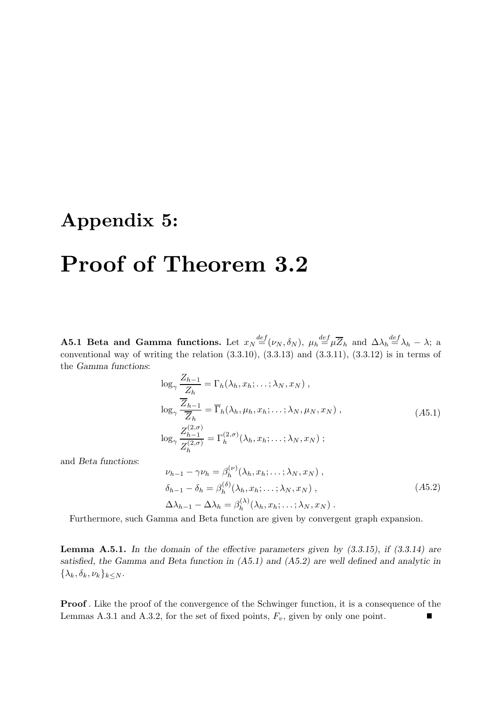## Appendix 5:

# Proof of Theorem 3.2

**A5.1 Beta and Gamma functions.** Let  $x_N \stackrel{def}{=} (\nu_N, \delta_N)$ ,  $\mu_h \stackrel{def}{=} \mu \overline{Z}_h$  and  $\Delta \lambda_h \stackrel{def}{=} \lambda_h - \lambda$ ; a conventional way of writing the relation  $(3.3.10)$ ,  $(3.3.13)$  and  $(3.3.11)$ ,  $(3.3.12)$  is in terms of the Gamma functions:

$$
\log_{\gamma} \frac{Z_{h-1}}{Z_h} = \Gamma_h(\lambda_h, x_h; \dots; \lambda_N, x_N) ,
$$
  
\n
$$
\log_{\gamma} \frac{\overline{Z}_{h-1}}{\overline{Z}_h} = \overline{\Gamma}_h(\lambda_h, \mu_h, x_h; \dots; \lambda_N, \mu_N, x_N) ,
$$
  
\n
$$
\log_{\gamma} \frac{Z_{h-1}^{(2,\sigma)}}{Z_h^{(2,\sigma)}} = \Gamma_h^{(2,\sigma)}(\lambda_h, x_h; \dots; \lambda_N, x_N) ;
$$
\n(A5.1)

and Beta functions:

$$
\nu_{h-1} - \gamma \nu_h = \beta_h^{(\nu)}(\lambda_h, x_h; \dots; \lambda_N, x_N) ,
$$
  
\n
$$
\delta_{h-1} - \delta_h = \beta_h^{(\delta)}(\lambda_h, x_h; \dots; \lambda_N, x_N) ,
$$
  
\n
$$
\Delta \lambda_{h-1} - \Delta \lambda_h = \beta_h^{(\lambda)}(\lambda_h, x_h; \dots; \lambda_N, x_N) .
$$
\n(A5.2)

Furthermore, such Gamma and Beta function are given by convergent graph expansion.

**Lemma A.5.1.** In the domain of the effective parameters given by  $(3.3.15)$ , if  $(3.3.14)$  are satisfied, the Gamma and Beta function in (A5.1) and (A5.2) are well defined and analytic in  $\{\lambda_k,\delta_k,\nu_k\}_{k\leq N}$ .

Proof . Like the proof of the convergence of the Schwinger function, it is a consequence of the Lemmas A.3.1 and A.3.2, for the set of fixed points,  $F_v$ , given by only one point.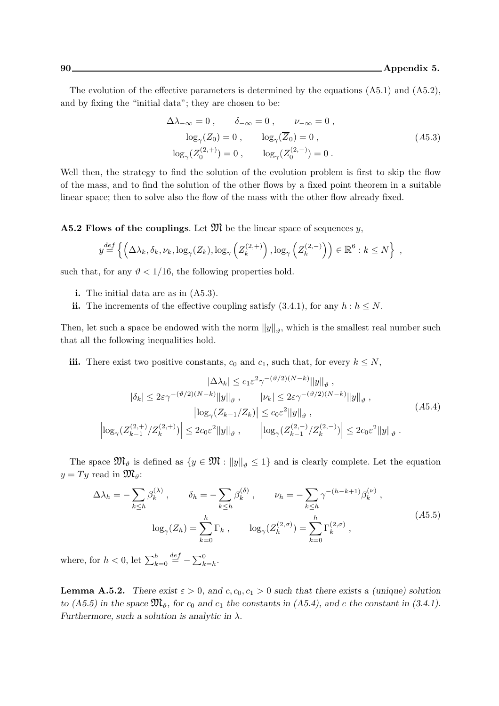The evolution of the effective parameters is determined by the equations  $(A5.1)$  and  $(A5.2)$ , and by fixing the "initial data"; they are chosen to be:

$$
\Delta\lambda_{-\infty} = 0, \qquad \delta_{-\infty} = 0, \qquad \nu_{-\infty} = 0,
$$
  
\n
$$
\log_{\gamma}(Z_0) = 0, \qquad \log_{\gamma}(\overline{Z}_0) = 0,
$$
  
\n
$$
\log_{\gamma}(Z_0^{(2,+)}) = 0, \qquad \log_{\gamma}(Z_0^{(2,-)}) = 0.
$$
\n(A5.3)

Well then, the strategy to find the solution of the evolution problem is first to skip the flow of the mass, and to find the solution of the other flows by a fixed point theorem in a suitable linear space; then to solve also the flow of the mass with the other flow already fixed.

**A5.2 Flows of the couplings.** Let  $\mathfrak{M}$  be the linear space of sequences y,

$$
y \stackrel{def}{=} \left\{ \left( \Delta \lambda_k, \delta_k, \nu_k, \log_{\gamma}(Z_k), \log_{\gamma}\left(Z_k^{(2, +)}\right), \log_{\gamma}\left(Z_k^{(2, -)}\right) \right) \in \mathbb{R}^6 : k \le N \right\},
$$

such that, for any  $\vartheta$  < 1/16, the following properties hold.

- i. The initial data are as in (A5.3).
- ii. The increments of the effective coupling satisfy (3.4.1), for any  $h : h \leq N$ .

Then, let such a space be endowed with the norm  $||y||_{\vartheta}$ , which is the smallest real number such that all the following inequalities hold.

iii. There exist two positive constants,  $c_0$  and  $c_1$ , such that, for every  $k \leq N$ ,

$$
|\Delta\lambda_k| \leq c_1 \varepsilon^2 \gamma^{-(\vartheta/2)(N-k)} \|y\|_{\vartheta} ,
$$
  
\n
$$
|\delta_k| \leq 2\varepsilon \gamma^{-(\vartheta/2)(N-k)} \|y\|_{\vartheta} , \qquad |\nu_k| \leq 2\varepsilon \gamma^{-(\vartheta/2)(N-k)} \|y\|_{\vartheta} ,
$$
  
\n
$$
|\log_{\gamma}(Z_{k-1}/Z_k)| \leq c_0 \varepsilon^2 \|y\|_{\vartheta} ,
$$
  
\n
$$
\left|\log_{\gamma}(Z_{k-1}^{(2,+)}/Z_k^{(2,+)})\right| \leq 2c_0 \varepsilon^2 \|y\|_{\vartheta} , \qquad \left|\log_{\gamma}(Z_{k-1}^{(2,-)}/Z_k^{(2,-)})\right| \leq 2c_0 \varepsilon^2 \|y\|_{\vartheta} .
$$
 (A5.4)

The space  $\mathfrak{M}_{\vartheta}$  is defined as  $\{y \in \mathfrak{M} : ||y||_{\vartheta} \leq 1\}$  and is clearly complete. Let the equation  $y = Ty$  read in  $\mathfrak{M}_{\vartheta}$ :

$$
\Delta \lambda_h = -\sum_{k \le h} \beta_k^{(\lambda)}, \qquad \delta_h = -\sum_{k \le h} \beta_k^{(\delta)}, \qquad \nu_h = -\sum_{k \le h} \gamma^{-(h-k+1)} \beta_k^{(\nu)},
$$

$$
\log_{\gamma}(Z_h) = \sum_{k=0}^h \Gamma_k, \qquad \log_{\gamma}(Z_h^{(2,\sigma)}) = \sum_{k=0}^h \Gamma_k^{(2,\sigma)},
$$
(A5.5)

where, for  $h < 0$ , let  $\sum_{k=0}^{h}$  $\stackrel{def}{=} -\sum_{k=h}^{0}$ .

**Lemma A.5.2.** There exist  $\varepsilon > 0$ , and  $c, c_0, c_1 > 0$  such that there exists a (unique) solution to (A5.5) in the space  $\mathfrak{M}_{\vartheta}$ , for  $c_0$  and  $c_1$  the constants in (A5.4), and c the constant in (3.4.1). Furthermore, such a solution is analytic in  $\lambda$ .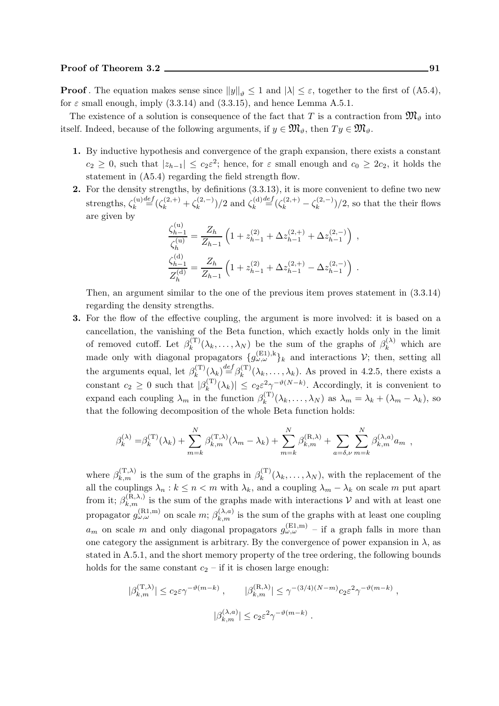**Proof**. The equation makes sense since  $||y||_{\theta} \leq 1$  and  $|\lambda| \leq \varepsilon$ , together to the first of (A5.4), for  $\varepsilon$  small enough, imply (3.3.14) and (3.3.15), and hence Lemma A.5.1.

The existence of a solution is consequence of the fact that T is a contraction from  $\mathfrak{M}_{\theta}$  into itself. Indeed, because of the following arguments, if  $y \in \mathfrak{M}_{\vartheta}$ , then  $Ty \in \mathfrak{M}_{\vartheta}$ .

- 1. By inductive hypothesis and convergence of the graph expansion, there exists a constant  $c_2 \geq 0$ , such that  $|z_{h-1}| \leq c_2 \varepsilon^2$ ; hence, for  $\varepsilon$  small enough and  $c_0 \geq 2c_2$ , it holds the statement in (A5.4) regarding the field strength flow.
- 2. For the density strengths, by definitions  $(3.3.13)$ , it is more convenient to define two new strengths,  $\zeta_k^{(u)}$  $\zeta_k^{(u)} \stackrel{def}{=} (\zeta_k^{(2, +)} + \zeta_k^{(2, -)})/2$  and  $\zeta_k^{(d)}$  $\zeta_k^{(d)} \stackrel{def}{=} (\zeta_k^{(2,+)} - \zeta_k^{(2,-)})/2$ , so that the their flows are given by

$$
\frac{\zeta_{h-1}^{(u)}}{\zeta_h^{(u)}} = \frac{Z_h}{Z_{h-1}} \left( 1 + z_{h-1}^{(2)} + \Delta z_{h-1}^{(2, +)} + \Delta z_{h-1}^{(2, -)} \right) ,
$$
  

$$
\frac{\zeta_{h-1}^{(d)}}{Z_h^{(d)}} = \frac{Z_h}{Z_{h-1}} \left( 1 + z_{h-1}^{(2)} + \Delta z_{h-1}^{(2, +)} - \Delta z_{h-1}^{(2, -)} \right) .
$$

Then, an argument similar to the one of the previous item proves statement in (3.3.14) regarding the density strengths.

3. For the flow of the effective coupling, the argument is more involved: it is based on a cancellation, the vanishing of the Beta function, which exactly holds only in the limit of removed cutoff. Let  $\beta_k^{(T)}$  $\kappa_k^{(\text{T})}(\lambda_k,\ldots,\lambda_N)$  be the sum of the graphs of  $\beta_k^{(\lambda)}$  which are made only with diagonal propagators  $\{g_{\omega,\omega}^{(\text{E1}),k}\}_k$  and interactions  $\mathcal{V}$ ; then, setting all the arguments equal, let  $\beta_k^{(T)}$  $\binom{(\mathrm{T})}{k} (\lambda_k) \stackrel{def}{=} \beta_k^{(\mathrm{T})}$  $\lambda_k^{(1)}(\lambda_k,\ldots,\lambda_k)$ . As proved in 4.2.5, there exists a constant  $c_2 \geq 0$  such that  $|\beta_k^{(\text{T})}|$  $|f_k^{(T)}(\lambda_k)| \leq c_2 \varepsilon^2 \gamma^{-\vartheta(N-k)}$ . Accordingly, it is convenient to expand each coupling  $\lambda_m$  in the function  $\beta_k^{(T)}$  $\lambda_k^{(1)}(\lambda_k,\ldots,\lambda_N)$  as  $\lambda_m = \lambda_k + (\lambda_m - \lambda_k)$ , so that the following decomposition of the whole Beta function holds:

$$
\beta_k^{(\lambda)} = \beta_k^{(\mathrm{T})}(\lambda_k) + \sum_{m=k}^{N} \beta_{k,m}^{(\mathrm{T},\lambda)}(\lambda_m - \lambda_k) + \sum_{m=k}^{N} \beta_{k,m}^{(\mathrm{R},\lambda)} + \sum_{a=\delta,\nu} \sum_{m=k}^{N} \beta_{k,m}^{(\lambda,a)} a_m,
$$

where  $\beta_{k,m}^{(\text{T},\lambda)}$  is the sum of the graphs in  $\beta_k^{(\text{T})}$  $\lambda_k^{(1)}(\lambda_k,\ldots,\lambda_N)$ , with the replacement of the all the couplings  $\lambda_n : k \leq n < m$  with  $\lambda_k$ , and a coupling  $\lambda_m - \lambda_k$  on scale m put apart from it;  $\beta_{k,m}^{(R,\lambda)}$  is the sum of the graphs made with interactions V and with at least one propagator  $g_{\omega,\omega}^{(\text{R1,m})}$  on scale  $m; \beta_{k,m}^{(\lambda,a)}$  is the sum of the graphs with at least one coupling  $a_m$  on scale m and only diagonal propagators  $g_{\omega,\omega}^{(\text{E1,m})}$  – if a graph falls in more than one category the assignment is arbitrary. By the convergence of power expansion in  $\lambda$ , as stated in A.5.1, and the short memory property of the tree ordering, the following bounds holds for the same constant  $c_2$  – if it is chosen large enough:

$$
|\beta_{k,m}^{(\mathbf{T},\lambda)}| \le c_2 \varepsilon \gamma^{-\vartheta(m-k)} , \qquad |\beta_{k,m}^{(\mathbf{R},\lambda)}| \le \gamma^{-(3/4)(N-m)} c_2 \varepsilon^2 \gamma^{-\vartheta(m-k)} ,
$$
  

$$
|\beta_{k,m}^{(\lambda,a)}| \le c_2 \varepsilon^2 \gamma^{-\vartheta(m-k)} .
$$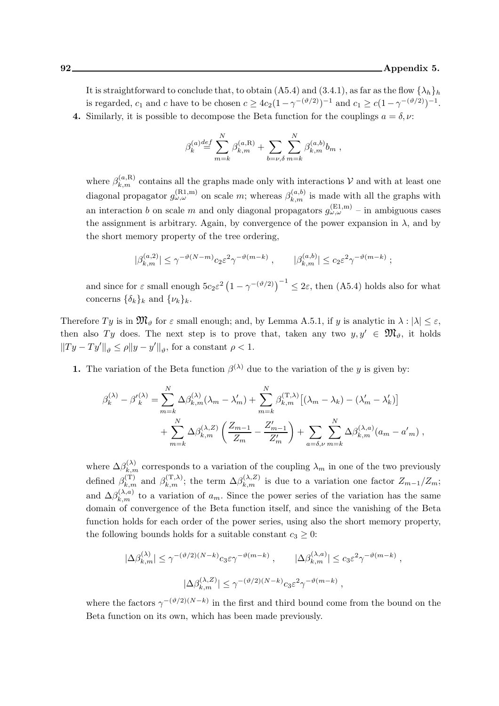It is straightforward to conclude that, to obtain (A5.4) and (3.4.1), as far as the flow  $\{\lambda_h\}_h$ is regarded,  $c_1$  and c have to be chosen  $c \geq 4c_2(1-\gamma^{-(\vartheta/2)})^{-1}$  and  $c_1 \geq c(1-\gamma^{-(\vartheta/2)})^{-1}$ . 4. Similarly, it is possible to decompose the Beta function for the couplings  $a = \delta, \nu$ :

$$
\beta^{(a)}_k{\stackrel{def}{=}} \sum_{m=k}^N \beta^{(a,{\rm R})}_{k,m} + \sum_{b=\nu,\delta}\sum_{m=k}^N \beta^{(a,b)}_{k,m}b_m\;,
$$

where  $\beta_{k,m}^{(a,\mathrm{R})}$  contains all the graphs made only with interactions V and with at least one diagonal propagator  $g_{\omega,\omega}^{(\text{R1},\text{m})}$  on scale m; whereas  $\beta_{k,m}^{(a,b)}$  is made with all the graphs with an interaction b on scale m and only diagonal propagators  $g_{\omega,\omega}^{(\text{E1,m})}$  – in ambiguous cases the assignment is arbitrary. Again, by convergence of the power expansion in  $\lambda$ , and by the short memory property of the tree ordering,

$$
|\beta_{k,m}^{(a,2)}| \leq \gamma^{-\vartheta(N-m)} c_2 \varepsilon^2 \gamma^{-\vartheta(m-k)}\;,\qquad |\beta_{k,m}^{(a,b)}| \leq c_2 \varepsilon^2 \gamma^{-\vartheta(m-k)}\;;
$$

and since for  $\varepsilon$  small enough  $5c_2\varepsilon^2\left(1-\gamma^{-(\vartheta/2)}\right)^{-1} \leq 2\varepsilon$ , then (A5.4) holds also for what concerns  $\{\delta_k\}_k$  and  $\{\nu_k\}_k$ .

Therefore  $Ty$  is in  $\mathfrak{M}_{\vartheta}$  for  $\varepsilon$  small enough; and, by Lemma A.5.1, if y is analytic in  $\lambda : |\lambda| \leq \varepsilon$ , then also Ty does. The next step is to prove that, taken any two  $y, y' \in \mathfrak{M}_{\vartheta}$ , it holds  $||Ty - Ty'||_{\vartheta} \le \rho ||y - y'||_{\vartheta}$ , for a constant  $\rho < 1$ .

**1.** The variation of the Beta function  $\beta^{(\lambda)}$  due to the variation of the y is given by:

$$
\beta_k^{(\lambda)} - \beta'_{k}^{(\lambda)} = \sum_{m=k}^{N} \Delta \beta_{k,m}^{(\lambda)} (\lambda_m - \lambda'_m) + \sum_{m=k}^{N} \beta_{k,m}^{(\mathrm{T},\lambda)} [(\lambda_m - \lambda_k) - (\lambda'_m - \lambda'_k)]
$$
  
+ 
$$
\sum_{m=k}^{N} \Delta \beta_{k,m}^{(\lambda, Z)} \left( \frac{Z_{m-1}}{Z_m} - \frac{Z'_{m-1}}{Z'_m} \right) + \sum_{a=\delta,\nu} \sum_{m=k}^{N} \Delta \beta_{k,m}^{(\lambda,a)} (a_m - a'_m) ,
$$

where  $\Delta \beta_{k,m}^{(\lambda)}$  corresponds to a variation of the coupling  $\lambda_m$  in one of the two previously defined  $\beta_{k,m}^{(\text{T})}$  and  $\beta_{k,m}^{(\text{T},\lambda)}$ ; the term  $\Delta \beta_{k,m}^{(\lambda,Z)}$  is due to a variation one factor  $Z_{m-1}/Z_m$ ; and  $\Delta\beta_{k,m}^{(\lambda,a)}$  to a variation of  $a_m$ . Since the power series of the variation has the same domain of convergence of the Beta function itself, and since the vanishing of the Beta function holds for each order of the power series, using also the short memory property, the following bounds holds for a suitable constant  $c_3 \geq 0$ :

$$
\begin{aligned} |\Delta \beta_{k,m}^{(\lambda)}| &\leq \gamma^{-(\vartheta/2)(N-k)} c_3 \varepsilon \gamma^{-\vartheta(m-k)}\ ,\qquad |\Delta \beta_{k,m}^{(\lambda,a)}| &\leq c_3 \varepsilon^2 \gamma^{-\vartheta(m-k)}\ ,\\ &\qquad |\Delta \beta_{k,m}^{(\lambda,Z)}| &\leq \gamma^{-(\vartheta/2)(N-k)} c_3 \varepsilon^2 \gamma^{-\vartheta(m-k)}\ , \end{aligned}
$$

where the factors  $\gamma^{-(\vartheta/2)(N-k)}$  in the first and third bound come from the bound on the Beta function on its own, which has been made previously.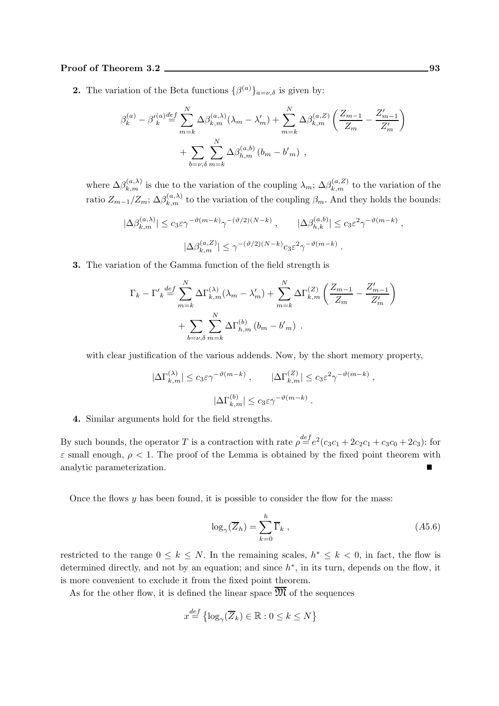### Proof of Theorem 3.2 93

**2.** The variation of the Beta functions  $\{\beta^{(a)}\}_{a=\nu,\delta}$  is given by:

$$
\beta_k^{(a)} - \beta'_{k}^{(a)} \stackrel{def}{=} \sum_{m=k}^{N} \Delta \beta_{k,m}^{(a,\lambda)} (\lambda_m - \lambda'_m) + \sum_{m=k}^{N} \Delta \beta_{k,m}^{(a,Z)} \left( \frac{Z_{m-1}}{Z_m} - \frac{Z'_{m-1}}{Z'_m} \right) + \sum_{b=\nu, \delta}^{N} \sum_{m=k}^{N} \Delta \beta_{h,m}^{(a,b)} (b_m - b'_m) ,
$$

where  $\Delta\beta_{k,m}^{(a,\lambda)}$  is due to the variation of the coupling  $\lambda_m$ ;  $\Delta\beta_{k,m}^{(a,Z)}$  to the variation of the ratio  $Z_{m-1}/Z_m$ ;  $\Delta\beta_{k,m}^{(a,\lambda)}$  to the variation of the coupling  $\beta_m$ . And they holds the bounds:

$$
|\Delta \beta_{k,m}^{(a,\lambda)}| \le c_3 \varepsilon \gamma^{-\vartheta(m-k)} \gamma^{-(\vartheta/2)(N-k)}, \qquad |\Delta \beta_{h,k}^{(a,b)}| \le c_3 \varepsilon^2 \gamma^{-\vartheta(m-k)},
$$
  

$$
|\Delta \beta_{k,m}^{(a,Z)}| \le \gamma^{-(\vartheta/2)(N-k)} c_3 \varepsilon^2 \gamma^{-\vartheta(m-k)}.
$$

3. The variation of the Gamma function of the field strength is

$$
\Gamma_k - \Gamma'_{k} \stackrel{def}{=} \sum_{m=k}^{N} \Delta \Gamma_{k,m}^{(\lambda)} (\lambda_m - \lambda'_m) + \sum_{m=k}^{N} \Delta \Gamma_{k,m}^{(Z)} \left( \frac{Z_{m-1}}{Z_m} - \frac{Z'_{m-1}}{Z'_m} \right)
$$

$$
+ \sum_{b=\nu,\delta} \sum_{m=k}^{N} \Delta \Gamma_{h,m}^{(b)} (b_m - b'_m) .
$$

with clear justification of the various addends. Now, by the short memory property,

$$
|\Delta\Gamma_{k,m}^{(\lambda)}| \le c_3 \varepsilon \gamma^{-\vartheta(m-k)}, \qquad |\Delta\Gamma_{k,m}^{(Z)}| \le c_3 \varepsilon^2 \gamma^{-\vartheta(m-k)}
$$

$$
|\Delta\Gamma_{k,m}^{(b)}| \le c_3 \varepsilon \gamma^{-\vartheta(m-k)}.
$$

4. Similar arguments hold for the field strengths.

By such bounds, the operator T is a contraction with rate  $\rho \stackrel{def}{=} e^2(c_3c_1 + 2c_2c_1 + c_3c_0 + 2c_3)$ : for  $\varepsilon$  small enough,  $\rho < 1$ . The proof of the Lemma is obtained by the fixed point theorem with analytic parameterization.

Once the flows  $y$  has been found, it is possible to consider the flow for the mass:

$$
\log_{\gamma}(\overline{Z}_h) = \sum_{k=0}^{h} \overline{\Gamma}_k , \qquad (A5.6)
$$

,

restricted to the range  $0 \leq k \leq N$ . In the remaining scales,  $h^* \leq k < 0$ , in fact, the flow is determined directly, and not by an equation; and since  $h^*$ , in its turn, depends on the flow, it is more convenient to exclude it from the fixed point theorem.

As for the other flow, it is defined the linear space  $\overline{\mathfrak{M}}$  of the sequences

$$
x^{\underline{def}} \{ \log_{\gamma}(\overline{Z}_k) \in \mathbb{R} : 0 \le k \le N \}
$$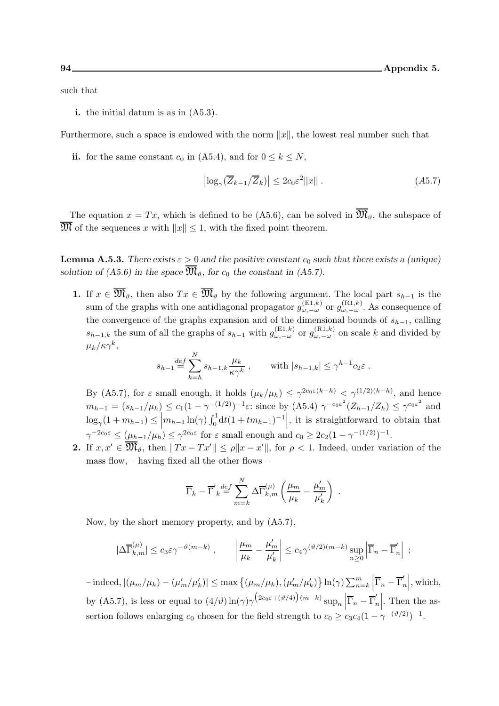such that

i. the initial datum is as in (A5.3).

Furthermore, such a space is endowed with the norm  $||x||$ , the lowest real number such that

ii. for the same constant  $c_0$  in (A5.4), and for  $0 \le k \le N$ ,

$$
\left| \log_{\gamma} (\overline{Z}_{k-1}/\overline{Z}_{k}) \right| \leq 2c_0 \varepsilon^2 ||x|| \,. \tag{A5.7}
$$

The equation  $x = Tx$ , which is defined to be (A5.6), can be solved in  $\overline{\mathfrak{M}}_{\theta}$ , the subspace of  $\overline{\mathfrak{M}}$  of the sequences x with  $||x|| \leq 1$ , with the fixed point theorem.

**Lemma A.5.3.** There exists  $\varepsilon > 0$  and the positive constant  $c_0$  such that there exists a (unique) solution of (A5.6) in the space  $\overline{\mathfrak{M}}_{\vartheta}$ , for  $c_0$  the constant in (A5.7).

1. If  $x \in \overline{\mathfrak{M}}_{\vartheta}$ , then also  $Tx \in \overline{\mathfrak{M}}_{\vartheta}$  by the following argument. The local part  $s_{h-1}$  is the sum of the graphs with one antidiagonal propagator  $g_{\omega,-\omega}^{(\text{E1},k)}$  or  $g_{\omega,-\omega}^{(\text{R1},k)}$ . As consequence of the convergence of the graphs expansion and of the dimensional bounds of  $s_{h-1}$ , calling  $s_{h-1,k}$  the sum of all the graphs of  $s_{h-1}$  with  $g_{\omega,-\omega}^{(\text{E1},k)}$  or  $g_{\omega,-\omega}^{(\text{R1},k)}$  on scale k and divided by  $\mu_k/\kappa\gamma^k,$ 

$$
s_{h-1} \stackrel{def}{=} \sum_{k=h}^{N} s_{h-1,k} \frac{\mu_k}{\kappa \gamma^k} , \quad \text{with } |s_{h-1,k}| \le \gamma^{h-1} c_2 \varepsilon .
$$

By (A5.7), for  $\varepsilon$  small enough, it holds  $(\mu_k/\mu_h) \leq \gamma^{2c_0\varepsilon(k-h)} \leq \gamma^{(1/2)(k-h)}$ , and hence  $m_{h-1} = (s_{h-1}/\mu_h) \le c_1 (1 - \gamma^{-(1/2)})^{-1} \varepsilon$ : since by  $(A5.4) \gamma^{-c_0 \varepsilon^2} (Z_{h-1}/Z_h) \le \gamma^{c_0 \varepsilon^2}$  and  $\log_{\gamma}(1+m_{h-1}) \leq \left| m_{h-1} \ln(\gamma) \int_0^1 dt (1+tm_{h-1})^{-1} \right|$ , it is straightforward to obtain that  $\gamma^{-2c_0\varepsilon} \leq (\mu_{h-1}/\mu_h) \leq \gamma^{2c_0\varepsilon}$  for  $\varepsilon$  small enough and  $c_0 \geq 2c_2(1-\gamma^{-(1/2)})^{-1}$ .

**2.** If  $x, x' \in \overline{\mathfrak{M}}_{\theta}$ , then  $||Tx - Tx'|| \le \rho ||x - x'||$ , for  $\rho < 1$ . Indeed, under variation of the mass flow, – having fixed all the other flows –

$$
\overline{\Gamma}_k - \overline{\Gamma}'_k \stackrel{def}{=} \sum_{m=k}^N \Delta \overline{\Gamma}_{k,m}^{(\mu)} \left( \frac{\mu_m}{\mu_k} - \frac{\mu'_m}{\mu'_k} \right) .
$$

Now, by the short memory property, and by (A5.7),

$$
|\Delta \overline{\Gamma}_{k,m}^{(\mu)}| \leq c_3 \varepsilon \gamma^{-\vartheta(m-k)}\;,\qquad \left|\frac{\mu_m}{\mu_k}-\frac{\mu_m'}{\mu_k'}\right| \leq c_4 \gamma^{(\vartheta/2)(m-k)} \sup_{n\geq 0}\left|\overline{\Gamma}_n-\overline{\Gamma}_n'\right|\;;
$$

 $-$  indeed,  $|(\mu_m/\mu_k) - (\mu'_m/\mu'_k)|$  ≤ max {(μ<sub>m</sub>/μ<sub>k</sub>), (μ'<sub>m</sub>/μ'<sub>k</sub>)} ln(γ) ∑<sup>m</sup><sub>n=k</sub>  $\left| \overline{\Gamma}_n - \overline{\Gamma}_n' \right|$  $\Big\vert$ , which, by (A5.7), is less or equal to  $(4/\vartheta) \ln(\gamma) \gamma \left(2c_0 \varepsilon + (\vartheta/4)\right) (m-k) \sup_n \left| \overline{\Gamma}_n - \overline{\Gamma}'_n\right|$ . Then the assertion follows enlarging  $c_0$  chosen for the field strength to  $c_0 \ge c_3 c_4 (1 - \gamma^{-(\vartheta/2)})^{-1}$ .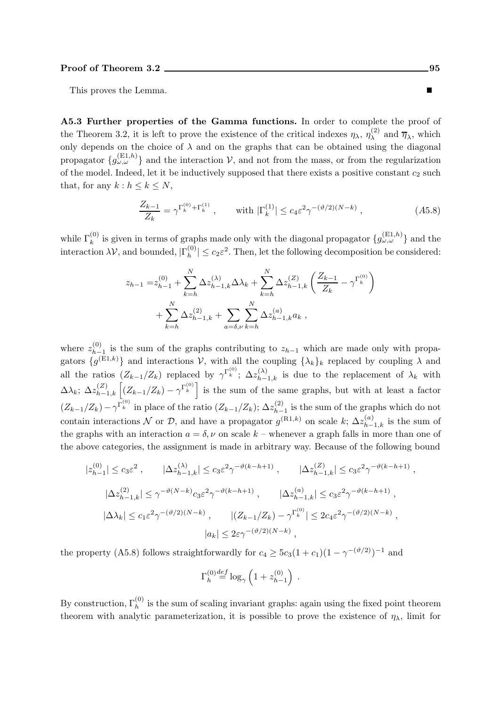This proves the Lemma.

A5.3 Further properties of the Gamma functions. In order to complete the proof of the Theorem 3.2, it is left to prove the existence of the critical indexes  $\eta_{\lambda}, \eta_{\lambda}^{(2)}$  $\bar{\eta}_{\lambda}^{(2)}$  and  $\bar{\eta}_{\lambda}$ , which only depends on the choice of  $\lambda$  and on the graphs that can be obtained using the diagonal propagator  $\{g_{\omega,\omega}^{(E1,h)}\}$  and the interaction  $\mathcal{V}$ , and not from the mass, or from the regularization of the model. Indeed, let it be inductively supposed that there exists a positive constant  $c_2$  such that, for any  $k : h \leq k \leq N$ ,

$$
\frac{Z_{k-1}}{Z_k} = \gamma^{\Gamma_k^{(0)} + \Gamma_k^{(1)}}, \quad \text{with } |\Gamma_k^{(1)}| \le c_4 \varepsilon^2 \gamma^{-(\vartheta/2)(N-k)}, \quad (A5.8)
$$

while  $\Gamma_k^{(0)}$  is given in terms of graphs made only with the diagonal propagator  $\{g_{\omega,\omega}^{(\text{E1},h)}\}$  and the interaction  $\lambda V$ , and bounded,  $|\Gamma_h^{(0)}|$  $|h_h^{(0)}| \leq c_2 \varepsilon^2$ . Then, let the following decomposition be considered:

$$
z_{h-1} = z_{h-1}^{(0)} + \sum_{k=h}^{N} \Delta z_{h-1,k}^{(\lambda)} \Delta \lambda_k + \sum_{k=h}^{N} \Delta z_{h-1,k}^{(Z)} \left( \frac{Z_{k-1}}{Z_k} - \gamma^{\Gamma_k^{(0)}} \right) + \sum_{k=h}^{N} \Delta z_{h-1,k}^{(2)} + \sum_{a=\delta,\nu}^{N} \sum_{k=h}^{N} \Delta z_{h-1,k}^{(a)} a_k,
$$

where  $z_{h-}^{(0)}$  $h_{h-1}^{(0)}$  is the sum of the graphs contributing to  $z_{h-1}$  which are made only with propagators  $\{g^{(E1,k)}\}\$ and interactions  $\mathcal{V}$ , with all the coupling  $\{\lambda_k\}_k$  replaced by coupling  $\lambda$  and all the ratios  $(Z_{k-1}/Z_k)$  replaced by  $\gamma^{\Gamma_k^{(0)}}$ ;  $\Delta z_{h-1,k}^{(\lambda)}$  is due to the replacement of  $\lambda_k$  with  $\Delta\lambda_k$ ;  $\Delta z_{h-1,k}^{(Z)}$   $\left[ (Z_{k-1}/Z_k) - \gamma^{\Gamma_k^{(0)}} \right]$  is the sum of the same graphs, but with at least a factor  $(Z_{k-1}/Z_k) - \gamma^{\Gamma_k^{(0)}}$  in place of the ratio  $(Z_{k-1}/Z_k)$ ;  $\Delta z_{h-1}^{(2)}$  $\sum_{h-1}^{(2)}$  is the sum of the graphs which do not contain interactions N or D, and have a propagator  $g^{(R1,k)}$  on scale  $k$ ;  $\Delta z_{h-1,k}^{(a)}$  is the sum of the graphs with an interaction  $a = \delta, \nu$  on scale k – whenever a graph falls in more than one of the above categories, the assignment is made in arbitrary way. Because of the following bound

$$
|z_{h-1}^{(0)}| \leq c_3 \varepsilon^2 , \qquad |\Delta z_{h-1,k}^{(\lambda)}| \leq c_3 \varepsilon^2 \gamma^{-\vartheta(k-h+1)} , \qquad |\Delta z_{h-1,k}^{(Z)}| \leq c_3 \varepsilon^2 \gamma^{-\vartheta(k-h+1)} ,
$$
  

$$
|\Delta z_{h-1,k}^{(2)}| \leq \gamma^{-\vartheta(N-k)} c_3 \varepsilon^2 \gamma^{-\vartheta(k-h+1)} , \qquad |\Delta z_{h-1,k}^{(a)}| \leq c_3 \varepsilon^2 \gamma^{-\vartheta(k-h+1)} ,
$$
  

$$
|\Delta \lambda_k| \leq c_1 \varepsilon^2 \gamma^{-(\vartheta/2)(N-k)} , \qquad |(Z_{k-1}/Z_k) - \gamma^{\Gamma_k^{(0)}}| \leq 2c_4 \varepsilon^2 \gamma^{-(\vartheta/2)(N-k)} ,
$$
  

$$
|a_k| \leq 2\varepsilon \gamma^{-(\vartheta/2)(N-k)} ,
$$

the property (A5.8) follows straightforwardly for  $c_4 \ge 5c_3(1+c_1)(1-\gamma^{-(\vartheta/2)})^{-1}$  and

$$
\Gamma_h^{(0)} \stackrel{def}{=} \log_\gamma \left( 1 + z_{h-1}^{(0)} \right) \; .
$$

By construction,  $\Gamma_h^{(0)}$  is the sum of scaling invariant graphs: again using the fixed point theorem theorem with analytic parameterization, it is possible to prove the existence of  $\eta_{\lambda}$ , limit for

 $\blacksquare$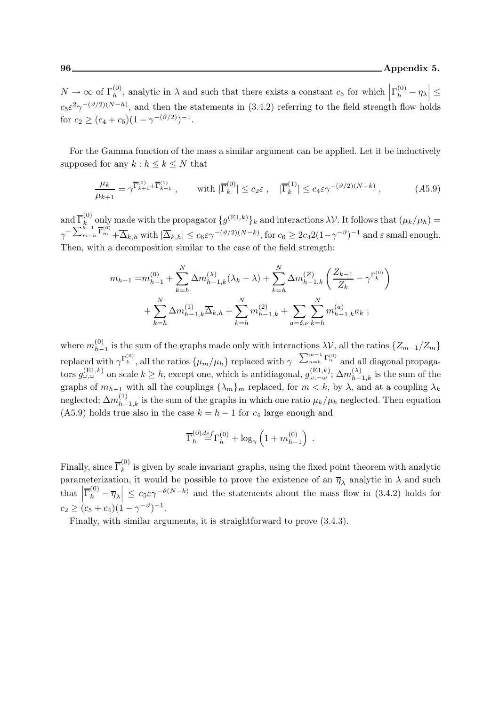$N \to \infty$  of  $\Gamma_h^{(0)}$ , analytic in  $\lambda$  and such that there exists a constant  $c_5$  for which  $\left|\Gamma_h^{(0)} - \eta_\lambda\right| \leq$  $c_5\varepsilon^2\gamma^{-(\vartheta/2)(N-h)}$ , and then the statements in (3.4.2) referring to the field strength flow holds for  $c_2 \ge (c_4 + c_5)(1 - \gamma^{-(\vartheta/2)})^{-1}$ .

For the Gamma function of the mass a similar argument can be applied. Let it be inductively supposed for any  $k : h \leq k \leq N$  that

$$
\frac{\mu_k}{\mu_{k+1}} = \gamma^{\overline{\Gamma}_{k+1}^{(0)} + \overline{\Gamma}_{k+1}^{(1)}}, \qquad \text{with } |\overline{\Gamma}_k^{(0)}| \le c_2 \varepsilon, \quad |\overline{\Gamma}_k^{(1)}| \le c_4 \varepsilon \gamma^{-(\vartheta/2)(N-k)}, \tag{A5.9}
$$

and  $\overline{\Gamma}_k^{(0)}$ (v) only made with the propagator  $\{g^{(E1,k)}\}_k$  and interactions  $\lambda \mathcal{V}$ . It follows that  $(\mu_k/\mu_h) =$  $\gamma^{-\sum_{m=h}^{k-1} \overline{\Gamma}_m^{(0)}} + \overline{\Delta}_{k,h} \text{ with } |\overline{\Delta}_{k,h}| \le c_6 \varepsilon \gamma^{-(\vartheta/2)(N-k)}, \text{for } c_6 \ge 2c_4 2(1-\gamma^{-\vartheta})^{-1} \text{ and } \varepsilon \text{ small enough.}$ Then, with a decomposition similar to the case of the field strength:

$$
m_{h-1} = m_{h-1}^{(0)} + \sum_{k=h}^{N} \Delta m_{h-1,k}^{(\lambda)}(\lambda_k - \lambda) + \sum_{k=h}^{N} \Delta m_{h-1,k}^{(Z)} \left( \frac{Z_{k-1}}{Z_k} - \gamma^{\Gamma_k^{(0)}} \right) + \sum_{k=h}^{N} \Delta m_{h-1,k}^{(1)} \overline{\Delta}_{k,h} + \sum_{k=h}^{N} m_{h-1,k}^{(2)} + \sum_{a=\delta,\nu}^{N} \sum_{k=h}^{N} m_{h-1,k}^{(a)} a_k ;
$$

where  $m_{h-1}^{(0)}$  is the sum of the graphs made only with interactions  $\lambda V$ , all the ratios  $\{Z_{m-1}/Z_m\}$  $h-1$ replaced with  $\gamma^{\Gamma_k^{(0)}}$ , all the ratios  $\{\mu_m/\mu_h\}$  replaced with  $\gamma^{-\sum_{n=h}^{m-1}\Gamma_n^{(0)}}$  and all diagonal propagators  $g_{\omega,\omega}^{(\text{E1},k)}$  on scale  $k \geq h$ , except one, which is antidiagonal,  $g_{\omega,-\omega}^{(\text{E1},k)}$ ;  $\Delta m_{h-1,k}^{(\lambda)}$  is the sum of the graphs of  $m_{h-1}$  with all the couplings  $\{\lambda_m\}_m$  replaced, for  $m < k$ , by  $\lambda$ , and at a coupling  $\lambda_k$ neglected;  $\Delta m_{h-1,k}^{(1)}$  is the sum of the graphs in which one ratio  $\mu_k/\mu_h$  neglected. Then equation (A5.9) holds true also in the case  $k = h - 1$  for  $c_4$  large enough and

$$
\overline{\Gamma}_h^{(0)} \smash{\stackrel{def}{=}} \Gamma_h^{(0)} + \log_\gamma \left(1 + m_{h-1}^{(0)}\right)
$$

.

Finally, since  $\overline{\Gamma}_k^{(0)}$  $\kappa_k^{\text{(9)}}$  is given by scale invariant graphs, using the fixed point theorem with analytic parameterization, it would be possible to prove the existence of an  $\overline{\eta}_{\lambda}$  analytic in  $\lambda$  and such that  $\left|\overline{\Gamma}_{k}^{(0)}-\overline{\eta}_{\lambda}\right| \leq c_{5}\varepsilon\gamma^{-\vartheta(N-k)}$  and the statements about the mass flow in (3.4.2) holds for  $c_2 \ge (c_5 + c_4)(1 - \gamma^{-\vartheta})^{-1}.$ 

Finally, with similar arguments, it is straightforward to prove (3.4.3).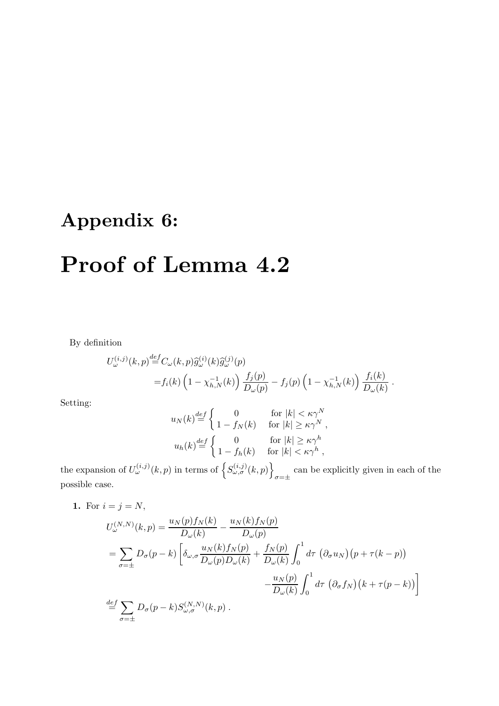# Appendix 6:

# Proof of Lemma 4.2

By definition

$$
U_{\omega}^{(i,j)}(k,p) \stackrel{def}{=} C_{\omega}(k,p) \hat{g}_{\omega}^{(i)}(k) \hat{g}_{\omega}^{(j)}(p)
$$
  
=  $f_i(k) \left(1 - \chi_{h,N}^{-1}(k)\right) \frac{f_j(p)}{D_{\omega}(p)} - f_j(p) \left(1 - \chi_{h,N}^{-1}(k)\right) \frac{f_i(k)}{D_{\omega}(k)}$ 

.

Setting:

$$
u_N(k) \stackrel{def}{=} \begin{cases} 0 & \text{for } |k| < \kappa \gamma^N \\ 1 - f_N(k) & \text{for } |k| \ge \kappa \gamma^N \\ 1 - f_h(k) & \text{for } |k| \ge \kappa \gamma^h \end{cases}
$$
\n
$$
u_h(k) \stackrel{def}{=} \begin{cases} 0 & \text{for } |k| \ge \kappa \gamma^h \\ 1 - f_h(k) & \text{for } |k| < \kappa \gamma^h \end{cases}
$$

the expansion of  $U_{\omega}^{(i,j)}(k,p)$  in terms of  $\left\{S_{\omega,\sigma}^{(i,j)}(k,p)\right\}$  $\sigma = \pm$ can be explicitly given in each of the possible case.

1. For  $i = j = N$ ,

$$
U_{\omega}^{(N,N)}(k,p) = \frac{u_N(p)f_N(k)}{D_{\omega}(k)} - \frac{u_N(k)f_N(p)}{D_{\omega}(p)}
$$
  
= 
$$
\sum_{\sigma=\pm} D_{\sigma}(p-k) \left[ \delta_{\omega,\sigma} \frac{u_N(k)f_N(p)}{D_{\omega}(p)D_{\omega}(k)} + \frac{f_N(p)}{D_{\omega}(k)} \int_0^1 d\tau \left( \partial_{\sigma} u_N \right) \left( p + \tau(k-p) \right) \right.
$$

$$
- \frac{u_N(p)}{D_{\omega}(k)} \int_0^1 d\tau \left( \partial_{\sigma} f_N \right) \left( k + \tau(p-k) \right) \right]
$$

$$
\stackrel{def}{=} \sum_{\sigma=\pm} D_{\sigma}(p-k) S_{\omega,\sigma}^{(N,N)}(k,p).
$$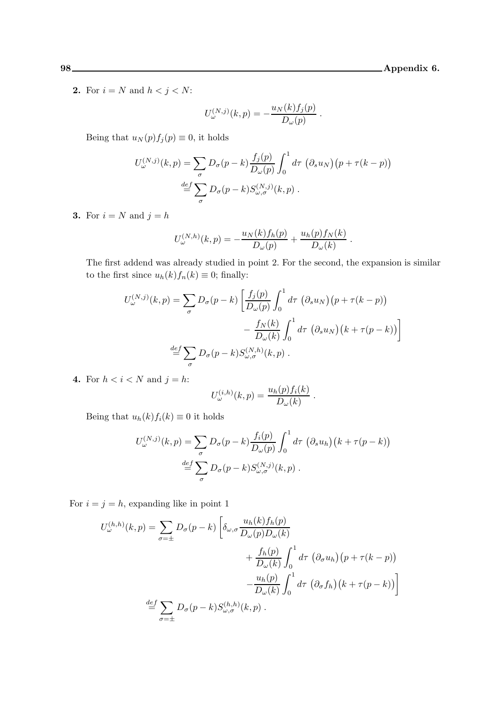**2.** For  $i = N$  and  $h < j < N$ :

$$
U_{\omega}^{(N,j)}(k,p) = -\frac{u_N(k)f_j(p)}{D_{\omega}(p)}.
$$

Being that  $u_N(p) f_j(p) \equiv 0$ , it holds

$$
U_{\omega}^{(N,j)}(k,p) = \sum_{\sigma} D_{\sigma}(p-k) \frac{f_j(p)}{D_{\omega}(p)} \int_0^1 d\tau \, (\partial_s u_N) (p + \tau(k-p))
$$
  

$$
\stackrel{def}{=} \sum_{\sigma} D_{\sigma}(p-k) S_{\omega,\sigma}^{(N,j)}(k,p).
$$

3. For  $i = N$  and  $j = h$ 

$$
U_{\omega}^{(N,h)}(k,p) = -\frac{u_N(k)f_h(p)}{D_{\omega}(p)} + \frac{u_h(p)f_N(k)}{D_{\omega}(k)}.
$$

The first addend was already studied in point 2. For the second, the expansion is similar to the first since  $u_h(k) f_n(k) \equiv 0$ ; finally:

$$
U_{\omega}^{(N,j)}(k,p) = \sum_{\sigma} D_{\sigma}(p-k) \left[ \frac{f_j(p)}{D_{\omega}(p)} \int_0^1 d\tau \, (\partial_s u_N) (p + \tau(k-p)) - \frac{f_N(k)}{D_{\omega}(k)} \int_0^1 d\tau \, (\partial_s u_N) (k + \tau(p-k)) \right]
$$
  

$$
\stackrel{def}{=} \sum_{\sigma} D_{\sigma}(p-k) S_{\omega,\sigma}^{(N,h)}(k,p).
$$

4. For  $h < i < N$  and  $j = h$ :

$$
U_{\omega}^{(i,h)}(k,p) = \frac{u_h(p)f_i(k)}{D_{\omega}(k)}.
$$

Being that  $u_h(k) f_i(k) \equiv 0$  it holds

$$
U_{\omega}^{(N,j)}(k,p) = \sum_{\sigma} D_{\sigma}(p-k) \frac{f_i(p)}{D_{\omega}(p)} \int_0^1 d\tau \, (\partial_s u_h) (k + \tau(p-k))
$$
  

$$
\stackrel{def}{=} \sum_{\sigma} D_{\sigma}(p-k) S_{\omega,\sigma}^{(N,j)}(k,p).
$$

For  $i = j = h$ , expanding like in point 1

$$
U_{\omega}^{(h,h)}(k,p) = \sum_{\sigma=\pm} D_{\sigma}(p-k) \left[ \delta_{\omega,\sigma} \frac{u_h(k) f_h(p)}{D_{\omega}(p) D_{\omega}(k)} + \frac{f_h(p)}{D_{\omega}(k)} \int_0^1 d\tau \left( \partial_{\sigma} u_h \right) \left( p + \tau(k-p) \right) - \frac{u_h(p)}{D_{\omega}(k)} \int_0^1 d\tau \left( \partial_{\sigma} f_h \right) \left( k + \tau(p-k) \right) \right]
$$
  

$$
\stackrel{def}{=} \sum_{\sigma=\pm} D_{\sigma}(p-k) S_{\omega,\sigma}^{(h,h)}(k,p).
$$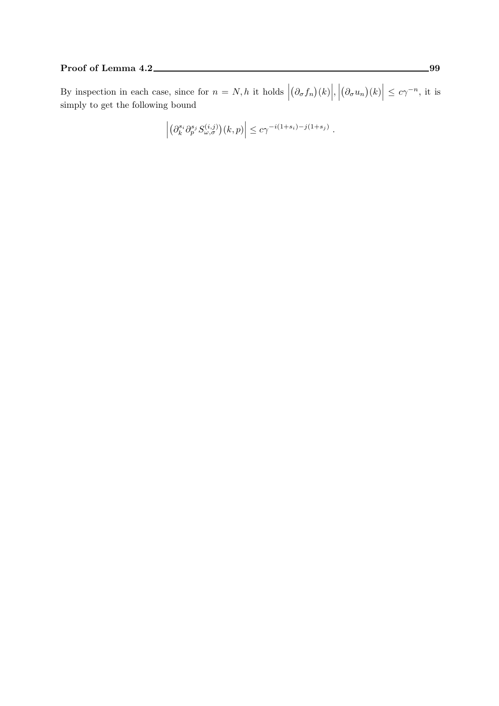### Proof of Lemma 4.2 99

By inspection in each case, since for  $n = N, h$  it holds |  $(\partial_{\sigma} f_n)(k)\Big|, \Big|$  $(\partial_{\sigma} u_n)(k)\Big| \leq c\gamma^{-n}$ , it is simply to get the following bound

$$
\left| \left( \partial_k^{s_i} \partial_p^{s_j} S_{\omega, \sigma}^{(i,j)} \right) (k,p) \right| \leq c \gamma^{-i(1+s_i)-j(1+s_j)}.
$$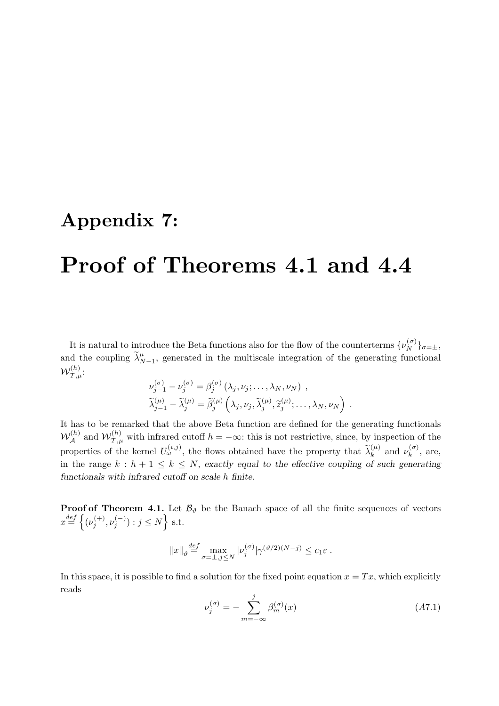## Appendix 7:

# Proof of Theorems 4.1 and 4.4

It is natural to introduce the Beta functions also for the flow of the counterterms  $\{\nu_N^{(\sigma)}\}_{\sigma=\pm}$ , and the coupling  $\tilde{\lambda}_{N-1}^{\mu}$ , generated in the multiscale integration of the generating functional  $\mathcal{W}_{\mathcal{T},\mu}^{(h)}$ :

$$
\nu_{j-1}^{(\sigma)} - \nu_j^{(\sigma)} = \beta_j^{(\sigma)} (\lambda_j, \nu_j; \dots, \lambda_N, \nu_N) ,
$$
  

$$
\widetilde{\lambda}_{j-1}^{(\mu)} - \widetilde{\lambda}_j^{(\mu)} = \widetilde{\beta}_j^{(\mu)} \left( \lambda_j, \nu_j, \widetilde{\lambda}_j^{(\mu)}, \widetilde{z}_j^{(\mu)}; \dots, \lambda_N, \nu_N \right) .
$$

It has to be remarked that the above Beta function are defined for the generating functionals  $W_{\mathcal{A}}^{(h)}$  and  $W_{\mathcal{T},\mu}^{(h)}$  with infrared cutoff  $h = -\infty$ : this is not restrictive, since, by inspection of the properties of the kernel  $U_{\omega}^{(i,j)}$ , the flows obtained have the property that  $\tilde{\lambda}_k^{(\mu)}$  and  $\nu_k^{(\sigma)}$  $\binom{0}{k}$ , are, in the range  $k : h + 1 \leq k \leq N$ , exactly equal to the effective coupling of such generating functionals with infrared cutoff on scale h finite.

**Proof of Theorem 4.1.** Let  $\mathcal{B}_{\vartheta}$  be the Banach space of all the finite sequences of vectors  $x \stackrel{def}{=} \left\{ (\nu_i^{(+)}\right\}$  $(j^{(+)}, \nu_j^{(-)}) : j \leq N$  s.t.

$$
||x||_{\vartheta} \stackrel{def}{=} \max_{\sigma=\pm, j \le N} |\nu_j^{(\sigma)}| \gamma^{(\vartheta/2)(N-j)} \le c_1 \varepsilon.
$$

In this space, it is possible to find a solution for the fixed point equation  $x = Tx$ , which explicitly reads

$$
\nu_j^{(\sigma)} = -\sum_{m=-\infty}^j \beta_m^{(\sigma)}(x)
$$
\n(A7.1)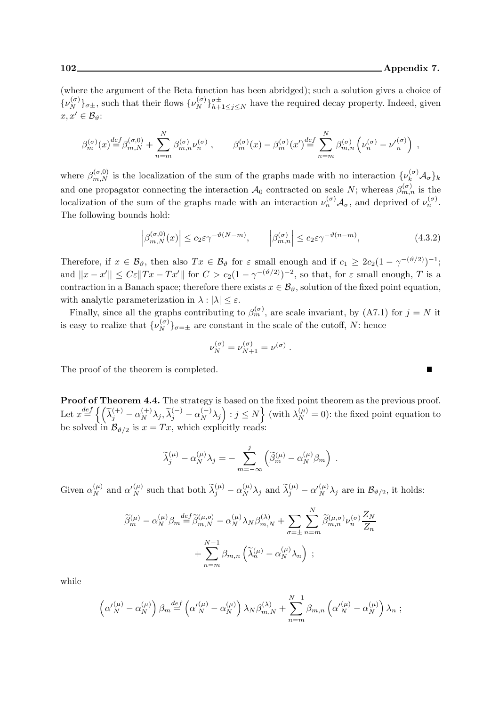$\blacksquare$ 

(where the argument of the Beta function has been abridged); such a solution gives a choice of  $\{\nu_N^{(\sigma)}\}_{\sigma\pm}$ , such that their flows  $\{\nu_N^{(\sigma)}\}_{h+1\leq j\leq N}^{\sigma\pm}$  have the required decay property. Indeed, given  $x, x' \in \mathcal{B}_{\vartheta}$ :

$$
\beta_m^{(\sigma)}(x) \stackrel{def}{=} \beta_{m,N}^{(\sigma,0)} + \sum_{n=m}^N \beta_{m,n}^{(\sigma)} \nu_n^{(\sigma)}, \qquad \beta_m^{(\sigma)}(x) - \beta_m^{(\sigma)}(x') \stackrel{def}{=} \sum_{n=m}^N \beta_{m,n}^{(\sigma)} \left( \nu_n^{(\sigma)} - \nu_n^{(\sigma)} \right) ,
$$

where  $\beta_{m,N}^{(\sigma,0)}$  is the localization of the sum of the graphs made with no interaction  $\{\nu_k^{(\sigma)}\mathcal{A}_{\sigma}\}_k$ and one propagator connecting the interaction  $\mathcal{A}_0$  contracted on scale N; whereas  $\beta_{m,n}^{(\sigma)}$  is the localization of the sum of the graphs made with an interaction  $\nu_n^{(\sigma)} A_{\sigma}$ , and deprived of  $\nu_n^{(\sigma)}$ . The following bounds hold:

$$
\left|\beta_{m,N}^{(\sigma,0)}(x)\right| \le c_2 \varepsilon \gamma^{-\vartheta(N-m)}, \qquad \left|\beta_{m,n}^{(\sigma)}\right| \le c_2 \varepsilon \gamma^{-\vartheta(n-m)},\tag{4.3.2}
$$

Therefore, if  $x \in \mathcal{B}_{\vartheta}$ , then also  $Tx \in \mathcal{B}_{\vartheta}$  for  $\varepsilon$  small enough and if  $c_1 \geq 2c_2(1 - \gamma^{-(\vartheta/2)})^{-1}$ ; and  $||x - x'|| \leq C \varepsilon ||Tx - Tx'||$  for  $C > c_2(1 - \gamma^{-(\vartheta/2)})^{-2}$ , so that, for  $\varepsilon$  small enough, T is a contraction in a Banach space; therefore there exists  $x \in \mathcal{B}_{\vartheta}$ , solution of the fixed point equation, with analytic parameterization in  $\lambda : |\lambda| \leq \varepsilon$ .

Finally, since all the graphs contributing to  $\beta_m^{(\sigma)}$ , are scale invariant, by (A7.1) for  $j = N$  it is easy to realize that  $\{\nu_N^{(\sigma)}\}_{\sigma=\pm}$  are constant in the scale of the cutoff, N: hence

$$
\nu_N^{(\sigma)} = \nu_{N+1}^{(\sigma)} = \nu^{(\sigma)}.
$$

The proof of the theorem is completed.

Proof of Theorem 4.4. The strategy is based on the fixed point theorem as the previous proof. Let  $x \stackrel{def}{=} \left\{ \left( \widetilde{\lambda}_j^{(+)} - \alpha_N^{(+)} \lambda_j, \widetilde{\lambda}_j^{(-)} - \alpha_N^{(-)} \lambda_j \right) : j \leq N \right\}$  (with  $\lambda_N^{(\mu)} = 0$ ): the fixed point equation to be solved in  $\mathcal{B}_{\vartheta/2}$  is  $x = Tx$ , which explicitly reads:

$$
\widetilde{\lambda}_{j}^{(\mu)} - \alpha_{N}^{(\mu)} \lambda_{j} = - \sum_{m=-\infty}^{j} \left( \widetilde{\beta}_{m}^{(\mu)} - \alpha_{N}^{(\mu)} \beta_{m} \right) .
$$

Given  $\alpha_N^{(\mu)}$  and  $\alpha_N^{(\mu)}$  such that both  $\tilde{\lambda}_j^{(\mu)} - \alpha_N^{(\mu)} \lambda_j$  and  $\tilde{\lambda}_j^{(\mu)} - \alpha_N^{(\mu)} \lambda_j$  are in  $\mathcal{B}_{\vartheta/2}$ , it holds:

$$
\widetilde{\beta}_{m}^{(\mu)} - \alpha_{N}^{(\mu)} \beta_{m} \stackrel{def}{=} \widetilde{\beta}_{m,N}^{(\mu,o)} - \alpha_{N}^{(\mu)} \lambda_{N} \beta_{m,N}^{(\lambda)} + \sum_{\sigma=\pm} \sum_{n=m}^{N} \widetilde{\beta}_{m,n}^{(\mu,\sigma)} \nu_{n}^{(\sigma)} \frac{Z_{N}}{Z_{n}} + \sum_{n=m}^{N-1} \beta_{m,n} \left( \widetilde{\lambda}_{n}^{(\mu)} - \alpha_{N}^{(\mu)} \lambda_{n} \right) ;
$$

while

$$
\left(\alpha'_{N}^{(\mu)}-\alpha_{N}^{(\mu)}\right)\beta_{m} \stackrel{def}{=} \left(\alpha'_{N}^{(\mu)}-\alpha_{N}^{(\mu)}\right)\lambda_{N}\beta_{m,N}^{(\lambda)} + \sum_{n=m}^{N-1} \beta_{m,n} \left(\alpha'_{N}^{(\mu)}-\alpha_{N}^{(\mu)}\right)\lambda_{n};
$$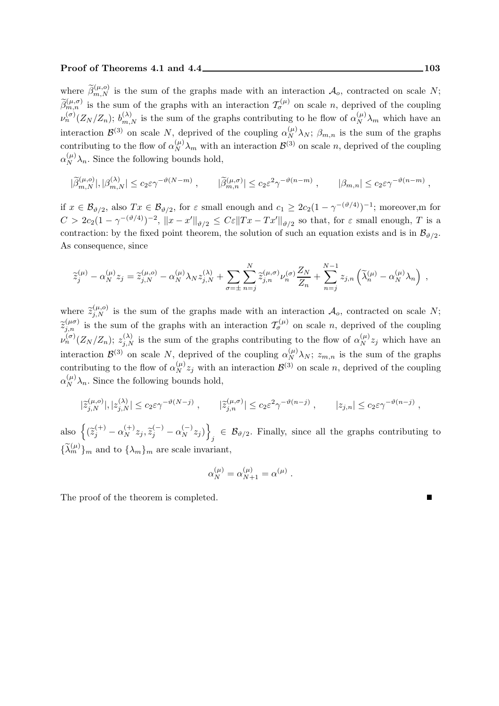#### Proof of Theorems 4.1 and 4.4 103

where  $\widetilde{\beta}_{m,N}^{(\mu,o)}$  is the sum of the graphs made with an interaction  $\mathcal{A}_o$ , contracted on scale N;  $\widetilde{\beta}_{m,n}^{(\mu,\sigma)}$  is the sum of the graphs with an interaction  $\mathcal{T}_{\sigma}^{(\mu)}$  on scale n, deprived of the coupling  $\nu_n^{(\sigma)}(Z_N/Z_n)$ ;  $b_{m,N}^{(\lambda)}$  is the sum of the graphs contributing to he flow of  $\alpha_N^{(\mu)}\lambda_m$  which have an interaction  $\mathcal{B}^{(3)}$  on scale N, deprived of the coupling  $\alpha_N^{(\mu)}\lambda_N$ ;  $\beta_{m,n}$  is the sum of the graphs contributing to the flow of  $\alpha_N^{(\mu)}\lambda_m$  with an interaction  $\mathcal{B}^{(3)}$  on scale n, deprived of the coupling  $\alpha_N^{(\mu)}\lambda_n$ . Since the following bounds hold,

$$
|\widetilde{\beta}^{(\mu,o)}_{m,N}|,|\beta^{(\lambda)}_{m,N}|\leq c_2\varepsilon\gamma^{-\vartheta(N-m)}\;,\qquad |\widetilde{\beta}^{(\mu,\sigma)}_{m,n}|\leq c_2\varepsilon^2\gamma^{-\vartheta(n-m)}\;,\qquad |\beta_{m,n}|\leq c_2\varepsilon\gamma^{-\vartheta(n-m)}\;,
$$

if  $x \in \mathcal{B}_{\vartheta/2}$ , also  $Tx \in \mathcal{B}_{\vartheta/2}$ , for  $\varepsilon$  small enough and  $c_1 \geq 2c_2(1 - \gamma^{-(\vartheta/4)})^{-1}$ ; moreover,m for  $C > 2c_2(1-\gamma^{-(\vartheta/4)})^{-2}$ ,  $||x-x'||_{\vartheta/2} \leq C\varepsilon ||Tx - Tx'||_{\vartheta/2}$  so that, for  $\varepsilon$  small enough, T is a contraction: by the fixed point theorem, the solution of such an equation exists and is in  $\mathcal{B}_{\vartheta/2}$ . As consequence, since

$$
\widetilde{z}_{j}^{(\mu)}-\alpha_N^{(\mu)}z_j=\widetilde{z}_{j,N}^{(\mu,o)}-\alpha_N^{(\mu)}\lambda_N z_{j,N}^{(\lambda)}+\sum_{\sigma=\pm}\sum_{n=j}^N\widetilde{z}_{j,n}^{(\mu,\sigma)}\nu_n^{(\sigma)}\frac{Z_N}{Z_n}+\sum_{n=j}^{N-1}z_{j,n}\left(\widetilde{\lambda}_n^{(\mu)}-\alpha_N^{(\mu)}\lambda_n\right)\;,
$$

where  $\tilde{z}_{j,N}^{(\mu,o)}$  is the sum of the graphs made with an interaction  $\mathcal{A}_o$ , contracted on scale N;  $\widetilde{z}_{j,n}^{(\mu\sigma)}$  is the sum of the graphs with an interaction  $\mathcal{T}_{\sigma}^{(\mu)}$  on scale n, deprived of the coupling  $\nu_n^{(\sigma)}(Z_N/Z_n); z_{j,N}^{(\lambda)}$  is the sum of the graphs contributing to the flow of  $\alpha_N^{(\mu)} z_j$  which have an interaction  $\mathcal{B}^{(3)}$  on scale N, deprived of the coupling  $\alpha_N^{(\mu)}\lambda_N$ ;  $z_{m,n}$  is the sum of the graphs contributing to the flow of  $\alpha_N^{(\mu)} z_j$  with an interaction  $\mathcal{B}^{(3)}$  on scale n, deprived of the coupling  $\alpha_N^{(\mu)}\lambda_n$ . Since the following bounds hold,

$$
|\widetilde{z}_{j,N}^{(\mu,o)}|,|z_{j,N}^{(\lambda)}| \le c_2 \varepsilon \gamma^{-\vartheta(N-j)}\;, \qquad |\widetilde{z}_{j,n}^{(\mu,\sigma)}| \le c_2 \varepsilon^2 \gamma^{-\vartheta(n-j)}\;, \qquad |z_{j,n}| \le c_2 \varepsilon \gamma^{-\vartheta(n-j)}\;,
$$

also  $\left\{ (\widetilde{z}_j^{(+)} - \alpha_N^{(+)} z_j, \widetilde{z}_j^{(-)} - \alpha_N^{(-)} z_j) \right\}$  $\beta_j \in \mathcal{B}_{\vartheta/2}$ . Finally, since all the graphs contributing to  ${\{\widetilde{\lambda}_m^{(\mu)}\}}_m$  and to  ${\{\lambda_m\}}_m$  are scale invariant,

$$
\alpha_N^{(\mu)} = \alpha_{N+1}^{(\mu)} = \alpha^{(\mu)}.
$$

The proof of the theorem is completed.

г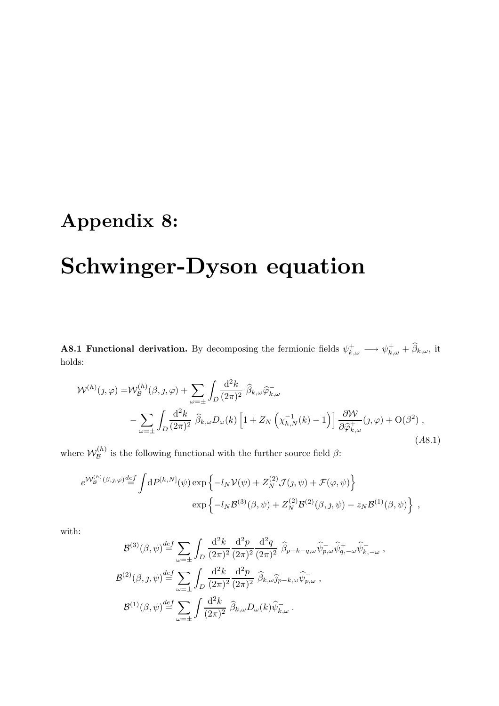# Appendix 8:

# Schwinger-Dyson equation

**A8.1 Functional derivation.** By decomposing the fermionic fields  $\psi_{k,\omega}^+ \longrightarrow \psi_{k,\omega}^+ + \widehat{\beta}_{k,\omega}$ , it holds:

$$
\mathcal{W}^{(h)}(j,\varphi) = \mathcal{W}_{\mathcal{B}}^{(h)}(\beta,j,\varphi) + \sum_{\omega=\pm} \int_{D} \frac{\mathrm{d}^2 k}{(2\pi)^2} \widehat{\beta}_{k,\omega} \widehat{\varphi}_{k,\omega} - \sum_{\omega=\pm} \int_{D} \frac{\mathrm{d}^2 k}{(2\pi)^2} \widehat{\beta}_{k,\omega} D_{\omega}(k) \left[ 1 + Z_N \left( \chi_{h,N}^{-1}(k) - 1 \right) \right] \frac{\partial \mathcal{W}}{\partial \widehat{\varphi}_{k,\omega}^+} (j,\varphi) + \mathcal{O}(\beta^2) , \tag{A8.1}
$$

where  $\mathcal{W}_{\mathcal{B}}^{(h)}$  $\mathcal{B}^{(h)}$  is the following functional with the further source field  $\beta$ :

$$
e^{\mathcal{W}_{\mathcal{B}}^{(h)}(\beta,j,\varphi)} \stackrel{def}{=} \int dP^{[h,N]}(\psi) \exp \left\{-l_N \mathcal{V}(\psi) + Z_N^{(2)} \mathcal{J}(j,\psi) + \mathcal{F}(\varphi,\psi)\right\}
$$
  

$$
\exp \left\{-l_N \mathcal{B}^{(3)}(\beta,\psi) + Z_N^{(2)} \mathcal{B}^{(2)}(\beta,j,\psi) - z_N \mathcal{B}^{(1)}(\beta,\psi)\right\} ,
$$

with:

$$
\mathcal{B}^{(3)}(\beta,\psi) \stackrel{def}{=} \sum_{\omega=\pm} \int_D \frac{\mathrm{d}^2 k}{(2\pi)^2} \frac{\mathrm{d}^2 p}{(2\pi)^2} \frac{\mathrm{d}^2 q}{(2\pi)^2} \widehat{\beta}_{p+k-q,\omega} \widehat{\psi}_{p,\omega}^- \widehat{\psi}_{q,-\omega}^+ \widehat{\psi}_{k,-\omega}^- ,
$$
  

$$
\mathcal{B}^{(2)}(\beta,\jmath,\psi) \stackrel{def}{=} \sum_{\omega=\pm} \int_D \frac{\mathrm{d}^2 k}{(2\pi)^2} \frac{\mathrm{d}^2 p}{(2\pi)^2} \widehat{\beta}_{k,\omega} \widehat{j}_{p-k,\omega} \widehat{\psi}_{p,\omega}^- ,
$$
  

$$
\mathcal{B}^{(1)}(\beta,\psi) \stackrel{def}{=} \sum_{\omega=\pm} \int \frac{\mathrm{d}^2 k}{(2\pi)^2} \widehat{\beta}_{k,\omega} D_{\omega}(k) \widehat{\psi}_{k,\omega}^- .
$$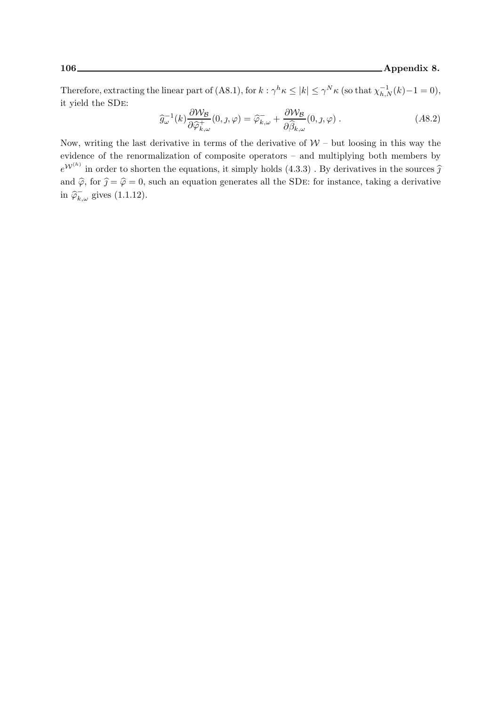Therefore, extracting the linear part of (A8.1), for  $k : \gamma^h \kappa \leq |k| \leq \gamma^N \kappa$  (so that  $\chi_{h,N}^{-1}(k) - 1 = 0$ ), it yield the SDe:

$$
\widehat{g}_{\omega}^{-1}(k)\frac{\partial \mathcal{W}_{\mathcal{B}}}{\partial \widehat{\varphi}_{k,\omega}^{+}}(0,\jmath,\varphi) = \widehat{\varphi}_{k,\omega}^{-} + \frac{\partial \mathcal{W}_{\mathcal{B}}}{\partial \widehat{\beta}_{k,\omega}}(0,\jmath,\varphi) .
$$
\n(A8.2)

Now, writing the last derivative in terms of the derivative of  $W$  – but loosing in this way the evidence of the renormalization of composite operators – and multiplying both members by  $e^{\mathcal{W}^{(h)}}$  in order to shorten the equations, it simply holds  $(4.3.3)$ . By derivatives in the sources  $\hat{\jmath}$ and  $\hat{\varphi}$ , for  $\hat{\jmath} = \hat{\varphi} = 0$ , such an equation generates all the SDE: for instance, taking a derivative in  $\widehat{\varphi}_{k,\omega}^-$  gives  $(1.1.12)$ .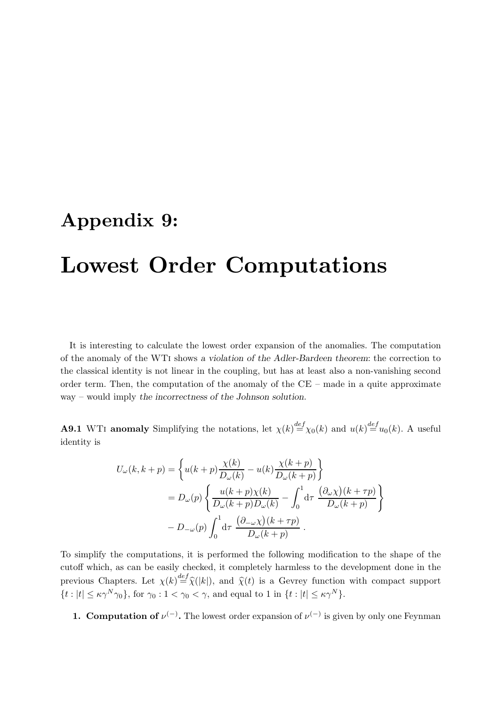## Appendix 9:

# Lowest Order Computations

It is interesting to calculate the lowest order expansion of the anomalies. The computation of the anomaly of the WTi shows a violation of the Adler-Bardeen theorem: the correction to the classical identity is not linear in the coupling, but has at least also a non-vanishing second order term. Then, the computation of the anomaly of the CE – made in a quite approximate way – would imply the incorrectness of the Johnson solution.

**A9.1** WTI anomaly Simplifying the notations, let  $\chi(k) \stackrel{def}{=} \chi_0(k)$  and  $u(k) \stackrel{def}{=} u_0(k)$ . A useful identity is

$$
U_{\omega}(k, k+p) = \left\{ u(k+p) \frac{\chi(k)}{D_{\omega}(k)} - u(k) \frac{\chi(k+p)}{D_{\omega}(k+p)} \right\}
$$
  
=  $D_{\omega}(p) \left\{ \frac{u(k+p)\chi(k)}{D_{\omega}(k+p)D_{\omega}(k)} - \int_0^1 d\tau \frac{(\partial_{\omega}\chi)(k+\tau p)}{D_{\omega}(k+p)} \right\}$   
-  $D_{-\omega}(p) \int_0^1 d\tau \frac{(\partial_{-\omega}\chi)(k+\tau p)}{D_{\omega}(k+p)} .$ 

To simplify the computations, it is performed the following modification to the shape of the cutoff which, as can be easily checked, it completely harmless to the development done in the previous Chapters. Let  $\chi(k) \stackrel{def}{=} \hat{\chi}(k)$ , and  $\hat{\chi}(t)$  is a Gevrey function with compact support  $\{t : |t| \le \kappa \gamma^N \gamma_0\}$ , for  $\gamma_0 : 1 < \gamma_0 < \gamma$ , and equal to 1 in  $\{t : |t| \le \kappa \gamma^N\}$ .

**1. Computation of**  $\nu^{(-)}$ . The lowest order expansion of  $\nu^{(-)}$  is given by only one Feynman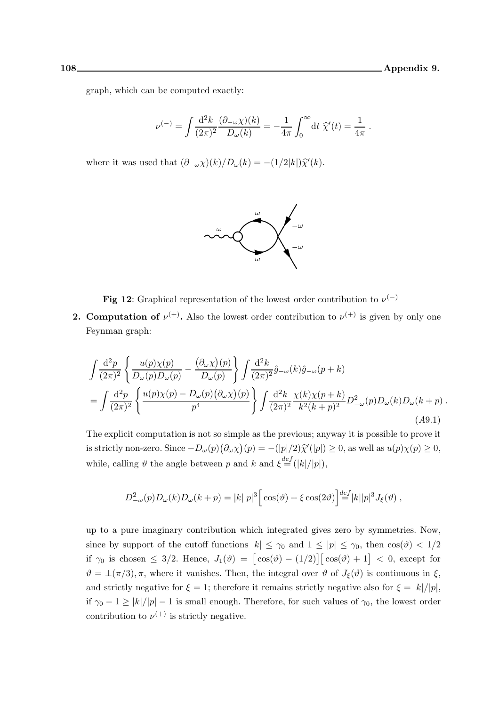graph, which can be computed exactly:

$$
\nu^{(-)} = \int\!\frac{\mathrm{d}^2 k}{(2\pi)^2}\frac{(\partial_{-\omega}\chi)(k)}{D_{\omega}(k)} = -\frac{1}{4\pi}\int_0^{\infty}\!\mathrm{d} t\; \widehat{\chi}'(t) = \frac{1}{4\pi} \; .
$$

where it was used that  $(\partial_{-\omega}\chi)(k)/D_{\omega}(k) = -(1/2|k|)\hat{\chi}'(k)$ .



**Fig 12:** Graphical representation of the lowest order contribution to  $\nu^{(-)}$ 

**2. Computation of**  $\nu^{(+)}$ . Also the lowest order contribution to  $\nu^{(+)}$  is given by only one Feynman graph:

$$
\int \frac{\mathrm{d}^2 p}{(2\pi)^2} \left\{ \frac{u(p)\chi(p)}{D_{\omega}(p)D_{\omega}(p)} - \frac{(\partial_{\omega}\chi)(p)}{D_{\omega}(p)} \right\} \int \frac{\mathrm{d}^2 k}{(2\pi)^2} \hat{g}_{-\omega}(k) \hat{g}_{-\omega}(p+k) \n= \int \frac{\mathrm{d}^2 p}{(2\pi)^2} \left\{ \frac{u(p)\chi(p) - D_{\omega}(p)(\partial_{\omega}\chi)(p)}{p^4} \right\} \int \frac{\mathrm{d}^2 k}{(2\pi)^2} \frac{\chi(k)\chi(p+k)}{k^2(k+p)^2} D_{-\omega}^2(p) D_{\omega}(k) D_{\omega}(k+p) .
$$
\n(A9.1)

The explicit computation is not so simple as the previous; anyway it is possible to prove it is strictly non-zero. Since  $-D_{\omega}(p)(\partial_{\omega}\chi)(p) = -(|p|/2)\hat{\chi}'(|p|) \ge 0$ , as well as  $u(p)\chi(p) \ge 0$ , while, calling  $\vartheta$  the angle between p and k and  $\xi \stackrel{def}{=} (|k|/|p|)$ ,

$$
D_{-\omega}^2(p)D_{\omega}(k)D_{\omega}(k+p) = |k||p|^3 \left[ \cos(\vartheta) + \xi \cos(2\vartheta) \right] \stackrel{def}{=} |k||p|^3 J_{\xi}(\vartheta) ,
$$

up to a pure imaginary contribution which integrated gives zero by symmetries. Now, since by support of the cutoff functions  $|k| \leq \gamma_0$  and  $1 \leq |p| \leq \gamma_0$ , then  $\cos(\theta) < 1/2$ if  $\gamma_0$  is chosen  $\leq 3/2$ . Hence,  $J_1(\vartheta) = [\cos(\vartheta) - (1/2)][\cos(\vartheta) + 1] < 0$ , except for  $\vartheta = \pm(\pi/3), \pi$ , where it vanishes. Then, the integral over  $\vartheta$  of  $J_{\xi}(\vartheta)$  is continuous in  $\xi$ , and strictly negative for  $\xi = 1$ ; therefore it remains strictly negative also for  $\xi = |k|/|p|$ , if  $\gamma_0 - 1 \ge |k|/|p| - 1$  is small enough. Therefore, for such values of  $\gamma_0$ , the lowest order contribution to  $\nu^{(+)}$  is strictly negative.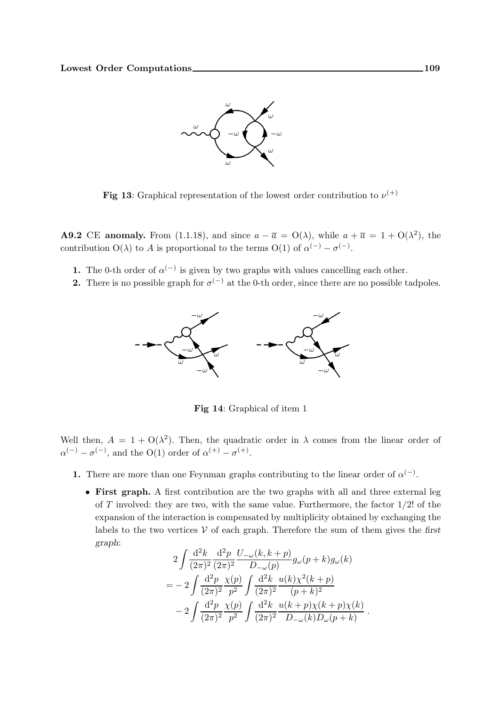

Fig 13: Graphical representation of the lowest order contribution to  $\nu^{(+)}$ 

**A9.2** CE **anomaly.** From (1.1.18), and since  $a - \overline{a} = O(\lambda)$ , while  $a + \overline{a} = 1 + O(\lambda^2)$ , the contribution  $O(\lambda)$  to A is proportional to the terms  $O(1)$  of  $\alpha^{(-)} - \sigma^{(-)}$ .

- **1.** The 0-th order of  $\alpha^{(-)}$  is given by two graphs with values cancelling each other.
- **2.** There is no possible graph for  $\sigma^{(-)}$  at the 0-th order, since there are no possible tadpoles.



Fig 14: Graphical of item 1

Well then,  $A = 1 + O(\lambda^2)$ . Then, the quadratic order in  $\lambda$  comes from the linear order of  $\alpha^{(-)} - \sigma^{(-)}$ , and the O(1) order of  $\alpha^{(+)} - \sigma^{(+)}$ .

- 1. There are more than one Feynman graphs contributing to the linear order of  $\alpha^{(-)}$ .
	- First graph. A first contribution are the two graphs with all and three external leg of  $T$  involved: they are two, with the same value. Furthermore, the factor  $1/2!$  of the expansion of the interaction is compensated by multiplicity obtained by exchanging the labels to the two vertices  $V$  of each graph. Therefore the sum of them gives the first graph:

$$
2\int \frac{d^2k}{(2\pi)^2} \frac{d^2p}{(2\pi)^2} \frac{U_{-\omega}(k, k+p)}{D_{-\omega}(p)} g_{\omega}(p+k) g_{\omega}(k)
$$
  
= 
$$
-2\int \frac{d^2p}{(2\pi)^2} \frac{\chi(p)}{p^2} \int \frac{d^2k}{(2\pi)^2} \frac{u(k)\chi^2(k+p)}{(p+k)^2}
$$
  

$$
-2\int \frac{d^2p}{(2\pi)^2} \frac{\chi(p)}{p^2} \int \frac{d^2k}{(2\pi)^2} \frac{u(k+p)\chi(k+p)\chi(k)}{D_{-\omega}(k)D_{\omega}(p+k)}.
$$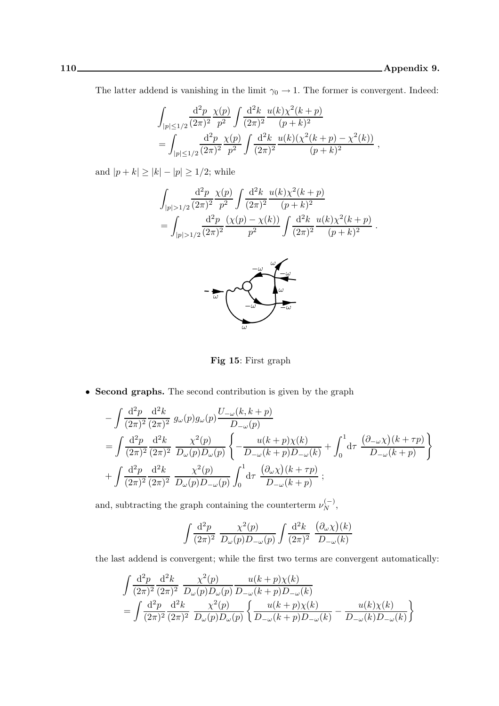,

The latter addend is vanishing in the limit  $\gamma_0 \to 1$ . The former is convergent. Indeed:

$$
\int_{|p| \le 1/2} \frac{\mathrm{d}^2 p}{(2\pi)^2} \frac{\chi(p)}{p^2} \int \frac{\mathrm{d}^2 k}{(2\pi)^2} \frac{u(k)\chi^2(k+p)}{(p+k)^2} \n= \int_{|p| \le 1/2} \frac{\mathrm{d}^2 p}{(2\pi)^2} \frac{\chi(p)}{p^2} \int \frac{\mathrm{d}^2 k}{(2\pi)^2} \frac{u(k)(\chi^2(k+p) - \chi^2(k))}{(p+k)^2}
$$

and  $|p + k| \ge |k| - |p| \ge 1/2$ ; while

$$
\int_{|p|>1/2} \frac{\mathrm{d}^2 p}{(2\pi)^2} \frac{\chi(p)}{p^2} \int \frac{\mathrm{d}^2 k}{(2\pi)^2} \frac{u(k)\chi^2(k+p)}{(p+k)^2} \n= \int_{|p|>1/2} \frac{\mathrm{d}^2 p}{(2\pi)^2} \frac{(\chi(p)-\chi(k))}{p^2} \int \frac{\mathrm{d}^2 k}{(2\pi)^2} \frac{u(k)\chi^2(k+p)}{(p+k)^2}.
$$



Fig 15: First graph

• Second graphs. The second contribution is given by the graph

$$
-\int \frac{d^2 p}{(2\pi)^2} \frac{d^2 k}{(2\pi)^2} g_{\omega}(p) g_{\omega}(p) \frac{U_{-\omega}(k, k+p)}{D_{-\omega}(p)}
$$
  
= 
$$
\int \frac{d^2 p}{(2\pi)^2} \frac{d^2 k}{(2\pi)^2} \frac{\chi^2(p)}{D_{\omega}(p)D_{\omega}(p)} \left\{ -\frac{u(k+p)\chi(k)}{D_{-\omega}(k+p)D_{-\omega}(k)} + \int_0^1 d\tau \frac{(\partial_{-\omega}\chi)(k+\tau p)}{D_{-\omega}(k+p)} \right\}
$$
  
+ 
$$
\int \frac{d^2 p}{(2\pi)^2} \frac{d^2 k}{(2\pi)^2} \frac{\chi^2(p)}{D_{\omega}(p)D_{-\omega}(p)} \int_0^1 d\tau \frac{(\partial_{\omega}\chi)(k+\tau p)}{D_{-\omega}(k+p)} ;
$$

and, subtracting the graph containing the counterterm  $\nu_N^{(-)}$ ,

$$
\int\!\frac{\mathrm{d}^2p}{(2\pi)^2}\;\frac{\chi^2(p)}{D_\omega(p)D_{-\omega}(p)}\int\!\frac{\mathrm{d}^2k}{(2\pi)^2}\;\frac{\big(\partial_\omega\chi\big)(k)}{D_{-\omega}(k)}
$$

the last addend is convergent; while the first two terms are convergent automatically:

$$
\int \frac{d^2 p}{(2\pi)^2} \frac{d^2 k}{(2\pi)^2} \frac{\chi^2(p)}{D_\omega(p) D_\omega(p)} \frac{u(k+p)\chi(k)}{D_{-\omega}(k+p) D_{-\omega}(k)} \n= \int \frac{d^2 p}{(2\pi)^2} \frac{d^2 k}{(2\pi)^2} \frac{\chi^2(p)}{D_\omega(p) D_\omega(p)} \left\{ \frac{u(k+p)\chi(k)}{D_{-\omega}(k+p) D_{-\omega}(k)} - \frac{u(k)\chi(k)}{D_{-\omega}(k) D_{-\omega}(k)} \right\}
$$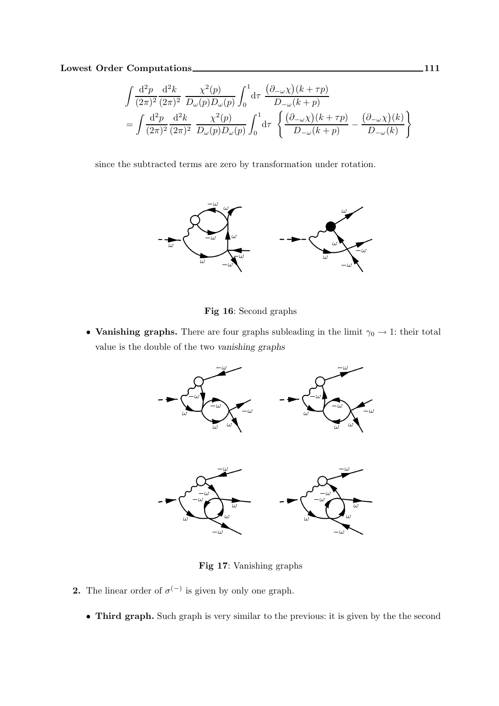$$
\int \frac{\mathrm{d}^2 p}{(2\pi)^2} \frac{\mathrm{d}^2 k}{(2\pi)^2} \frac{\chi^2(p)}{D_\omega(p) D_\omega(p)} \int_0^1 \mathrm{d}\tau \frac{(\partial_{-\omega}\chi)(k+\tau p)}{D_{-\omega}(k+p)} \n= \int \frac{\mathrm{d}^2 p}{(2\pi)^2} \frac{\mathrm{d}^2 k}{(2\pi)^2} \frac{\chi^2(p)}{D_\omega(p) D_\omega(p)} \int_0^1 \mathrm{d}\tau \left\{ \frac{(\partial_{-\omega}\chi)(k+\tau p)}{D_{-\omega}(k+\tau p)} - \frac{(\partial_{-\omega}\chi)(k)}{D_{-\omega}(k)} \right\}
$$

since the subtracted terms are zero by transformation under rotation.



Fig 16: Second graphs

• Vanishing graphs. There are four graphs subleading in the limit  $\gamma_0 \to 1$ : their total value is the double of the two vanishing graphs



Fig 17: Vanishing graphs

- **2.** The linear order of  $\sigma^{(-)}$  is given by only one graph.
	- Third graph. Such graph is very similar to the previous: it is given by the the second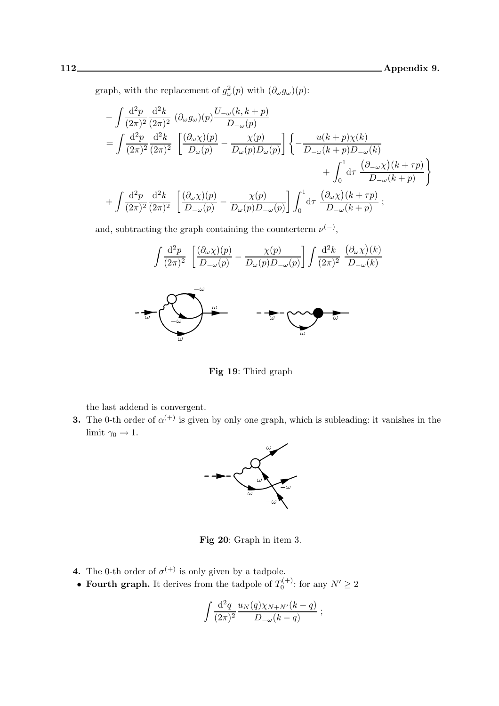graph, with the replacement of  $g^2_\omega(p)$  with  $(\partial_\omega g_\omega)(p)$ :

$$
-\int \frac{d^2 p}{(2\pi)^2} \frac{d^2 k}{(2\pi)^2} (\partial_\omega g_\omega)(p) \frac{U_{-\omega}(k, k+p)}{D_{-\omega}(p)}
$$
  
= 
$$
\int \frac{d^2 p}{(2\pi)^2} \frac{d^2 k}{(2\pi)^2} \left[ \frac{(\partial_\omega \chi)(p)}{D_\omega(p)} - \frac{\chi(p)}{D_\omega(p)D_\omega(p)} \right] \left\{ -\frac{u(k+p)\chi(k)}{D_{-\omega}(k+p)D_{-\omega}(k)} + \int_0^1 d\tau \frac{(\partial_{-\omega}\chi)(k+\tau p)}{D_{-\omega}(k+p)} \right\}
$$
  
+ 
$$
\int \frac{d^2 p}{(2\pi)^2} \frac{d^2 k}{(2\pi)^2} \left[ \frac{(\partial_\omega \chi)(p)}{D_{-\omega}(p)} - \frac{\chi(p)}{D_\omega(p)D_{-\omega}(p)} \right] \int_0^1 d\tau \frac{(\partial_\omega \chi)(k+\tau p)}{D_{-\omega}(k+p)} ;
$$

and, subtracting the graph containing the counterterm  $\nu^{(-)}$ ,



Fig 19: Third graph

the last addend is convergent.

**3.** The 0-th order of  $\alpha^{(+)}$  is given by only one graph, which is subleading: it vanishes in the limit  $\gamma_0 \to 1$ .



Fig 20: Graph in item 3.

- **4.** The 0-th order of  $\sigma^{(+)}$  is only given by a tadpole.
- Fourth graph. It derives from the tadpole of  $T_0^{(+)}$  $0^{(+)}$ : for any  $N' \geq 2$

$$
\int \frac{\mathrm{d}^2 q}{(2\pi)^2} \frac{u_N(q)\chi_{N+N'}(k-q)}{D_{-\omega}(k-q)};
$$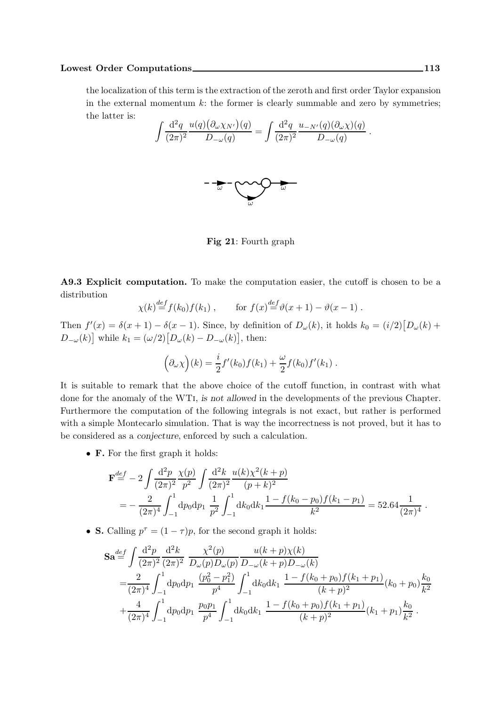## Lowest Order Computations 113

the localization of this term is the extraction of the zeroth and first order Taylor expansion in the external momentum  $k$ : the former is clearly summable and zero by symmetries; the latter is:

$$
\int \frac{\mathrm{d}^2 q}{(2\pi)^2} \frac{u(q) \big(\partial_\omega \chi_{N'}\big)(q)}{D_{-\omega}(q)} = \int \frac{\mathrm{d}^2 q}{(2\pi)^2} \frac{u_{-N'}(q) \big(\partial_\omega \chi\big)(q)}{D_{-\omega}(q)}.
$$



Fig 21: Fourth graph

A9.3 Explicit computation. To make the computation easier, the cutoff is chosen to be a distribution

$$
\chi(k) \stackrel{def}{=} f(k_0) f(k_1)
$$
, for  $f(x) \stackrel{def}{=} \vartheta(x+1) - \vartheta(x-1)$ .

Then  $f'(x) = \delta(x+1) - \delta(x-1)$ . Since, by definition of  $D_{\omega}(k)$ , it holds  $k_0 = (i/2) [D_{\omega}(k) +$  $D_{-\omega}(k)$  while  $k_1 = (\omega/2) [D_{\omega}(k) - D_{-\omega}(k)]$ , then:

$$
(\partial_{\omega}\chi)(k) = \frac{i}{2}f'(k_0)f(k_1) + \frac{\omega}{2}f(k_0)f'(k_1).
$$

It is suitable to remark that the above choice of the cutoff function, in contrast with what done for the anomaly of the WTi, is not allowed in the developments of the previous Chapter. Furthermore the computation of the following integrals is not exact, but rather is performed with a simple Montecarlo simulation. That is way the incorrectness is not proved, but it has to be considered as a conjecture, enforced by such a calculation.

• F. For the first graph it holds:

$$
\mathbf{F}^{\text{def}} = -2 \int \frac{d^2 p}{(2\pi)^2} \frac{\chi(p)}{p^2} \int \frac{d^2 k}{(2\pi)^2} \frac{u(k)\chi^2(k+p)}{(p+k)^2} \n= -\frac{2}{(2\pi)^4} \int_{-1}^1 dp_0 dp_1 \frac{1}{p^2} \int_{-1}^1 dk_0 dk_1 \frac{1 - f(k_0 - p_0)f(k_1 - p_1)}{k^2} = 52.64 \frac{1}{(2\pi)^4} .
$$

• **S.** Calling  $p^{\tau} = (1 - \tau)p$ , for the second graph it holds:

$$
\mathbf{Sa} \stackrel{def}{=} \int \frac{d^2 p}{(2\pi)^2} \frac{d^2 k}{(2\pi)^2} \frac{\chi^2(p)}{D_\omega(p) D_\omega(p)} \frac{u(k+p)\chi(k)}{D_{-\omega}(k+p) D_{-\omega}(k)} \n= \frac{2}{(2\pi)^4} \int_{-1}^1 dp_0 dp_1 \frac{(p_0^2 - p_1^2)}{p^4} \int_{-1}^1 dk_0 dk_1 \frac{1 - f(k_0 + p_0) f(k_1 + p_1)}{(k+p)^2} (k_0 + p_0) \frac{k_0}{k^2} \n+ \frac{4}{(2\pi)^4} \int_{-1}^1 dp_0 dp_1 \frac{p_0 p_1}{p^4} \int_{-1}^1 dk_0 dk_1 \frac{1 - f(k_0 + p_0) f(k_1 + p_1)}{(k+p)^2} (k_1 + p_1) \frac{k_0}{k^2} .
$$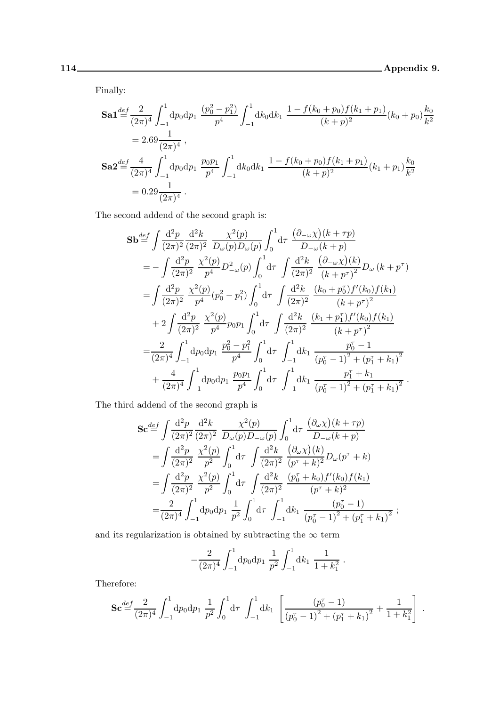Finally:

$$
\begin{split} \mathbf{S}\mathbf{a}\mathbf{1} \stackrel{def}{=} & \frac{2}{(2\pi)^4} \int_{-1}^{1} \mathrm{d}p_0 \mathrm{d}p_1 \, \frac{(p_0^2 - p_1^2)}{p^4} \int_{-1}^{1} \mathrm{d}k_0 \mathrm{d}k_1 \, \frac{1 - f(k_0 + p_0)f(k_1 + p_1)}{(k + p)^2} (k_0 + p_0) \frac{k_0}{k^2} \\ &= 2.69 \frac{1}{(2\pi)^4} \,, \\ \mathbf{S}\mathbf{a}\mathbf{2} \stackrel{def}{=} \frac{4}{(2\pi)^4} \int_{-1}^{1} \mathrm{d}p_0 \mathrm{d}p_1 \, \frac{p_0 p_1}{p^4} \int_{-1}^{1} \mathrm{d}k_0 \mathrm{d}k_1 \, \frac{1 - f(k_0 + p_0)f(k_1 + p_1)}{(k + p)^2} (k_1 + p_1) \frac{k_0}{k^2} \\ &= 0.29 \frac{1}{(2\pi)^4} \,. \end{split}
$$

The second addend of the second graph is:

$$
\mathbf{Sb} \stackrel{def}{=} \int \frac{d^2 p}{(2\pi)^2} \frac{d^2 k}{(2\pi)^2} \frac{\chi^2(p)}{D_\omega(p)D_\omega(p)} \int_0^1 d\tau \frac{(\partial_{-\omega}\chi)(k+\tau p)}{D_{-\omega}(k+p)} \n= -\int \frac{d^2 p}{(2\pi)^2} \frac{\chi^2(p)}{p^4} D_{-\omega}^2(p) \int_0^1 d\tau \int \frac{d^2 k}{(2\pi)^2} \frac{(\partial_{-\omega}\chi)(k)}{(k+p^\tau)^2} D_\omega(k+p^\tau) \n= \int \frac{d^2 p}{(2\pi)^2} \frac{\chi^2(p)}{p^4} (p_0^2 - p_1^2) \int_0^1 d\tau \int \frac{d^2 k}{(2\pi)^2} \frac{(k_0 + p_0^{\tau}) f'(k_0) f(k_1)}{(k+p^\tau)^2} \n+ 2 \int \frac{d^2 p}{(2\pi)^2} \frac{\chi^2(p)}{p^4} p_0 p_1 \int_0^1 d\tau \int \frac{d^2 k}{(2\pi)^2} \frac{(k_1 + p_1^{\tau}) f'(k_0) f(k_1)}{(k+p^\tau)^2} \n= \frac{2}{(2\pi)^4} \int_{-1}^1 dp_0 dp_1 \frac{p_0^2 - p_1^2}{p^4} \int_0^1 d\tau \int_{-1}^1 dk_1 \frac{p_0^{\tau} - 1}{(p_0^{\tau} - 1)^2 + (p_1^{\tau} + k_1)^2} \n+ \frac{4}{(2\pi)^4} \int_{-1}^1 dp_0 dp_1 \frac{p_0 p_1}{p^4} \int_0^1 d\tau \int_{-1}^1 dk_1 \frac{p_1^{\tau} + k_1}{(p_0^{\tau} - 1)^2 + (p_1^{\tau} + k_1)^2} .
$$

The third addend of the second graph is

$$
\begin{split} \mathbf{Sc} &\stackrel{def}{=} \int \frac{\mathrm{d}^2 p}{(2\pi)^2} \frac{\mathrm{d}^2 k}{(2\pi)^2} \frac{\chi^2(p)}{D_\omega(p) D_{-\omega}(p)} \int_0^1 \mathrm{d}\tau \, \frac{(\partial_\omega \chi)(k+\tau p)}{D_{-\omega}(k+p)} \\ &= \int \frac{\mathrm{d}^2 p}{(2\pi)^2} \frac{\chi^2(p)}{p^2} \int_0^1 \mathrm{d}\tau \, \int \frac{\mathrm{d}^2 k}{(2\pi)^2} \, \frac{(\partial_\omega \chi)(k)}{(p^\tau + k)^2} D_\omega(p^\tau + k) \\ &= \int \frac{\mathrm{d}^2 p}{(2\pi)^2} \frac{\chi^2(p)}{p^2} \int_0^1 \mathrm{d}\tau \, \int \frac{\mathrm{d}^2 k}{(2\pi)^2} \, \frac{(p_0^\tau + k_0) f'(k_0) f(k_1)}{(p^\tau + k)^2} \\ &= \frac{2}{(2\pi)^4} \int_{-1}^1 \mathrm{d}p_0 \mathrm{d}p_1 \, \frac{1}{p^2} \int_0^1 \mathrm{d}\tau \, \int_{-1}^1 \mathrm{d}k_1 \, \frac{(p_0^\tau - 1)}{(p_0^\tau - 1)^2 + (p_1^\tau + k_1)^2} \, ; \end{split}
$$

and its regularization is obtained by subtracting the  $\infty$  term

$$
-\frac{2}{(2\pi)^4}\int_{-1}^1\mathrm{d}p_0\mathrm{d}p_1\,\,\frac{1}{p^2}\int_{-1}^1\mathrm{d}k_1\,\,\frac{1}{1+k_1^2}\,.
$$

Therefore:

$$
\mathbf{Sc} \stackrel{def}{=} \frac{2}{(2\pi)^4} \int_{-1}^1 \mathrm{d}p_0 \mathrm{d}p_1 \, \frac{1}{p^2} \int_0^1 \mathrm{d}\tau \, \int_{-1}^1 \mathrm{d}k_1 \, \left[ \frac{(p_0^{\tau} - 1)}{(p_0^{\tau} - 1)^2 + (p_1^{\tau} + k_1)^2} + \frac{1}{1 + k_1^2} \right] \, .
$$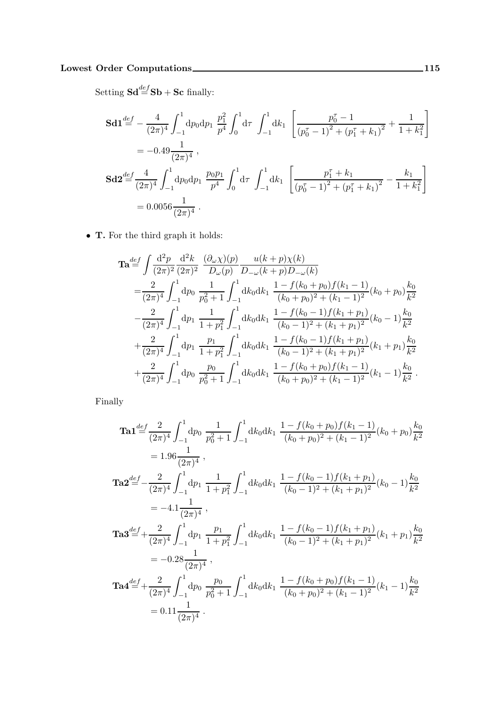$\operatorname{Setting } {\operatorname{\mathbf{Sd}}}\overset{def}{=}{\operatorname{\mathbf{Sb}}} + {\operatorname{\mathbf{Sc}}} \text{ finally:}$ 

$$
\begin{split} \mathbf{Sd1} & \stackrel{def}{=} -\frac{4}{(2\pi)^4} \int_{-1}^{1} \mathrm{d}p_0 \mathrm{d}p_1 \ \frac{p_1^2}{p^4} \int_{0}^{1} \mathrm{d}\tau \ \int_{-1}^{1} \mathrm{d}k_1 \ \left[ \frac{p_0^{\tau} - 1}{(p_0^{\tau} - 1)^2 + (p_1^{\tau} + k_1)^2} + \frac{1}{1 + k_1^2} \right] \\ & = -0.49 \frac{1}{(2\pi)^4} \ , \\ \mathbf{Sd2} & \stackrel{def}{=} \frac{4}{(2\pi)^4} \int_{-1}^{1} \mathrm{d}p_0 \mathrm{d}p_1 \ \frac{p_0 p_1}{p^4} \int_{0}^{1} \mathrm{d}\tau \ \int_{-1}^{1} \mathrm{d}k_1 \ \left[ \frac{p_1^{\tau} + k_1}{(p_0^{\tau} - 1)^2 + (p_1^{\tau} + k_1)^2} - \frac{k_1}{1 + k_1^2} \right] \\ & = 0.0056 \frac{1}{(2\pi)^4} \ . \end{split}
$$

• T. For the third graph it holds:

$$
\begin{split}\n\mathbf{Ta} &= \int \frac{\mathrm{d}^2 p}{(2\pi)^2} \frac{\mathrm{d}^2 k}{(2\pi)^2} \frac{(\partial_\omega \chi)(p)}{D_\omega(p)} \frac{u(k+p)\chi(k)}{D_{-\omega}(k+p)D_{-\omega}(k)} \\
&= \frac{2}{(2\pi)^4} \int_{-1}^1 \mathrm{d}p_0 \frac{1}{p_0^2+1} \int_{-1}^1 \mathrm{d}k_0 \mathrm{d}k_1 \frac{1-f(k_0+p_0)f(k_1-1)}{(k_0+p_0)^2+(k_1-1)^2} (k_0+p_0) \frac{k_0}{k^2} \\
&- \frac{2}{(2\pi)^4} \int_{-1}^1 \mathrm{d}p_1 \frac{1}{1+p_1^2} \int_{-1}^1 \mathrm{d}k_0 \mathrm{d}k_1 \frac{1-f(k_0-1)f(k_1+p_1)}{(k_0-1)^2+(k_1+p_1)^2} (k_0-1) \frac{k_0}{k^2} \\
&+ \frac{2}{(2\pi)^4} \int_{-1}^1 \mathrm{d}p_1 \frac{p_1}{1+p_1^2} \int_{-1}^1 \mathrm{d}k_0 \mathrm{d}k_1 \frac{1-f(k_0-1)f(k_1+p_1)}{(k_0-1)^2+(k_1+p_1)^2} (k_1+p_1) \frac{k_0}{k^2} \\
&+ \frac{2}{(2\pi)^4} \int_{-1}^1 \mathrm{d}p_0 \frac{p_0}{p_0^2+1} \int_{-1}^1 \mathrm{d}k_0 \mathrm{d}k_1 \frac{1-f(k_0+p_0)f(k_1-1)}{(k_0+p_0)^2+(k_1-1)^2} (k_1-1) \frac{k_0}{k^2} \, .\n\end{split}
$$

Finally

$$
\begin{split}\n\textbf{Ta1} & \stackrel{def}{=} \frac{2}{(2\pi)^4} \int_{-1}^{1} \mathrm{d}p_0 \, \frac{1}{p_0^2 + 1} \int_{-1}^{1} \mathrm{d}k_0 \mathrm{d}k_1 \, \frac{1 - f(k_0 + p_0)f(k_1 - 1)}{(k_0 + p_0)^2 + (k_1 - 1)^2} (k_0 + p_0) \frac{k_0}{k^2} \\
& = 1.96 \frac{1}{(2\pi)^4} \,, \\
\textbf{Ta2} & \stackrel{def}{=} -\frac{2}{(2\pi)^4} \int_{-1}^{1} \mathrm{d}p_1 \, \frac{1}{1 + p_1^2} \int_{-1}^{1} \mathrm{d}k_0 \mathrm{d}k_1 \, \frac{1 - f(k_0 - 1)f(k_1 + p_1)}{(k_0 - 1)^2 + (k_1 + p_1)^2} (k_0 - 1) \frac{k_0}{k^2} \\
& = -4.1 \frac{1}{(2\pi)^4} \,, \\
\textbf{Ta3} & \stackrel{def}{=} + \frac{2}{(2\pi)^4} \int_{-1}^{1} \mathrm{d}p_1 \, \frac{p_1}{1 + p_1^2} \int_{-1}^{1} \mathrm{d}k_0 \mathrm{d}k_1 \, \frac{1 - f(k_0 - 1)f(k_1 + p_1)}{(k_0 - 1)^2 + (k_1 + p_1)^2} (k_1 + p_1) \frac{k_0}{k^2} \\
& = -0.28 \frac{1}{(2\pi)^4} \,, \\
\textbf{Ta4} & \stackrel{def}{=} + \frac{2}{(2\pi)^4} \int_{-1}^{1} \mathrm{d}p_0 \, \frac{p_0}{p_0^2 + 1} \int_{-1}^{1} \mathrm{d}k_0 \mathrm{d}k_1 \, \frac{1 - f(k_0 + p_0)f(k_1 - 1)}{(k_0 + p_0)^2 + (k_1 - 1)^2} (k_1 - 1) \frac{k_0}{k^2} \\
& = 0.11 \frac{1}{(2\pi)^4} \,. \n\end{split}
$$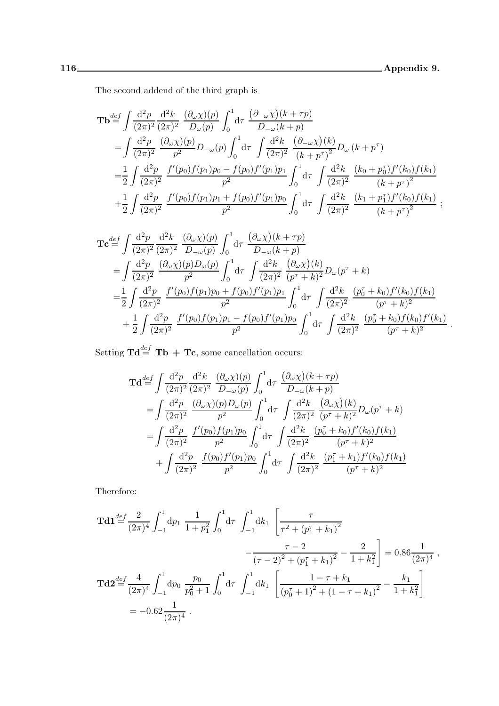The second addend of the third graph is

$$
\mathbf{Tb}^{\text{def}} = \int \frac{d^2 p}{(2\pi)^2} \frac{d^2 k}{(2\pi)^2} \frac{(\partial_\omega \chi)(p)}{D_\omega(p)} \int_0^1 d\tau \frac{(\partial_{-\omega}\chi)(k+\tau p)}{D_{-\omega}(k+p)} \n= \int \frac{d^2 p}{(2\pi)^2} \frac{(\partial_\omega \chi)(p)}{p^2} D_{-\omega}(p) \int_0^1 d\tau \int \frac{d^2 k}{(2\pi)^2} \frac{(\partial_{-\omega}\chi)(k)}{(k+p^\tau)^2} D_{\omega}(k+p^\tau) \n= \frac{1}{2} \int \frac{d^2 p}{(2\pi)^2} \frac{f'(p_0) f(p_1) p_0 - f(p_0) f'(p_1) p_1}{p^2} \int_0^1 d\tau \int \frac{d^2 k}{(2\pi)^2} \frac{(k_0 + p_0^{\tau}) f'(k_0) f(k_1)}{(k+p^\tau)^2} \n+ \frac{1}{2} \int \frac{d^2 p}{(2\pi)^2} \frac{f'(p_0) f(p_1) p_1 + f(p_0) f'(p_1) p_0}{p^2} \int_0^1 d\tau \int \frac{d^2 k}{(2\pi)^2} \frac{(k_1 + p_1^{\tau}) f'(k_0) f(k_1)}{(k+p^\tau)^2} ;
$$

$$
\begin{split}\n\mathbf{Tc} &\stackrel{def}{=} \int \frac{\mathrm{d}^2 p}{(2\pi)^2} \frac{\mathrm{d}^2 k}{(2\pi)^2} \frac{(\partial_\omega \chi)(p)}{D_{-\omega}(p)} \int_0^1 \mathrm{d}\tau \frac{(\partial_\omega \chi)(k+\tau p)}{D_{-\omega}(k+p)} \\
&= \int \frac{\mathrm{d}^2 p}{(2\pi)^2} \frac{(\partial_\omega \chi)(p) D_{\omega}(p)}{p^2} \int_0^1 \mathrm{d}\tau \int \frac{\mathrm{d}^2 k}{(2\pi)^2} \frac{(\partial_\omega \chi)(k)}{(p^{\tau}+k)^2} D_{\omega}(p^{\tau}+k) \\
&= \frac{1}{2} \int \frac{\mathrm{d}^2 p}{(2\pi)^2} \frac{f'(p_0) f(p_1) p_0 + f(p_0) f'(p_1) p_1}{p^2} \int_0^1 \mathrm{d}\tau \int \frac{\mathrm{d}^2 k}{(2\pi)^2} \frac{(p_0^{\tau}+k_0) f'(k_0) f(k_1)}{(p^{\tau}+k)^2} \\
&\quad + \frac{1}{2} \int \frac{\mathrm{d}^2 p}{(2\pi)^2} \frac{f'(p_0) f(p_1) p_1 - f(p_0) f'(p_1) p_0}{p^2} \int_0^1 \mathrm{d}\tau \int \frac{\mathrm{d}^2 k}{(2\pi)^2} \frac{(p_0^{\tau}+k_0) f(k_0) f'(k_1)}{(p^{\tau}+k)^2} .\n\end{split}
$$

Setting  $\mathbf{Td} \stackrel{def}{=} \mathbf{Tb} + \mathbf{Tc}$ , some cancellation occurs:

$$
\mathbf{Td} \stackrel{def}{=} \int \frac{d^2 p}{(2\pi)^2} \frac{d^2 k}{(2\pi)^2} \frac{(\partial_\omega \chi)(p)}{D_{-\omega}(p)} \int_0^1 d\tau \frac{(\partial_\omega \chi)(k+\tau p)}{D_{-\omega}(k+p)} \n= \int \frac{d^2 p}{(2\pi)^2} \frac{(\partial_\omega \chi)(p) D_{\omega}(p)}{p^2} \int_0^1 d\tau \int \frac{d^2 k}{(2\pi)^2} \frac{(\partial_\omega \chi)(k)}{(p^{\tau}+k)^2} D_{\omega}(p^{\tau}+k) \n= \int \frac{d^2 p}{(2\pi)^2} \frac{f'(p_0) f(p_1) p_0}{p^2} \int_0^1 d\tau \int \frac{d^2 k}{(2\pi)^2} \frac{(p_0^{\tau}+k_0) f'(k_0) f(k_1)}{(p^{\tau}+k)^2} \n+ \int \frac{d^2 p}{(2\pi)^2} \frac{f(p_0) f'(p_1) p_0}{p^2} \int_0^1 d\tau \int \frac{d^2 k}{(2\pi)^2} \frac{(p_1^{\tau}+k_1) f'(k_0) f(k_1)}{(p^{\tau}+k)^2}
$$

Therefore:

$$
\mathbf{Td1} \stackrel{def}{=} \frac{2}{(2\pi)^4} \int_{-1}^1 \mathrm{d}p_1 \frac{1}{1+p_1^2} \int_0^1 \mathrm{d}\tau \int_{-1}^1 \mathrm{d}k_1 \left[ \frac{\tau}{\tau^2 + (p_1^{\tau} + k_1)^2} - \frac{\tau - 2}{(\tau - 2)^2 + (p_1^{\tau} + k_1)^2} - \frac{\tau - 2}{1 + k_1^2} \right] = 0.86 \frac{1}{(2\pi)^4} ,
$$
  

$$
\mathbf{Td2} \stackrel{def}{=} \frac{4}{(2\pi)^4} \int_{-1}^1 \mathrm{d}p_0 \frac{p_0}{p_0^2 + 1} \int_0^1 \mathrm{d}\tau \int_{-1}^1 \mathrm{d}k_1 \left[ \frac{1 - \tau + k_1}{(p_0^{\tau} + 1)^2 + (1 - \tau + k_1)^2} - \frac{k_1}{1 + k_1^2} \right]
$$
  

$$
= -0.62 \frac{1}{(2\pi)^4} .
$$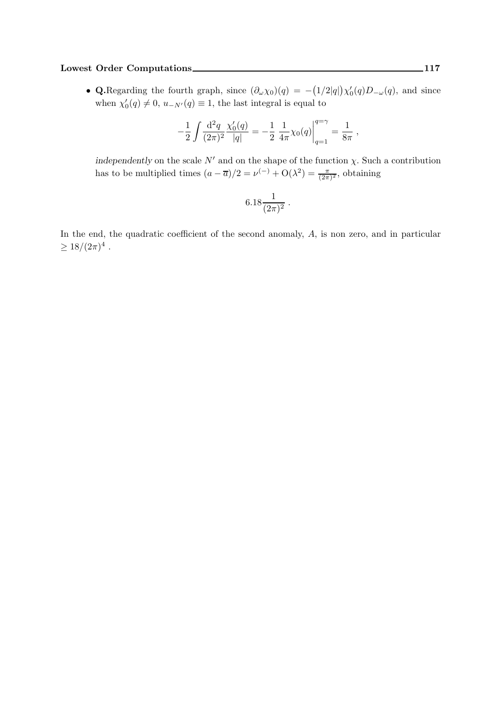## Lowest Order Computations 117

• Q.Regarding the fourth graph, since  $(\partial_{\omega}\chi_0)(q) = -(1/2|q|)\chi'_0(q)D_{-\omega}(q)$ , and since when  $\chi'_0(q) \neq 0$ ,  $u_{-N'}(q) \equiv 1$ , the last integral is equal to

$$
-\frac{1}{2} \int \frac{\mathrm{d}^2 q}{(2\pi)^2} \frac{\chi'_0(q)}{|q|} = -\frac{1}{2} \left. \frac{1}{4\pi} \chi_0(q) \right|_{q=1}^{q=\gamma} = \frac{1}{8\pi} ,
$$

independently on the scale  $N'$  and on the shape of the function  $\chi$ . Such a contribution has to be multiplied times  $(a - \overline{a})/2 = \nu^{(-)} + O(\lambda^2) = \frac{\pi}{(2\pi)^2}$ , obtaining

$$
6.18 \frac{1}{(2\pi)^2} \; .
$$

In the end, the quadratic coefficient of the second anomaly, A, is non zero, and in particular  $\geq 18/(2\pi)^4$ .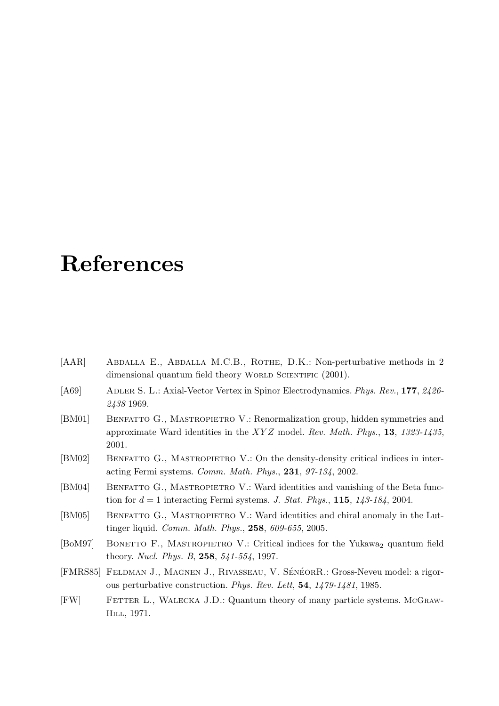## References

- [AAR] Abdalla E., Abdalla M.C.B., ROTHE, D.K.: Non-perturbative methods in 2 dimensional quantum field theory WORLD SCIENTIFIC (2001).
- [A69] ADLER S. L.: Axial-Vector Vertex in Spinor Electrodynamics. Phys. Rev., 177, 2426-2438 1969.
- [BM01] BENFATTO G., MASTROPIETRO V.: Renormalization group, hidden symmetries and approximate Ward identities in the  $XYZ$  model. Rev. Math. Phys., 13, 1323-1435, 2001.
- [BM02] BENFATTO G., MASTROPIETRO V.: On the density-density critical indices in interacting Fermi systems. Comm. Math. Phys., 231, 97-134, 2002.
- [BM04] BENFATTO G., MASTROPIETRO V.: Ward identities and vanishing of the Beta function for  $d = 1$  interacting Fermi systems. J. Stat. Phys., 115, 143-184, 2004.
- [BM05] BENFATTO G., MASTROPIETRO V.: Ward identities and chiral anomaly in the Luttinger liquid. Comm. Math. Phys., 258, 609-655, 2005.
- [BoM97] BONETTO F., MASTROPIETRO V.: Critical indices for the Yukawa<sub>2</sub> quantum field theory. Nucl. Phys. B, 258, 541-554, 1997.
- [FMRS85] FELDMAN J., MAGNEN J., RIVASSEAU, V. SÉNÉORR.: Gross-Neveu model: a rigorous perturbative construction. Phys. Rev. Lett, 54, 1479-1481, 1985.
- [FW] FETTER L., WALECKA J.D.: Quantum theory of many particle systems. McGraw-Hill, 1971.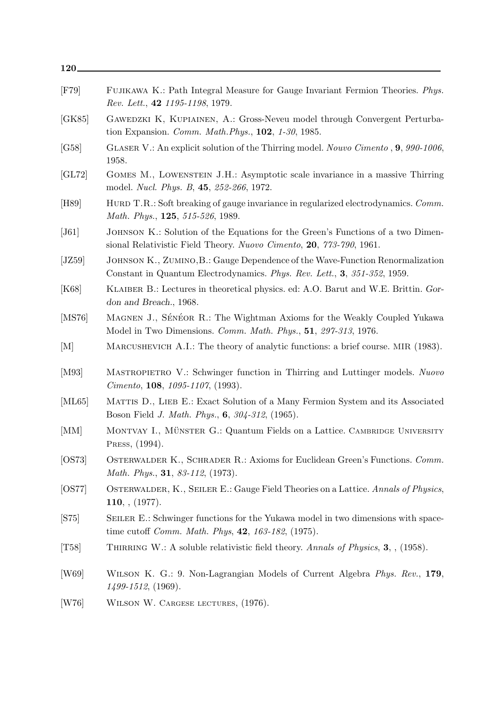| 120         |                                                                                                                                                           |
|-------------|-----------------------------------------------------------------------------------------------------------------------------------------------------------|
| $[$ F79 $]$ | FUJIKAWA K.: Path Integral Measure for Gauge Invariant Fermion Theories. Phys.<br>Rev. Lett., 42 1195-1198, 1979.                                         |
| [GK85]      | GAWEDZKI K, KUPIAINEN, A.: Gross-Neveu model through Convergent Perturba-<br>tion Expansion. Comm. Math. Phys., 102, 1-30, 1985.                          |
| [G58]       | GLASER V.: An explicit solution of the Thirring model. Nouvo Cimento, 9, 990-1006,<br>1958.                                                               |
| [GL72]      | GOMES M., LOWENSTEIN J.H.: Asymptotic scale invariance in a massive Thirring<br>model. <i>Nucl. Phys. B</i> , 45, 252-266, 1972.                          |
| [H89]       | HURD T.R.: Soft breaking of gauge invariance in regularized electrodynamics. Comm.<br>Math. Phys., 125, 515-526, 1989.                                    |
| [J61]       | JOHNSON K.: Solution of the Equations for the Green's Functions of a two Dimen-<br>sional Relativistic Field Theory. Nuovo Cimento, 20, 773-790, 1961.    |
| [JZ59]      | JOHNSON K., ZUMINO, B.: Gauge Dependence of the Wave-Function Renormalization<br>Constant in Quantum Electrodynamics. Phys. Rev. Lett., 3, 351-352, 1959. |
| [K68]       | KLAIBER B.: Lectures in theoretical physics. ed: A.O. Barut and W.E. Brittin. Gor-<br>don and Breach., 1968.                                              |
| [MS76]      | MAGNEN J., SÉNÉOR R.: The Wightman Axioms for the Weakly Coupled Yukawa<br>Model in Two Dimensions. Comm. Math. Phys., 51, 297-313, 1976.                 |
| [M]         | MARCUSHEVICH A.I.: The theory of analytic functions: a brief course. MIR (1983).                                                                          |
| [M93]       | MASTROPIETRO V.: Schwinger function in Thirring and Luttinger models. Nuovo<br><i>Cimento</i> , <b>108</b> , $1095-1107$ , (1993).                        |
| [ML65]      | MATTIS D., LIEB E.: Exact Solution of a Many Fermion System and its Associated<br>Boson Field J. Math. Phys., 6, 304-312, (1965).                         |
| [MM]        | MONTVAY I., MÜNSTER G.: Quantum Fields on a Lattice. CAMBRIDGE UNIVERSITY<br>PRESS, (1994).                                                               |
| [OS73]      | OSTERWALDER K., SCHRADER R.: Axioms for Euclidean Green's Functions. Comm.<br><i>Math. Phys.</i> , <b>31</b> , $83-112$ , (1973).                         |
| [OS77]      | OSTERWALDER, K., SEILER E.: Gauge Field Theories on a Lattice. Annals of Physics,<br>110, , (1977).                                                       |
| [S75]       | SEILER E.: Schwinger functions for the Yukawa model in two dimensions with space-<br>time cutoff <i>Comm. Math. Phys</i> , 42, 163-182, (1975).           |
| [T58]       | THIRRING W.: A soluble relativistic field theory. Annals of Physics, 3, , (1958).                                                                         |
| [W69]       | WILSON K. G.: 9. Non-Lagrangian Models of Current Algebra <i>Phys. Rev.</i> , 179,<br>$1499 - 1512, (1969)$ .                                             |
| [W76]       | WILSON W. CARGESE LECTURES, (1976).                                                                                                                       |